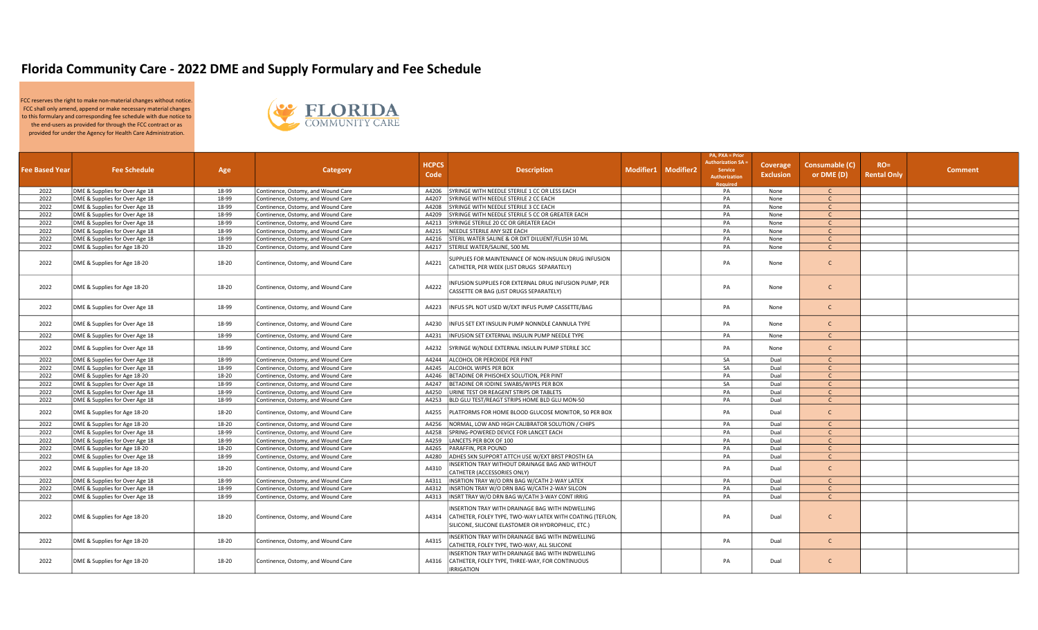## Florida Community Care - 2022 DME and Supply Formulary and Fee Schedule

FCC reserves the right to make non-material changes without notice. FCC shall only amend, append or make necessary material changes to this formulary and corresponding fee schedule with due notice to the end-users as provided for through the FCC contract or as provided for under the Agency for Health Care Administration.



| <b>Fee Based Year</b> | <b>Fee Schedule</b>            | Age   | Category                           | <b>HCPCS</b><br>Code | <b>Description</b>                                                                                                                                                  | Modifier1 Modifier2 | PA, PXA = Prior<br><b>Authorization SA:</b><br><b>Service</b><br><b>Authorization</b><br><b>Required</b> | Coverage<br><b>Exclusion</b> | Consumable (C)<br>or DME (D) | $RO =$<br><b>Rental Only</b> | <b>Comment</b> |
|-----------------------|--------------------------------|-------|------------------------------------|----------------------|---------------------------------------------------------------------------------------------------------------------------------------------------------------------|---------------------|----------------------------------------------------------------------------------------------------------|------------------------------|------------------------------|------------------------------|----------------|
| 2022                  | DME & Supplies for Over Age 18 | 18-99 | Continence, Ostomy, and Wound Care | A4206                | SYRINGE WITH NEEDLE STERILE 1 CC OR LESS EACH                                                                                                                       |                     | PA                                                                                                       | None                         | $\mathsf{C}$                 |                              |                |
| 2022                  | DME & Supplies for Over Age 18 | 18-99 | Continence, Ostomy, and Wound Care | A4207                | SYRINGE WITH NEEDLE STERILE 2 CC EACH                                                                                                                               |                     | PA                                                                                                       | None                         | $\mathsf{C}$                 |                              |                |
| 2022                  | DME & Supplies for Over Age 18 | 18-99 | Continence, Ostomy, and Wound Care | A4208                | SYRINGE WITH NEEDLE STERILE 3 CC EACH                                                                                                                               |                     | PA                                                                                                       | None                         | $\mathsf{C}$                 |                              |                |
| 2022                  | DME & Supplies for Over Age 18 | 18-99 | Continence, Ostomy, and Wound Care | A4209                | SYRINGE WITH NEEDLE STERILE 5 CC OR GREATER EACH                                                                                                                    |                     | PA                                                                                                       | None                         | $\mathsf{C}$                 |                              |                |
| 2022                  | DME & Supplies for Over Age 18 | 18-99 | Continence, Ostomy, and Wound Care | A4213                | SYRINGE STERILE 20 CC OR GREATER EACH                                                                                                                               |                     | PA                                                                                                       | None                         | $\mathsf{C}$                 |                              |                |
| 2022                  | DME & Supplies for Over Age 18 | 18-99 | Continence, Ostomy, and Wound Care | A4215                | NEEDLE STERILE ANY SIZE EACH                                                                                                                                        |                     | PA                                                                                                       | None                         | $\mathsf{C}$                 |                              |                |
| 2022                  | DME & Supplies for Over Age 18 | 18-99 | Continence, Ostomy, and Wound Care | A4216                | STERIL WATER SALINE & OR DXT DILUENT/FLUSH 10 ML                                                                                                                    |                     | PA                                                                                                       | None                         | $\mathsf{C}$                 |                              |                |
| 2022                  | DME & Supplies for Age 18-20   | 18-20 | Continence, Ostomy, and Wound Care | A4217                | STERILE WATER/SALINE, 500 ML                                                                                                                                        |                     | PA                                                                                                       | None                         | $\mathsf{C}$                 |                              |                |
| 2022                  | DME & Supplies for Age 18-20   | 18-20 | Continence, Ostomy, and Wound Care | A4221                | SUPPLIES FOR MAINTENANCE OF NON-INSULIN DRUG INFUSION<br>CATHETER, PER WEEK (LIST DRUGS SEPARATELY)                                                                 |                     | PA                                                                                                       | None                         | $\mathsf{C}$                 |                              |                |
| 2022                  | DME & Supplies for Age 18-20   | 18-20 | Continence, Ostomy, and Wound Care | A4222                | INFUSION SUPPLIES FOR EXTERNAL DRUG INFUSION PUMP, PER<br>ASSETTE OR BAG (LIST DRUGS SEPARATELY)                                                                    |                     | PA                                                                                                       | None                         | $\mathsf{C}$                 |                              |                |
| 2022                  | DME & Supplies for Over Age 18 | 18-99 | Continence, Ostomy, and Wound Care | A4223                | INFUS SPL NOT USED W/EXT INFUS PUMP CASSETTE/BAG                                                                                                                    |                     | PA                                                                                                       | None                         | $\mathsf{C}$                 |                              |                |
| 2022                  | DME & Supplies for Over Age 18 | 18-99 | Continence, Ostomy, and Wound Care | A4230                | NFUS SET EXT INSULIN PUMP NONNDLE CANNULA TYPE                                                                                                                      |                     | PA                                                                                                       | None                         | $\mathsf{C}$                 |                              |                |
| 2022                  | DME & Supplies for Over Age 18 | 18-99 | Continence, Ostomy, and Wound Care | A4231                | INFUSION SET EXTERNAL INSULIN PUMP NEEDLE TYPE                                                                                                                      |                     | PA                                                                                                       | None                         | $\mathsf{C}$                 |                              |                |
| 2022                  | DME & Supplies for Over Age 18 | 18-99 | Continence, Ostomy, and Wound Care | A4232                | SYRINGE W/NDLE EXTERNAL INSULIN PUMP STERILE 3CC                                                                                                                    |                     | PA                                                                                                       | None                         | $\mathsf{C}$                 |                              |                |
| 2022                  | DME & Supplies for Over Age 18 | 18-99 | Continence, Ostomy, and Wound Care | A4244                | ALCOHOL OR PEROXIDE PER PINT                                                                                                                                        |                     | SA                                                                                                       | Dual                         | $\mathcal{C}$                |                              |                |
| 2022                  | DME & Supplies for Over Age 18 | 18-99 | Continence, Ostomy, and Wound Care | A4245                | ALCOHOL WIPES PER BOX                                                                                                                                               |                     | SA                                                                                                       | Dual                         | $\mathsf{C}$                 |                              |                |
| 2022                  | DME & Supplies for Age 18-20   | 18-20 | Continence, Ostomy, and Wound Care | A4246                | BETADINE OR PHISOHEX SOLUTION, PER PINT                                                                                                                             |                     | PA                                                                                                       | Dual                         | $\mathsf{C}$                 |                              |                |
| 2022                  | DME & Supplies for Over Age 18 | 18-99 | Continence, Ostomy, and Wound Care | A4247                | BETADINE OR IODINE SWABS/WIPES PER BOX                                                                                                                              |                     | SA                                                                                                       | Dual                         | $\mathsf{C}$                 |                              |                |
| 2022                  | DME & Supplies for Over Age 18 | 18-99 | Continence, Ostomy, and Wound Care | A4250                | URINE TEST OR REAGENT STRIPS OR TABLETS                                                                                                                             |                     | PA                                                                                                       | Dual                         | $\mathsf{C}$                 |                              |                |
| 2022                  | DME & Supplies for Over Age 18 | 18-99 | Continence, Ostomy, and Wound Care | A4253                | BLD GLU TEST/REAGT STRIPS HOME BLD GLU MON-50                                                                                                                       |                     | PA                                                                                                       | Dual                         | $\mathsf{C}$                 |                              |                |
| 2022                  | DME & Supplies for Age 18-20   | 18-20 | Continence, Ostomy, and Wound Care | A4255                | PLATFORMS FOR HOME BLOOD GLUCOSE MONITOR, 50 PER BOX                                                                                                                |                     | PA                                                                                                       | Dual                         | $\mathsf{C}$                 |                              |                |
| 2022                  | DME & Supplies for Age 18-20   | 18-20 | Continence, Ostomy, and Wound Care | A4256                | NORMAL, LOW AND HIGH CALIBRATOR SOLUTION / CHIPS                                                                                                                    |                     | PA                                                                                                       | Dual                         | $\mathsf{C}$                 |                              |                |
| 2022                  | DME & Supplies for Over Age 18 | 18-99 | Continence, Ostomy, and Wound Care | A4258                | SPRING-POWERED DEVICE FOR LANCET EACH                                                                                                                               |                     | PA                                                                                                       | Dual                         | $\mathsf{C}$                 |                              |                |
| 2022                  | DME & Supplies for Over Age 18 | 18-99 | Continence, Ostomy, and Wound Care | A4259                | LANCETS PER BOX OF 100                                                                                                                                              |                     | PA                                                                                                       | Dual                         | $\mathsf{C}$                 |                              |                |
| 2022                  | DME & Supplies for Age 18-20   | 18-20 | Continence, Ostomy, and Wound Care | A4265                | PARAFFIN, PER POUND                                                                                                                                                 |                     | PA                                                                                                       | Dual                         | $\mathsf{C}$                 |                              |                |
| 2022                  | DME & Supplies for Over Age 18 | 18-99 | Continence, Ostomy, and Wound Care | A4280                | ADHES SKN SUPPORT ATTCH USE W/EXT BRST PROSTH EA                                                                                                                    |                     | PA                                                                                                       | Dual                         | $\mathsf{C}$                 |                              |                |
| 2022                  | DME & Supplies for Age 18-20   | 18-20 | Continence, Ostomy, and Wound Care | A4310                | INSERTION TRAY WITHOUT DRAINAGE BAG AND WITHOUT<br>CATHETER (ACCESSORIES ONLY)                                                                                      |                     | PA                                                                                                       | Dual                         | $\mathsf{C}$                 |                              |                |
| 2022                  | DME & Supplies for Over Age 18 | 18-99 | Continence, Ostomy, and Wound Care | A4311                | INSRTION TRAY W/O DRN BAG W/CATH 2-WAY LATEX                                                                                                                        |                     | PA                                                                                                       | Dual                         | $\mathsf{C}$                 |                              |                |
| 2022                  | DME & Supplies for Over Age 18 | 18-99 | Continence, Ostomy, and Wound Care | A4312                | INSRTION TRAY W/O DRN BAG W/CATH 2-WAY SILCON                                                                                                                       |                     | PA                                                                                                       | Dual                         | $\mathsf{C}$                 |                              |                |
| 2022                  | DME & Supplies for Over Age 18 | 18-99 | Continence, Ostomy, and Wound Care | A4313                | INSRT TRAY W/O DRN BAG W/CATH 3-WAY CONT IRRIG                                                                                                                      |                     | PA                                                                                                       | Dual                         | $\mathsf{C}$                 |                              |                |
| 2022                  | DME & Supplies for Age 18-20   | 18-20 | Continence, Ostomy, and Wound Care | A4314                | INSERTION TRAY WITH DRAINAGE BAG WITH INDWELLING<br>CATHETER, FOLEY TYPE, TWO-WAY LATEX WITH COATING (TEFLON,<br>SILICONE, SILICONE ELASTOMER OR HYDROPHILIC, ETC.) |                     | PA                                                                                                       | Dual                         | $\mathsf{C}$                 |                              |                |
| 2022                  | DME & Supplies for Age 18-20   | 18-20 | Continence, Ostomy, and Wound Care | A4315                | INSERTION TRAY WITH DRAINAGE BAG WITH INDWELLING<br>ATHETER, FOLEY TYPE, TWO-WAY, ALL SILICONE                                                                      |                     | PA                                                                                                       | Dual                         | $\mathsf{C}$                 |                              |                |
| 2022                  | DME & Supplies for Age 18-20   | 18-20 | Continence, Ostomy, and Wound Care | A4316                | INSERTION TRAY WITH DRAINAGE BAG WITH INDWELLING<br>CATHETER, FOLEY TYPE, THREE-WAY, FOR CONTINUOUS<br>RRIGATION                                                    |                     | PA                                                                                                       | Dual                         | $\mathsf{C}$                 |                              |                |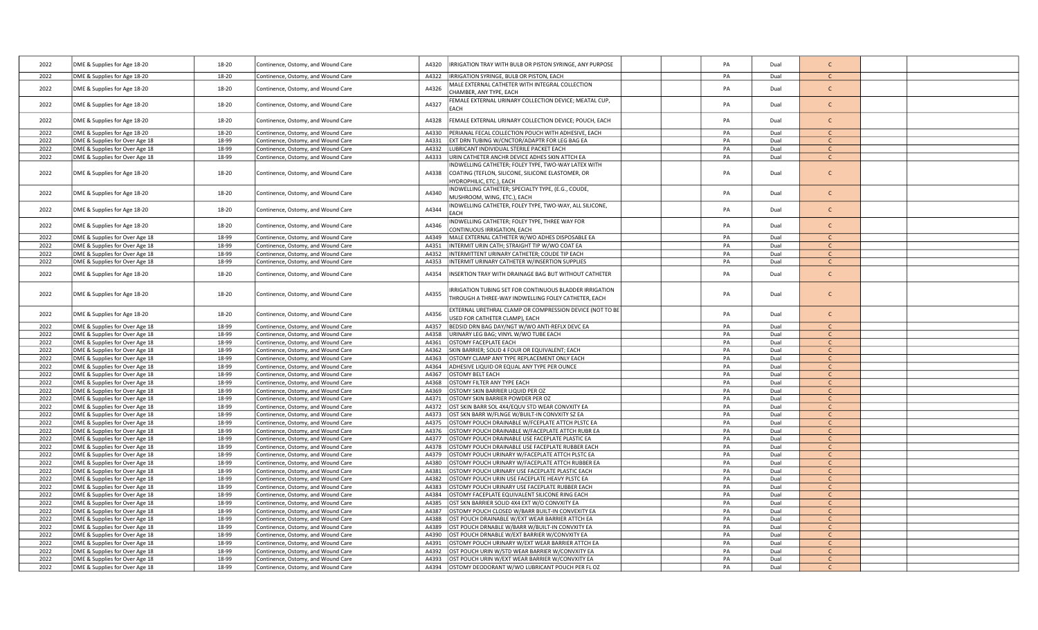| 2022 | DME & Supplies for Age 18-20   | 18-20 | Continence, Ostomy, and Wound Care | A4320<br>RRIGATION TRAY WITH BULB OR PISTON SYRINGE, ANY PURPOSE                                                                              | PA | Dual | $\mathsf{C}$  |  |
|------|--------------------------------|-------|------------------------------------|-----------------------------------------------------------------------------------------------------------------------------------------------|----|------|---------------|--|
| 2022 | DME & Supplies for Age 18-20   | 18-20 | Continence, Ostomy, and Wound Care | A4322<br>IRRIGATION SYRINGE, BULB OR PISTON, EACH                                                                                             | PA | Dual | $\mathbf{C}$  |  |
| 2022 | DME & Supplies for Age 18-20   | 18-20 | Continence, Ostomy, and Wound Care | MALE EXTERNAL CATHETER WITH INTEGRAL COLLECTION<br>A4326<br>CHAMBER, ANY TYPE, EACH                                                           | PA | Dual | $\mathsf{C}$  |  |
| 2022 | DME & Supplies for Age 18-20   | 18-20 | Continence, Ostomy, and Wound Care | FEMALE EXTERNAL URINARY COLLECTION DEVICE; MEATAL CUP,<br>A4327<br>EACH                                                                       | PA | Dual | $\mathsf{C}$  |  |
| 2022 | DME & Supplies for Age 18-20   | 18-20 | Continence, Ostomy, and Wound Care | A4328<br>FEMALE EXTERNAL URINARY COLLECTION DEVICE; POUCH, EACH                                                                               | PA | Dual | $\mathsf{C}$  |  |
| 2022 | DME & Supplies for Age 18-20   | 18-20 | Continence, Ostomy, and Wound Care | A4330<br>PERIANAL FECAL COLLECTION POUCH WITH ADHESIVE, EACH                                                                                  | PA | Dual | $\mathsf{C}$  |  |
| 2022 | DME & Supplies for Over Age 18 | 18-99 | Continence, Ostomy, and Wound Care | EXT DRN TUBING W/CNCTOR/ADAPTR FOR LEG BAG EA<br>A4331                                                                                        | PA | Dual | $\mathsf{C}$  |  |
| 2022 | DME & Supplies for Over Age 18 | 18-99 | Continence, Ostomy, and Wound Care | LUBRICANT INDIVIDUAL STERILE PACKET EACH<br>A4332                                                                                             | PA | Dual | $\mathsf{C}$  |  |
| 2022 | DME & Supplies for Over Age 18 | 18-99 | Continence, Ostomy, and Wound Care | A4333<br>URIN CATHETER ANCHR DEVICE ADHES SKIN ATTCH EA                                                                                       | PA | Dual | $\mathsf{C}$  |  |
| 2022 | DME & Supplies for Age 18-20   | 18-20 | Continence, Ostomy, and Wound Care | INDWELLING CATHETER; FOLEY TYPE, TWO-WAY LATEX WITH<br>COATING (TEFLON, SILICONE, SILICONE ELASTOMER, OR<br>A4338<br>HYDROPHILIC, ETC.), EACH | PA | Dual | $\mathsf{C}$  |  |
| 2022 | DME & Supplies for Age 18-20   | 18-20 | Continence, Ostomy, and Wound Care | INDWELLING CATHETER; SPECIALTY TYPE, (E.G., COUDE,<br>A4340<br>MUSHROOM, WING, ETC.), EACH                                                    | PA | Dual | $\mathsf{C}$  |  |
| 2022 | DME & Supplies for Age 18-20   | 18-20 | Continence, Ostomy, and Wound Care | INDWELLING CATHETER, FOLEY TYPE, TWO-WAY, ALL SILICONE,<br>A4344                                                                              | PA | Dual | $\mathsf{C}$  |  |
| 2022 | DME & Supplies for Age 18-20   | 18-20 | Continence, Ostomy, and Wound Care | INDWELLING CATHETER; FOLEY TYPE, THREE WAY FOR<br>A4346<br>CONTINUOUS IRRIGATION, EACH                                                        | PA | Dual | $\mathsf{C}$  |  |
| 2022 | DME & Supplies for Over Age 18 | 18-99 | Continence, Ostomy, and Wound Care | A4349<br>MALE EXTERNAL CATHETER W/WO ADHES DISPOSABLE EA                                                                                      | PA | Dual | $\mathsf{C}$  |  |
| 2022 | DME & Supplies for Over Age 18 | 18-99 | Continence, Ostomy, and Wound Care | A4351<br>INTERMIT URIN CATH; STRAIGHT TIP W/WO COAT EA                                                                                        | PA | Dual | $\mathsf{C}$  |  |
| 2022 | DME & Supplies for Over Age 18 | 18-99 | Continence, Ostomy, and Wound Care | INTERMITTENT URINARY CATHETER; COUDE TIP EACH<br>A4352                                                                                        | PA | Dual | $\mathsf{C}$  |  |
| 2022 | DME & Supplies for Over Age 18 | 18-99 | Continence, Ostomy, and Wound Care | A4353<br>INTERMIT URINARY CATHETER W/INSERTION SUPPLIES                                                                                       | PA | Dual | $\mathsf{C}$  |  |
| 2022 | DME & Supplies for Age 18-20   | 18-20 | Continence, Ostomy, and Wound Care | A4354<br>INSERTION TRAY WITH DRAINAGE BAG BUT WITHOUT CATHETER                                                                                | PA | Dual | $\mathsf{C}$  |  |
| 2022 | DME & Supplies for Age 18-20   | 18-20 | Continence, Ostomy, and Wound Care | IRRIGATION TUBING SET FOR CONTINUOUS BLADDER IRRIGATION<br>A4355<br>THROUGH A THREE-WAY INDWELLING FOLEY CATHETER, EACH                       | PA | Dual | $\mathsf{C}$  |  |
| 2022 | DME & Supplies for Age 18-20   | 18-20 | Continence, Ostomy, and Wound Care | EXTERNAL URETHRAL CLAMP OR COMPRESSION DEVICE (NOT TO BE<br>A4356<br>USED FOR CATHETER CLAMP), EACH                                           | PA | Dual | $\mathsf{C}$  |  |
| 2022 | DME & Supplies for Over Age 18 | 18-99 | Continence, Ostomy, and Wound Care | BEDSID DRN BAG DAY/NGT W/WO ANTI-REFLX DEVC EA<br>A4357                                                                                       | PA | Dual | $\mathsf{C}$  |  |
| 2022 | DME & Supplies for Over Age 18 | 18-99 | Continence, Ostomy, and Wound Care | A4358<br>URINARY LEG BAG; VINYL W/WO TUBE EACH                                                                                                | PA | Dual | $\mathsf{C}$  |  |
| 2022 | DME & Supplies for Over Age 18 | 18-99 | Continence, Ostomy, and Wound Care | A4361<br>OSTOMY FACEPLATE EACH                                                                                                                | PA | Dual | $\mathsf{C}$  |  |
| 2022 | DME & Supplies for Over Age 18 | 18-99 | Continence, Ostomy, and Wound Care | SKIN BARRIER; SOLID 4 FOUR OR EQUIVALENT; EACH<br>A4362                                                                                       | PA | Dual | $\mathsf{C}$  |  |
| 2022 | DME & Supplies for Over Age 18 | 18-99 | Continence, Ostomy, and Wound Care | OSTOMY CLAMP ANY TYPE REPLACEMENT ONLY EACH<br>A4363                                                                                          | PA | Dual | $\mathsf{C}$  |  |
| 2022 | DME & Supplies for Over Age 18 | 18-99 | Continence, Ostomy, and Wound Care | ADHESIVE LIQUID OR EQUAL ANY TYPE PER OUNCE<br>A4364                                                                                          | PA | Dual | $\mathcal{C}$ |  |
| 2022 | DME & Supplies for Over Age 18 | 18-99 | Continence, Ostomy, and Wound Care | OSTOMY BELT EACH<br>A4367                                                                                                                     | PA | Dual | $\mathsf{C}$  |  |
| 2022 | DME & Supplies for Over Age 18 | 18-99 | Continence, Ostomy, and Wound Care | A4368<br>OSTOMY FILTER ANY TYPE EACH                                                                                                          | PA | Dual | $\mathsf{C}$  |  |
| 2022 | DME & Supplies for Over Age 18 | 18-99 | Continence, Ostomy, and Wound Care | A4369<br>OSTOMY SKIN BARRIER LIQUID PER OZ                                                                                                    | PA | Dual | $\mathsf{C}$  |  |
| 2022 | DME & Supplies for Over Age 18 | 18-99 | Continence, Ostomy, and Wound Care | OSTOMY SKIN BARRIER POWDER PER OZ<br>A4371                                                                                                    | PA | Dual | $\mathsf{C}$  |  |
| 2022 | DME & Supplies for Over Age 18 | 18-99 | Continence, Ostomy, and Wound Care | A4372<br>OST SKIN BARR SOL 4X4/EQUV STD WEAR CONVXITY EA                                                                                      | PA | Dual | $\mathcal{C}$ |  |
| 2022 | DME & Supplies for Over Age 18 | 18-99 | Continence, Ostomy, and Wound Care | A4373<br>OST SKN BARR W/FLNGE W/BUILT-IN CONVXITY SZ EA                                                                                       | PA | Dual | $\mathsf{C}$  |  |
| 2022 | DME & Supplies for Over Age 18 | 18-99 | Continence, Ostomy, and Wound Care | A4375<br>OSTOMY POUCH DRAINABLE W/FCEPLATE ATTCH PLSTC EA                                                                                     | PA | Dual | $\mathsf{C}$  |  |
| 2022 | DME & Supplies for Over Age 18 | 18-99 | Continence, Ostomy, and Wound Care | A4376<br>OSTOMY POUCH DRAINABLE W/FACEPLATE ATTCH RUBR EA                                                                                     | PA | Dual | $\mathsf{C}$  |  |
| 2022 | DME & Supplies for Over Age 18 | 18-99 | Continence, Ostomy, and Wound Care | A4377<br>OSTOMY POUCH DRAINABLE USE FACEPLATE PLASTIC EA                                                                                      | PA | Dual | $\mathsf{C}$  |  |
| 2022 | DME & Supplies for Over Age 18 | 18-99 | Continence, Ostomy, and Wound Care | OSTOMY POUCH DRAINABLE USE FACEPLATE RUBBER EACH<br>A4378                                                                                     | PA | Dual | $\mathsf{C}$  |  |
| 2022 | DME & Supplies for Over Age 18 | 18-99 | Continence, Ostomy, and Wound Care | A4379<br>OSTOMY POUCH URINARY W/FACEPLATE ATTCH PLSTC EA                                                                                      | PA | Dual | $\mathsf{C}$  |  |
| 2022 | DME & Supplies for Over Age 18 | 18-99 | Continence, Ostomy, and Wound Care | OSTOMY POUCH URINARY W/FACEPLATE ATTCH RUBBER EA<br>A4380                                                                                     | PA | Dual | $\mathsf{C}$  |  |
| 2022 | DME & Supplies for Over Age 18 | 18-99 | Continence, Ostomy, and Wound Care | OSTOMY POUCH URINARY USE FACEPLATE PLASTIC EACH<br>A4381                                                                                      | PA | Dual | $\mathsf{C}$  |  |
| 2022 | DME & Supplies for Over Age 18 | 18-99 | Continence, Ostomy, and Wound Care | A4382<br>OSTOMY POUCH URIN USE FACEPLATE HEAVY PLSTC EA                                                                                       | PA | Dual | $\mathsf{C}$  |  |
| 2022 | DME & Supplies for Over Age 18 | 18-99 | Continence, Ostomy, and Wound Care | A4383<br>OSTOMY POUCH URINARY USE FACEPLATE RUBBER EACH                                                                                       | PA | Dual | $\mathsf{C}$  |  |
| 2022 | DME & Supplies for Over Age 18 | 18-99 | Continence, Ostomy, and Wound Care | OSTOMY FACEPLATE EQUIVALENT SILICONE RING EACH<br>A4384                                                                                       | PA | Dual | $\mathsf{C}$  |  |
| 2022 | DME & Supplies for Over Age 18 | 18-99 | Continence, Ostomy, and Wound Care | OST SKN BARRIER SOLID 4X4 EXT W/O CONVXITY EA<br>A4385                                                                                        | PA | Dual | $\mathsf{C}$  |  |
| 2022 | DME & Supplies for Over Age 18 | 18-99 | Continence, Ostomy, and Wound Care | OSTOMY POUCH CLOSED W/BARR BUILT-IN CONVEXITY EA<br>A4387                                                                                     | PA | Dual | $\mathsf{C}$  |  |
| 2022 | DME & Supplies for Over Age 18 | 18-99 | Continence, Ostomy, and Wound Care | A4388<br>OST POUCH DRAINABLE W/EXT WEAR BARRIER ATTCH EA                                                                                      | PA | Dual | $\mathsf{C}$  |  |
| 2022 | DME & Supplies for Over Age 18 | 18-99 | Continence, Ostomy, and Wound Care | A4389<br>OST POUCH DRNABLE W/BARR W/BUILT-IN CONVXITY EA                                                                                      | PA | Dual | $\mathsf{C}$  |  |
| 2022 | DME & Supplies for Over Age 18 | 18-99 | Continence, Ostomy, and Wound Care | OST POUCH DRNABLE W/EXT BARRIER W/CONVXITY EA<br>A4390                                                                                        | PA | Dual | $\mathsf{C}$  |  |
| 2022 | DME & Supplies for Over Age 18 | 18-99 | Continence, Ostomy, and Wound Care | OSTOMY POUCH URINARY W/EXT WEAR BARRIER ATTCH EA<br>A4391                                                                                     | PA | Dual | $\mathsf{C}$  |  |
| 2022 | DME & Supplies for Over Age 18 | 18-99 | Continence, Ostomy, and Wound Care | OST POUCH URIN W/STD WEAR BARRIER W/CONVXITY EA<br>A4392                                                                                      | PA | Dual | $\mathcal{C}$ |  |
| 2022 | DME & Supplies for Over Age 18 | 18-99 | Continence, Ostomy, and Wound Care | OST POUCH URIN W/EXT WEAR BARRIER W/CONVXITY EA<br>A4393                                                                                      | PA | Dual | C.            |  |
| 2022 | DME & Supplies for Over Age 18 | 18-99 | Continence, Ostomy, and Wound Care | OSTOMY DEODORANT W/WO LUBRICANT POUCH PER FL OZ<br>A4394                                                                                      | PA | Dual |               |  |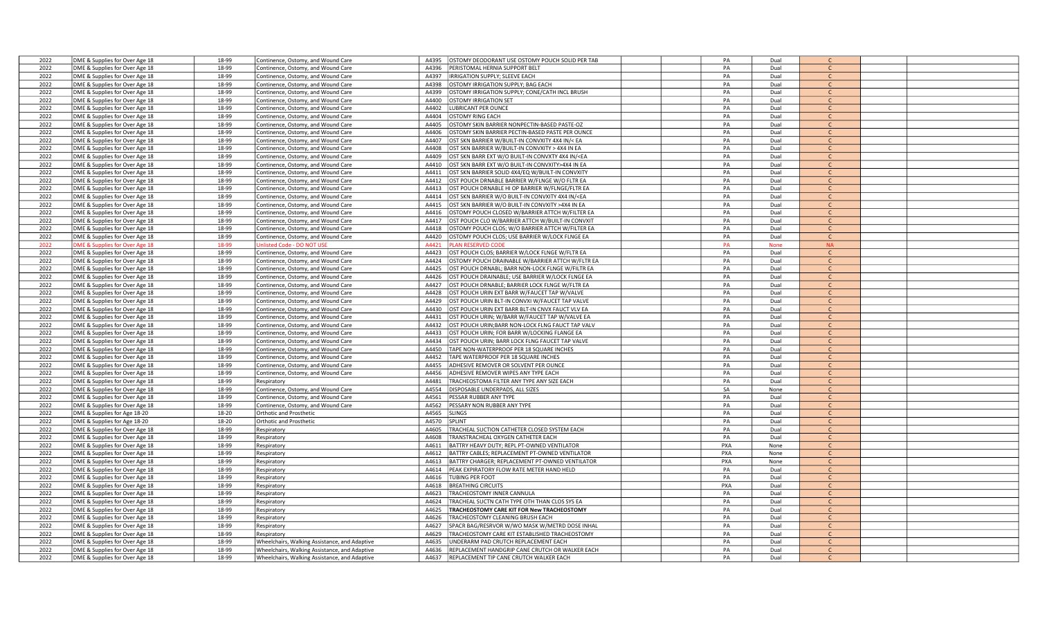| 2022 | DME & Supplies for Over Age 18 | 18-99 | Continence, Ostomy, and Wound Care            | OSTOMY DEODORANT USE OSTOMY POUCH SOLID PER TAB<br>A4395           | PA  | Dual        |               |  |
|------|--------------------------------|-------|-----------------------------------------------|--------------------------------------------------------------------|-----|-------------|---------------|--|
| 2022 | DME & Supplies for Over Age 18 | 18-99 | Continence, Ostomy, and Wound Care            | A4396<br>PERISTOMAL HERNIA SUPPORT BELT                            | PA  | Dual        | $\mathsf{C}$  |  |
| 2022 | DME & Supplies for Over Age 18 | 18-99 | Continence, Ostomy, and Wound Care            | A4397<br>IRRIGATION SUPPLY; SLEEVE EACH                            | PA  | Dual        | $\mathsf{C}$  |  |
|      |                                | 18-99 |                                               |                                                                    | PA  |             | $\mathsf{C}$  |  |
| 2022 | DME & Supplies for Over Age 18 |       | Continence, Ostomy, and Wound Care            | A4398<br><b>OSTOMY IRRIGATION SUPPLY; BAG EACH</b>                 |     | Dual        |               |  |
| 2022 | DME & Supplies for Over Age 18 | 18-99 | Continence, Ostomy, and Wound Care            | A4399<br>OSTOMY IRRIGATION SUPPLY; CONE/CATH INCL BRUSH            | PA  | Dual        | $\mathsf{C}$  |  |
| 2022 | DME & Supplies for Over Age 18 | 18-99 | Continence, Ostomy, and Wound Care            | A4400<br><b>STOMY IRRIGATION SET</b>                               | PA  | Dual        | $\mathsf{C}$  |  |
| 2022 | DME & Supplies for Over Age 18 | 18-99 | Continence, Ostomy, and Wound Care            | <b>UBRICANT PER OUNCE</b><br>A4402                                 | PA  | Dual        | $\mathcal{C}$ |  |
| 2022 | DME & Supplies for Over Age 18 | 18-99 | Continence, Ostomy, and Wound Care            | A4404<br><b>OSTOMY RING EACH</b>                                   | PA  | Dual        | $\mathsf{C}$  |  |
| 2022 | DME & Supplies for Over Age 18 | 18-99 | Continence, Ostomy, and Wound Care            | A4405<br><b>DSTOMY SKIN BARRIER NONPECTIN-BASED PASTE-OZ</b>       | PA  | Dual        | $\mathsf{C}$  |  |
| 2022 | DME & Supplies for Over Age 18 | 18-99 | Continence, Ostomy, and Wound Care            | <b>STOMY SKIN BARRIER PECTIN-BASED PASTE PER OUNCE</b><br>A4406    | PA  | Dual        | $\mathsf{C}$  |  |
| 2022 | DME & Supplies for Over Age 18 | 18-99 | Continence, Ostomy, and Wound Care            | OST SKN BARRIER W/BUILT-IN CONVXITY 4X4 IN/< EA<br>A4407           | PA  | Dual        | $\mathsf{C}$  |  |
| 2022 | DME & Supplies for Over Age 18 | 18-99 | Continence, Ostomy, and Wound Care            | A4408<br>OST SKN BARRIER W/BUILT-IN CONVXITY > 4X4 IN EA           | PA  | Dual        | $\mathsf{C}$  |  |
| 2022 | DME & Supplies for Over Age 18 | 18-99 | Continence, Ostomy, and Wound Care            | OST SKN BARR EXT W/O BUILT-IN CONVXTY 4X4 IN/ <ea<br>A4409</ea<br> | PA  | Dual        | $\mathcal{C}$ |  |
|      |                                |       |                                               |                                                                    |     |             | $\mathsf{C}$  |  |
| 2022 | DME & Supplies for Over Age 18 | 18-99 | Continence, Ostomy, and Wound Care            | OST SKN BARR EXT W/O BUILT-IN CONVXITY>4X4 IN EA<br>A4410          | PA  | Dual        |               |  |
| 2022 | DME & Supplies for Over Age 18 | 18-99 | Continence, Ostomy, and Wound Care            | A4411<br>OST SKN BARRIER SOLID 4X4/EQ W/BUILT-IN CONVXITY          | PA  | Dual        | $\mathsf{C}$  |  |
| 2022 | DME & Supplies for Over Age 18 | 18-99 | Continence, Ostomy, and Wound Care            | A4412<br>OST POUCH DRNABLE BARRIER W/FLNGE W/O FLTR EA             | PA  | Dual        | $\mathsf{C}$  |  |
| 2022 | DME & Supplies for Over Age 18 | 18-99 | Continence, Ostomy, and Wound Care            | A4413<br>OST POUCH DRNABLE HI OP BARRIER W/FLNGE/FLTR EA           | PA  | Dual        | $\mathsf{C}$  |  |
| 2022 | DME & Supplies for Over Age 18 | 18-99 | Continence, Ostomy, and Wound Care            | OST SKN BARRIER W/O BUILT-IN CONVXITY 4X4 IN/ <ea<br>A4414</ea<br> | PA  | Dual        | $\mathsf{C}$  |  |
| 2022 | DME & Supplies for Over Age 18 | 18-99 | Continence, Ostomy, and Wound Care            | OST SKN BARRIER W/O BUILT-IN CONVXITY >4X4 IN EA<br>A4415          | PA  | Dual        |               |  |
| 2022 | DME & Supplies for Over Age 18 | 18-99 | Continence, Ostomy, and Wound Care            | A4416<br>OSTOMY POUCH CLOSED W/BARRIER ATTCH W/FILTER EA           | PA  | Dual        | $\mathsf{C}$  |  |
| 2022 | DME & Supplies for Over Age 18 | 18-99 | Continence, Ostomy, and Wound Care            | OST POUCH CLO W/BARRIER ATTCH W/BUILT-IN CONVXIT<br>A4417          | PA  | Dual        | $\Gamma$      |  |
| 2022 | DME & Supplies for Over Age 18 | 18-99 | Continence, Ostomy, and Wound Care            | A4418<br><b>DSTOMY POUCH CLOS; W/O BARRIER ATTCH W/FILTER EA</b>   | PA  | Dual        | $\mathsf{C}$  |  |
|      |                                |       |                                               | A4420                                                              |     | Dual        | $\mathsf{C}$  |  |
| 2022 | DME & Supplies for Over Age 18 | 18-99 | Continence, Ostomy, and Wound Care            | <b>DSTOMY POUCH CLOS; USE BARRIER W/LOCK FLNGE EA</b>              | PA  |             |               |  |
| 2022 | OME & Supplies for Over Age 18 | 18-99 | nlisted Code - DO NOT USE                     | A4421<br>LAN RESERVED CODE                                         | PA  | <b>None</b> | <b>NA</b>     |  |
| 2022 | DME & Supplies for Over Age 18 | 18-99 | Continence, Ostomy, and Wound Care            | A4423<br>OST POUCH CLOS; BARRIER W/LOCK FLNGE W/FLTR EA            | PA  | Dual        | $\mathsf{C}$  |  |
| 2022 | DME & Supplies for Over Age 18 | 18-99 | Continence, Ostomy, and Wound Care            | A4424<br>STOMY POUCH DRAINABLE W/BARRIER ATTCH W/FLTR EA           | PA  | Dual        | $\mathsf{C}$  |  |
| 2022 | DME & Supplies for Over Age 18 | 18-99 | Continence, Ostomy, and Wound Care            | A4425<br>OST POUCH DRNABL; BARR NON-LOCK FLNGE W/FILTR EA          | PA  | Dual        | $\mathsf{C}$  |  |
| 2022 | DME & Supplies for Over Age 18 | 18-99 | Continence, Ostomy, and Wound Care            | A4426<br>OST POUCH DRAINABLE; USE BARRIER W/LOCK FLNGE EA          | PA  | Dual        | $\mathsf{C}$  |  |
| 2022 | DME & Supplies for Over Age 18 | 18-99 | Continence, Ostomy, and Wound Care            | OST POUCH DRNABLE; BARRIER LOCK FLNGE W/FLTR EA<br>A4427           | PA  | Dual        | $\mathsf{C}$  |  |
| 2022 | DME & Supplies for Over Age 18 | 18-99 | Continence, Ostomy, and Wound Care            | OST POUCH URIN EXT BARR W/FAUCET TAP W/VALVE<br>A4428              | PA  | Dual        | $\mathsf{C}$  |  |
| 2022 | DME & Supplies for Over Age 18 | 18-99 | Continence, Ostomy, and Wound Care            | A4429<br>OST POUCH URIN BLT-IN CONVXI W/FAUCET TAP VALVE           | PA  | Dual        | $\mathsf{C}$  |  |
| 2022 | DME & Supplies for Over Age 18 | 18-99 | Continence, Ostomy, and Wound Care            | A4430<br>OST POUCH URIN EXT BARR BLT-IN CNVX FAUCT VLV EA          | PA  | Dual        | $\mathsf{C}$  |  |
| 2022 |                                |       |                                               |                                                                    |     |             |               |  |
|      | DME & Supplies for Over Age 18 | 18-99 | Continence, Ostomy, and Wound Care            | A4431<br>OST POUCH URIN; W/BARR W/FAUCET TAP W/VALVE EA            | PA  | Dual        | $\mathsf{C}$  |  |
| 2022 | DME & Supplies for Over Age 18 | 18-99 | Continence, Ostomy, and Wound Care            | OST POUCH URIN; BARR NON-LOCK FLNG FAUCT TAP VALV<br>A4432         | PA  | Dual        | $\mathsf{C}$  |  |
| 2022 | DME & Supplies for Over Age 18 | 18-99 | Continence, Ostomy, and Wound Care            | A4433<br>OST POUCH URIN; FOR BARR W/LOCKING FLANGE EA              | PA  | Dual        | $\Gamma$      |  |
| 2022 | DME & Supplies for Over Age 18 | 18-99 | Continence, Ostomy, and Wound Care            | A4434<br>OST POUCH URIN; BARR LOCK FLNG FAUCET TAP VALVE           | PA  | Dual        | $\mathcal{C}$ |  |
| 2022 | DME & Supplies for Over Age 18 | 18-99 | Continence, Ostomy, and Wound Care            | APE NON-WATERPROOF PER 18 SQUARE INCHES<br>A4450                   | PA  | Dual        | $\mathcal{C}$ |  |
| 2022 | DME & Supplies for Over Age 18 | 18-99 | Continence, Ostomy, and Wound Care            | A4452<br>APE WATERPROOF PER 18 SQUARE INCHES                       | PA  | Dual        | $\mathsf{C}$  |  |
| 2022 | DME & Supplies for Over Age 18 | 18-99 | Continence, Ostomy, and Wound Care            | A4455<br>ADHESIVE REMOVER OR SOLVENT PER OUNCE                     | PA  | Dual        | $\mathsf{C}$  |  |
| 2022 | DME & Supplies for Over Age 18 | 18-99 | Continence, Ostomy, and Wound Care            | A4456<br>ADHESIVE REMOVER WIPES ANY TYPE EACH                      | PA  | Dual        | $\mathsf{C}$  |  |
| 2022 | DME & Supplies for Over Age 18 | 18-99 | Respiratory                                   | A4481<br><b>TRACHEOSTOMA FILTER ANY TYPE ANY SIZE EACH</b>         | PA  | Dual        | $\mathsf{C}$  |  |
| 2022 |                                | 18-99 | Continence, Ostomy, and Wound Care            | A4554<br>DISPOSABLE UNDERPADS, ALL SIZES                           | SA  | None        | $\mathsf{C}$  |  |
|      | DME & Supplies for Over Age 18 |       |                                               |                                                                    |     |             |               |  |
| 2022 | DME & Supplies for Over Age 18 | 18-99 | Continence, Ostomy, and Wound Care            | A4561<br><b>PESSAR RUBBER ANY TYPE</b>                             | PA  | Dual        | $\mathcal{C}$ |  |
| 2022 | DME & Supplies for Over Age 18 | 18-99 | Continence, Ostomy, and Wound Care            | ESSARY NON RUBBER ANY TYPE<br>A4562                                | PA  | Dual        | $\mathsf{C}$  |  |
| 2022 | DME & Supplies for Age 18-20   | 18-20 | Orthotic and Prosthetic                       | A4565<br>SLINGS                                                    | PA  | Dual        | $\mathbf{C}$  |  |
| 2022 | DME & Supplies for Age 18-20   | 18-20 | Orthotic and Prosthetic                       | A4570<br>SPLINT                                                    | PA  | Dual        | $\mathsf{C}$  |  |
| 2022 | DME & Supplies for Over Age 18 | 18-99 | Respiratory                                   | A4605<br>RACHEAL SUCTION CATHETER CLOSED SYSTEM EACH               | PA  | Dual        | $\mathsf{C}$  |  |
| 2022 | DME & Supplies for Over Age 18 | 18-99 | Respiratory                                   | RANSTRACHEAL OXYGEN CATHETER EACH<br>A4608                         | PA  | Dual        | $\mathsf{C}$  |  |
| 2022 | DME & Supplies for Over Age 18 | 18-99 | Respiratory                                   | BATTRY HEAVY DUTY; REPL PT-OWNED VENTILATOR<br>A4611               | PXA | None        | C.            |  |
| 2022 | DME & Supplies for Over Age 18 | 18-99 | Respiratory                                   | A4612<br>BATTRY CABLES; REPLACEMENT PT-OWNED VENTILATOR            | PXA | None        | $\mathcal{C}$ |  |
| 2022 | DME & Supplies for Over Age 18 | 18-99 |                                               | A4613<br>BATTRY CHARGER: REPLACEMENT PT-OWNED VENTILATOR           | PXA | None        |               |  |
| 2022 |                                | 18-99 | Respiratory                                   | PEAK EXPIRATORY FLOW RATE METER HAND HELD                          | PA  | Dual        | $\mathsf{C}$  |  |
|      | DME & Supplies for Over Age 18 |       | Respiratory                                   | A4614                                                              |     |             |               |  |
| 2022 | DME & Supplies for Over Age 18 | 18-99 | Respiratory                                   | A4616<br><b>JBING PER FOOT</b>                                     | PA  | Dual        | $\mathsf{C}$  |  |
| 2022 | DME & Supplies for Over Age 18 | 18-99 | Respiratory                                   | A4618<br><b>BREATHING CIRCUITS</b>                                 | PXA | Dual        | $\mathsf{C}$  |  |
| 2022 | DME & Supplies for Over Age 18 | 18-99 | Respiratory                                   | A4623<br>RACHEOSTOMY INNER CANNULA                                 | PA  | Dual        | $\mathsf{C}$  |  |
| 2022 | DME & Supplies for Over Age 18 | 18-99 | Respiratory                                   | A4624<br><b>TRACHEAL SUCTN CATH TYPE OTH THAN CLOS SYS EA</b>      | PA  | Dual        | $\mathsf{C}$  |  |
| 2022 | DME & Supplies for Over Age 18 | 18-99 | Respiratory                                   | A4625<br><b>TRACHEOSTOMY CARE KIT FOR New TRACHEOSTOMY</b>         | PA  | Dual        | C             |  |
| 2022 | DME & Supplies for Over Age 18 | 18-99 | Respiratory                                   | A4626<br>RACHEOSTOMY CLEANING BRUSH EACH                           | PA  | Dual        | $\mathsf{C}$  |  |
| 2022 | DME & Supplies for Over Age 18 | 18-99 | Respiratory                                   | A4627<br>PACR BAG/RESRVOR W/WO MASK W/METRD DOSE INHAL             | PA  | Dual        | $\mathsf{C}$  |  |
| 2022 | DME & Supplies for Over Age 18 | 18-99 | Respiratory                                   | A4629<br>RACHEOSTOMY CARE KIT ESTABLISHED TRACHEOSTOMY             | PA  | Dual        | C             |  |
| 2022 | DME & Supplies for Over Age 18 | 18-99 | Wheelchairs, Walking Assistance, and Adaptive | INDERARM PAD CRUTCH REPLACEMENT EACH<br>A4635                      | PA  | Dual        | $\mathcal{C}$ |  |
|      |                                |       |                                               | A4636                                                              |     | Dual        | $\mathsf{C}$  |  |
| 2022 | DME & Supplies for Over Age 18 | 18-99 | Wheelchairs, Walking Assistance, and Adaptive | REPLACEMENT HANDGRIP CANE CRUTCH OR WALKER EACH                    | PA  |             |               |  |
| 2022 | DME & Supplies for Over Age 18 | 18-99 | Wheelchairs, Walking Assistance, and Adaptive | REPLACEMENT TIP CANE CRUTCH WALKER EACH<br>A4637                   | PA  | Dual        |               |  |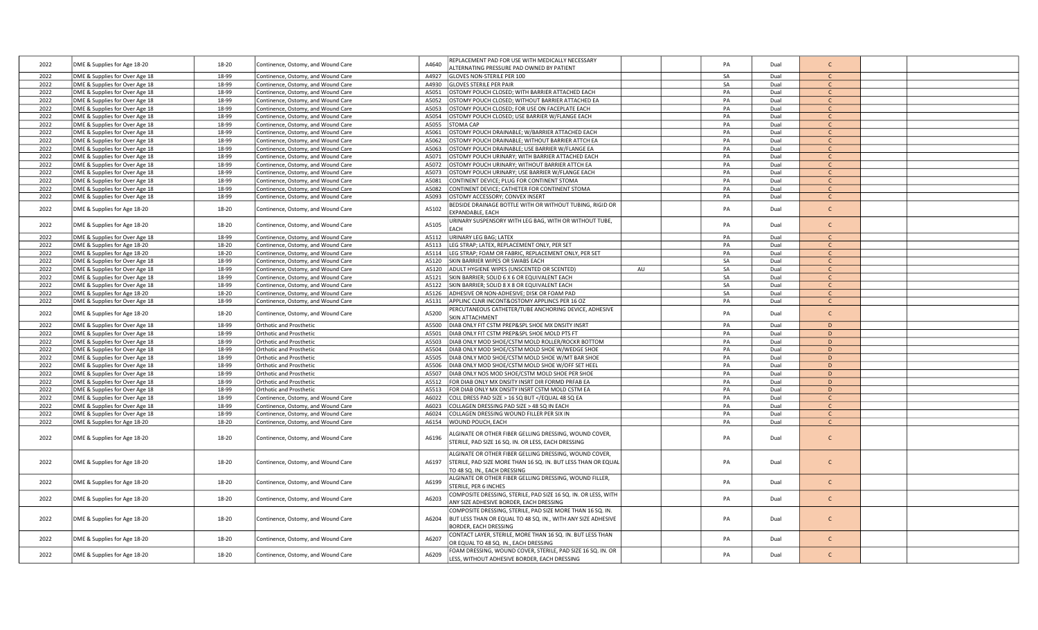| 2022 | DME & Supplies for Age 18-20   | 18-20 | Continence, Ostomy, and Wound Care | A4640 | REPLACEMENT PAD FOR USE WITH MEDICALLY NECESSARY<br>ALTERNATING PRESSURE PAD OWNED BY PATIENT                                                           | PA | Dual | $\mathsf{C}$  |  |
|------|--------------------------------|-------|------------------------------------|-------|---------------------------------------------------------------------------------------------------------------------------------------------------------|----|------|---------------|--|
| 2022 | DME & Supplies for Over Age 18 | 18-99 | Continence, Ostomy, and Wound Care | A4927 | <b>GLOVES NON-STERILE PER 100</b>                                                                                                                       | SA | Dual | $\mathcal{C}$ |  |
| 2022 | DME & Supplies for Over Age 18 | 18-99 | Continence, Ostomy, and Wound Care | A4930 | <b>GLOVES STERILE PER PAIR</b>                                                                                                                          | SA | Dual | $\mathsf{C}$  |  |
| 2022 | DME & Supplies for Over Age 18 | 18-99 | Continence, Ostomy, and Wound Care | A5051 | OSTOMY POUCH CLOSED; WITH BARRIER ATTACHED EACH                                                                                                         | PA | Dual | $\mathsf{C}$  |  |
| 2022 | DME & Supplies for Over Age 18 | 18-99 | Continence, Ostomy, and Wound Care | A5052 | OSTOMY POUCH CLOSED; WITHOUT BARRIER ATTACHED EA                                                                                                        | PA | Dual | $\mathsf{C}$  |  |
| 2022 | DME & Supplies for Over Age 18 | 18-99 | Continence, Ostomy, and Wound Care | A5053 | OSTOMY POUCH CLOSED; FOR USE ON FACEPLATE EACH                                                                                                          | PA | Dual | $\Gamma$      |  |
| 2022 | DME & Supplies for Over Age 18 | 18-99 | Continence, Ostomy, and Wound Care | A5054 | OSTOMY POUCH CLOSED; USE BARRIER W/FLANGE EACH                                                                                                          | PA | Dual | $\mathsf{C}$  |  |
| 2022 | DME & Supplies for Over Age 18 | 18-99 | Continence, Ostomy, and Wound Care | A5055 | TOMA CAP                                                                                                                                                | PA | Dual | $\mathsf{C}$  |  |
| 2022 | DME & Supplies for Over Age 18 | 18-99 | Continence, Ostomy, and Wound Care | A5061 | OSTOMY POUCH DRAINABLE; W/BARRIER ATTACHED EACH                                                                                                         | PA | Dual | $\mathsf{C}$  |  |
| 2022 | DME & Supplies for Over Age 18 | 18-99 | Continence, Ostomy, and Wound Care | A5062 | <b>OSTOMY POUCH DRAINABLE; WITHOUT BARRIER ATTCH EA</b>                                                                                                 | PA | Dual | $\mathsf{C}$  |  |
| 2022 | DME & Supplies for Over Age 18 | 18-99 | Continence, Ostomy, and Wound Care | A5063 | OSTOMY POUCH DRAINABLE; USE BARRIER W/FLANGE EA                                                                                                         | PA | Dual | $\mathsf{C}$  |  |
| 2022 | DME & Supplies for Over Age 18 | 18-99 | Continence, Ostomy, and Wound Care | A5071 | OSTOMY POUCH URINARY; WITH BARRIER ATTACHED EACH                                                                                                        | PA | Dual | $\mathsf{C}$  |  |
| 2022 | DME & Supplies for Over Age 18 | 18-99 | Continence, Ostomy, and Wound Care | A5072 | OSTOMY POUCH URINARY; WITHOUT BARRIER ATTCH EA                                                                                                          | PA | Dual | $\mathsf{C}$  |  |
| 2022 | DME & Supplies for Over Age 18 | 18-99 | Continence, Ostomy, and Wound Care | A5073 | OSTOMY POUCH URINARY; USE BARRIER W/FLANGE EACH                                                                                                         | PA | Dual | $\mathsf{C}$  |  |
| 2022 | DME & Supplies for Over Age 18 | 18-99 | Continence, Ostomy, and Wound Care | A5081 | CONTINENT DEVICE; PLUG FOR CONTINENT STOMA                                                                                                              | PA | Dual | $\mathsf{C}$  |  |
| 2022 | DME & Supplies for Over Age 18 | 18-99 | Continence, Ostomy, and Wound Care | A5082 | CONTINENT DEVICE; CATHETER FOR CONTINENT STOMA                                                                                                          | PA | Dual | $\mathsf{C}$  |  |
| 2022 | DME & Supplies for Over Age 18 | 18-99 | Continence, Ostomy, and Wound Care | A5093 | OSTOMY ACCESSORY; CONVEX INSERT                                                                                                                         | PA | Dual | $\mathsf{C}$  |  |
|      |                                |       |                                    |       | BEDSIDE DRAINAGE BOTTLE WITH OR WITHOUT TUBING, RIGID OR                                                                                                |    |      |               |  |
| 2022 | DME & Supplies for Age 18-20   | 18-20 | Continence, Ostomy, and Wound Care | A5102 | EXPANDABLE, EACH                                                                                                                                        | PA | Dual | $\mathsf{C}$  |  |
|      |                                |       |                                    |       | RINARY SUSPENSORY WITH LEG BAG, WITH OR WITHOUT TUBE,                                                                                                   |    |      |               |  |
| 2022 | DME & Supplies for Age 18-20   | 18-20 | Continence, Ostomy, and Wound Care | A5105 | EACH                                                                                                                                                    | PA | Dual | $\mathsf{C}$  |  |
| 2022 | DME & Supplies for Over Age 18 | 18-99 | Continence, Ostomy, and Wound Care | A5112 | URINARY LEG BAG; LATEX                                                                                                                                  | PA | Dual | $\mathsf{C}$  |  |
| 2022 | DME & Supplies for Age 18-20   | 18-20 | Continence, Ostomy, and Wound Care | A5113 | LEG STRAP; LATEX, REPLACEMENT ONLY, PER SET                                                                                                             | PA | Dual | $\mathsf{C}$  |  |
| 2022 | DME & Supplies for Age 18-20   | 18-20 | Continence, Ostomy, and Wound Care | A5114 | EG STRAP; FOAM OR FABRIC, REPLACEMENT ONLY, PER SET                                                                                                     | PA | Dual | $\mathsf{C}$  |  |
| 2022 | DME & Supplies for Over Age 18 | 18-99 | Continence, Ostomy, and Wound Care | A5120 | SKIN BARRIER WIPES OR SWABS EACH                                                                                                                        | SA | Dual | $\mathsf{C}$  |  |
| 2022 | DME & Supplies for Over Age 18 | 18-99 | Continence, Ostomy, and Wound Care | A5120 | ADULT HYGIENE WIPES (UNSCENTED OR SCENTED)<br>AU                                                                                                        | SA | Dual | $\mathsf{C}$  |  |
| 2022 | DME & Supplies for Over Age 18 | 18-99 | Continence, Ostomy, and Wound Care | A5121 | SKIN BARRIER; SOLID 6 X 6 OR EQUIVALENT EACH                                                                                                            | SA | Dual | $\mathsf{C}$  |  |
| 2022 | DME & Supplies for Over Age 18 | 18-99 | Continence, Ostomy, and Wound Care | A5122 | SKIN BARRIER; SOLID 8 X 8 OR EQUIVALENT EACH                                                                                                            | SA | Dual | $\mathsf{C}$  |  |
| 2022 | DME & Supplies for Age 18-20   | 18-20 | Continence, Ostomy, and Wound Care | A5126 | ADHESIVE OR NON-ADHESIVE; DISK OR FOAM PAD                                                                                                              | SA | Dual | $\mathsf{C}$  |  |
| 2022 | DME & Supplies for Over Age 18 | 18-99 | Continence, Ostomy, and Wound Care | A5131 | APPLINC CLNR INCONT&OSTOMY APPLINCS PER 16 OZ                                                                                                           | PA | Dual | $\mathsf{C}$  |  |
| 2022 | DME & Supplies for Age 18-20   | 18-20 | Continence, Ostomy, and Wound Care | A5200 | ERCUTANEOUS CATHETER/TUBE ANCHORING DEVICE, ADHESIVE<br><b>SKIN ATTACHMENT</b>                                                                          | PA | Dual | $\mathsf{C}$  |  |
| 2022 | DME & Supplies for Over Age 18 | 18-99 | <b>Orthotic and Prosthetic</b>     | A5500 | DIAB ONLY FIT CSTM PREP&SPL SHOE MX DNSITY INSRT                                                                                                        | PA | Dual | D             |  |
| 2022 | DME & Supplies for Over Age 18 | 18-99 | Orthotic and Prosthetic            | A5501 | DIAB ONLY FIT CSTM PREP&SPL SHOE MOLD PTS FT                                                                                                            | PA | Dual | D             |  |
| 2022 | DME & Supplies for Over Age 18 | 18-99 | Orthotic and Prosthetic            | A5503 | DIAB ONLY MOD SHOE/CSTM MOLD ROLLER/ROCKR BOTTOM                                                                                                        | PA | Dual | D             |  |
| 2022 | DME & Supplies for Over Age 18 | 18-99 | Orthotic and Prosthetic            | A5504 | DIAB ONLY MOD SHOE/CSTM MOLD SHOE W/WEDGE SHOE                                                                                                          | PA | Dual | D             |  |
| 2022 | DME & Supplies for Over Age 18 | 18-99 | Orthotic and Prosthetic            | A5505 | DIAB ONLY MOD SHOE/CSTM MOLD SHOE W/MT BAR SHOE                                                                                                         | PA | Dual | D             |  |
| 2022 | DME & Supplies for Over Age 18 | 18-99 | Orthotic and Prosthetic            | A5506 | DIAB ONLY MOD SHOE/CSTM MOLD SHOE W/OFF SET HEEL                                                                                                        | PA | Dual | D             |  |
| 2022 | DME & Supplies for Over Age 18 | 18-99 | Orthotic and Prosthetic            | A5507 | DIAB ONLY NOS MOD SHOE/CSTM MOLD SHOE PER SHOE                                                                                                          | PA | Dual | D             |  |
| 2022 | DME & Supplies for Over Age 18 | 18-99 | Orthotic and Prosthetic            | A5512 | FOR DIAB ONLY MX DNSITY INSRT DIR FORMD PRFAB EA                                                                                                        | PA | Dual | D             |  |
| 2022 | DME & Supplies for Over Age 18 | 18-99 | Orthotic and Prosthetic            | A5513 | FOR DIAB ONLY MX DNSITY INSRT CSTM MOLD CSTM EA                                                                                                         | PA | Dual | D             |  |
| 2022 | DME & Supplies for Over Age 18 | 18-99 | Continence, Ostomy, and Wound Care | A6022 | COLL DRESS PAD SIZE > 16 SQ BUT <td>PA</td> <td>Dual</td> <td><math>\mathsf{C}</math></td> <td></td>                                                    | PA | Dual | $\mathsf{C}$  |  |
| 2022 | DME & Supplies for Over Age 18 | 18-99 | Continence, Ostomy, and Wound Care | A6023 | COLLAGEN DRESSING PAD SIZE > 48 SQ IN EACH                                                                                                              | PA | Dual | $\mathsf{C}$  |  |
| 2022 | DME & Supplies for Over Age 18 | 18-99 | Continence, Ostomy, and Wound Care | A6024 | COLLAGEN DRESSING WOUND FILLER PER SIX IN                                                                                                               | PA | Dual | $\mathcal{C}$ |  |
| 2022 | DME & Supplies for Age 18-20   | 18-20 | Continence, Ostomy, and Wound Care | A6154 | WOUND POUCH, EACH                                                                                                                                       | PA | Dual | $\mathsf{C}$  |  |
| 2022 | DME & Supplies for Age 18-20   | 18-20 | Continence, Ostomy, and Wound Care | A6196 | ALGINATE OR OTHER FIBER GELLING DRESSING, WOUND COVER,<br>STERILE, PAD SIZE 16 SQ. IN. OR LESS, EACH DRESSING                                           | PA | Dual | $\mathsf{C}$  |  |
| 2022 | DME & Supplies for Age 18-20   | 18-20 | Continence, Ostomy, and Wound Care | A6197 | ALGINATE OR OTHER FIBER GELLING DRESSING, WOUND COVER,<br>STERILE, PAD SIZE MORE THAN 16 SQ. IN. BUT LESS THAN OR EQUAL<br>TO 48 SQ. IN., EACH DRESSING | PA | Dual | $\mathsf{C}$  |  |
| 2022 | DME & Supplies for Age 18-20   | 18-20 | Continence, Ostomy, and Wound Care | A6199 | ALGINATE OR OTHER FIBER GELLING DRESSING, WOUND FILLER,<br>STERILE, PER 6 INCHES                                                                        | PA | Dual | $\mathsf{C}$  |  |
| 2022 | DME & Supplies for Age 18-20   | 18-20 | Continence, Ostomy, and Wound Care | A6203 | COMPOSITE DRESSING, STERILE, PAD SIZE 16 SQ. IN. OR LESS, WITH<br>ANY SIZE ADHESIVE BORDER, EACH DRESSING                                               | PA | Dual | $\mathsf{C}$  |  |
| 2022 | DME & Supplies for Age 18-20   | 18-20 | Continence, Ostomy, and Wound Care | A6204 | COMPOSITE DRESSING, STERILE, PAD SIZE MORE THAN 16 SQ. IN.<br>BUT LESS THAN OR EQUAL TO 48 SQ. IN., WITH ANY SIZE ADHESIVE<br>BORDER, EACH DRESSING     | PA | Dual | $\mathsf{C}$  |  |
| 2022 | DME & Supplies for Age 18-20   | 18-20 | Continence, Ostomy, and Wound Care | A6207 | CONTACT LAYER, STERILE, MORE THAN 16 SQ. IN. BUT LESS THAN<br>OR EQUAL TO 48 SQ. IN., EACH DRESSING                                                     | PA | Dual | $\mathsf{C}$  |  |
| 2022 | DME & Supplies for Age 18-20   | 18-20 | Continence, Ostomy, and Wound Care | A6209 | FOAM DRESSING, WOUND COVER, STERILE, PAD SIZE 16 SQ. IN. OR<br>LESS, WITHOUT ADHESIVE BORDER, EACH DRESSING                                             | PA | Dual | $\mathsf{C}$  |  |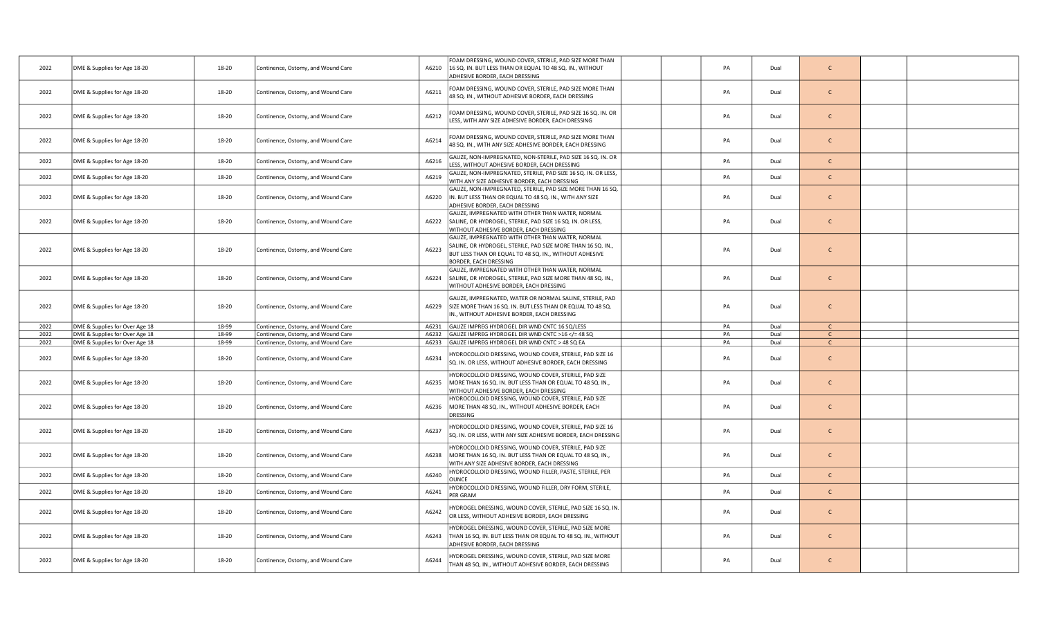| 2022 | DME & Supplies for Age 18-20   | 18-20 | Continence, Ostomy, and Wound Care | A6210 | FOAM DRESSING, WOUND COVER, STERILE, PAD SIZE MORE THAN<br>16 SQ. IN. BUT LESS THAN OR EQUAL TO 48 SQ. IN., WITHOUT<br>ADHESIVE BORDER, EACH DRESSING                                               | PA | Dual | $\mathsf{C}$ |  |
|------|--------------------------------|-------|------------------------------------|-------|-----------------------------------------------------------------------------------------------------------------------------------------------------------------------------------------------------|----|------|--------------|--|
| 2022 | DME & Supplies for Age 18-20   | 18-20 | Continence, Ostomy, and Wound Care | A6211 | FOAM DRESSING, WOUND COVER, STERILE, PAD SIZE MORE THAN<br>48 SQ. IN., WITHOUT ADHESIVE BORDER, EACH DRESSING                                                                                       | PA | Dual | $\mathsf{C}$ |  |
| 2022 | DME & Supplies for Age 18-20   | 18-20 | Continence, Ostomy, and Wound Care | A6212 | FOAM DRESSING, WOUND COVER, STERILE, PAD SIZE 16 SQ. IN. OR<br>LESS, WITH ANY SIZE ADHESIVE BORDER, EACH DRESSING                                                                                   | PA | Dual | $\mathsf{C}$ |  |
| 2022 | DME & Supplies for Age 18-20   | 18-20 | Continence, Ostomy, and Wound Care | A6214 | FOAM DRESSING, WOUND COVER, STERILE, PAD SIZE MORE THAN<br>48 SQ. IN., WITH ANY SIZE ADHESIVE BORDER, EACH DRESSING                                                                                 | PA | Dual | $\mathsf{C}$ |  |
| 2022 | DME & Supplies for Age 18-20   | 18-20 | Continence, Ostomy, and Wound Care | A6216 | GAUZE, NON-IMPREGNATED, NON-STERILE, PAD SIZE 16 SQ. IN. OR<br>LESS, WITHOUT ADHESIVE BORDER, EACH DRESSING                                                                                         | PA | Dual | $\mathsf{C}$ |  |
| 2022 | DME & Supplies for Age 18-20   | 18-20 | Continence, Ostomy, and Wound Care | A6219 | GAUZE, NON-IMPREGNATED, STERILE, PAD SIZE 16 SQ. IN. OR LESS,<br>WITH ANY SIZE ADHESIVE BORDER, EACH DRESSING                                                                                       | PA | Dual | $\mathsf{C}$ |  |
| 2022 | DME & Supplies for Age 18-20   | 18-20 | Continence, Ostomy, and Wound Care | A6220 | GAUZE, NON-IMPREGNATED, STERILE, PAD SIZE MORE THAN 16 SQ.<br>IN. BUT LESS THAN OR EQUAL TO 48 SQ. IN., WITH ANY SIZE<br>ADHESIVE BORDER, EACH DRESSING                                             | PA | Dual | $\mathsf{C}$ |  |
| 2022 | DME & Supplies for Age 18-20   | 18-20 | Continence, Ostomy, and Wound Care | A6222 | GAUZE, IMPREGNATED WITH OTHER THAN WATER, NORMAL<br>SALINE, OR HYDROGEL, STERILE, PAD SIZE 16 SQ. IN. OR LESS,<br>WITHOUT ADHESIVE BORDER, EACH DRESSING                                            | PA | Dual | $\mathsf{C}$ |  |
| 2022 | DME & Supplies for Age 18-20   | 18-20 | Continence, Ostomy, and Wound Care | A6223 | GAUZE, IMPREGNATED WITH OTHER THAN WATER, NORMAL<br>SALINE, OR HYDROGEL, STERILE, PAD SIZE MORE THAN 16 SQ. IN.,<br>BUT LESS THAN OR EQUAL TO 48 SQ. IN., WITHOUT ADHESIVE<br>BORDER, EACH DRESSING | PA | Dual | $\mathsf{C}$ |  |
| 2022 | DME & Supplies for Age 18-20   | 18-20 | Continence, Ostomy, and Wound Care | A6224 | GAUZE, IMPREGNATED WITH OTHER THAN WATER, NORMAL<br>SALINE, OR HYDROGEL, STERILE, PAD SIZE MORE THAN 48 SQ. IN.,<br>WITHOUT ADHESIVE BORDER, EACH DRESSING                                          | PA | Dual | $\mathsf{C}$ |  |
| 2022 | DME & Supplies for Age 18-20   | 18-20 | Continence, Ostomy, and Wound Care |       | GAUZE, IMPREGNATED, WATER OR NORMAL SALINE, STERILE, PAD<br>A6229 SIZE MORE THAN 16 SQ. IN. BUT LESS THAN OR EQUAL TO 48 SQ.<br>IN., WITHOUT ADHESIVE BORDER, EACH DRESSING                         | PA | Dual | $\mathsf{C}$ |  |
| 2022 | DME & Supplies for Over Age 18 | 18-99 | Continence, Ostomy, and Wound Care | A6231 | GAUZE IMPREG HYDROGEL DIR WND CNTC 16 SQ/LESS                                                                                                                                                       | PA | Dual |              |  |
| 2022 | DME & Supplies for Over Age 18 | 18-99 | Continence, Ostomy, and Wound Care | A6232 | GAUZE IMPREG HYDROGEL DIR WND CNTC >16 = 48 SQ</td <td>PA</td> <td>Dual</td> <td><math>\mathsf{C}</math></td> <td></td>                                                                             | PA | Dual | $\mathsf{C}$ |  |
| 2022 | DME & Supplies for Over Age 18 | 18-99 | Continence, Ostomy, and Wound Care | A6233 | GAUZE IMPREG HYDROGEL DIR WND CNTC > 48 SQ EA                                                                                                                                                       | PA | Dual | $\mathsf{C}$ |  |
| 2022 | DME & Supplies for Age 18-20   | 18-20 | Continence, Ostomy, and Wound Care | A6234 | IYDROCOLLOID DRESSING, WOUND COVER, STERILE, PAD SIZE 16<br>SQ. IN. OR LESS, WITHOUT ADHESIVE BORDER, EACH DRESSING                                                                                 | PA | Dual | $\mathsf{C}$ |  |
| 2022 | DME & Supplies for Age 18-20   | 18-20 | Continence, Ostomy, and Wound Care | A6235 | IYDROCOLLOID DRESSING, WOUND COVER, STERILE, PAD SIZE<br>MORE THAN 16 SQ. IN. BUT LESS THAN OR EQUAL TO 48 SQ. IN.,<br>WITHOUT ADHESIVE BORDER, EACH DRESSING                                       | PA | Dual | $\mathsf{C}$ |  |
| 2022 | DME & Supplies for Age 18-20   | 18-20 | Continence, Ostomy, and Wound Care | A6236 | HYDROCOLLOID DRESSING, WOUND COVER, STERILE, PAD SIZE<br>MORE THAN 48 SQ. IN., WITHOUT ADHESIVE BORDER, EACH<br>DRESSING                                                                            | PA | Dual | $\mathsf{C}$ |  |
| 2022 | DME & Supplies for Age 18-20   | 18-20 | Continence, Ostomy, and Wound Care | A6237 | HYDROCOLLOID DRESSING, WOUND COVER, STERILE, PAD SIZE 16<br>SQ. IN. OR LESS, WITH ANY SIZE ADHESIVE BORDER, EACH DRESSING                                                                           | PA | Dual | $\mathsf{C}$ |  |
| 2022 | DME & Supplies for Age 18-20   | 18-20 | Continence, Ostomy, and Wound Care | A6238 | HYDROCOLLOID DRESSING, WOUND COVER, STERILE, PAD SIZE<br>MORE THAN 16 SQ. IN. BUT LESS THAN OR EQUAL TO 48 SQ. IN.,<br>WITH ANY SIZE ADHESIVE BORDER, EACH DRESSING                                 | PA | Dual | $\mathsf{C}$ |  |
| 2022 | DME & Supplies for Age 18-20   | 18-20 | Continence, Ostomy, and Wound Care | A6240 | HYDROCOLLOID DRESSING, WOUND FILLER, PASTE, STERILE, PER<br><b>DUNCE</b>                                                                                                                            | PA | Dual | $\mathsf{C}$ |  |
| 2022 | DME & Supplies for Age 18-20   | 18-20 | Continence, Ostomy, and Wound Care | A6241 | IYDROCOLLOID DRESSING, WOUND FILLER, DRY FORM, STERILE,<br>PER GRAM                                                                                                                                 | PA | Dual | $\mathsf{C}$ |  |
| 2022 | DME & Supplies for Age 18-20   | 18-20 | Continence, Ostomy, and Wound Care | A6242 | IYDROGEL DRESSING, WOUND COVER, STERILE, PAD SIZE 16 SQ. IN.<br>OR LESS, WITHOUT ADHESIVE BORDER, EACH DRESSING                                                                                     | PA | Dual | $\mathsf{C}$ |  |
| 2022 | DME & Supplies for Age 18-20   | 18-20 | Continence, Ostomy, and Wound Care | A6243 | HYDROGEL DRESSING, WOUND COVER, STERILE, PAD SIZE MORE<br>THAN 16 SQ. IN. BUT LESS THAN OR EQUAL TO 48 SQ. IN., WITHOUT<br>ADHESIVE BORDER, EACH DRESSING                                           | PA | Dual | $\mathsf{C}$ |  |
| 2022 | DME & Supplies for Age 18-20   | 18-20 | Continence, Ostomy, and Wound Care | A6244 | IYDROGEL DRESSING, WOUND COVER, STERILE, PAD SIZE MORE<br>THAN 48 SQ. IN., WITHOUT ADHESIVE BORDER, EACH DRESSING                                                                                   | PA | Dual | $\mathsf{C}$ |  |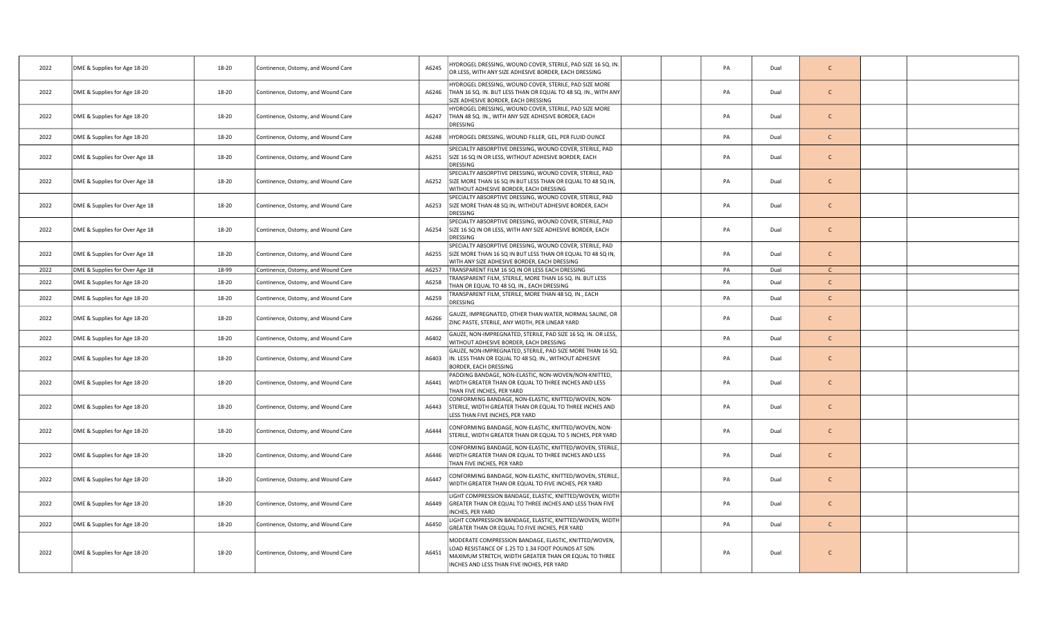| 2022 | DME & Supplies for Age 18-20   | 18-20 | Continence, Ostomy, and Wound Care | A6245 | IYDROGEL DRESSING, WOUND COVER, STERILE, PAD SIZE 16 SQ. IN.<br>OR LESS, WITH ANY SIZE ADHESIVE BORDER, EACH DRESSING                                                                                             | PA | Dual | $\mathsf{C}$ |  |
|------|--------------------------------|-------|------------------------------------|-------|-------------------------------------------------------------------------------------------------------------------------------------------------------------------------------------------------------------------|----|------|--------------|--|
| 2022 | DME & Supplies for Age 18-20   | 18-20 | Continence, Ostomy, and Wound Care | A6246 | HYDROGEL DRESSING, WOUND COVER, STERILE, PAD SIZE MORE<br>THAN 16 SQ. IN. BUT LESS THAN OR EQUAL TO 48 SQ. IN., WITH ANY<br>SIZE ADHESIVE BORDER, EACH DRESSING                                                   | PA | Dual | $\mathsf{C}$ |  |
| 2022 | DME & Supplies for Age 18-20   | 18-20 | Continence, Ostomy, and Wound Care | A6247 | HYDROGEL DRESSING, WOUND COVER, STERILE, PAD SIZE MORE<br>THAN 48 SQ. IN., WITH ANY SIZE ADHESIVE BORDER, EACH<br>DRESSING                                                                                        | PA | Dual | $\mathsf{C}$ |  |
| 2022 | DME & Supplies for Age 18-20   | 18-20 | Continence, Ostomy, and Wound Care | A6248 | HYDROGEL DRESSING, WOUND FILLER, GEL, PER FLUID OUNCE                                                                                                                                                             | PA | Dual | $\mathsf{C}$ |  |
| 2022 | DME & Supplies for Over Age 18 | 18-20 | Continence, Ostomy, and Wound Care | A6251 | SPECIALTY ABSORPTIVE DRESSING, WOUND COVER, STERILE, PAD<br>SIZE 16 SQ IN OR LESS, WITHOUT ADHESIVE BORDER, EACH<br><b>DRESSING</b>                                                                               | PA | Dual | $\mathsf{C}$ |  |
| 2022 | DME & Supplies for Over Age 18 | 18-20 | Continence, Ostomy, and Wound Care |       | SPECIALTY ABSORPTIVE DRESSING, WOUND COVER, STERILE, PAD<br>A6252 SIZE MORE THAN 16 SQ IN BUT LESS THAN OR EQUAL TO 48 SQ IN,<br>WITHOUT ADHESIVE BORDER, EACH DRESSING                                           | PA | Dual | $\mathsf{C}$ |  |
| 2022 | DME & Supplies for Over Age 18 | 18-20 | Continence, Ostomy, and Wound Care |       | SPECIALTY ABSORPTIVE DRESSING, WOUND COVER, STERILE, PAD<br>A6253 SIZE MORE THAN 48 SQ IN, WITHOUT ADHESIVE BORDER, EACH<br><b>DRESSING</b>                                                                       | PA | Dual | $\mathsf{C}$ |  |
| 2022 | DME & Supplies for Over Age 18 | 18-20 | Continence, Ostomy, and Wound Care | A6254 | SPECIALTY ABSORPTIVE DRESSING, WOUND COVER, STERILE, PAD<br>SIZE 16 SQ IN OR LESS, WITH ANY SIZE ADHESIVE BORDER, EACH<br>DRESSING                                                                                | PA | Dual | $\mathsf{C}$ |  |
| 2022 | DME & Supplies for Over Age 18 | 18-20 | Continence, Ostomy, and Wound Care | A6255 | SPECIALTY ABSORPTIVE DRESSING, WOUND COVER, STERILE, PAD<br>SIZE MORE THAN 16 SQ IN BUT LESS THAN OR EQUAL TO 48 SQ IN,<br>WITH ANY SIZE ADHESIVE BORDER, EACH DRESSING                                           | PA | Dual | $\mathsf{C}$ |  |
| 2022 | DME & Supplies for Over Age 18 | 18-99 | Continence, Ostomy, and Wound Care |       | A6257   TRANSPARENT FILM 16 SQ IN OR LESS EACH DRESSING                                                                                                                                                           | PA | Dual | $\mathsf{C}$ |  |
| 2022 | DME & Supplies for Age 18-20   | 18-20 | Continence, Ostomy, and Wound Care | A6258 | FRANSPARENT FILM, STERILE, MORE THAN 16 SQ. IN. BUT LESS<br>THAN OR EQUAL TO 48 SQ. IN., EACH DRESSING                                                                                                            | PA | Dual | $\mathsf{C}$ |  |
| 2022 | DME & Supplies for Age 18-20   | 18-20 | Continence, Ostomy, and Wound Care | A6259 | FRANSPARENT FILM, STERILE, MORE THAN 48 SQ. IN., EACH<br>DRESSING                                                                                                                                                 | PA | Dual | $\mathsf{C}$ |  |
| 2022 | DME & Supplies for Age 18-20   | 18-20 | Continence, Ostomy, and Wound Care | A6266 | GAUZE, IMPREGNATED, OTHER THAN WATER, NORMAL SALINE, OR<br>ZINC PASTE, STERILE, ANY WIDTH, PER LINEAR YARD                                                                                                        | PA | Dual | $\mathsf{C}$ |  |
| 2022 | DME & Supplies for Age 18-20   | 18-20 | Continence, Ostomy, and Wound Care | A6402 | GAUZE, NON-IMPREGNATED, STERILE, PAD SIZE 16 SQ. IN. OR LESS,<br>WITHOUT ADHESIVE BORDER, EACH DRESSING                                                                                                           | PA | Dual | $\mathsf{C}$ |  |
| 2022 | DME & Supplies for Age 18-20   | 18-20 | Continence, Ostomy, and Wound Care | A6403 | GAUZE, NON-IMPREGNATED, STERILE, PAD SIZE MORE THAN 16 SQ.<br>IN. LESS THAN OR EQUAL TO 48 SQ. IN., WITHOUT ADHESIVE<br>BORDER, EACH DRESSING                                                                     | PA | Dual | $\mathsf{C}$ |  |
| 2022 | DME & Supplies for Age 18-20   | 18-20 | Continence, Ostomy, and Wound Care |       | PADDING BANDAGE, NON-ELASTIC, NON-WOVEN/NON-KNITTED,<br>A6441   WIDTH GREATER THAN OR EQUAL TO THREE INCHES AND LESS<br>THAN FIVE INCHES, PER YARD                                                                | PA | Dual | $\mathsf{C}$ |  |
| 2022 | DME & Supplies for Age 18-20   | 18-20 | Continence, Ostomy, and Wound Care | A6443 | CONFORMING BANDAGE, NON-ELASTIC, KNITTED/WOVEN, NON-<br>STERILE, WIDTH GREATER THAN OR EQUAL TO THREE INCHES AND<br>LESS THAN FIVE INCHES, PER YARD                                                               | PA | Dual | $\mathsf{C}$ |  |
| 2022 | DME & Supplies for Age 18-20   | 18-20 | Continence, Ostomy, and Wound Care | A6444 | CONFORMING BANDAGE, NON-ELASTIC, KNITTED/WOVEN, NON-<br>STERILE, WIDTH GREATER THAN OR EQUAL TO 5 INCHES, PER YARD                                                                                                | PA | Dual | $\mathsf{C}$ |  |
| 2022 | DME & Supplies for Age 18-20   | 18-20 | Continence, Ostomy, and Wound Care | A6446 | CONFORMING BANDAGE, NON-ELASTIC, KNITTED/WOVEN, STERILE,<br>WIDTH GREATER THAN OR EQUAL TO THREE INCHES AND LESS<br>THAN FIVE INCHES, PER YARD                                                                    | PA | Dual | $\mathsf{C}$ |  |
| 2022 | DME & Supplies for Age 18-20   | 18-20 | Continence, Ostomy, and Wound Care | A6447 | CONFORMING BANDAGE, NON-ELASTIC, KNITTED/WOVEN, STERILE,<br>WIDTH GREATER THAN OR EQUAL TO FIVE INCHES, PER YARD                                                                                                  | PA | Dual | $\mathsf{C}$ |  |
| 2022 | DME & Supplies for Age 18-20   | 18-20 | Continence, Ostomy, and Wound Care | A6449 | LIGHT COMPRESSION BANDAGE, ELASTIC, KNITTED/WOVEN, WIDTH<br>GREATER THAN OR EQUAL TO THREE INCHES AND LESS THAN FIVE<br>INCHES, PER YARD                                                                          | PA | Dual | $\mathsf{C}$ |  |
| 2022 | DME & Supplies for Age 18-20   | 18-20 | Continence, Ostomy, and Wound Care | A6450 | IGHT COMPRESSION BANDAGE, ELASTIC, KNITTED/WOVEN, WIDTH<br>GREATER THAN OR EQUAL TO FIVE INCHES, PER YARD                                                                                                         | PA | Dual | $\mathsf{C}$ |  |
| 2022 | DME & Supplies for Age 18-20   | 18-20 | Continence, Ostomy, and Wound Care | A6451 | MODERATE COMPRESSION BANDAGE, ELASTIC, KNITTED/WOVEN,<br>OAD RESISTANCE OF 1.25 TO 1.34 FOOT POUNDS AT 50%<br>MAXIMUM STRETCH, WIDTH GREATER THAN OR EQUAL TO THREE<br>INCHES AND LESS THAN FIVE INCHES, PER YARD | PA | Dual | $\mathsf{C}$ |  |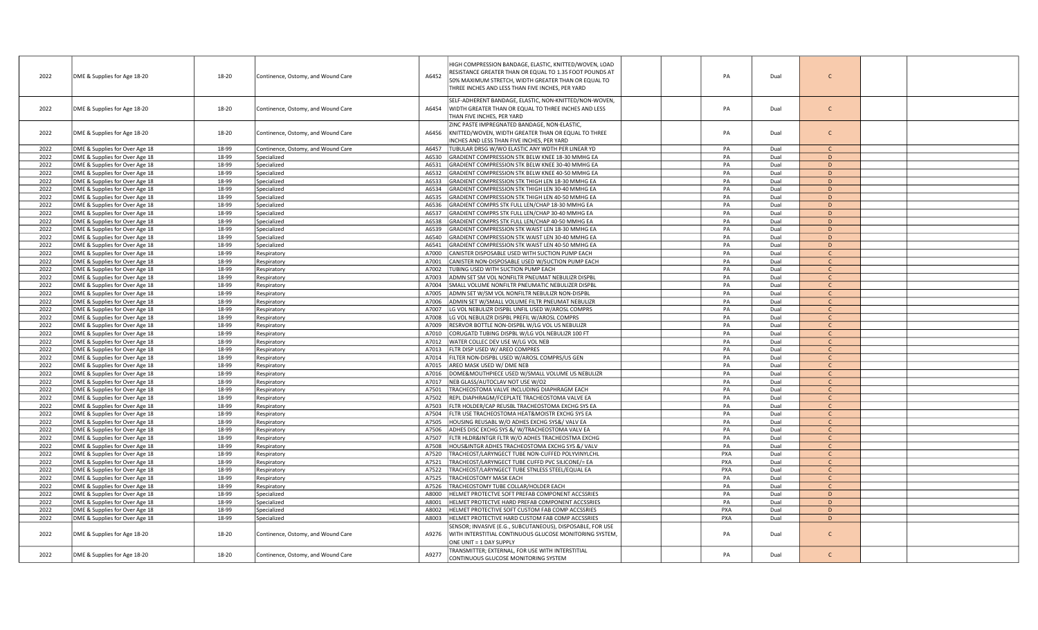| 2022 | DME & Supplies for Age 18-20                                     | 18-20 | Continence, Ostomy, and Wound Care | A6452          | HIGH COMPRESSION BANDAGE, ELASTIC, KNITTED/WOVEN, LOAD<br>RESISTANCE GREATER THAN OR EQUAL TO 1.35 FOOT POUNDS AT<br>50% MAXIMUM STRETCH, WIDTH GREATER THAN OR EQUAL TO<br>THREE INCHES AND LESS THAN FIVE INCHES, PER YARD | PA         | Dual | C                             |  |
|------|------------------------------------------------------------------|-------|------------------------------------|----------------|------------------------------------------------------------------------------------------------------------------------------------------------------------------------------------------------------------------------------|------------|------|-------------------------------|--|
| 2022 | DME & Supplies for Age 18-20                                     | 18-20 | Continence, Ostomy, and Wound Care | A6454          | SELF-ADHERENT BANDAGE, ELASTIC, NON-KNITTED/NON-WOVEN,<br>WIDTH GREATER THAN OR EQUAL TO THREE INCHES AND LESS<br>THAN FIVE INCHES, PER YARD                                                                                 | PA         | Dual | $\mathsf{C}$                  |  |
| 2022 | DME & Supplies for Age 18-20                                     | 18-20 | Continence, Ostomy, and Wound Care | A6456          | ZINC PASTE IMPREGNATED BANDAGE, NON-ELASTIC,<br>KNITTED/WOVEN, WIDTH GREATER THAN OR EQUAL TO THREE<br>INCHES AND LESS THAN FIVE INCHES, PER YARD                                                                            | PA         | Dual | $\mathsf{C}$                  |  |
| 2022 | DME & Supplies for Over Age 18                                   | 18-99 | Continence, Ostomy, and Wound Care | A6457          | TUBULAR DRSG W/WO ELASTIC ANY WDTH PER LINEAR YD                                                                                                                                                                             | PA         | Dual | $\mathcal{C}$                 |  |
| 2022 | DME & Supplies for Over Age 18                                   | 18-99 | Specialized                        | A6530          | GRADIENT COMPRESSION STK BELW KNEE 18-30 MMHG EA                                                                                                                                                                             | PA         | Dual | D                             |  |
| 2022 | DME & Supplies for Over Age 18                                   | 18-99 | Specialized                        | A6531          | GRADIENT COMPRESSION STK BELW KNEE 30-40 MMHG EA                                                                                                                                                                             | PA         | Dual | D                             |  |
| 2022 | DME & Supplies for Over Age 18                                   | 18-99 | Specialized                        | A6532          | GRADIENT COMPRESSION STK BELW KNEE 40-50 MMHG EA                                                                                                                                                                             | PA         | Dual | D                             |  |
| 2022 | DME & Supplies for Over Age 18                                   | 18-99 | Specialized                        | A6533          | GRADIENT COMPRESSION STK THIGH LEN 18-30 MMHG EA                                                                                                                                                                             | PA         | Dual | D                             |  |
| 2022 | DME & Supplies for Over Age 18                                   | 18-99 | Specialized                        | A6534          | GRADIENT COMPRESSION STK THIGH LEN 30-40 MMHG EA                                                                                                                                                                             | PA         | Dual | D                             |  |
| 2022 | DME & Supplies for Over Age 18                                   | 18-99 | Specialized                        | A6535          | GRADIENT COMPRESSION STK THIGH LEN 40-50 MMHG EA                                                                                                                                                                             | PA         | Dual | D                             |  |
| 2022 | DME & Supplies for Over Age 18                                   | 18-99 | Specialized                        | A6536          | GRADIENT COMPRS STK FULL LEN/CHAP 18-30 MMHG EA                                                                                                                                                                              | PA         | Dual | D                             |  |
| 2022 | DME & Supplies for Over Age 18                                   | 18-99 | Specialized                        | A6537          | GRADIENT COMPRS STK FULL LEN/CHAP 30-40 MMHG EA                                                                                                                                                                              | PA         | Dual | D                             |  |
| 2022 | DME & Supplies for Over Age 18                                   | 18-99 | Specialized                        | A6538          | GRADIENT COMPRS STK FULL LEN/CHAP 40-50 MMHG EA                                                                                                                                                                              | PA         | Dual | D                             |  |
| 2022 | DME & Supplies for Over Age 18                                   | 18-99 | Specialized                        | A6539          | GRADIENT COMPRESSION STK WAIST LEN 18-30 MMHG EA                                                                                                                                                                             | PA         | Dual | D                             |  |
| 2022 | DME & Supplies for Over Age 18                                   | 18-99 | Specialized                        | A6540          | GRADIENT COMPRESSION STK WAIST LEN 30-40 MMHG EA                                                                                                                                                                             | PA         | Dual | D                             |  |
| 2022 | DME & Supplies for Over Age 18                                   | 18-99 | Specialized                        | A6541          | GRADIENT COMPRESSION STK WAIST LEN 40-50 MMHG EA                                                                                                                                                                             | PA         | Dual | D                             |  |
| 2022 | DME & Supplies for Over Age 18                                   | 18-99 | Respiratory                        | A7000          | CANISTER DISPOSABLE USED WITH SUCTION PUMP EACH                                                                                                                                                                              | PA         | Dual | $\mathsf{C}$                  |  |
| 2022 | DME & Supplies for Over Age 18                                   | 18-99 | Respiratory                        | A7001          | CANISTER NON-DISPOSABLE USED W/SUCTION PUMP EACH                                                                                                                                                                             | PA         | Dual | $\mathsf{C}$                  |  |
| 2022 | DME & Supplies for Over Age 18                                   | 18-99 | Respiratory                        | A7002          | TUBING USED WITH SUCTION PUMP EACH                                                                                                                                                                                           | PA         | Dual | $\mathsf{C}$                  |  |
| 2022 | DME & Supplies for Over Age 18                                   | 18-99 | Respiratory                        | A7003          | ADMN SET SM VOL NONFILTR PNEUMAT NEBULIZR DISPBL                                                                                                                                                                             | PA         | Dual | $\mathcal{C}$                 |  |
| 2022 | DME & Supplies for Over Age 18                                   | 18-99 | Respiratory                        | A7004          | SMALL VOLUME NONFILTR PNEUMATIC NEBULIZER DISPBL                                                                                                                                                                             | PA         | Dual | $\mathsf{C}$                  |  |
| 2022 | DME & Supplies for Over Age 18                                   | 18-99 | Respiratory                        | A7005          | ADMN SET W/SM VOL NONFILTR NEBULIZR NON-DISPBL                                                                                                                                                                               | PA         | Dual | $\mathsf{C}$                  |  |
| 2022 | DME & Supplies for Over Age 18                                   | 18-99 | Respiratory                        | A7006          | ADMIN SET W/SMALL VOLUME FILTR PNEUMAT NEBULIZR                                                                                                                                                                              | PA         | Dual | $\mathsf{C}$                  |  |
| 2022 | DME & Supplies for Over Age 18                                   | 18-99 | Respiratory                        | A7007          | LG VOL NEBULIZR DISPBL UNFIL USED W/AROSL COMPRS                                                                                                                                                                             | PA         | Dual |                               |  |
| 2022 | DME & Supplies for Over Age 18                                   | 18-99 | Respiratory                        | A7008          | LG VOL NEBULIZR DISPBL PREFIL W/AROSL COMPRS                                                                                                                                                                                 | PA         | Dual | $\mathsf{C}$                  |  |
| 2022 | DME & Supplies for Over Age 18                                   | 18-99 | Respiratory                        | A7009          | RESRVOR BOTTLE NON-DISPBL W/LG VOL US NEBULIZR                                                                                                                                                                               | PA         | Dual | $\mathsf{C}$                  |  |
| 2022 | DME & Supplies for Over Age 18                                   | 18-99 | Respiratory                        | A7010          | CORUGATD TUBING DISPBL W/LG VOL NEBULIZR 100 FT                                                                                                                                                                              | PA         | Dual | $\mathsf{C}$                  |  |
| 2022 | DME & Supplies for Over Age 18                                   | 18-99 | Respiratory                        | A7012          | WATER COLLEC DEV USE W/LG VOL NEB                                                                                                                                                                                            | PA         | Dual | $\mathsf{C}$                  |  |
| 2022 | DME & Supplies for Over Age 18                                   | 18-99 | Respiratory                        | A7013          | FLTR DISP USED W/ AREO COMPRES                                                                                                                                                                                               | PA         | Dual | $\mathsf{C}$                  |  |
| 2022 | DME & Supplies for Over Age 18                                   | 18-99 | Respiratory                        | A7014          | FILTER NON-DISPBL USED W/AROSL COMPRS/US GEN                                                                                                                                                                                 | PA         | Dual | $\mathsf{C}$                  |  |
| 2022 | DME & Supplies for Over Age 18                                   | 18-99 | Respiratory                        | A7015          | AREO MASK USED W/ DME NEB                                                                                                                                                                                                    | PA         | Dual | $\mathsf{C}$                  |  |
| 2022 | DME & Supplies for Over Age 18                                   | 18-99 | Respiratory                        | A7016          | DOME&MOUTHPIECE USED W/SMALL VOLUME US NEBULIZR                                                                                                                                                                              | PA         | Dual |                               |  |
| 2022 |                                                                  | 18-99 | Respiratory                        | A7017          | NEB GLASS/AUTOCLAV NOT USE W/O2                                                                                                                                                                                              | PA         | Dual | $\mathsf{C}$                  |  |
| 2022 | DME & Supplies for Over Age 18                                   | 18-99 |                                    | A7501          | TRACHEOSTOMA VALVE INCLUDING DIAPHRAGM EACH                                                                                                                                                                                  | PA         | Dual | $\mathsf{C}$                  |  |
| 2022 | DME & Supplies for Over Age 18<br>DME & Supplies for Over Age 18 | 18-99 | Respiratory<br>Respiratory         | A7502          | REPL DIAPHRAGM/FCEPLATE TRACHEOSTOMA VALVE EA                                                                                                                                                                                | PA         | Dual | $\mathsf{C}$                  |  |
| 2022 | DME & Supplies for Over Age 18                                   | 18-99 |                                    | A7503          | FLTR HOLDER/CAP REUSBL TRACHEOSTOMA EXCHG SYS EA                                                                                                                                                                             | PA         | Dual | $\mathcal{C}$                 |  |
|      |                                                                  |       | Respiratory                        | A7504          | FLTR USE TRACHEOSTOMA HEAT&MOISTR EXCHG SYS EA                                                                                                                                                                               | PA         | Dual | $\mathsf{C}$                  |  |
| 2022 | DME & Supplies for Over Age 18                                   | 18-99 | Respiratory                        |                |                                                                                                                                                                                                                              |            |      |                               |  |
| 2022 | DME & Supplies for Over Age 18                                   | 18-99 | Respiratory                        | A7505          | HOUSING REUSABL W/O ADHES EXCHG SYS&/ VALV EA                                                                                                                                                                                | PA         | Dual | $\mathsf{C}$<br>$\mathcal{C}$ |  |
| 2022 | DME & Supplies for Over Age 18                                   | 18-99 | Respiratory                        | A7506<br>A7507 | ADHES DISC EXCHG SYS &/ W/TRACHEOSTOMA VALV EA                                                                                                                                                                               | PA<br>PA   | Dual | $\mathsf{C}$                  |  |
| 2022 | DME & Supplies for Over Age 18                                   | 18-99 | Respiratory                        |                | FLTR HLDR&INTGR FLTR W/O ADHES TRACHEOSTMA EXCHG                                                                                                                                                                             |            | Dual |                               |  |
| 2022 | DME & Supplies for Over Age 18                                   | 18-99 | Respiratory                        | A7508          | HOUS&INTGR ADHES TRACHEOSTOMA EXCHG SYS &/ VALV                                                                                                                                                                              | PA         | Dual | $\mathsf{C}$                  |  |
| 2022 | DME & Supplies for Over Age 18                                   | 18-99 | Respiratory                        | A7520          | TRACHEOST/LARYNGECT TUBE NON-CUFFED POLYVINYLCHL                                                                                                                                                                             | <b>PXA</b> | Dual | $\mathsf{C}$                  |  |
| 2022 | DME & Supplies for Over Age 18                                   | 18-99 | Respiratory                        | A7521          | TRACHEOST/LARYNGECT TUBE CUFFD PVC SILICONE/= EA                                                                                                                                                                             | PXA        | Dual | $\mathsf{C}$                  |  |
| 2022 | DME & Supplies for Over Age 18                                   | 18-99 | Respiratory                        | A7522          | TRACHEOST/LARYNGECT TUBE STNLESS STEEL/EQUAL EA                                                                                                                                                                              | PXA        | Dual | $\mathcal{C}$                 |  |
| 2022 | DME & Supplies for Over Age 18                                   | 18-99 | Respiratory                        | A7525          | <b>TRACHEOSTOMY MASK EACH</b>                                                                                                                                                                                                | PA         | Dual | $\mathsf{C}$                  |  |
| 2022 | DME & Supplies for Over Age 18                                   | 18-99 | Respiratory                        | A7526          | TRACHEOSTOMY TUBE COLLAR/HOLDER EACH                                                                                                                                                                                         | PA         | Dual | $\mathsf{C}$                  |  |
| 2022 | DME & Supplies for Over Age 18                                   | 18-99 | Specialized                        | A8000          | HELMET PROTECTVE SOFT PREFAB COMPONENT ACCSSRIES                                                                                                                                                                             | PA         | Dual | D                             |  |
| 2022 | DME & Supplies for Over Age 18                                   | 18-99 | Specialized                        | A8001          | HELMET PROTECTVE HARD PREFAB COMPONENT ACCSSRIES                                                                                                                                                                             | PA         | Dual | D                             |  |
| 2022 | DME & Supplies for Over Age 18                                   | 18-99 | Specialized                        | A8002          | HELMET PROTECTIVE SOFT CUSTOM FAB COMP ACCSSRIES                                                                                                                                                                             | <b>PXA</b> | Dual | D                             |  |
| 2022 | DME & Supplies for Over Age 18                                   | 18-99 | Specialized                        | A8003          | HELMET PROTECTIVE HARD CUSTOM FAB COMP ACCSSRIES                                                                                                                                                                             | PXA        | Dual | D                             |  |
| 2022 | DME & Supplies for Age 18-20                                     | 18-20 | Continence, Ostomy, and Wound Care | A9276          | SENSOR; INVASIVE (E.G., SUBCUTANEOUS), DISPOSABLE, FOR USE<br>WITH INTERSTITIAL CONTINUOUS GLUCOSE MONITORING SYSTEM,<br>ONE UNIT = 1 DAY SUPPLY                                                                             | PA         | Dual | $\mathsf{C}$                  |  |
| 2022 | DME & Supplies for Age 18-20                                     | 18-20 | Continence, Ostomy, and Wound Care | A9277          | TRANSMITTER; EXTERNAL, FOR USE WITH INTERSTITIAL<br>CONTINUOUS GLUCOSE MONITORING SYSTEM                                                                                                                                     | PA         | Dual | $\mathsf{C}$                  |  |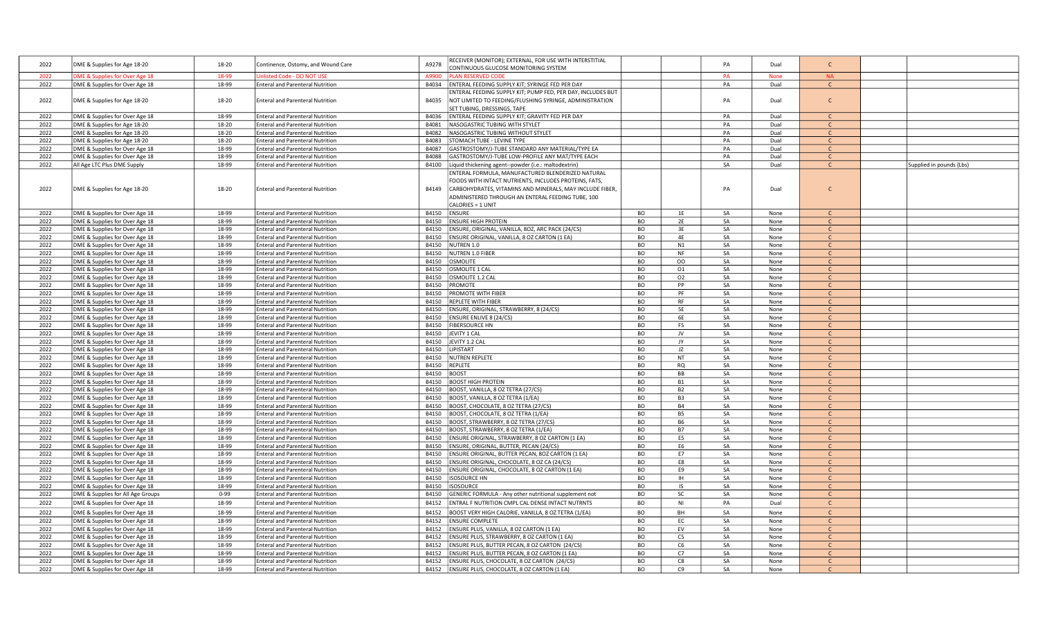| 2022         | DME & Supplies for Age 18-20                                     | 18-20          | Continence, Ostomy, and Wound Care                                                 | A9278          | RECEIVER (MONITOR); EXTERNAL, FOR USE WITH INTERSTITIAL                                 |                 |                        | PA       | Dual         | $\mathsf{C}$                 |                          |
|--------------|------------------------------------------------------------------|----------------|------------------------------------------------------------------------------------|----------------|-----------------------------------------------------------------------------------------|-----------------|------------------------|----------|--------------|------------------------------|--------------------------|
|              |                                                                  |                |                                                                                    |                | CONTINUOUS GLUCOSE MONITORING SYSTEM                                                    |                 |                        |          |              |                              |                          |
| 2022         | ME & Supplies for Over Age 18                                    | 18-99          | isted Code - DO NOT USE                                                            | A9900          | <b>LAN RESERVED CODI</b>                                                                |                 |                        | PA       | <b>None</b>  | <b>NA</b>                    |                          |
| 2022         | DME & Supplies for Over Age 18                                   | 18-99          | <b>Enteral and Parenteral Nutrition</b>                                            | B4034          | ENTERAL FEEDING SUPPLY KIT; SYRINGE FED PER DAY                                         |                 |                        | PA       | Dual         | $\mathsf{C}$                 |                          |
|              |                                                                  |                |                                                                                    |                | INTERAL FEEDING SUPPLY KIT; PUMP FED, PER DAY, INCLUDES BUT                             |                 |                        |          |              | $\mathsf{C}$                 |                          |
| 2022         | DME & Supplies for Age 18-20                                     | 18-20          | <b>Enteral and Parenteral Nutrition</b>                                            | B4035          | NOT LIMITED TO FEEDING/FLUSHING SYRINGE, ADMINISTRATION<br>SET TUBING, DRESSINGS, TAPE  |                 |                        | PA       | Dual         |                              |                          |
| 2022         | DME & Supplies for Over Age 18                                   | 18-99          | <b>Enteral and Parenteral Nutrition</b>                                            | B4036          | ENTERAL FEEDING SUPPLY KIT; GRAVITY FED PER DAY                                         |                 |                        | PA       | Dual         | $\mathcal{C}$                |                          |
| 2022         | DME & Supplies for Age 18-20                                     | 18-20          | <b>Enteral and Parenteral Nutrition</b>                                            | B4081          | NASOGASTRIC TUBING WITH STYLET                                                          |                 |                        | PA       | Dual         | $\mathcal{C}$                |                          |
| 2022         | DME & Supplies for Age 18-20                                     | 18-20          | <b>Enteral and Parenteral Nutrition</b>                                            | B4082          | NASOGASTRIC TUBING WITHOUT STYLET                                                       |                 |                        | PA       | Dual         | $\mathsf{C}$                 |                          |
| 2022         | DME & Supplies for Age 18-20                                     | 18-20          | <b>Enteral and Parenteral Nutrition</b>                                            | B4083          | STOMACH TUBE - LEVINE TYPE                                                              |                 |                        | PA       | Dual         | $\mathsf{C}$                 |                          |
| 2022         | DME & Supplies for Over Age 18                                   | 18-99          | <b>Enteral and Parenteral Nutrition</b>                                            | B4087          | GASTROSTOMY/J-TUBE STANDARD ANY MATERIAL/TYPE EA                                        |                 |                        | PA       | Dual         | $\mathsf{C}$                 |                          |
| 2022         | DME & Supplies for Over Age 18                                   | 18-99          | <b>Enteral and Parenteral Nutrition</b>                                            | B4088          | GASTROSTOMY/J-TUBE LOW-PROFILE ANY MAT/TYPE EACH                                        |                 |                        | PA       | Dual         | $\mathsf{C}$                 |                          |
| 2022         | All Age LTC Plus DME Supply                                      | 18-99          | <b>Enteral and Parenteral Nutrition</b>                                            | B4100          | Liquid thickening agent--powder (i.e.: maltodextrin)                                    |                 |                        | SA       | Dual         | $\mathsf{C}$                 | Supplied in pounds (Lbs) |
|              |                                                                  |                |                                                                                    |                | ENTERAL FORMULA, MANUFACTURED BLENDERIZED NATURAL                                       |                 |                        |          |              |                              |                          |
|              |                                                                  |                |                                                                                    |                | OODS WITH INTACT NUTRIENTS, INCLUDES PROTEINS, FATS,                                    |                 |                        |          |              |                              |                          |
| 2022         | DME & Supplies for Age 18-20                                     | 18-20          | <b>Enteral and Parenteral Nutrition</b>                                            | B4149          | CARBOHYDRATES, VITAMINS AND MINERALS, MAY INCLUDE FIBER,                                |                 |                        | PA       | Dual         | $\mathsf{C}$                 |                          |
|              |                                                                  |                |                                                                                    |                | ADMINISTERED THROUGH AN ENTERAL FEEDING TUBE, 100                                       |                 |                        |          |              |                              |                          |
|              |                                                                  |                |                                                                                    |                | CALORIES = 1 UNIT                                                                       |                 |                        |          |              |                              |                          |
| 2022         | DME & Supplies for Over Age 18                                   | 18-99          | <b>Enteral and Parenteral Nutrition</b>                                            | B4150          | <b>ENSURE</b>                                                                           | BO              | 1E                     | SA       | None         | $\mathsf{C}$                 |                          |
| 2022         | DME & Supplies for Over Age 18                                   | 18-99          | <b>Enteral and Parenteral Nutrition</b>                                            | B4150          | <b>ENSURE HIGH PROTEIN</b>                                                              | BO              | 2E                     | SA       | None         | $\mathsf{C}$                 |                          |
| 2022         | DME & Supplies for Over Age 18                                   | 18-99          | <b>Enteral and Parenteral Nutrition</b>                                            | B4150          | ENSURE, ORIGINAL, VANILLA, 8OZ, ARC PACK (24/CS)                                        | BO              | 3E                     | SA       | None         | $\mathsf{C}$                 |                          |
| 2022         | DME & Supplies for Over Age 18                                   | 18-99          | <b>Enteral and Parenteral Nutrition</b>                                            | B4150          | ENSURE ORIGINAL, VANILLA, 8 OZ CARTON (1 EA)                                            | BO              | 4E                     | SA       | None         | $\mathsf{C}$                 |                          |
| 2022         | DME & Supplies for Over Age 18                                   | 18-99          | <b>Enteral and Parenteral Nutrition</b>                                            | B4150          | NUTREN 1.0                                                                              | BO              | N1                     | SA       | None         | $\mathsf{C}$                 |                          |
| 2022         | DME & Supplies for Over Age 18                                   | 18-99          | <b>Enteral and Parenteral Nutrition</b>                                            | B4150          | NUTREN 1.0 FIBER                                                                        | BO              | NF                     | SA       | None         | $\mathsf{C}$                 |                          |
| 2022         | DME & Supplies for Over Age 18                                   | 18-99          | <b>Enteral and Parenteral Nutrition</b>                                            | B4150          | <b>OSMOLITE</b>                                                                         | <b>BO</b>       | OO                     | SA       | None         | $\mathsf{C}$                 |                          |
| 2022         | DME & Supplies for Over Age 18                                   | 18-99          | <b>Enteral and Parenteral Nutrition</b>                                            | B4150          | OSMOLITE 1 CAL                                                                          | BO              | 01                     | SA       | None         |                              |                          |
| 2022         | DME & Supplies for Over Age 18                                   | 18-99          | <b>Enteral and Parenteral Nutrition</b>                                            | B4150          | OSMOLITE 1.2 CAL                                                                        | BO              | 02                     | SA       | None         | $\mathsf{C}$                 |                          |
| 2022         | DME & Supplies for Over Age 18                                   | 18-99          | <b>Enteral and Parenteral Nutrition</b>                                            | B4150          | PROMOTE                                                                                 | <b>BO</b>       | PP                     | SA       | None         | $\mathsf{C}$                 |                          |
| 2022         | DME & Supplies for Over Age 18                                   | 18-99          | <b>Enteral and Parenteral Nutrition</b>                                            | B4150          | PROMOTE WITH FIBER                                                                      | BO              | PF                     | SA       | None         | $\mathsf{C}$                 |                          |
| 2022         | DME & Supplies for Over Age 18                                   | 18-99          | <b>Enteral and Parenteral Nutrition</b>                                            | B4150          | <b>REPLETE WITH FIBER</b>                                                               | <b>BO</b>       | <b>RF</b>              | SA       | None         | $\mathsf{C}$                 |                          |
| 2022         | DME & Supplies for Over Age 18                                   | 18-99          | <b>Enteral and Parenteral Nutrition</b>                                            | B4150          | ENSURE, ORIGINAL, STRAWBERRY, 8 (24/CS)                                                 | <b>BO</b>       | <b>5E</b>              | SA       | None         | $\mathsf{C}$                 |                          |
| 2022         | DME & Supplies for Over Age 18                                   | 18-99          | <b>Enteral and Parenteral Nutrition</b>                                            | B4150          | <b>ENSURE ENLIVE 8 (24/CS)</b>                                                          | BO              | 6E                     | SA       | None         | $\mathsf{C}$                 |                          |
| 2022         | DME & Supplies for Over Age 18                                   | 18-99          | <b>Enteral and Parenteral Nutrition</b>                                            | B4150          | <b>FIBERSOURCE HN</b>                                                                   | BO              | FS                     | SA       | None         | $\mathsf{C}$                 |                          |
| 2022         | DME & Supplies for Over Age 18                                   | 18-99          | <b>Enteral and Parenteral Nutrition</b>                                            | B4150          | JEVITY 1 CAL                                                                            | BO              | JV                     | SA       | None         | $\mathsf{C}$                 |                          |
| 2022         | DME & Supplies for Over Age 18                                   | 18-99          | <b>Enteral and Parenteral Nutrition</b>                                            | B4150          | JEVITY 1.2 CAL                                                                          | <b>BO</b>       | JY                     | SA       | None         | $\mathsf{C}$                 |                          |
| 2022         | DME & Supplies for Over Age 18                                   | 18-99          | <b>Enteral and Parenteral Nutrition</b>                                            | B4150          | LIPISTART                                                                               | BO              | JZ                     | SA       | None         | $\mathcal{C}$                |                          |
| 2022         | DME & Supplies for Over Age 18                                   | 18-99          | <b>Enteral and Parenteral Nutrition</b>                                            | B4150          | NUTREN REPLETE                                                                          | BO              | <b>NT</b>              | SA       | None         | $\mathsf{C}$                 |                          |
| 2022         | DME & Supplies for Over Age 18                                   | 18-99          | <b>Enteral and Parenteral Nutrition</b>                                            | B4150          | REPLETE                                                                                 | BO              | <b>RQ</b>              | SA       | None         | $\mathsf{C}$                 |                          |
| 2022         | DME & Supplies for Over Age 18                                   | 18-99          | <b>Enteral and Parenteral Nutrition</b>                                            | B4150          | <b>BOOST</b>                                                                            | BO              | BB                     | SA       | None         | $\mathsf{C}$                 |                          |
| 2022         | DME & Supplies for Over Age 18                                   | 18-99          | <b>Enteral and Parenteral Nutrition</b>                                            | B4150          | <b>BOOST HIGH PROTEIN</b>                                                               | <b>BO</b>       | <b>B1</b>              | SA       | None         | $\mathsf{C}$                 |                          |
| 2022         | DME & Supplies for Over Age 18                                   | 18-99          | <b>Enteral and Parenteral Nutrition</b>                                            | B4150          | BOOST, VANILLA, 8 OZ TETRA (27/CS)                                                      | <b>BO</b>       | B <sub>2</sub>         | SA       | None         | $\mathsf{C}$                 |                          |
| 2022         | DME & Supplies for Over Age 18                                   | 18-99          | <b>Enteral and Parenteral Nutrition</b>                                            | B4150          | BOOST, VANILLA, 8 OZ TETRA (1/EA)                                                       | BO              | B <sub>3</sub>         | SA       | None         | $\mathsf{C}$                 |                          |
| 2022         | DME & Supplies for Over Age 18                                   | 18-99          | <b>Enteral and Parenteral Nutrition</b>                                            | B4150          | BOOST, CHOCOLATE, 8 OZ TETRA (27/CS)                                                    | <b>BO</b>       | <b>B4</b>              | SA       | None         | $\mathsf{C}$<br>$\mathsf{C}$ |                          |
| 2022         | DME & Supplies for Over Age 18                                   | 18-99          | <b>Enteral and Parenteral Nutrition</b>                                            | B4150          | BOOST, CHOCOLATE, 8 OZ TETRA (1/EA)                                                     | BO              | B5                     | SA       | None         | $\mathsf{C}$                 |                          |
| 2022<br>2022 | DME & Supplies for Over Age 18                                   | 18-99          | <b>Enteral and Parenteral Nutrition</b>                                            | B4150          | BOOST, STRAWBERRY, 8 OZ TETRA (27/CS)                                                   | BO<br><b>BO</b> | <b>B6</b><br><b>B7</b> | SA       | None         |                              |                          |
| 2022         | DME & Supplies for Over Age 18<br>DME & Supplies for Over Age 18 | 18-99<br>18-99 | <b>Enteral and Parenteral Nutrition</b><br><b>Enteral and Parenteral Nutrition</b> | B4150<br>B4150 | BOOST, STRAWBERRY, 8 OZ TETRA (1/EA)<br>ENSURE ORIGINAL, STRAWBERRY, 8 OZ CARTON (1 EA) | <b>BO</b>       | E5                     | SA<br>SA | None<br>None | $\mathsf{C}$<br>$\mathsf{C}$ |                          |
| 2022         | DME & Supplies for Over Age 18                                   | 18-99          | <b>Enteral and Parenteral Nutrition</b>                                            | B4150          | ENSURE, ORIGINAL, BUTTER, PECAN (24/CS)                                                 | BO              | E <sub>6</sub>         | SA       | None         | $\mathsf{C}$                 |                          |
| 2022         | DME & Supplies for Over Age 18                                   | 18-99          | <b>Enteral and Parenteral Nutrition</b>                                            | B4150          | ENSURE ORIGINAL, BUTTER PECAN, 8OZ CARTON (1 EA)                                        | BO              | E7                     | SA       | None         | $\mathsf{C}$                 |                          |
| 2022         | DME & Supplies for Over Age 18                                   | 18-99          | <b>Enteral and Parenteral Nutrition</b>                                            | B4150          | ENSURE ORIGINAL, CHOCOLATE, 8 OZ CA (24/CS)                                             | <b>BO</b>       | E8                     | SA       | None         | $\mathsf{C}$                 |                          |
| 2022         | DME & Supplies for Over Age 18                                   | 18-99          | <b>Enteral and Parenteral Nutrition</b>                                            | B4150          | ENSURE ORIGINAL, CHOCOLATE, 8 OZ CARTON (1 EA)                                          | BO              | E9                     | SA       | None         | $\mathcal{C}$                |                          |
| 2022         | DME & Supplies for Over Age 18                                   | 18-99          | <b>Enteral and Parenteral Nutrition</b>                                            | B4150          | <b>ISOSOURCE HN</b>                                                                     | BO              | IH                     | SA       | None         | $\mathcal{C}$                |                          |
| 2022         | DME & Supplies for Over Age 18                                   | 18-99          | <b>Enteral and Parenteral Nutrition</b>                                            | B4150          | <b>ISOSOURCE</b>                                                                        | BO              | IS                     | SA       | None         | $\mathsf{C}$                 |                          |
| 2022         | DME & Supplies for All Age Groups                                | $0 - 99$       | <b>Enteral and Parenteral Nutrition</b>                                            | B4150          | GENERIC FORMULA - Any other nutritional supplement not                                  | BO              | SC                     | SA       | None         | $\mathsf{C}$                 |                          |
| 2022         | DME & Supplies for Over Age 18                                   | 18-99          | <b>Enteral and Parenteral Nutrition</b>                                            | B4152          | ENTRAL F NUTRITION CMPL CAL DENSE INTACT NUTRNTS                                        | <b>BO</b>       | NI                     | PA       | Dual         | $\mathsf{C}$                 |                          |
| 2022         | DME & Supplies for Over Age 18                                   | 18-99          | <b>Enteral and Parenteral Nutrition</b>                                            | B4152          | BOOST VERY HIGH CALORIE, VANILLA, 8 OZ TETRA (1/EA)                                     | BO              | <b>BH</b>              | SA       | None         | $\mathsf{C}$                 |                          |
|              |                                                                  | 18-99          |                                                                                    | B4152          |                                                                                         | <b>BO</b>       |                        | SA       | None         | $\mathsf{C}$                 |                          |
| 2022<br>2022 | DME & Supplies for Over Age 18<br>DME & Supplies for Over Age 18 | 18-99          | <b>Enteral and Parenteral Nutrition</b>                                            |                | <b>ENSURE COMPLETE</b>                                                                  | BO              | EC<br>EV               | SA       |              | $\mathcal{C}$                |                          |
| 2022         | DME & Supplies for Over Age 18                                   | 18-99          | <b>Enteral and Parenteral Nutrition</b><br><b>Enteral and Parenteral Nutrition</b> | B4152<br>B4152 | ENSURE PLUS, VANILLA, 8 OZ CARTON (1 EA)<br>ENSURE PLUS, STRAWBERRY, 8 OZ CARTON (1 EA) | BO              | C5                     | SA       | None<br>None | <sub>C</sub>                 |                          |
| 2022         | DME & Supplies for Over Age 18                                   | 18-99          | <b>Enteral and Parenteral Nutrition</b>                                            | B4152          | ENSURE PLUS, BUTTER PECAN, 8 OZ CARTON (24/CS)                                          | <b>BO</b>       | C <sub>6</sub>         | SA       | None         | $\mathsf{C}$                 |                          |
| 2022         | DME & Supplies for Over Age 18                                   | 18-99          | <b>Enteral and Parenteral Nutrition</b>                                            | B4152          | ENSURE PLUS, BUTTER PECAN, 8 OZ CARTON (1 EA)                                           | BO              | C7                     | SA       | None         | $\Gamma$                     |                          |
| 2022         | DME & Supplies for Over Age 18                                   | 18-99          | <b>Enteral and Parenteral Nutrition</b>                                            | B4152          | ENSURE PLUS, CHOCOLATE, 8 OZ CARTON (24/CS)                                             | BO              | C8                     | SA       | None         | $\mathcal{C}$                |                          |
| 2022         | DME & Supplies for Over Age 18                                   | 18-99          | <b>Enteral and Parenteral Nutrition</b>                                            |                | B4152   ENSURE PLUS, CHOCOLATE, 8 OZ CARTON (1 EA)                                      | <b>BO</b>       | C <sub>9</sub>         | SA       | None         | $\mathsf{C}$                 |                          |
|              |                                                                  |                |                                                                                    |                |                                                                                         |                 |                        |          |              |                              |                          |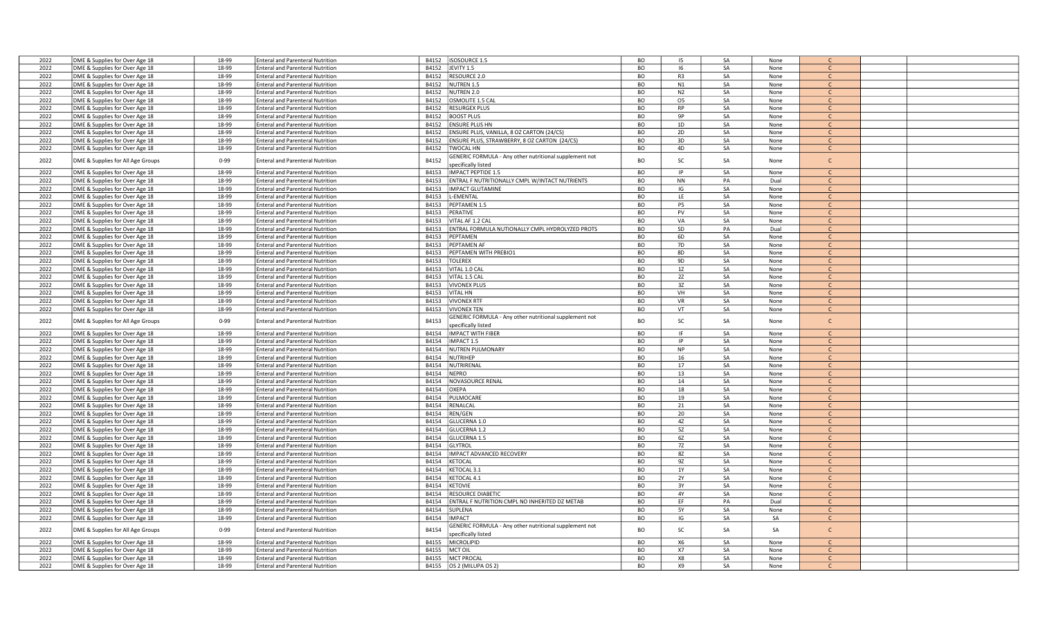| 2022         | DME & Supplies for Over Age 18                                   | 18-99          | <b>Enteral and Parenteral Nutrition</b>                                            | B4152 | ISOSOURCE 1.5                                                 | BO                     | 15             | SA       | None         |               |  |
|--------------|------------------------------------------------------------------|----------------|------------------------------------------------------------------------------------|-------|---------------------------------------------------------------|------------------------|----------------|----------|--------------|---------------|--|
| 2022         | DME & Supplies for Over Age 18                                   | 18-99          | <b>Enteral and Parenteral Nutrition</b>                                            | B4152 | JEVITY 1.5                                                    | BO                     | 16             | SA       | None         | $\mathsf{C}$  |  |
|              |                                                                  |                |                                                                                    |       |                                                               |                        |                |          |              |               |  |
| 2022         | DME & Supplies for Over Age 18                                   | 18-99          | <b>Enteral and Parenteral Nutrition</b>                                            | B4152 | <b>RESOURCE 2.0</b>                                           | BO                     | R <sub>3</sub> | SA       | None         | $\mathsf{C}$  |  |
| 2022         | DME & Supplies for Over Age 18                                   | 18-99          | <b>Enteral and Parenteral Nutrition</b>                                            | B4152 | <b>NUTREN 1.5</b>                                             | <b>BO</b>              | N1             | SA       | None         | $\mathsf{C}$  |  |
| 2022         | DME & Supplies for Over Age 18                                   | 18-99          | <b>Enteral and Parenteral Nutrition</b>                                            | B4152 | <b>NUTREN 2.0</b>                                             | <b>BO</b>              | N <sub>2</sub> | SA       | None         | $\mathcal{C}$ |  |
| 2022         | DME & Supplies for Over Age 18                                   | 18-99          | <b>Enteral and Parenteral Nutrition</b>                                            | B4152 | OSMOLITE 1.5 CAL                                              | <b>BO</b>              | 05             | SA       | None         | C             |  |
| 2022         | DME & Supplies for Over Age 18                                   | 18-99          | <b>Enteral and Parenteral Nutrition</b>                                            | B4152 | <b>RESURGEX PLUS</b>                                          | BO                     | <b>RP</b>      | SA       | None         | $\mathsf{C}$  |  |
| 2022         |                                                                  | 18-99          | <b>Enteral and Parenteral Nutrition</b>                                            | B4152 | <b>BOOST PLUS</b>                                             | <b>BO</b>              | 9P             | SA       |              | $\mathsf{C}$  |  |
|              | DME & Supplies for Over Age 18                                   |                |                                                                                    |       |                                                               |                        |                |          | None         |               |  |
| 2022         | DME & Supplies for Over Age 18                                   | 18-99          | <b>Enteral and Parenteral Nutrition</b>                                            | B4152 | <b>ENSURE PLUS HN</b>                                         | <b>BO</b>              | 1D             | SA       | None         | $\mathsf{C}$  |  |
| 2022         | DME & Supplies for Over Age 18                                   | 18-99          | <b>Enteral and Parenteral Nutrition</b>                                            | B4152 | ENSURE PLUS, VANILLA, 8 OZ CARTON (24/CS)                     | BO                     | 2D             | SA       | None         | $\mathcal{C}$ |  |
| 2022         | DME & Supplies for Over Age 18                                   | 18-99          | <b>Enteral and Parenteral Nutrition</b>                                            | B4152 | ENSURE PLUS, STRAWBERRY, 8 OZ CARTON (24/CS)                  | <b>BO</b>              | 3D             | SA       | None         | $\mathsf{C}$  |  |
| 2022         | DME & Supplies for Over Age 18                                   | 18-99          | <b>Enteral and Parenteral Nutrition</b>                                            | B4152 | <b>TWOCAL HN</b>                                              | <b>BO</b>              | 4D             | SA       | None         | C.            |  |
|              |                                                                  |                |                                                                                    |       | <b>GENERIC FORMULA - Any other nutritional supplement not</b> |                        |                |          |              |               |  |
| 2022         | DME & Supplies for All Age Groups                                | $0 - 99$       | <b>Enteral and Parenteral Nutrition</b>                                            | B4152 |                                                               | <b>BO</b>              | SC             | SA       | None         | $\mathsf{C}$  |  |
|              |                                                                  |                |                                                                                    |       | pecifically listed                                            |                        |                |          |              |               |  |
| 2022         | DME & Supplies for Over Age 18                                   | 18-99          | <b>Enteral and Parenteral Nutrition</b>                                            | B4153 | IMPACT PEPTIDE 1.5                                            | BO                     | IP             | SA       | None         | $\mathsf{C}$  |  |
| 2022         | DME & Supplies for Over Age 18                                   | 18-99          | <b>Enteral and Parenteral Nutrition</b>                                            | B4153 | ENTRAL F NUTRITIONALLY CMPL W/INTACT NUTRIENTS                | <b>BO</b>              | <b>NN</b>      | PA       | Dual         | $\mathsf{C}$  |  |
| 2022         | DME & Supplies for Over Age 18                                   | 18-99          | <b>Enteral and Parenteral Nutrition</b>                                            | B4153 | <b>IMPACT GLUTAMINE</b>                                       | <b>BO</b>              | IG             | SA       | None         | $\mathsf{C}$  |  |
| 2022         | DME & Supplies for Over Age 18                                   | 18-99          | <b>Enteral and Parenteral Nutrition</b>                                            | B4153 | -EMENTAL                                                      | <b>BO</b>              | LE             | SA       | None         | C.            |  |
| 2022         | DME & Supplies for Over Age 18                                   | 18-99          | <b>Enteral and Parenteral Nutrition</b>                                            | B4153 | PEPTAMEN 1.5                                                  | <b>BO</b>              | P5             | SA       | None         | $\mathsf{C}$  |  |
|              |                                                                  |                |                                                                                    |       |                                                               | <b>BO</b>              | PV             | SA       |              | $\mathsf{C}$  |  |
| 2022         | DME & Supplies for Over Age 18                                   | 18-99          | <b>Enteral and Parenteral Nutrition</b>                                            | B4153 | PERATIVE                                                      |                        |                |          | None         |               |  |
| 2022         | DME & Supplies for Over Age 18                                   | 18-99          | <b>Enteral and Parenteral Nutrition</b>                                            | B4153 | VITAL AF 1.2 CAL                                              | <b>BO</b>              | VA             | SA       | None         | $\mathsf{C}$  |  |
| 2022         | DME & Supplies for Over Age 18                                   | 18-99          | <b>Enteral and Parenteral Nutrition</b>                                            | B4153 | ENTRAL FORMULA NUTIONALLY CMPL HYDROLYZED PROTS               | BO                     | 5 <sub>D</sub> | PA       | Dual         | $\mathsf{C}$  |  |
| 2022         | DME & Supplies for Over Age 18                                   | 18-99          | <b>Enteral and Parenteral Nutrition</b>                                            | B4153 | PEPTAMEN                                                      | <b>BO</b>              | 6D             | SA       | None         | $\mathsf{C}$  |  |
| 2022         | DME & Supplies for Over Age 18                                   | 18-99          | <b>Enteral and Parenteral Nutrition</b>                                            | B4153 | PEPTAMEN AF                                                   | BO                     | 7D             | SA       | None         | $\mathsf{C}$  |  |
| 2022         | DME & Supplies for Over Age 18                                   | 18-99          | <b>Enteral and Parenteral Nutrition</b>                                            | B4153 | PEPTAMEN WITH PREBIO1                                         | <b>BO</b>              | 8D             | SA       | None         | $\mathsf{C}$  |  |
| 2022         |                                                                  | 18-99          |                                                                                    |       |                                                               | <b>BO</b>              | 9D             | SA       |              |               |  |
|              | DME & Supplies for Over Age 18                                   |                | <b>Enteral and Parenteral Nutrition</b>                                            | B4153 | <b>TOLEREX</b>                                                |                        |                |          | None         | $\mathsf{C}$  |  |
| 2022         | DME & Supplies for Over Age 18                                   | 18-99          | <b>Enteral and Parenteral Nutrition</b>                                            | B4153 | VITAL 1.0 CAL                                                 | <b>BO</b>              | 1Z             | SA       | None         |               |  |
| 2022         | DME & Supplies for Over Age 18                                   | 18-99          | <b>Enteral and Parenteral Nutrition</b>                                            | B4153 | VITAL 1.5 CAL                                                 | <b>BO</b>              | 2Z             | SA       | None         | $\mathcal{C}$ |  |
| 2022         | DME & Supplies for Over Age 18                                   | 18-99          | <b>Enteral and Parenteral Nutrition</b>                                            | B4153 | <b>VIVONEX PLUS</b>                                           | BO                     | 3Z             | SA       | None         | $\mathcal{C}$ |  |
| 2022         | DME & Supplies for Over Age 18                                   | 18-99          | <b>Enteral and Parenteral Nutrition</b>                                            | B4153 | <b>VITAL HN</b>                                               | <b>BO</b>              | VH             | SA       | None         | $\mathcal{C}$ |  |
| 2022         | DME & Supplies for Over Age 18                                   | 18-99          | <b>Enteral and Parenteral Nutrition</b>                                            | B4153 | <b>VIVONEX RTF</b>                                            | <b>BO</b>              | VR             | SA       | None         | $\mathsf{C}$  |  |
|              |                                                                  |                |                                                                                    |       |                                                               |                        |                |          |              | $\mathsf{C}$  |  |
| 2022         | DME & Supplies for Over Age 18                                   | 18-99          | <b>Enteral and Parenteral Nutrition</b>                                            | B4153 | <b>VIVONEX TEN</b>                                            | <b>BO</b>              | VT             | SA       | None         |               |  |
|              |                                                                  |                |                                                                                    |       |                                                               |                        |                |          |              |               |  |
|              |                                                                  |                |                                                                                    |       | <b>GENERIC FORMULA - Any other nutritional supplement not</b> |                        |                |          |              |               |  |
| 2022         | DME & Supplies for All Age Groups                                | $0 - 99$       | Enteral and Parenteral Nutrition                                                   | B4153 | pecifically listed                                            | <b>BO</b>              | SC             | SA       | None         | $\mathsf{C}$  |  |
| 2022         | DME & Supplies for Over Age 18                                   | 18-99          | <b>Enteral and Parenteral Nutrition</b>                                            | B4154 | <b>IMPACT WITH FIBER</b>                                      | BO                     | <b>IF</b>      | SA       | None         | $\mathcal{C}$ |  |
|              |                                                                  |                |                                                                                    |       |                                                               |                        |                |          |              |               |  |
| 2022         | DME & Supplies for Over Age 18                                   | 18-99          | <b>Enteral and Parenteral Nutrition</b>                                            | B4154 | IMPACT 1.5                                                    | <b>BO</b>              | IP             | SA       | None         | $\mathsf{C}$  |  |
| 2022         | DME & Supplies for Over Age 18                                   | 18-99          | <b>Enteral and Parenteral Nutrition</b>                                            | B4154 | <b>NUTREN PULMONARY</b>                                       | BO                     | <b>NP</b>      | SA       | None         | $\mathsf{C}$  |  |
| 2022         | DME & Supplies for Over Age 18                                   | 18-99          | <b>Enteral and Parenteral Nutrition</b>                                            | B4154 | <b>NUTRIHEP</b>                                               | <b>BO</b>              | 16             | SA       | None         | $\mathsf{C}$  |  |
| 2022         | DME & Supplies for Over Age 18                                   | 18-99          | <b>Enteral and Parenteral Nutrition</b>                                            | B4154 | NUTRIRENAL                                                    | <b>BO</b>              | 17             | SA       | None         |               |  |
| 2022         | DME & Supplies for Over Age 18                                   | 18-99          | <b>Enteral and Parenteral Nutrition</b>                                            | B4154 | <b>NEPRO</b>                                                  | <b>BO</b>              | 13             | SA       | None         | $\mathsf{C}$  |  |
| 2022         | DME & Supplies for Over Age 18                                   | 18-99          | <b>Enteral and Parenteral Nutrition</b>                                            | B4154 | NOVASOURCE RENAL                                              | BO                     | 14             | SA       | None         | $\mathsf{C}$  |  |
| 2022         |                                                                  | 18-99          | <b>Enteral and Parenteral Nutrition</b>                                            | B4154 | <b>OXEPA</b>                                                  | <b>BO</b>              | 18             | SA       | None         | $\mathsf{C}$  |  |
|              | DME & Supplies for Over Age 18                                   |                |                                                                                    |       |                                                               |                        |                |          |              |               |  |
| 2022         | DME & Supplies for Over Age 18                                   | 18-99          | <b>Enteral and Parenteral Nutrition</b>                                            | B4154 | PULMOCARE                                                     | BO                     | 19             | SA       | None         | $\mathsf{C}$  |  |
| 2022         | DME & Supplies for Over Age 18                                   | 18-99          | <b>Enteral and Parenteral Nutrition</b>                                            | B4154 | RENALCAL                                                      | BO                     | 21             | SA       | None         | $\mathcal{C}$ |  |
| 2022         | DME & Supplies for Over Age 18                                   | 18-99          | <b>Enteral and Parenteral Nutrition</b>                                            | B4154 | REN/GEN                                                       | <b>BO</b>              | 20             | SA       | None         | $\mathsf{C}$  |  |
| 2022         | DME & Supplies for Over Age 18                                   | 18-99          | <b>Enteral and Parenteral Nutrition</b>                                            | B4154 | GLUCERNA 1.0                                                  | <b>BO</b>              | 4Z             | SA       | None         | $\mathsf{C}$  |  |
| 2022         | DME & Supplies for Over Age 18                                   | 18-99          | <b>Enteral and Parenteral Nutrition</b>                                            | B4154 | GLUCERNA 1.2                                                  | <b>BO</b>              | 5Z             | SA       | None         | $\mathsf{C}$  |  |
| 2022         | DME & Supplies for Over Age 18                                   | 18-99          | <b>Enteral and Parenteral Nutrition</b>                                            | B4154 | <b>GLUCERNA 1.5</b>                                           | <b>BO</b>              | 6Z             | SA       | None         |               |  |
|              |                                                                  |                |                                                                                    |       |                                                               |                        |                |          |              | $\mathsf{C}$  |  |
| 2022         | DME & Supplies for Over Age 18                                   | 18-99          | <b>Enteral and Parenteral Nutrition</b>                                            | B4154 | <b>GLYTROL</b>                                                | <b>BO</b>              | 7Z             | SA       | None         | $\mathcal{C}$ |  |
| 2022         | DME & Supplies for Over Age 18                                   | 18-99          | <b>Enteral and Parenteral Nutrition</b>                                            | B4154 | IMPACT ADVANCED RECOVERY                                      | BO                     | 8Z             | SA       | None         |               |  |
| 2022         | DME & Supplies for Over Age 18                                   | 18-99          | <b>Enteral and Parenteral Nutrition</b>                                            | B4154 | KETOCAL                                                       | <b>BO</b>              | 9Z             | SA       | None         | $\mathsf{C}$  |  |
| 2022         | DME & Supplies for Over Age 18                                   | 18-99          | <b>Enteral and Parenteral Nutrition</b>                                            | B4154 | KETOCAL 3.1                                                   | BO                     | 1Y             | SA       | None         | $\mathsf{C}$  |  |
| 2022         | DME & Supplies for Over Age 18                                   | 18-99          | <b>Enteral and Parenteral Nutrition</b>                                            | B4154 | KETOCAL 4.1                                                   | <b>BO</b>              | <b>2Y</b>      | SA       | None         | $\mathsf{C}$  |  |
| 2022         | DME & Supplies for Over Age 18                                   | 18-99          | <b>Enteral and Parenteral Nutrition</b>                                            | B4154 | <b>KETOVIE</b>                                                | <b>BO</b>              | 3Y             | SA       | None         | $\mathsf{C}$  |  |
| 2022         | DME & Supplies for Over Age 18                                   | 18-99          | <b>Enteral and Parenteral Nutrition</b>                                            | B4154 | <b>RESOURCE DIABETIC</b>                                      | <b>BO</b>              | 4Y             | SA       | None         | $\mathsf{C}$  |  |
|              |                                                                  |                |                                                                                    |       |                                                               |                        |                |          |              | $\mathsf{C}$  |  |
| 2022         | DME & Supplies for Over Age 18                                   | 18-99          | <b>Enteral and Parenteral Nutrition</b>                                            | B4154 | ENTRAL F NUTRITION CMPL NO INHERITED DZ METAB                 | BO                     | EF             | PA       | Dual         |               |  |
| 2022         | DME & Supplies for Over Age 18                                   | 18-99          | <b>Enteral and Parenteral Nutrition</b>                                            | B4154 | SUPLENA                                                       | <b>BO</b>              | 5Y             | SA       | None         | $\mathsf{C}$  |  |
| 2022         | DME & Supplies for Over Age 18                                   | 18-99          | <b>Enteral and Parenteral Nutrition</b>                                            | B4154 | <b>IMPACT</b>                                                 | <b>BO</b>              | IG             | SA       | SA           | $\mathsf{C}$  |  |
|              |                                                                  |                |                                                                                    |       | <b>GENERIC FORMULA - Any other nutritional supplement not</b> |                        |                |          |              |               |  |
| 2022         | DME & Supplies for All Age Groups                                | $0 - 99$       | <b>Enteral and Parenteral Nutrition</b>                                            | B4154 | pecifically listed                                            | BO                     | SC             | SA       | SA           | $\mathsf{C}$  |  |
| 2022         | DME & Supplies for Over Age 18                                   | 18-99          | <b>Enteral and Parenteral Nutrition</b>                                            | B4155 | MICROLIPID                                                    | BO                     | X6             | SA       | None         | $\mathsf{C}$  |  |
| 2022         |                                                                  | 18-99          | <b>Enteral and Parenteral Nutrition</b>                                            | B4155 | <b>MCT OIL</b>                                                | BO                     | <b>X7</b>      | SA       | None         | $\mathsf{C}$  |  |
|              | DME & Supplies for Over Age 18                                   |                |                                                                                    |       |                                                               |                        |                |          |              |               |  |
| 2022<br>2022 | DME & Supplies for Over Age 18<br>DME & Supplies for Over Age 18 | 18-99<br>18-99 | <b>Enteral and Parenteral Nutrition</b><br><b>Enteral and Parenteral Nutrition</b> | B4155 | <b>MCT PROCAL</b><br>B4155   OS 2 (MILUPA OS 2)               | <b>BO</b><br><b>BO</b> | X8<br>X9       | SA<br>SA | None<br>None | $\mathsf{C}$  |  |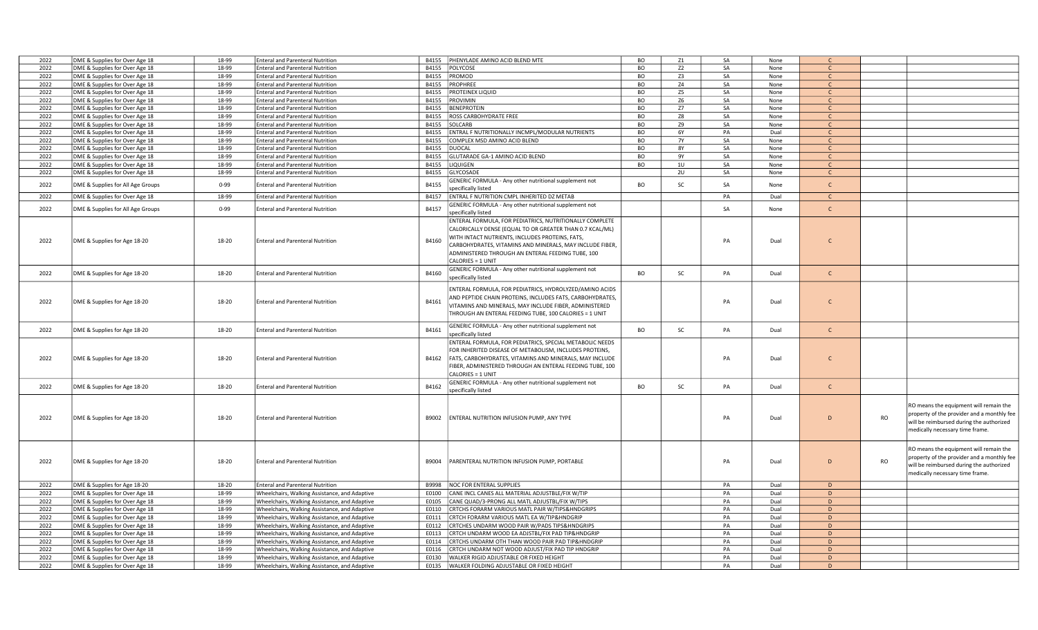| 2022 | DME & Supplies for Over Age 18    | 18-99    | <b>Enteral and Parenteral Nutrition</b>       | PHENYLADE AMINO ACID BLEND MTE<br>B4155                            | <b>BO</b><br>Z1             | SA | None | $\mathsf{C}$ |                                                         |
|------|-----------------------------------|----------|-----------------------------------------------|--------------------------------------------------------------------|-----------------------------|----|------|--------------|---------------------------------------------------------|
| 2022 | DME & Supplies for Over Age 18    | 18-99    | Enteral and Parenteral Nutrition              | B4155<br>POLYCOSE                                                  | <b>BO</b><br>Z <sub>2</sub> | SA | None | $\mathsf{C}$ |                                                         |
| 2022 | DME & Supplies for Over Age 18    | 18-99    | <b>Enteral and Parenteral Nutrition</b>       | PROMOD<br>B4155                                                    | <b>BO</b><br>Z <sub>3</sub> | SA | None | $\mathsf{C}$ |                                                         |
| 2022 | DME & Supplies for Over Age 18    | 18-99    | <b>Enteral and Parenteral Nutrition</b>       | PROPHREE<br>B4155                                                  | <b>BO</b><br>Z4             | SA | None | $\mathsf{C}$ |                                                         |
| 2022 | DME & Supplies for Over Age 18    | 18-99    | <b>Enteral and Parenteral Nutrition</b>       | PROTEINEX LIQUID<br>B4155                                          | <b>BO</b><br>Z5             | SA | None | $\mathsf{C}$ |                                                         |
| 2022 | DME & Supplies for Over Age 18    | 18-99    | <b>Enteral and Parenteral Nutrition</b>       | B4155<br>PROVIMIN                                                  | <b>BO</b><br>Z6             | SA | None | $\mathsf{C}$ |                                                         |
| 2022 | DME & Supplies for Over Age 18    | 18-99    | <b>Enteral and Parenteral Nutrition</b>       | <b>BENEPROTEIN</b><br>B4155                                        | <b>BO</b><br>Z7             | SA | None | $\mathsf{C}$ |                                                         |
| 2022 | DME & Supplies for Over Age 18    | 18-99    | Enteral and Parenteral Nutrition              | B4155<br>ROSS CARBOHYDRATE FREE                                    | <b>BO</b><br>Z8             | SA | None | $\mathsf{C}$ |                                                         |
| 2022 | DME & Supplies for Over Age 18    | 18-99    | <b>Enteral and Parenteral Nutrition</b>       | SOLCARB<br>B4155                                                   | <b>BO</b><br><b>Z9</b>      | SA | None | $\mathsf{C}$ |                                                         |
|      |                                   |          |                                               |                                                                    |                             |    |      |              |                                                         |
| 2022 | DME & Supplies for Over Age 18    | 18-99    | <b>Enteral and Parenteral Nutrition</b>       | ENTRAL F NUTRITIONALLY INCMPL/MODULAR NUTRIENTS<br>B4155           | BO<br>6Y                    | PA | Dual | $\mathsf{C}$ |                                                         |
| 2022 | DME & Supplies for Over Age 18    | 18-99    | <b>Enteral and Parenteral Nutrition</b>       | B4155<br>COMPLEX MSD AMINO ACID BLEND                              | <b>BO</b><br><b>7Y</b>      | SA | None | $\mathsf{C}$ |                                                         |
| 2022 | DME & Supplies for Over Age 18    | 18-99    | <b>Enteral and Parenteral Nutrition</b>       | B4155<br><b>DUOCAL</b>                                             | BO<br><b>8Y</b>             | SA | None | $\mathsf{C}$ |                                                         |
| 2022 | DME & Supplies for Over Age 18    | 18-99    | <b>Enteral and Parenteral Nutrition</b>       | B4155<br>GLUTARADE GA-1 AMINO ACID BLEND                           | <b>BO</b><br>9Y             | SA | None | $\mathsf{C}$ |                                                         |
| 2022 | DME & Supplies for Over Age 18    | 18-99    | <b>Enteral and Parenteral Nutrition</b>       | B4155<br>LIQUIGEN                                                  | <b>BO</b><br>10             | SA | None | $\mathsf{C}$ |                                                         |
| 2022 | DME & Supplies for Over Age 18    | 18-99    | <b>Enteral and Parenteral Nutrition</b>       | GLYCOSADE<br>B4155                                                 | 2U                          | SA | None | $\mathsf{C}$ |                                                         |
|      |                                   |          |                                               | GENERIC FORMULA - Any other nutritional supplement not             | <b>BO</b><br>SC             | SA |      | $\mathsf{C}$ |                                                         |
| 2022 | DME & Supplies for All Age Groups | $0 - 99$ | <b>Enteral and Parenteral Nutrition</b>       | B4155<br>specifically listed                                       |                             |    | None |              |                                                         |
| 2022 | DME & Supplies for Over Age 18    | 18-99    | <b>Enteral and Parenteral Nutrition</b>       | B4157<br>ENTRAL F NUTRITION CMPL INHERITED DZ METAB                |                             | PA | Dual | $\mathsf{C}$ |                                                         |
|      |                                   |          |                                               | GENERIC FORMULA - Any other nutritional supplement not             |                             |    |      |              |                                                         |
| 2022 | DME & Supplies for All Age Groups | $0 - 99$ | <b>Enteral and Parenteral Nutrition</b>       | B4157<br>specifically listed                                       |                             | SA | None | $\mathsf{C}$ |                                                         |
|      |                                   |          |                                               | ENTERAL FORMULA, FOR PEDIATRICS, NUTRITIONALLY COMPLETE            |                             |    |      |              |                                                         |
|      |                                   |          |                                               |                                                                    |                             |    |      |              |                                                         |
|      |                                   |          |                                               | CALORICALLY DENSE (EQUAL TO OR GREATER THAN 0.7 KCAL/ML)           |                             |    |      |              |                                                         |
| 2022 | DME & Supplies for Age 18-20      | 18-20    | <b>Enteral and Parenteral Nutrition</b>       | WITH INTACT NUTRIENTS, INCLUDES PROTEINS, FATS,<br>B4160           |                             | PA | Dual | $\mathsf{C}$ |                                                         |
|      |                                   |          |                                               | CARBOHYDRATES, VITAMINS AND MINERALS, MAY INCLUDE FIBER,           |                             |    |      |              |                                                         |
|      |                                   |          |                                               | ADMINISTERED THROUGH AN ENTERAL FEEDING TUBE, 100                  |                             |    |      |              |                                                         |
|      |                                   |          |                                               | CALORIES = 1 UNIT                                                  |                             |    |      |              |                                                         |
| 2022 | DME & Supplies for Age 18-20      | 18-20    | <b>Enteral and Parenteral Nutrition</b>       | GENERIC FORMULA - Any other nutritional supplement not<br>B4160    | <b>BO</b><br>SC             | PA | Dual | $\mathsf{C}$ |                                                         |
|      |                                   |          |                                               | specifically listed                                                |                             |    |      |              |                                                         |
|      |                                   |          |                                               |                                                                    |                             |    |      |              |                                                         |
|      |                                   |          |                                               | ENTERAL FORMULA, FOR PEDIATRICS, HYDROLYZED/AMINO ACIDS            |                             |    |      |              |                                                         |
| 2022 | DME & Supplies for Age 18-20      | 18-20    | <b>Enteral and Parenteral Nutrition</b>       | AND PEPTIDE CHAIN PROTEINS, INCLUDES FATS, CARBOHYDRATES,<br>B4161 |                             | PA | Dual | $\mathsf{C}$ |                                                         |
|      |                                   |          |                                               | VITAMINS AND MINERALS, MAY INCLUDE FIBER, ADMINISTERED             |                             |    |      |              |                                                         |
|      |                                   |          |                                               | THROUGH AN ENTERAL FEEDING TUBE, 100 CALORIES = 1 UNIT             |                             |    |      |              |                                                         |
|      |                                   |          |                                               | GENERIC FORMULA - Any other nutritional supplement not             |                             |    |      |              |                                                         |
| 2022 | DME & Supplies for Age 18-20      | 18-20    | <b>Enteral and Parenteral Nutrition</b>       | B4161<br>specifically listed                                       | <b>BO</b><br>SC             | PA | Dual | $\mathsf{C}$ |                                                         |
|      |                                   |          |                                               | ENTERAL FORMULA, FOR PEDIATRICS, SPECIAL METABOLIC NEEDS           |                             |    |      |              |                                                         |
|      |                                   |          |                                               | FOR INHERITED DISEASE OF METABOLISM, INCLUDES PROTEINS,            |                             |    |      |              |                                                         |
|      |                                   |          |                                               |                                                                    |                             |    |      |              |                                                         |
| 2022 | DME & Supplies for Age 18-20      | 18-20    | <b>Enteral and Parenteral Nutrition</b>       | B4162<br>FATS, CARBOHYDRATES, VITAMINS AND MINERALS, MAY INCLUDE   |                             | PA | Dual | $\mathsf{C}$ |                                                         |
|      |                                   |          |                                               | IBER, ADMINISTERED THROUGH AN ENTERAL FEEDING TUBE, 100            |                             |    |      |              |                                                         |
|      |                                   |          |                                               | CALORIES = 1 UNIT                                                  |                             |    |      |              |                                                         |
| 2022 | DME & Supplies for Age 18-20      | 18-20    | <b>Enteral and Parenteral Nutrition</b>       | GENERIC FORMULA - Any other nutritional supplement not<br>B4162    | <b>BO</b><br>SC             | PA | Dual | $\mathsf{C}$ |                                                         |
|      |                                   |          |                                               | specifically listed                                                |                             |    |      |              |                                                         |
|      |                                   |          |                                               |                                                                    |                             |    |      |              |                                                         |
|      |                                   |          |                                               |                                                                    |                             |    |      |              | RO means the equipment will remain the                  |
| 2022 | DME & Supplies for Age 18-20      | 18-20    | <b>Enteral and Parenteral Nutrition</b>       | ENTERAL NUTRITION INFUSION PUMP, ANY TYPE<br>B9002                 |                             | PA | Dual | D            | property of the provider and a monthly fee<br><b>RO</b> |
|      |                                   |          |                                               |                                                                    |                             |    |      |              | will be reimbursed during the authorized                |
|      |                                   |          |                                               |                                                                    |                             |    |      |              | medically necessary time frame.                         |
|      |                                   |          |                                               |                                                                    |                             |    |      |              |                                                         |
|      |                                   |          |                                               |                                                                    |                             |    |      |              |                                                         |
|      |                                   |          |                                               |                                                                    |                             |    |      |              | RO means the equipment will remain the                  |
| 2022 | DME & Supplies for Age 18-20      | 18-20    | <b>Enteral and Parenteral Nutrition</b>       | B9004<br>PARENTERAL NUTRITION INFUSION PUMP, PORTABLE              |                             | PA | Dual | D            | property of the provider and a monthly fee<br>RO        |
|      |                                   |          |                                               |                                                                    |                             |    |      |              | will be reimbursed during the authorized                |
|      |                                   |          |                                               |                                                                    |                             |    |      |              | medically necessary time frame.                         |
| 2022 | DME & Supplies for Age 18-20      | 18-20    | <b>Enteral and Parenteral Nutrition</b>       | B9998<br><b>NOC FOR ENTERAL SUPPLIES</b>                           |                             | PA | Dual | D            |                                                         |
| 2022 | DME & Supplies for Over Age 18    | 18-99    | Wheelchairs, Walking Assistance, and Adaptive | E0100<br>CANE INCL CANES ALL MATERIAL ADJUSTBLE/FIX W/TIP          |                             | PA | Dual | D            |                                                         |
| 2022 | DME & Supplies for Over Age 18    | 18-99    | Wheelchairs, Walking Assistance, and Adaptive | CANE QUAD/3-PRONG ALL MATL ADJUSTBL/FIX W/TIPS<br>E0105            |                             | PA | Dual | D            |                                                         |
| 2022 | DME & Supplies for Over Age 18    | 18-99    | Wheelchairs, Walking Assistance, and Adaptive | CRTCHS FORARM VARIOUS MATL PAIR W/TIPS&HNDGRIPS<br>E0110           |                             | PA | Dual | D            |                                                         |
| 2022 |                                   | 18-99    | Wheelchairs, Walking Assistance, and Adaptive | CRTCH FORARM VARIOUS MATL EA W/TIP&HNDGRIP<br>E0111                |                             | PA | Dual | D            |                                                         |
|      | DME & Supplies for Over Age 18    |          |                                               |                                                                    |                             |    |      |              |                                                         |
| 2022 | DME & Supplies for Over Age 18    | 18-99    | Wheelchairs, Walking Assistance, and Adaptive | CRTCHES UNDARM WOOD PAIR W/PADS TIPS&HNDGRIPS<br>E0112             |                             | PA | Dual | D            |                                                         |
| 2022 | DME & Supplies for Over Age 18    | 18-99    | Wheelchairs, Walking Assistance, and Adaptive | E0113<br>CRTCH UNDARM WOOD EA ADJSTBL/FIX PAD TIP&HNDGRIP          |                             | PA | Dual | D            |                                                         |
| 2022 | DME & Supplies for Over Age 18    | 18-99    | Wheelchairs, Walking Assistance, and Adaptive | CRTCHS UNDARM OTH THAN WOOD PAIR PAD TIP&HNDGRIP<br>E0114          |                             | PA | Dual | D            |                                                         |
| 2022 | DME & Supplies for Over Age 18    | 18-99    | Wheelchairs, Walking Assistance, and Adaptive | CRTCH UNDARM NOT WOOD ADJUST/FIX PAD TIP HNDGRIP<br>E0116          |                             | PA | Dual | D            |                                                         |
| 2022 | DME & Supplies for Over Age 18    | 18-99    | Wheelchairs, Walking Assistance, and Adaptive | WALKER RIGID ADJUSTABLE OR FIXED HEIGHT<br>E0130                   |                             | PA | Dual | D.           |                                                         |
| 2022 | DME & Supplies for Over Age 18    | 18-99    | Wheelchairs, Walking Assistance, and Adaptive | E0135<br>WALKER FOLDING ADJUSTABLE OR FIXED HEIGHT                 |                             | PA | Dual | D            |                                                         |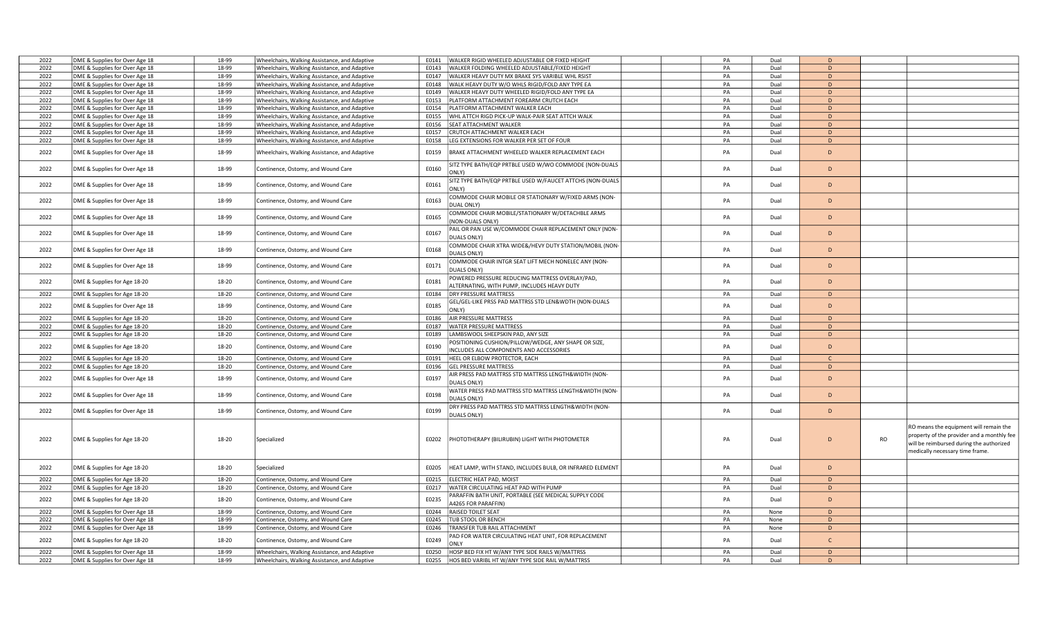| 2022 | DME & Supplies for Over Age 18 | 18-99 | Wheelchairs, Walking Assistance, and Adaptive | E0141 | WALKER RIGID WHEELED ADJUSTABLE OR FIXED HEIGHT                                                | PA | Dual | $\mathsf{D}$ |    |                                                                                                                                                                     |
|------|--------------------------------|-------|-----------------------------------------------|-------|------------------------------------------------------------------------------------------------|----|------|--------------|----|---------------------------------------------------------------------------------------------------------------------------------------------------------------------|
| 2022 | DME & Supplies for Over Age 18 | 18-99 | Wheelchairs, Walking Assistance, and Adaptive | E0143 | WALKER FOLDING WHEELED ADJUSTABLE/FIXED HEIGHT                                                 | PA | Dual | D            |    |                                                                                                                                                                     |
| 2022 | DME & Supplies for Over Age 18 | 18-99 | Wheelchairs, Walking Assistance, and Adaptive | E0147 | WALKER HEAVY DUTY MX BRAKE SYS VARIBLE WHL RSIST                                               | PA | Dual | D            |    |                                                                                                                                                                     |
| 2022 | DME & Supplies for Over Age 18 | 18-99 | Wheelchairs, Walking Assistance, and Adaptive | E0148 | WALK HEAVY DUTY W/O WHLS RIGID/FOLD ANY TYPE EA                                                | PA | Dual | D            |    |                                                                                                                                                                     |
| 2022 | DME & Supplies for Over Age 18 | 18-99 | Wheelchairs, Walking Assistance, and Adaptive |       | E0149   WALKER HEAVY DUTY WHEELED RIGID/FOLD ANY TYPE EA                                       | PA | Dual | D.           |    |                                                                                                                                                                     |
| 2022 | DME & Supplies for Over Age 18 | 18-99 | Wheelchairs, Walking Assistance, and Adaptive | E0153 | PLATFORM ATTACHMENT FOREARM CRUTCH EACH                                                        | PA | Dual | D            |    |                                                                                                                                                                     |
| 2022 | DME & Supplies for Over Age 18 | 18-99 | Wheelchairs, Walking Assistance, and Adaptive | E0154 | PLATFORM ATTACHMENT WALKER EACH                                                                | PA | Dual | D            |    |                                                                                                                                                                     |
| 2022 | DME & Supplies for Over Age 18 | 18-99 | Wheelchairs, Walking Assistance, and Adaptive |       | E0155   WHL ATTCH RIGD PICK-UP WALK-PAIR SEAT ATTCH WALK                                       | PA | Dual | D            |    |                                                                                                                                                                     |
| 2022 | DME & Supplies for Over Age 18 | 18-99 | Wheelchairs, Walking Assistance, and Adaptive | E0156 | <b>SEAT ATTACHMENT WALKER</b>                                                                  | PA | Dual | D            |    |                                                                                                                                                                     |
| 2022 | DME & Supplies for Over Age 18 | 18-99 | Wheelchairs, Walking Assistance, and Adaptive | E0157 | CRUTCH ATTACHMENT WALKER EACH                                                                  | PA | Dual | D            |    |                                                                                                                                                                     |
| 2022 | DME & Supplies for Over Age 18 | 18-99 | Wheelchairs, Walking Assistance, and Adaptive | E0158 | LEG EXTENSIONS FOR WALKER PER SET OF FOUR                                                      | PA | Dual | D            |    |                                                                                                                                                                     |
| 2022 | DME & Supplies for Over Age 18 | 18-99 | Wheelchairs, Walking Assistance, and Adaptive | E0159 | BRAKE ATTACHMENT WHEELED WALKER REPLACEMENT EACH                                               | PA | Dual | D            |    |                                                                                                                                                                     |
| 2022 | DME & Supplies for Over Age 18 | 18-99 | Continence, Ostomy, and Wound Care            | E0160 | SITZ TYPE BATH/EQP PRTBLE USED W/WO COMMODE (NON-DUALS<br>ONLY)                                | PA | Dual | D            |    |                                                                                                                                                                     |
| 2022 | DME & Supplies for Over Age 18 | 18-99 | Continence, Ostomy, and Wound Care            | E0161 | SITZ TYPE BATH/EQP PRTBLE USED W/FAUCET ATTCHS (NON-DUALS<br>ONLY)                             | PA | Dual | D            |    |                                                                                                                                                                     |
| 2022 | DME & Supplies for Over Age 18 | 18-99 | Continence, Ostomy, and Wound Care            | E0163 | COMMODE CHAIR MOBILE OR STATIONARY W/FIXED ARMS (NON-<br>DUAL ONLY)                            | PA | Dual | D            |    |                                                                                                                                                                     |
| 2022 | DME & Supplies for Over Age 18 | 18-99 | Continence, Ostomy, and Wound Care            | E0165 | COMMODE CHAIR MOBILE/STATIONARY W/DETACHBLE ARMS<br><b>NON-DUALS ONLY)</b>                     | PA | Dual | D            |    |                                                                                                                                                                     |
| 2022 | DME & Supplies for Over Age 18 | 18-99 | Continence, Ostomy, and Wound Care            | E0167 | PAIL OR PAN USE W/COMMODE CHAIR REPLACEMENT ONLY (NON-<br><b>DUALS ONLY</b>                    | PA | Dual | D            |    |                                                                                                                                                                     |
| 2022 | DME & Supplies for Over Age 18 | 18-99 | Continence, Ostomy, and Wound Care            | E0168 | COMMODE CHAIR XTRA WIDE&/HEVY DUTY STATION/MOBIL (NON-<br><b>DUALS ONLY)</b>                   | PA | Dual | D            |    |                                                                                                                                                                     |
| 2022 | DME & Supplies for Over Age 18 | 18-99 | Continence, Ostomy, and Wound Care            | E0171 | COMMODE CHAIR INTGR SEAT LIFT MECH NONELEC ANY (NON-<br>DUALS ONLY)                            | PA | Dual | D            |    |                                                                                                                                                                     |
| 2022 | DME & Supplies for Age 18-20   | 18-20 | Continence, Ostomy, and Wound Care            | E0181 | POWERED PRESSURE REDUCING MATTRESS OVERLAY/PAD,<br>ALTERNATING, WITH PUMP, INCLUDES HEAVY DUTY | PA | Dual | D            |    |                                                                                                                                                                     |
| 2022 | DME & Supplies for Age 18-20   | 18-20 | Continence, Ostomy, and Wound Care            |       | E0184   DRY PRESSURE MATTRESS                                                                  | PA | Dual | D            |    |                                                                                                                                                                     |
|      |                                |       |                                               |       | GEL/GEL-LIKE PRSS PAD MATTRSS STD LEN&WDTH (NON-DUALS                                          |    |      |              |    |                                                                                                                                                                     |
| 2022 | DME & Supplies for Over Age 18 | 18-99 | Continence, Ostomy, and Wound Care            | E0185 | ONLY)                                                                                          | PA | Dual | D            |    |                                                                                                                                                                     |
| 2022 | DME & Supplies for Age 18-20   | 18-20 | Continence, Ostomy, and Wound Care            | E0186 | <b>AIR PRESSURE MATTRESS</b>                                                                   | PA | Dual | D            |    |                                                                                                                                                                     |
| 2022 | DME & Supplies for Age 18-20   | 18-20 | Continence, Ostomy, and Wound Care            | E0187 | <b>WATER PRESSURE MATTRESS</b>                                                                 | PA | Dual | D            |    |                                                                                                                                                                     |
| 2022 | DME & Supplies for Age 18-20   | 18-20 | Continence, Ostomy, and Wound Care            |       | E0189  LAMBSWOOL SHEEPSKIN PAD, ANY SIZE                                                       | PA | Dual | D            |    |                                                                                                                                                                     |
| 2022 | DME & Supplies for Age 18-20   | 18-20 | Continence, Ostomy, and Wound Care            | E0190 | POSITIONING CUSHION/PILLOW/WEDGE, ANY SHAPE OR SIZE,<br>NCLUDES ALL COMPONENTS AND ACCESSORIES | PA | Dual | D            |    |                                                                                                                                                                     |
| 2022 | DME & Supplies for Age 18-20   | 18-20 | Continence, Ostomy, and Wound Care            | E0191 | HEEL OR ELBOW PROTECTOR, EACH                                                                  | PA | Dual | C.           |    |                                                                                                                                                                     |
| 2022 | DME & Supplies for Age 18-20   | 18-20 | Continence, Ostomy, and Wound Care            | E0196 | <b>GEL PRESSURE MATTRESS</b>                                                                   | PA | Dual | D            |    |                                                                                                                                                                     |
| 2022 | DME & Supplies for Over Age 18 | 18-99 | Continence, Ostomy, and Wound Care            | E0197 | AIR PRESS PAD MATTRSS STD MATTRSS LENGTH&WIDTH (NON-<br>DUALS ONLY)                            | PA | Dual | D            |    |                                                                                                                                                                     |
| 2022 | DME & Supplies for Over Age 18 | 18-99 | Continence, Ostomy, and Wound Care            | E0198 | WATER PRESS PAD MATTRSS STD MATTRSS LENGTH&WIDTH (NON-<br>DUALS ONLY)                          | PA | Dual | D            |    |                                                                                                                                                                     |
| 2022 | DME & Supplies for Over Age 18 | 18-99 | Continence, Ostomy, and Wound Care            | E0199 | DRY PRESS PAD MATTRSS STD MATTRSS LENGTH&WIDTH (NON-<br>DUALS ONLY)                            | PA | Dual | $\mathsf D$  |    |                                                                                                                                                                     |
| 2022 | DME & Supplies for Age 18-20   | 18-20 | Specialized                                   | E0202 | PHOTOTHERAPY (BILIRUBIN) LIGHT WITH PHOTOMETER                                                 | PA | Dual | D            | RO | RO means the equipment will remain the<br>property of the provider and a monthly fee<br>will be reimbursed during the authorized<br>medically necessary time frame. |
| 2022 | DME & Supplies for Age 18-20   | 18-20 | Specialized                                   | E0205 | HEAT LAMP, WITH STAND, INCLUDES BULB, OR INFRARED ELEMENT                                      | PA | Dual | D            |    |                                                                                                                                                                     |
| 2022 | DME & Supplies for Age 18-20   | 18-20 | Continence, Ostomy, and Wound Care            | E0215 | ELECTRIC HEAT PAD, MOIST                                                                       | PA | Dual | D            |    |                                                                                                                                                                     |
| 2022 | DME & Supplies for Age 18-20   | 18-20 | Continence, Ostomy, and Wound Care            |       | E0217   WATER CIRCULATING HEAT PAD WITH PUMP                                                   | PA | Dual | D            |    |                                                                                                                                                                     |
| 2022 | DME & Supplies for Age 18-20   | 18-20 | Continence, Ostomy, and Wound Care            | E0235 | PARAFFIN BATH UNIT, PORTABLE (SEE MEDICAL SUPPLY CODE<br>A4265 FOR PARAFFIN)                   | PA | Dual | D            |    |                                                                                                                                                                     |
| 2022 | DME & Supplies for Over Age 18 | 18-99 | Continence, Ostomy, and Wound Care            |       | E0244 RAISED TOILET SEAT                                                                       | PA | None | D            |    |                                                                                                                                                                     |
| 2022 | DME & Supplies for Over Age 18 | 18-99 | Continence, Ostomy, and Wound Care            | E0245 | TUB STOOL OR BENCH                                                                             | PA | None | D            |    |                                                                                                                                                                     |
| 2022 | DME & Supplies for Over Age 18 | 18-99 | Continence, Ostomy, and Wound Care            | E0246 | TRANSFER TUB RAIL ATTACHMENT                                                                   | PA | None | D            |    |                                                                                                                                                                     |
| 2022 | DME & Supplies for Age 18-20   | 18-20 | Continence, Ostomy, and Wound Care            | E0249 | PAD FOR WATER CIRCULATING HEAT UNIT, FOR REPLACEMENT<br>ONLY                                   | PA | Dual | $\mathsf{C}$ |    |                                                                                                                                                                     |
| 2022 | DME & Supplies for Over Age 18 | 18-99 | Wheelchairs, Walking Assistance, and Adaptive | E0250 | HOSP BED FIX HT W/ANY TYPE SIDE RAILS W/MATTRSS                                                | PA | Dual | D            |    |                                                                                                                                                                     |
| 2022 | DME & Supplies for Over Age 18 | 18-99 | Wheelchairs, Walking Assistance, and Adaptive | E0255 | HOS BED VARIBL HT W/ANY TYPE SIDE RAIL W/MATTRSS                                               | PA | Dual | D            |    |                                                                                                                                                                     |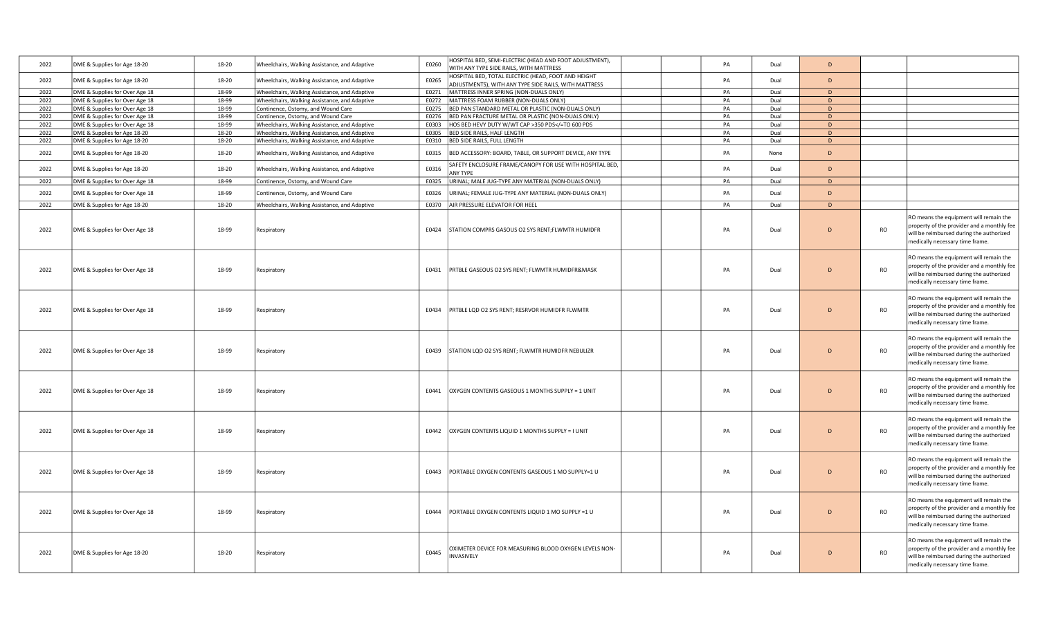| 2022 | DME & Supplies for Age 18-20   | 18-20 | Wheelchairs, Walking Assistance, and Adaptive | HOSPITAL BED, SEMI-ELECTRIC (HEAD AND FOOT ADJUSTMENT),<br>E0260<br>WITH ANY TYPE SIDE RAILS, WITH MATTRESS           | PA | Dual | D            |           |                                                                                                                                                                     |
|------|--------------------------------|-------|-----------------------------------------------|-----------------------------------------------------------------------------------------------------------------------|----|------|--------------|-----------|---------------------------------------------------------------------------------------------------------------------------------------------------------------------|
| 2022 | DME & Supplies for Age 18-20   | 18-20 | Wheelchairs, Walking Assistance, and Adaptive | HOSPITAL BED, TOTAL ELECTRIC (HEAD, FOOT AND HEIGHT<br>E0265<br>ADJUSTMENTS), WITH ANY TYPE SIDE RAILS, WITH MATTRESS | PA | Dual | D            |           |                                                                                                                                                                     |
| 2022 | DME & Supplies for Over Age 18 | 18-99 | Wheelchairs, Walking Assistance, and Adaptive | MATTRESS INNER SPRING (NON-DUALS ONLY)<br>E0271                                                                       | PA | Dual | D            |           |                                                                                                                                                                     |
| 2022 | DME & Supplies for Over Age 18 | 18-99 | Wheelchairs, Walking Assistance, and Adaptive | E0272<br>MATTRESS FOAM RUBBER (NON-DUALS ONLY)                                                                        | PA | Dual | D            |           |                                                                                                                                                                     |
| 2022 | DME & Supplies for Over Age 18 | 18-99 | Continence, Ostomy, and Wound Care            | E0275<br>BED PAN STANDARD METAL OR PLASTIC (NON-DUALS ONLY)                                                           | PA | Dual | D            |           |                                                                                                                                                                     |
| 2022 | DME & Supplies for Over Age 18 | 18-99 | Continence, Ostomy, and Wound Care            | BED PAN FRACTURE METAL OR PLASTIC (NON-DUALS ONLY)<br>E0276                                                           | PA | Dual | D            |           |                                                                                                                                                                     |
| 2022 | DME & Supplies for Over Age 18 | 18-99 | Wheelchairs, Walking Assistance, and Adaptive | HOS BED HEVY DUTY W/WT CAP >350 PDS =TO 600 PDS<br E0303                                                              | PA | Dual | D            |           |                                                                                                                                                                     |
| 2022 | DME & Supplies for Age 18-20   | 18-20 | Wheelchairs, Walking Assistance, and Adaptive | E0305<br>BED SIDE RAILS, HALF LENGTH                                                                                  | PA | Dual | D            |           |                                                                                                                                                                     |
| 2022 | DME & Supplies for Age 18-20   | 18-20 | Wheelchairs, Walking Assistance, and Adaptive | E0310 BED SIDE RAILS, FULL LENGTH                                                                                     | PA | Dual | D            |           |                                                                                                                                                                     |
| 2022 | DME & Supplies for Age 18-20   | 18-20 | Wheelchairs, Walking Assistance, and Adaptive | E0315<br>BED ACCESSORY: BOARD, TABLE, OR SUPPORT DEVICE, ANY TYPE                                                     | PA | None | D            |           |                                                                                                                                                                     |
| 2022 | DME & Supplies for Age 18-20   | 18-20 | Wheelchairs, Walking Assistance, and Adaptive | SAFETY ENCLOSURE FRAME/CANOPY FOR USE WITH HOSPITAL BED,<br>E0316<br><b>ANY TYPE</b>                                  | PA | Dual | D            |           |                                                                                                                                                                     |
| 2022 | DME & Supplies for Over Age 18 | 18-99 | Continence, Ostomy, and Wound Care            | E0325<br>URINAL; MALE JUG-TYPE ANY MATERIAL (NON-DUALS ONLY)                                                          | PA | Dual | D            |           |                                                                                                                                                                     |
| 2022 | DME & Supplies for Over Age 18 | 18-99 | Continence, Ostomy, and Wound Care            | E0326<br>URINAL; FEMALE JUG-TYPE ANY MATERIAL (NON-DUALS ONLY)                                                        | PA | Dual | D            |           |                                                                                                                                                                     |
| 2022 | DME & Supplies for Age 18-20   | 18-20 | Wheelchairs, Walking Assistance, and Adaptive | E0370 AIR PRESSURE ELEVATOR FOR HEEL                                                                                  | PA | Dual | D            |           |                                                                                                                                                                     |
| 2022 | DME & Supplies for Over Age 18 | 18-99 | Respiratory                                   | STATION COMPRS GASOUS O2 SYS RENT;FLWMTR HUMIDFR<br>E0424                                                             | PA | Dual | D            | <b>RO</b> | RO means the equipment will remain the<br>property of the provider and a monthly fee<br>will be reimbursed during the authorized<br>medically necessary time frame. |
| 2022 | DME & Supplies for Over Age 18 | 18-99 | Respiratory                                   | E0431<br>PRTBLE GASEOUS O2 SYS RENT; FLWMTR HUMIDFR&MASK                                                              | PA | Dual | $\mathsf{D}$ | <b>RO</b> | RO means the equipment will remain the<br>property of the provider and a monthly fee<br>will be reimbursed during the authorized<br>medically necessary time frame. |
| 2022 | DME & Supplies for Over Age 18 | 18-99 | Respiratory                                   | PRTBLE LQD O2 SYS RENT; RESRVOR HUMIDFR FLWMTR<br>E0434                                                               | PA | Dual | D            | <b>RO</b> | RO means the equipment will remain the<br>property of the provider and a monthly fee<br>will be reimbursed during the authorized<br>medically necessary time frame. |
| 2022 | DME & Supplies for Over Age 18 | 18-99 | Respiratory                                   | STATION LQD O2 SYS RENT; FLWMTR HUMIDFR NEBULIZR<br>E0439                                                             | PA | Dual | D            | <b>RO</b> | RO means the equipment will remain the<br>property of the provider and a monthly fee<br>will be reimbursed during the authorized<br>medically necessary time frame. |
| 2022 | DME & Supplies for Over Age 18 | 18-99 | Respiratory                                   | E0441<br>OXYGEN CONTENTS GASEOUS 1 MONTHS SUPPLY = 1 UNIT                                                             | PA | Dual | D            | <b>RO</b> | RO means the equipment will remain the<br>property of the provider and a monthly fee<br>will be reimbursed during the authorized<br>medically necessary time frame. |
| 2022 | DME & Supplies for Over Age 18 | 18-99 | Respiratory                                   | OXYGEN CONTENTS LIQUID 1 MONTHS SUPPLY = I UNIT<br>E0442                                                              | PA | Dual | D            | <b>RO</b> | RO means the equipment will remain the<br>property of the provider and a monthly fee<br>will be reimbursed during the authorized<br>medically necessary time frame. |
| 2022 | DME & Supplies for Over Age 18 | 18-99 | Respiratory                                   | PORTABLE OXYGEN CONTENTS GASEOUS 1 MO SUPPLY=1 U<br>E0443                                                             | PA | Dual | $\mathsf{D}$ | <b>RO</b> | RO means the equipment will remain the<br>property of the provider and a monthly fee<br>will be reimbursed during the authorized<br>medically necessary time frame. |
| 2022 | DME & Supplies for Over Age 18 | 18-99 | Respiratory                                   | E0444<br>PORTABLE OXYGEN CONTENTS LIQUID 1 MO SUPPLY =1 U                                                             | PA | Dual | D            | <b>RO</b> | RO means the equipment will remain the<br>property of the provider and a monthly fee<br>will be reimbursed during the authorized<br>medically necessary time frame. |
| 2022 | DME & Supplies for Age 18-20   | 18-20 | Respiratory                                   | XIMETER DEVICE FOR MEASURING BLOOD OXYGEN LEVELS NON-<br>E0445<br>INVASIVELY                                          | PA | Dual | D            | <b>RO</b> | RO means the equipment will remain the<br>property of the provider and a monthly fee<br>will be reimbursed during the authorized<br>medically necessary time frame. |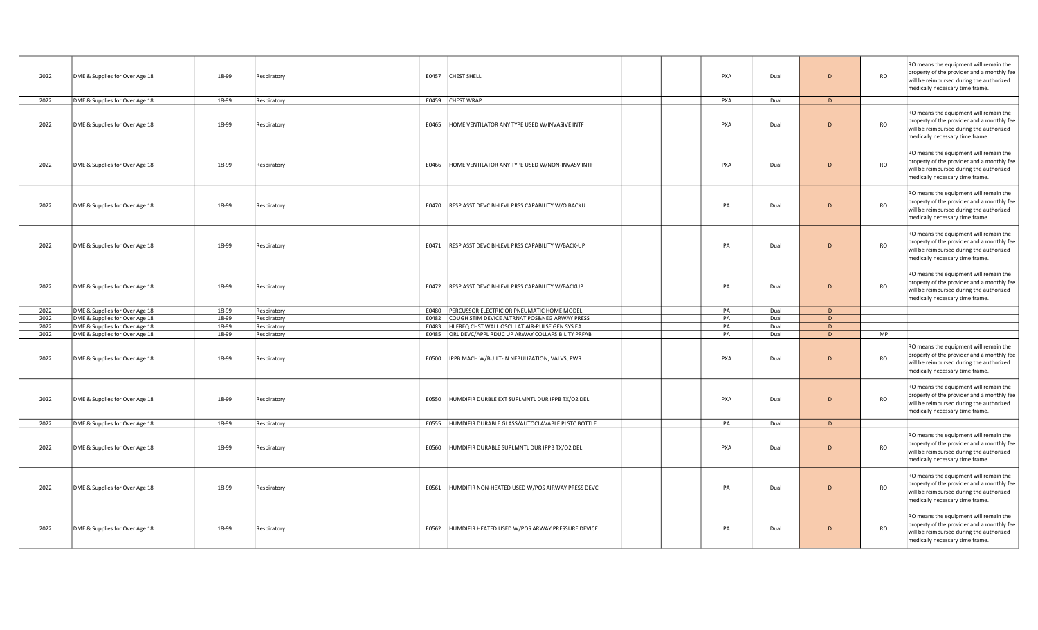| 2022 | DME & Supplies for Over Age 18 | 18-99 | Respiratory | E0457<br><b>CHEST SHELL</b>                               | PXA | Dual | D              | <b>RO</b> | RO means the equipment will remain the<br>property of the provider and a monthly fee<br>will be reimbursed during the authorized<br>medically necessary time frame. |
|------|--------------------------------|-------|-------------|-----------------------------------------------------------|-----|------|----------------|-----------|---------------------------------------------------------------------------------------------------------------------------------------------------------------------|
| 2022 | DME & Supplies for Over Age 18 | 18-99 | Respiratory | E0459 CHEST WRAP                                          | PXA | Dual | D              |           |                                                                                                                                                                     |
| 2022 | DME & Supplies for Over Age 18 | 18-99 | Respiratory | E0465<br>HOME VENTILATOR ANY TYPE USED W/INVASIVE INTF    | PXA | Dual | $\overline{D}$ | <b>RO</b> | RO means the equipment will remain the<br>property of the provider and a monthly fee<br>will be reimbursed during the authorized<br>medically necessary time frame. |
| 2022 | DME & Supplies for Over Age 18 | 18-99 | Respiratory | E0466<br>HOME VENTILATOR ANY TYPE USED W/NON-INVASV INTF  | PXA | Dual | $\overline{D}$ | <b>RO</b> | RO means the equipment will remain the<br>property of the provider and a monthly fee<br>will be reimbursed during the authorized<br>medically necessary time frame. |
| 2022 | DME & Supplies for Over Age 18 | 18-99 | Respiratory | E0470   RESP ASST DEVC BI-LEVL PRSS CAPABILITY W/O BACKU  | PA  | Dual | D              | <b>RO</b> | RO means the equipment will remain the<br>property of the provider and a monthly fee<br>will be reimbursed during the authorized<br>medically necessary time frame. |
| 2022 | DME & Supplies for Over Age 18 | 18-99 | Respiratory | E0471 RESP ASST DEVC BI-LEVL PRSS CAPABILITY W/BACK-UP    | PA  | Dual | D              | <b>RO</b> | RO means the equipment will remain the<br>property of the provider and a monthly fee<br>will be reimbursed during the authorized<br>medically necessary time frame. |
| 2022 | DME & Supplies for Over Age 18 | 18-99 | Respiratory | E0472<br>RESP ASST DEVC BI-LEVL PRSS CAPABILITY W/BACKUP  | PA  | Dual | $\Gamma$       | <b>RO</b> | RO means the equipment will remain the<br>property of the provider and a monthly fee<br>will be reimbursed during the authorized<br>medically necessary time frame. |
| 2022 | DME & Supplies for Over Age 18 | 18-99 | Respiratory | PERCUSSOR ELECTRIC OR PNEUMATIC HOME MODEL<br>E0480       | PA  | Dual | D              |           |                                                                                                                                                                     |
| 2022 | DME & Supplies for Over Age 18 | 18-99 | Respiratory | COUGH STIM DEVICE ALTRNAT POS&NEG ARWAY PRESS<br>E0482    | PA  | Dual | D              |           |                                                                                                                                                                     |
| 2022 | DME & Supplies for Over Age 18 | 18-99 | Respiratory | E0483<br>HI FREQ CHST WALL OSCILLAT AIR-PULSE GEN SYS EA  | PA  | Dual | D              |           |                                                                                                                                                                     |
| 2022 | DME & Supplies for Over Age 18 | 18-99 | Respiratory | E0485 ORL DEVC/APPL RDUC UP ARWAY COLLAPSIBILITY PRFAB    | PA  | Dual | D.             | <b>MP</b> |                                                                                                                                                                     |
| 2022 | DME & Supplies for Over Age 18 | 18-99 | Respiratory | IPPB MACH W/BUILT-IN NEBULIZATION; VALVS; PWR<br>E0500    | PXA | Dual | D              | <b>RO</b> | RO means the equipment will remain the<br>property of the provider and a monthly fee<br>will be reimbursed during the authorized<br>medically necessary time frame. |
| 2022 | DME & Supplies for Over Age 18 | 18-99 | Respiratory | E0550<br>HUMDIFIR DURBLE EXT SUPLMNTL DUR IPPB TX/O2 DEL  | PXA | Dual | D              | RO        | RO means the equipment will remain the<br>property of the provider and a monthly fee<br>will be reimbursed during the authorized<br>medically necessary time frame. |
| 2022 | DME & Supplies for Over Age 18 | 18-99 | Respiratory | E0555  HUMDIFIR DURABLE GLASS/AUTOCLAVABLE PLSTC BOTTLE   | PA  | Dual | D              |           |                                                                                                                                                                     |
| 2022 | DME & Supplies for Over Age 18 | 18-99 | Respiratory | E0560<br>HUMDIFIR DURABLE SUPLMNTL DUR IPPB TX/O2 DEL     | PXA | Dual | $\overline{D}$ | <b>RO</b> | RO means the equipment will remain the<br>property of the provider and a monthly fee<br>will be reimbursed during the authorized<br>medically necessary time frame. |
| 2022 | DME & Supplies for Over Age 18 | 18-99 | Respiratory | HUMDIFIR NON-HEATED USED W/POS AIRWAY PRESS DEVC<br>E0561 | PA  | Dual | $\overline{D}$ | <b>RO</b> | RO means the equipment will remain the<br>property of the provider and a monthly fee<br>will be reimbursed during the authorized<br>medically necessary time frame. |
| 2022 | DME & Supplies for Over Age 18 | 18-99 | Respiratory | HUMDIFIR HEATED USED W/POS ARWAY PRESSURE DEVICE<br>E0562 | PA  | Dual | D              | <b>RO</b> | RO means the equipment will remain the<br>property of the provider and a monthly fee<br>will be reimbursed during the authorized<br>medically necessary time frame. |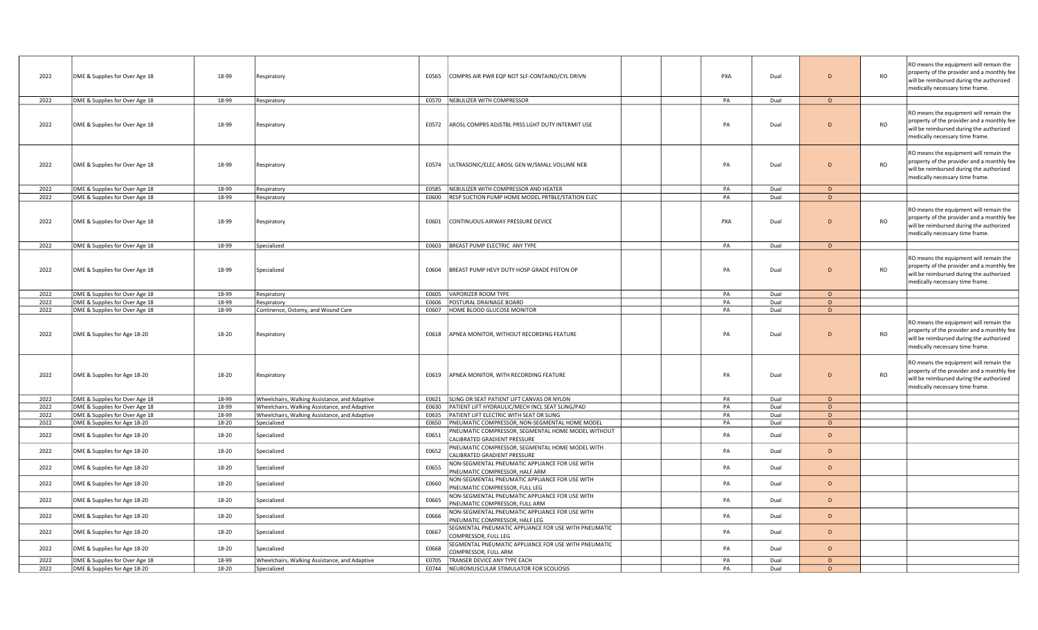| 2022 | DME & Supplies for Over Age 18 | 18-99 | Respiratory                                   | E0565 | COMPRS AIR PWR EQP NOT SLF-CONTAIND/CYL DRIVN                                      | PXA | Dual | $\mathsf{D}$ | <b>RO</b> | RO means the equipment will remain the<br>property of the provider and a monthly fee<br>will be reimbursed during the authorized<br>medically necessary time frame. |
|------|--------------------------------|-------|-----------------------------------------------|-------|------------------------------------------------------------------------------------|-----|------|--------------|-----------|---------------------------------------------------------------------------------------------------------------------------------------------------------------------|
| 2022 | DME & Supplies for Over Age 18 | 18-99 | Respiratory                                   |       | E0570 NEBULIZER WITH COMPRESSOR                                                    | PA  | Dual | D            |           |                                                                                                                                                                     |
| 2022 | DME & Supplies for Over Age 18 | 18-99 | Respiratory                                   |       | E0572   AROSL COMPRS ADJSTBL PRSS LGHT DUTY INTERMIT USE                           | PA  | Dual | D            | <b>RO</b> | RO means the equipment will remain the<br>property of the provider and a monthly fee<br>will be reimbursed during the authorized<br>medically necessary time frame. |
| 2022 | DME & Supplies for Over Age 18 | 18-99 | Respiratory                                   | E0574 | ULTRASONIC/ELEC AROSL GEN W/SMALL VOLUME NEB                                       | PA  | Dual | D            | <b>RO</b> | RO means the equipment will remain the<br>property of the provider and a monthly fee<br>will be reimbursed during the authorized<br>medically necessary time frame. |
| 2022 | DME & Supplies for Over Age 18 | 18-99 | Respiratory                                   |       | E0585 NEBULIZER WITH COMPRESSOR AND HEATER                                         | PA  | Dual | D            |           |                                                                                                                                                                     |
| 2022 | DME & Supplies for Over Age 18 | 18-99 | Respiratory                                   |       | E0600 RESP SUCTION PUMP HOME MODEL PRTBLE/STATION ELEC                             | PA  | Dual | D            |           |                                                                                                                                                                     |
| 2022 | DME & Supplies for Over Age 18 | 18-99 | Respiratory                                   | E0601 | CONTINUOUS AIRWAY PRESSURE DEVICE                                                  | PXA | Dual | D            | <b>RO</b> | RO means the equipment will remain the<br>property of the provider and a monthly fee<br>will be reimbursed during the authorized<br>medically necessary time frame. |
| 2022 | DME & Supplies for Over Age 18 | 18-99 | Specialized                                   |       | E0603 BREAST PUMP ELECTRIC ANY TYPE                                                | PA  | Dual | D            |           |                                                                                                                                                                     |
| 2022 | DME & Supplies for Over Age 18 | 18-99 | Specialized                                   | E0604 | BREAST PUMP HEVY DUTY HOSP GRADE PISTON OP                                         | PA  | Dual | D            | <b>RO</b> | RO means the equipment will remain the<br>property of the provider and a monthly fee<br>will be reimbursed during the authorized<br>medically necessary time frame. |
| 2022 | DME & Supplies for Over Age 18 | 18-99 | Respiratory                                   |       | E0605 VAPORIZER ROOM TYPE                                                          | PA  | Dual | D            |           |                                                                                                                                                                     |
| 2022 | DME & Supplies for Over Age 18 | 18-99 | Respiratory                                   | E0606 | POSTURAL DRAINAGE BOARD                                                            | PA  | Dual | D            |           |                                                                                                                                                                     |
| 2022 | DME & Supplies for Over Age 18 | 18-99 | Continence, Ostomy, and Wound Care            | E0607 | HOME BLOOD GLUCOSE MONITOR                                                         | PA  | Dual | D            |           |                                                                                                                                                                     |
| 2022 | DME & Supplies for Age 18-20   | 18-20 | Respiratory                                   | E0618 | APNEA MONITOR, WITHOUT RECORDING FEATURE                                           | PA  | Dual | D            | <b>RO</b> | RO means the equipment will remain the<br>property of the provider and a monthly fee<br>will be reimbursed during the authorized<br>medically necessary time frame. |
| 2022 | DME & Supplies for Age 18-20   | 18-20 | Respiratory                                   | E0619 | APNEA MONITOR, WITH RECORDING FEATURE                                              | PA  | Dual | D            | <b>RO</b> | RO means the equipment will remain the<br>property of the provider and a monthly fee<br>will be reimbursed during the authorized<br>medically necessary time frame. |
| 2022 | DME & Supplies for Over Age 18 | 18-99 | Wheelchairs, Walking Assistance, and Adaptive |       | E0621 SLING OR SEAT PATIENT LIFT CANVAS OR NYLON                                   | PA  | Dual | D            |           |                                                                                                                                                                     |
| 2022 | DME & Supplies for Over Age 18 | 18-99 | Wheelchairs, Walking Assistance, and Adaptive | E0630 | PATIENT LIFT HYDRAULIC/MECH INCL SEAT SLING/PAD                                    | PA  | Dual | D            |           |                                                                                                                                                                     |
| 2022 | DME & Supplies for Over Age 18 | 18-99 | Wheelchairs, Walking Assistance, and Adaptive | E0635 | PATIENT LIFT ELECTRIC WITH SEAT OR SLING                                           | PA  | Dual | D            |           |                                                                                                                                                                     |
| 2022 | DME & Supplies for Age 18-20   | 18-20 | Specialized                                   | E0650 | PNEUMATIC COMPRESSOR, NON-SEGMENTAL HOME MODEL                                     | PA  | Dual | D            |           |                                                                                                                                                                     |
| 2022 | DME & Supplies for Age 18-20   | 18-20 | Specialized                                   | E0651 | PNEUMATIC COMPRESSOR, SEGMENTAL HOME MODEL WITHOUT<br>CALIBRATED GRADIENT PRESSURE | PA  | Dual | D            |           |                                                                                                                                                                     |
| 2022 | DME & Supplies for Age 18-20   | 18-20 | Specialized                                   | E0652 | PNEUMATIC COMPRESSOR, SEGMENTAL HOME MODEL WITH<br>CALIBRATED GRADIENT PRESSURE    | PA  | Dual | D.           |           |                                                                                                                                                                     |
| 2022 | DME & Supplies for Age 18-20   | 18-20 | Specialized                                   | E0655 | NON-SEGMENTAL PNEUMATIC APPLIANCE FOR USE WITH<br>PNEUMATIC COMPRESSOR, HALF ARM   | PA  | Dual | D            |           |                                                                                                                                                                     |
| 2022 | DME & Supplies for Age 18-20   | 18-20 | Specialized                                   | E0660 | NON-SEGMENTAL PNEUMATIC APPLIANCE FOR USE WITH<br>PNEUMATIC COMPRESSOR, FULL LEG   | PA  | Dual | D            |           |                                                                                                                                                                     |
| 2022 | DME & Supplies for Age 18-20   | 18-20 | Specialized                                   | E0665 | NON-SEGMENTAL PNEUMATIC APPLIANCE FOR USE WITH<br>PNEUMATIC COMPRESSOR, FULL ARM   | PA  | Dual | D            |           |                                                                                                                                                                     |
| 2022 | DME & Supplies for Age 18-20   | 18-20 | Specialized                                   | E0666 | NON-SEGMENTAL PNEUMATIC APPLIANCE FOR USE WITH<br>PNEUMATIC COMPRESSOR, HALF LEG   | PA  | Dual | D            |           |                                                                                                                                                                     |
| 2022 | DME & Supplies for Age 18-20   | 18-20 | Specialized                                   | E0667 | SEGMENTAL PNEUMATIC APPLIANCE FOR USE WITH PNEUMATIC<br>COMPRESSOR, FULL LEG       | PA  | Dual | D            |           |                                                                                                                                                                     |
| 2022 | DME & Supplies for Age 18-20   | 18-20 | Specialized                                   | E0668 | SEGMENTAL PNEUMATIC APPLIANCE FOR USE WITH PNEUMATIC<br>COMPRESSOR, FULL ARM       | PA  | Dual | D            |           |                                                                                                                                                                     |
| 2022 | DME & Supplies for Over Age 18 | 18-99 | Wheelchairs, Walking Assistance, and Adaptive | E0705 | TRANSER DEVICE ANY TYPE EACH                                                       | PA  | Dual | D            |           |                                                                                                                                                                     |
| 2022 | DME & Supplies for Age 18-20   | 18-20 | Specialized                                   |       | E0744 NEUROMUSCULAR STIMULATOR FOR SCOLIOSIS                                       | PA  | Dual | D.           |           |                                                                                                                                                                     |
|      |                                |       |                                               |       |                                                                                    |     |      |              |           |                                                                                                                                                                     |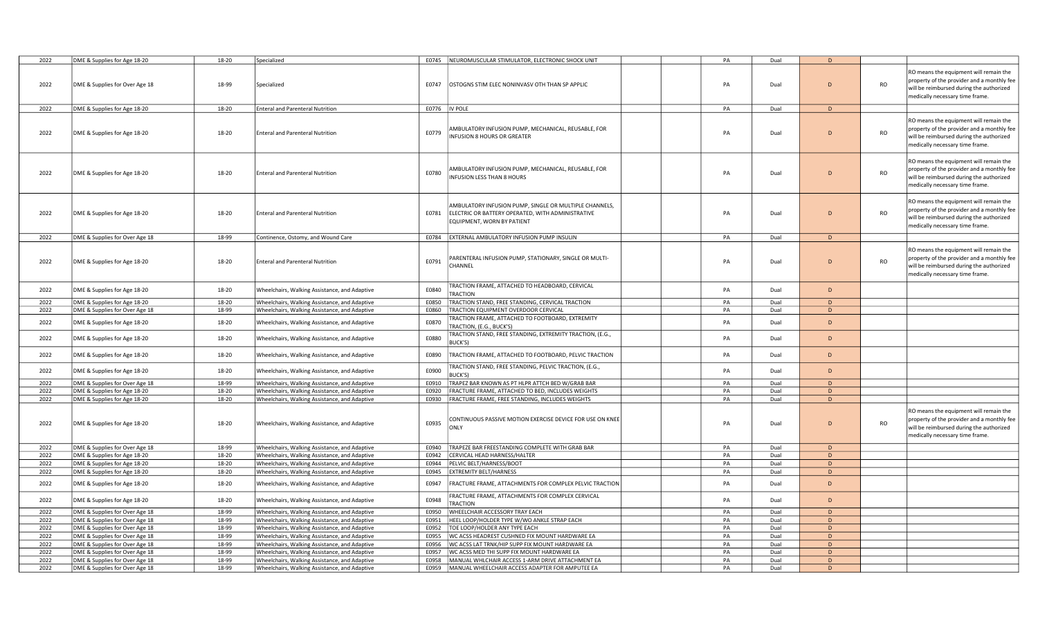| 2022         | DME & Supplies for Age 18-20   | 18-20          | Specialized                                   |                | E0745 NEUROMUSCULAR STIMULATOR, ELECTRONIC SHOCK UNIT                                                                                     | PA       | Dual         | D              |           |                                                                                                                                                                     |
|--------------|--------------------------------|----------------|-----------------------------------------------|----------------|-------------------------------------------------------------------------------------------------------------------------------------------|----------|--------------|----------------|-----------|---------------------------------------------------------------------------------------------------------------------------------------------------------------------|
| 2022         | DME & Supplies for Over Age 18 | 18-99          | Specialized                                   | E0747          | OSTOGNS STIM ELEC NONINVASV OTH THAN SP APPLIC                                                                                            | PA       | Dual         | D              | <b>RO</b> | RO means the equipment will remain the<br>property of the provider and a monthly fee<br>will be reimbursed during the authorized<br>medically necessary time frame. |
| 2022         | DME & Supplies for Age 18-20   | 18-20          | <b>Enteral and Parenteral Nutrition</b>       | E0776  IV POLE |                                                                                                                                           | PA       | Dual         | D              |           |                                                                                                                                                                     |
| 2022         | DME & Supplies for Age 18-20   | 18-20          | <b>Enteral and Parenteral Nutrition</b>       | E0779          | AMBULATORY INFUSION PUMP, MECHANICAL, REUSABLE, FOR<br>INFUSION 8 HOURS OR GREATER                                                        | PA       | Dual         | D              | <b>RO</b> | RO means the equipment will remain the<br>property of the provider and a monthly fee<br>will be reimbursed during the authorized<br>medically necessary time frame. |
| 2022         | DME & Supplies for Age 18-20   | 18-20          | <b>Enteral and Parenteral Nutrition</b>       | E0780          | AMBULATORY INFUSION PUMP, MECHANICAL, REUSABLE, FOR<br>INFUSION LESS THAN 8 HOURS                                                         | PA       | Dual         | D              | <b>RO</b> | RO means the equipment will remain the<br>property of the provider and a monthly fee<br>will be reimbursed during the authorized<br>medically necessary time frame. |
| 2022         | DME & Supplies for Age 18-20   | 18-20          | <b>Enteral and Parenteral Nutrition</b>       | E0781          | AMBULATORY INFUSION PUMP, SINGLE OR MULTIPLE CHANNELS,<br>ELECTRIC OR BATTERY OPERATED, WITH ADMINISTRATIVE<br>EQUIPMENT, WORN BY PATIENT | PA       | Dual         | $\overline{D}$ | <b>RO</b> | RO means the equipment will remain the<br>property of the provider and a monthly fee<br>will be reimbursed during the authorized<br>medically necessary time frame. |
| 2022         | DME & Supplies for Over Age 18 | 18-99          | Continence, Ostomy, and Wound Care            | E0784          | EXTERNAL AMBULATORY INFUSION PUMP INSULIN                                                                                                 | PA       | Dual         | D.             |           |                                                                                                                                                                     |
| 2022         | DME & Supplies for Age 18-20   | 18-20          | <b>Enteral and Parenteral Nutrition</b>       | E0791          | PARENTERAL INFUSION PUMP, STATIONARY, SINGLE OR MULTI-<br>CHANNEL                                                                         | PA       | Dual         | $\overline{D}$ | <b>RO</b> | RO means the equipment will remain the<br>property of the provider and a monthly fee<br>will be reimbursed during the authorized<br>medically necessary time frame. |
| 2022         | DME & Supplies for Age 18-20   | 18-20          | Wheelchairs, Walking Assistance, and Adaptive | E0840          | <b>TRACTION FRAME, ATTACHED TO HEADBOARD, CERVICAL</b><br><b>TRACTION</b>                                                                 | PA       | Dual         | D              |           |                                                                                                                                                                     |
| 2022         | DME & Supplies for Age 18-20   | 18-20          | Wheelchairs, Walking Assistance, and Adaptive | E0850          | TRACTION STAND, FREE STANDING, CERVICAL TRACTION                                                                                          | PA       | Dual         | D              |           |                                                                                                                                                                     |
| 2022         | DME & Supplies for Over Age 18 | 18-99          | Wheelchairs, Walking Assistance, and Adaptive | E0860          | TRACTION EQUIPMENT OVERDOOR CERVICAL                                                                                                      | PA       | Dual         | D              |           |                                                                                                                                                                     |
| 2022         | DME & Supplies for Age 18-20   | 18-20          | Wheelchairs, Walking Assistance, and Adaptive | E0870          | <b>FRACTION FRAME, ATTACHED TO FOOTBOARD, EXTREMITY</b><br><b>FRACTION, (E.G., BUCK'S)</b>                                                | PA       | Dual         | D              |           |                                                                                                                                                                     |
| 2022         | DME & Supplies for Age 18-20   | 18-20          | Wheelchairs, Walking Assistance, and Adaptive | E0880          | <b>FRACTION STAND, FREE STANDING, EXTREMITY TRACTION, (E.G.,</b><br>BUCK'S)                                                               | PA       | Dual         | D              |           |                                                                                                                                                                     |
| 2022         | DME & Supplies for Age 18-20   | 18-20          | Wheelchairs, Walking Assistance, and Adaptive | E0890          | TRACTION FRAME, ATTACHED TO FOOTBOARD, PELVIC TRACTION                                                                                    | PA       | Dual         | D              |           |                                                                                                                                                                     |
| 2022         | DME & Supplies for Age 18-20   | 18-20          | Wheelchairs, Walking Assistance, and Adaptive | E0900          | <b>FRACTION STAND, FREE STANDING, PELVIC TRACTION, (E.G.,</b><br>3UCK'S)                                                                  | PA       | Dual         | $\overline{D}$ |           |                                                                                                                                                                     |
| 2022         | DME & Supplies for Over Age 18 | 18-99          | Wheelchairs, Walking Assistance, and Adaptive | E0910          | TRAPEZ BAR KNOWN AS PT HLPR ATTCH BED W/GRAB BAR                                                                                          | PA       | Dual         | D              |           |                                                                                                                                                                     |
| 2022         | DME & Supplies for Age 18-20   | 18-20          | Wheelchairs, Walking Assistance, and Adaptive | E0920          | FRACTURE FRAME, ATTACHED TO BED, INCLUDES WEIGHTS                                                                                         | PA       | Dual         | D              |           |                                                                                                                                                                     |
| 2022         | DME & Supplies for Age 18-20   | 18-20          | Wheelchairs, Walking Assistance, and Adaptive | E0930          | FRACTURE FRAME, FREE STANDING, INCLUDES WEIGHTS                                                                                           | PA       | Dual         | D              |           |                                                                                                                                                                     |
| 2022         | DME & Supplies for Age 18-20   | 18-20          | Wheelchairs, Walking Assistance, and Adaptive | E0935          | CONTINUOUS PASSIVE MOTION EXERCISE DEVICE FOR USE ON KNEE<br>ONLY                                                                         | PA       | Dual         | D              | <b>RO</b> | RO means the equipment will remain the<br>property of the provider and a monthly fee<br>will be reimbursed during the authorized<br>medically necessary time frame. |
| 2022         | DME & Supplies for Over Age 18 | 18-99          | Wheelchairs, Walking Assistance, and Adaptive | E0940          | TRAPEZE BAR FREESTANDING COMPLETE WITH GRAB BAR                                                                                           | PA       | Dual         | D              |           |                                                                                                                                                                     |
| 2022         | DME & Supplies for Age 18-20   | 18-20          | Wheelchairs, Walking Assistance, and Adaptive | E0942          | CERVICAL HEAD HARNESS/HALTER                                                                                                              | PA       | Dual         | D              |           |                                                                                                                                                                     |
| 2022         | DME & Supplies for Age 18-20   | 18-20          | Wheelchairs, Walking Assistance, and Adaptive | E0944          | PELVIC BELT/HARNESS/BOOT                                                                                                                  | PA       | Dual         | D              |           |                                                                                                                                                                     |
| 2022         | DME & Supplies for Age 18-20   | 18-20          | Wheelchairs, Walking Assistance, and Adaptive | E0945          | <b>EXTREMITY BELT/HARNESS</b>                                                                                                             | PA       | Dual         | D              |           |                                                                                                                                                                     |
| 2022         | DME & Supplies for Age 18-20   | 18-20          | Wheelchairs, Walking Assistance, and Adaptive | E0947          | FRACTURE FRAME, ATTACHMENTS FOR COMPLEX PELVIC TRACTION                                                                                   | PA       | Dual         | D              |           |                                                                                                                                                                     |
| 2022         | DME & Supplies for Age 18-20   | 18-20          | Wheelchairs, Walking Assistance, and Adaptive | E0948          | FRACTURE FRAME, ATTACHMENTS FOR COMPLEX CERVICAL<br>TRACTION                                                                              | PA       | Dual         | D              |           |                                                                                                                                                                     |
| 2022         | DME & Supplies for Over Age 18 | 18-99          | Wheelchairs, Walking Assistance, and Adaptive | E0950          | WHEELCHAIR ACCESSORY TRAY EACH                                                                                                            | PA       | Dual         | D              |           |                                                                                                                                                                     |
| 2022         | DME & Supplies for Over Age 18 | 18-99          | Wheelchairs, Walking Assistance, and Adaptive | E0951          | HEEL LOOP/HOLDER TYPE W/WO ANKLE STRAP EACH                                                                                               | PA       | Dual         | D              |           |                                                                                                                                                                     |
| 2022         | DME & Supplies for Over Age 18 | 18-99          | Wheelchairs, Walking Assistance, and Adaptive | E0952          | TOE LOOP/HOLDER ANY TYPE EACH                                                                                                             | PA       | Dual         | D              |           |                                                                                                                                                                     |
| 2022         | DME & Supplies for Over Age 18 | 18-99          | Wheelchairs, Walking Assistance, and Adaptive | E0955          | WC ACSS HEADREST CUSHNED FIX MOUNT HARDWARE EA                                                                                            | PA       | Dual         | D              |           |                                                                                                                                                                     |
| 2022         | DME & Supplies for Over Age 18 | 18-99          | Wheelchairs, Walking Assistance, and Adaptive | E0956          | WC ACSS LAT TRNK/HIP SUPP FIX MOUNT HARDWARE EA                                                                                           | PA       | Dual         | D              |           |                                                                                                                                                                     |
| 2022         | DME & Supplies for Over Age 18 | 18-99          | Wheelchairs, Walking Assistance, and Adaptive | E0957          | WC ACSS MED THI SUPP FIX MOUNT HARDWARE EA                                                                                                | PA       | Dual         | D<br>D.        |           |                                                                                                                                                                     |
| 2022<br>2022 | DME & Supplies for Over Age 18 | 18-99<br>18-99 | Wheelchairs, Walking Assistance, and Adaptive | E0958          | MANUAL WHLCHAIR ACCESS 1-ARM DRIVE ATTACHMENT EA<br>E0959   MANUAL WHEELCHAIR ACCESS ADAPTER FOR AMPUTEE EA                               | PA<br>PA | Dual<br>Dual |                |           |                                                                                                                                                                     |
|              | DME & Supplies for Over Age 18 |                | Wheelchairs, Walking Assistance, and Adaptive |                |                                                                                                                                           |          |              | D              |           |                                                                                                                                                                     |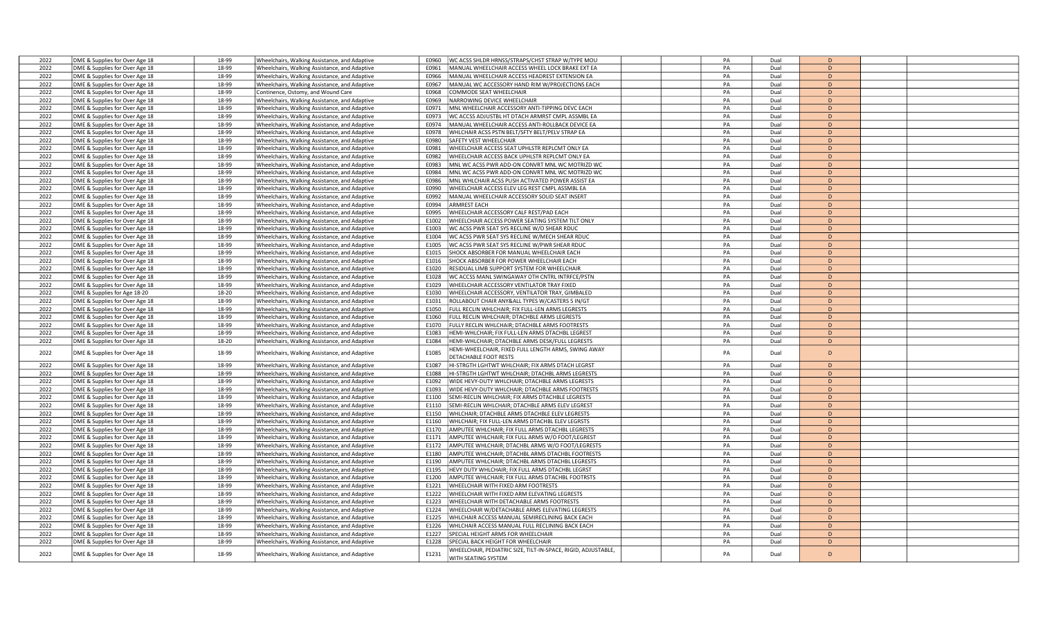| 2022         | DME & Supplies for Over Age 18 | 18-99 | Wheelchairs, Walking Assistance, and Adaptive | WC ACSS SHLDR HRNSS/STRAPS/CHST STRAP W/TYPE MOU<br>E0960              | PA | Dual | D              |  |
|--------------|--------------------------------|-------|-----------------------------------------------|------------------------------------------------------------------------|----|------|----------------|--|
| 2022         | DME & Supplies for Over Age 18 | 18-99 | Wheelchairs, Walking Assistance, and Adaptive | E0961<br>MANUAL WHEELCHAIR ACCESS WHEEL LOCK BRAKE EXT EA              | PA | Dual | D              |  |
| 2022         | DME & Supplies for Over Age 18 | 18-99 | Wheelchairs, Walking Assistance, and Adaptive | E0966<br>MANUAL WHEELCHAIR ACCESS HEADREST EXTENSION EA                | PA | Dual | D              |  |
| 2022         | DME & Supplies for Over Age 18 | 18-99 | Wheelchairs, Walking Assistance, and Adaptive | MANUAL WC ACCESSORY HAND RIM W/PROJECTIONS EACH<br>E0967               | PA | Dual | D              |  |
| 2022         |                                | 18-99 |                                               | E0968<br>COMMODE SEAT WHEELCHAIR                                       | PA | Dual | D              |  |
|              | DME & Supplies for Over Age 18 |       | Continence, Ostomy, and Wound Care            |                                                                        |    |      | $\overline{D}$ |  |
| 2022         | DME & Supplies for Over Age 18 | 18-99 | Wheelchairs, Walking Assistance, and Adaptive | NARROWING DEVICE WHEELCHAIR<br>E0969                                   | PA | Dual |                |  |
| 2022         | DME & Supplies for Over Age 18 | 18-99 | Wheelchairs, Walking Assistance, and Adaptive | MNL WHEELCHAIR ACCESSORY ANTI-TIPPING DEVC EACH<br>F0971               | PA | Dual | D              |  |
| 2022         | DME & Supplies for Over Age 18 | 18-99 | Wheelchairs, Walking Assistance, and Adaptive | WC ACCSS ADJUSTBL HT DTACH ARMRST CMPL ASSMBL EA<br>E0973              | PA | Dual | D              |  |
| 2022         | DME & Supplies for Over Age 18 | 18-99 | Wheelchairs, Walking Assistance, and Adaptive | E0974<br>MANUAL WHEELCHAIR ACCESS ANTI-ROLLBACK DEVICE EA              | PA | Dual | D              |  |
| 2022         | DME & Supplies for Over Age 18 | 18-99 | Wheelchairs, Walking Assistance, and Adaptive | E0978<br>WHLCHAIR ACSS PSTN BELT/SFTY BELT/PELV STRAP EA               | PA | Dual | D              |  |
| 2022         | DME & Supplies for Over Age 18 | 18-99 | Wheelchairs, Walking Assistance, and Adaptive | E0980<br>SAFETY VEST WHEELCHAIR                                        | PA | Dual | D              |  |
| 2022         | DME & Supplies for Over Age 18 | 18-99 | Wheelchairs, Walking Assistance, and Adaptive | WHEELCHAIR ACCESS SEAT UPHLSTR REPLCMT ONLY EA<br>E0981                | PA | Dual | D              |  |
| 2022         | DME & Supplies for Over Age 18 | 18-99 | Wheelchairs, Walking Assistance, and Adaptive | WHEELCHAIR ACCESS BACK UPHLSTR REPLCMT ONLY EA<br><b>F0982</b>         | PA | Dual | $\overline{D}$ |  |
| 2022         | DME & Supplies for Over Age 18 | 18-99 | Wheelchairs, Walking Assistance, and Adaptive | E0983<br>MNL WC ACSS PWR ADD-ON CONVRT MNL WC MOTRIZD WC               | PA | Dual | D              |  |
| 2022         | DME & Supplies for Over Age 18 | 18-99 | Wheelchairs, Walking Assistance, and Adaptive | E0984<br>MNL WC ACSS PWR ADD-ON CONVRT MNL WC MOTRIZD WC               | PA | Dual | D              |  |
| 2022         | DME & Supplies for Over Age 18 | 18-99 | Wheelchairs, Walking Assistance, and Adaptive | E0986<br>MNL WHLCHAIR ACSS PUSH ACTIVATED POWER ASSIST EA              | PA | Dual | D              |  |
| 2022         | DME & Supplies for Over Age 18 | 18-99 | Wheelchairs, Walking Assistance, and Adaptive | WHEELCHAIR ACCESS ELEV LEG REST CMPL ASSMBL EA<br>E0990                | PA | Dual | D              |  |
| 2022         |                                | 18-99 |                                               | MANUAL WHEELCHAIR ACCESSORY SOLID SEAT INSERT                          | PA | Dual | D              |  |
|              | DME & Supplies for Over Age 18 |       | Wheelchairs, Walking Assistance, and Adaptive | E0992                                                                  |    |      |                |  |
| 2022         | DME & Supplies for Over Age 18 | 18-99 | Wheelchairs, Walking Assistance, and Adaptive | E0994<br><b>ARMREST EACH</b>                                           | PA | Dual | D              |  |
| 2022         | DME & Supplies for Over Age 18 | 18-99 | Wheelchairs, Walking Assistance, and Adaptive | E0995<br>WHEELCHAIR ACCESSORY CALF REST/PAD EACH                       | PA | Dual | D              |  |
| 2022         | DME & Supplies for Over Age 18 | 18-99 | Wheelchairs, Walking Assistance, and Adaptive | WHEELCHAIR ACCESS POWER SEATING SYSTEM TILT ONLY<br>E1002              | PA | Dual | D              |  |
| 2022         | DME & Supplies for Over Age 18 | 18-99 | Wheelchairs, Walking Assistance, and Adaptive | WC ACSS PWR SEAT SYS RECLINE W/O SHEAR RDUC<br>E1003                   | PA | Dual | D              |  |
| 2022         | DME & Supplies for Over Age 18 | 18-99 | Wheelchairs, Walking Assistance, and Adaptive | WC ACSS PWR SEAT SYS RECLINE W/MECH SHEAR RDUC<br>E1004                | PA | Dual | D              |  |
| 2022         | DME & Supplies for Over Age 18 | 18-99 | Wheelchairs, Walking Assistance, and Adaptive | E1005<br>WC ACSS PWR SEAT SYS RECLINE W/PWR SHEAR RDUC                 | PA | Dual | D              |  |
| 2022         | DME & Supplies for Over Age 18 | 18-99 | Wheelchairs, Walking Assistance, and Adaptive | F1015<br>SHOCK ABSORBER FOR MANUAL WHEELCHAIR EACH                     | PA | Dual | D              |  |
| 2022         | DME & Supplies for Over Age 18 | 18-99 | Wheelchairs, Walking Assistance, and Adaptive | E1016<br>SHOCK ABSORBER FOR POWER WHEELCHAIR EACH                      | PA | Dual | D              |  |
| 2022         | DME & Supplies for Over Age 18 | 18-99 | Wheelchairs, Walking Assistance, and Adaptive | RESIDUAL LIMB SUPPORT SYSTEM FOR WHEELCHAIF<br>E1020                   | PA | Dual | D              |  |
| 2022         | DME & Supplies for Over Age 18 | 18-99 | Wheelchairs, Walking Assistance, and Adaptive | WC ACCSS MANL SWINGAWAY OTH CNTRL INTRFCE/PSTN<br>E1028                | PA | Dual | D              |  |
| 2022         | DME & Supplies for Over Age 18 | 18-99 | Wheelchairs, Walking Assistance, and Adaptive | E1029<br>WHEELCHAIR ACCESSORY VENTILATOR TRAY FIXED                    | PA | Dual | D              |  |
| 2022         | DME & Supplies for Age 18-20   | 18-20 |                                               | E1030<br>WHEELCHAIR ACCESSORY, VENTILATOR TRAY, GIMBALED               | PA | Dual | $\overline{D}$ |  |
|              |                                |       | Wheelchairs, Walking Assistance, and Adaptive |                                                                        |    |      |                |  |
| 2022         | DME & Supplies for Over Age 18 | 18-99 | Wheelchairs, Walking Assistance, and Adaptive | E1031<br>ROLLABOUT CHAIR ANY&ALL TYPES W/CASTERS 5 IN/GT               | PA | Dual | D              |  |
| 2022         | DME & Supplies for Over Age 18 | 18-99 | Wheelchairs, Walking Assistance, and Adaptive | FULL RECLIN WHLCHAIR; FIX FULL-LEN ARMS LEGRESTS<br>E1050              | PA | Dual | D              |  |
| 2022         | DME & Supplies for Over Age 18 | 18-99 | Wheelchairs, Walking Assistance, and Adaptive | E1060<br>FULL RECLIN WHLCHAIR; DTACHBLE ARMS LEGRESTS                  | PA | Dual | D              |  |
| 2022         | DME & Supplies for Over Age 18 | 18-99 | Wheelchairs, Walking Assistance, and Adaptive | FULLY RECLIN WHLCHAIR; DTACHBLE ARMS FOOTRESTS<br>F1070                | PA | Dual | D              |  |
| 2022         | DME & Supplies for Over Age 18 | 18-99 | Wheelchairs, Walking Assistance, and Adaptive | E1083<br>HEMI-WHLCHAIR; FIX FULL-LEN ARMS DTACHBL LEGREST              | PA | Dual | D              |  |
| 2022         | DME & Supplies for Over Age 18 | 18-20 | Wheelchairs, Walking Assistance, and Adaptive | E1084<br>HEMI-WHLCHAIR; DTACHBLE ARMS DESK/FULL LEGRESTS               | PA | Dual | $\overline{D}$ |  |
|              |                                |       |                                               | IEMI-WHEELCHAIR, FIXED FULL LENGTH ARMS, SWING AWAY                    | PA |      | D              |  |
| 2022         | DME & Supplies for Over Age 18 | 18-99 | Wheelchairs, Walking Assistance, and Adaptive | E1085<br>DETACHABLE FOOT RESTS                                         |    | Dual |                |  |
| 2022         | DME & Supplies for Over Age 18 | 18-99 | Wheelchairs, Walking Assistance, and Adaptive | HI-STRGTH LGHTWT WHLCHAIR; FIX ARMS DTACH LEGRST<br>E1087              | PA | Dual | D              |  |
| 2022         | DME & Supplies for Over Age 18 | 18-99 | Wheelchairs, Walking Assistance, and Adaptive | HI-STRGTH LGHTWT WHLCHAIR; DTACHBL ARMS LEGRESTS<br>E1088              | PA | Dual | D              |  |
| 2022         | DME & Supplies for Over Age 18 | 18-99 | Wheelchairs, Walking Assistance, and Adaptive | E1092<br>WIDE HEVY-DUTY WHLCHAIR; DTACHBLE ARMS LEGRESTS               | PA | Dual | D              |  |
| 2022         | DME & Supplies for Over Age 18 | 18-99 | Wheelchairs, Walking Assistance, and Adaptive | WIDE HEVY-DUTY WHLCHAIR; DTACHBLE ARMS FOOTRESTS<br>F1093              | PA | Dual | D              |  |
|              |                                | 18-99 |                                               | E1100<br>SEMI-RECLIN WHLCHAIR: FIX ARMS DTACHBLE LEGRESTS              | PA | Dual | D              |  |
| 2022<br>2022 | DME & Supplies for Over Age 18 | 18-99 | Wheelchairs, Walking Assistance, and Adaptive | SEMI-RECLIN WHLCHAIR; DTACHBLE ARMS ELEV LEGREST                       | PA | Dual | D              |  |
|              | DME & Supplies for Over Age 18 |       | Wheelchairs, Walking Assistance, and Adaptive | E1110                                                                  |    |      |                |  |
| 2022         | DME & Supplies for Over Age 18 | 18-99 | Wheelchairs, Walking Assistance, and Adaptive | E1150<br>WHLCHAIR; DTACHBLE ARMS DTACHBLE ELEV LEGRESTS                | PA | Dual | D              |  |
| 2022         | DME & Supplies for Over Age 18 | 18-99 | Wheelchairs, Walking Assistance, and Adaptive | E1160<br>WHLCHAIR; FIX FULL-LEN ARMS DTACHBL ELEV LEGRSTS              | PA | Dual | D              |  |
| 2022         | DME & Supplies for Over Age 18 | 18-99 | Wheelchairs, Walking Assistance, and Adaptive | AMPUTEE WHLCHAIR; FIX FULL ARMS DTACHBL LEGRESTS<br>E1170              | PA | Dual | D              |  |
| 2022         | DME & Supplies for Over Age 18 | 18-99 | Wheelchairs, Walking Assistance, and Adaptive | E1171<br>AMPUTEE WHLCHAIR; FIX FULL ARMS W/O FOOT/LEGREST              | PA | Dual | D              |  |
| 2022         | DME & Supplies for Over Age 18 | 18-99 | Wheelchairs, Walking Assistance, and Adaptive | E1172<br>AMPUTEE WHLCHAIR; DTACHBL ARMS W/O FOOT/LEGRESTS              | PA | Dual | D              |  |
| 2022         | DME & Supplies for Over Age 18 | 18-99 | Wheelchairs, Walking Assistance, and Adaptive | E1180<br>AMPUTEE WHLCHAIR; DTACHBL ARMS DTACHBL FOOTRESTS              | PA | Dual | D              |  |
| 2022         | DME & Supplies for Over Age 18 | 18-99 | Wheelchairs, Walking Assistance, and Adaptive | E1190<br>AMPUTEE WHLCHAIR; DTACHBL ARMS DTACHBL LEGRESTS               | PA | Dual | D              |  |
| 2022         | DME & Supplies for Over Age 18 | 18-99 | Wheelchairs, Walking Assistance, and Adaptive | E1195<br>HEVY DUTY WHLCHAIR; FIX FULL ARMS DTACHBL LEGRST              | PA | Dual | D              |  |
| 2022         | DME & Supplies for Over Age 18 | 18-99 | Wheelchairs, Walking Assistance, and Adaptive | E1200<br>AMPUTEE WHLCHAIR; FIX FULL ARMS DTACHBL FOOTRSTS              | PA | Dual | D              |  |
| 2022         | DME & Supplies for Over Age 18 | 18-99 | Wheelchairs, Walking Assistance, and Adaptive | E1221<br>WHEELCHAIR WITH FIXED ARM FOOTRESTS                           | PA | Dual | D              |  |
| 2022         | DME & Supplies for Over Age 18 | 18-99 | Wheelchairs, Walking Assistance, and Adaptive | WHEELCHAIR WITH FIXED ARM ELEVATING LEGRESTS<br>E1222                  | PA | Dual | D              |  |
| 2022         | DME & Supplies for Over Age 18 | 18-99 | Wheelchairs, Walking Assistance, and Adaptive | WHEELCHAIR WITH DETACHABLE ARMS FOOTRESTS<br>E1223                     | PA | Dual | D              |  |
| 2022         | DME & Supplies for Over Age 18 | 18-99 | Wheelchairs, Walking Assistance, and Adaptive | WHEELCHAIR W/DETACHABLE ARMS ELEVATING LEGRESTS<br>E1224               | PA | Dual | D              |  |
|              |                                | 18-99 |                                               |                                                                        | PA | Dual | D              |  |
| 2022         | DME & Supplies for Over Age 18 |       | Wheelchairs, Walking Assistance, and Adaptive | E1225<br>WHLCHAIR ACCESS MANUAL SEMIRECLINING BACK EACH                |    |      |                |  |
| 2022         | DME & Supplies for Over Age 18 | 18-99 | Wheelchairs, Walking Assistance, and Adaptive | E1226<br>WHLCHAIR ACCESS MANUAL FULL RECLINING BACK EACH               | PA | Dual | D              |  |
| 2022         | DME & Supplies for Over Age 18 | 18-99 | Wheelchairs, Walking Assistance, and Adaptive | E1227<br>SPECIAL HEIGHT ARMS FOR WHEELCHAIR                            | PA | Dual | $\overline{D}$ |  |
| 2022         | DME & Supplies for Over Age 18 | 18-99 | Wheelchairs, Walking Assistance, and Adaptive | E1228<br>SPECIAL BACK HEIGHT FOR WHEELCHAIR                            | PA | Dual | D              |  |
| 2022         | DME & Supplies for Over Age 18 | 18-99 | Wheelchairs, Walking Assistance, and Adaptive | WHEELCHAIR, PEDIATRIC SIZE, TILT-IN-SPACE, RIGID, ADJUSTABLE,<br>E1231 | PA | Dual | D              |  |
|              |                                |       |                                               | WITH SEATING SYSTEM                                                    |    |      |                |  |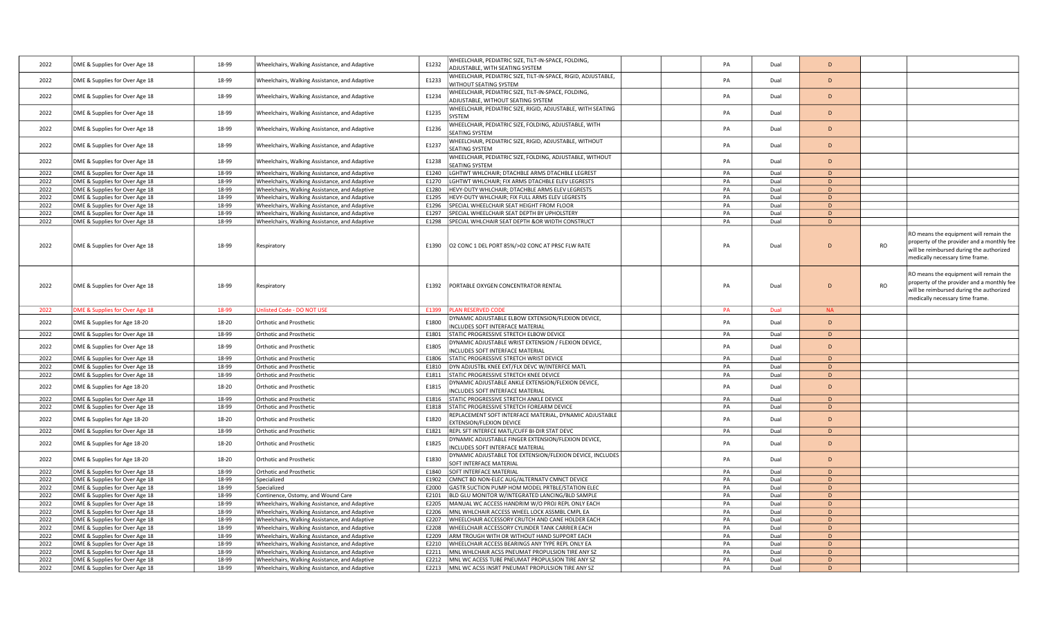| 2022 | DME & Supplies for Over Age 18 | 18-99 | Wheelchairs, Walking Assistance, and Adaptive | E1232 | WHEELCHAIR, PEDIATRIC SIZE, TILT-IN-SPACE, FOLDING,<br>ADJUSTABLE, WITH SEATING SYSTEM            | PA | Dual | D         |           |                                                                                                                                                                     |
|------|--------------------------------|-------|-----------------------------------------------|-------|---------------------------------------------------------------------------------------------------|----|------|-----------|-----------|---------------------------------------------------------------------------------------------------------------------------------------------------------------------|
| 2022 | DME & Supplies for Over Age 18 | 18-99 | Wheelchairs, Walking Assistance, and Adaptive | E1233 | WHEELCHAIR, PEDIATRIC SIZE, TILT-IN-SPACE, RIGID, ADJUSTABLE,                                     | PA | Dual | D         |           |                                                                                                                                                                     |
|      |                                |       |                                               |       | WITHOUT SEATING SYSTEM<br>WHEELCHAIR, PEDIATRIC SIZE, TILT-IN-SPACE, FOLDING,                     |    |      |           |           |                                                                                                                                                                     |
| 2022 | DME & Supplies for Over Age 18 | 18-99 | Wheelchairs, Walking Assistance, and Adaptive | E1234 | ADJUSTABLE, WITHOUT SEATING SYSTEM<br>WHEELCHAIR, PEDIATRIC SIZE, RIGID, ADJUSTABLE, WITH SEATING | PA | Dual | D         |           |                                                                                                                                                                     |
| 2022 | DME & Supplies for Over Age 18 | 18-99 | Wheelchairs, Walking Assistance, and Adaptive | E1235 | <b>SYSTEM</b>                                                                                     | PA | Dual | D         |           |                                                                                                                                                                     |
| 2022 | DME & Supplies for Over Age 18 | 18-99 | Wheelchairs, Walking Assistance, and Adaptive | E1236 | WHEELCHAIR, PEDIATRIC SIZE, FOLDING, ADJUSTABLE, WITH<br>SEATING SYSTEM                           | PA | Dual | D         |           |                                                                                                                                                                     |
| 2022 | DME & Supplies for Over Age 18 | 18-99 | Wheelchairs, Walking Assistance, and Adaptive | E1237 | WHEELCHAIR, PEDIATRIC SIZE, RIGID, ADJUSTABLE, WITHOUT                                            | PA | Dual | D         |           |                                                                                                                                                                     |
|      |                                |       |                                               |       | SEATING SYSTEM<br>WHEELCHAIR, PEDIATRIC SIZE, FOLDING, ADJUSTABLE, WITHOUT                        |    |      |           |           |                                                                                                                                                                     |
| 2022 | DME & Supplies for Over Age 18 | 18-99 | Wheelchairs, Walking Assistance, and Adaptive | E1238 | SEATING SYSTEM                                                                                    | PA | Dual | D         |           |                                                                                                                                                                     |
| 2022 | DME & Supplies for Over Age 18 | 18-99 | Wheelchairs, Walking Assistance, and Adaptive | E1240 | LGHTWT WHLCHAIR; DTACHBLE ARMS DTACHBLE LEGREST                                                   | PA | Dual | D         |           |                                                                                                                                                                     |
| 2022 | DME & Supplies for Over Age 18 | 18-99 | Wheelchairs, Walking Assistance, and Adaptive | E1270 | LGHTWT WHLCHAIR; FIX ARMS DTACHBLE ELEV LEGRESTS                                                  | PA | Dual | D.        |           |                                                                                                                                                                     |
| 2022 | DME & Supplies for Over Age 18 | 18-99 | Wheelchairs, Walking Assistance, and Adaptive | E1280 | HEVY-DUTY WHLCHAIR; DTACHBLE ARMS ELEV LEGRESTS                                                   | PA | Dual | D         |           |                                                                                                                                                                     |
| 2022 | DME & Supplies for Over Age 18 | 18-99 | Wheelchairs, Walking Assistance, and Adaptive | E1295 | HEVY-DUTY WHLCHAIR; FIX FULL ARMS ELEV LEGRESTS                                                   | PA | Dual | D         |           |                                                                                                                                                                     |
| 2022 | DME & Supplies for Over Age 18 | 18-99 | Wheelchairs, Walking Assistance, and Adaptive | E1296 | SPECIAL WHEELCHAIR SEAT HEIGHT FROM FLOOR                                                         | PA | Dual | D         |           |                                                                                                                                                                     |
| 2022 | DME & Supplies for Over Age 18 | 18-99 | Wheelchairs, Walking Assistance, and Adaptive | E1297 | SPECIAL WHEELCHAIR SEAT DEPTH BY UPHOLSTERY                                                       | PA | Dual | D         |           |                                                                                                                                                                     |
| 2022 | DME & Supplies for Over Age 18 | 18-99 | Wheelchairs, Walking Assistance, and Adaptive | E1298 | SPECIAL WHLCHAIR SEAT DEPTH &OR WIDTH CONSTRUCT                                                   | PA | Dual | D         |           |                                                                                                                                                                     |
| 2022 | DME & Supplies for Over Age 18 | 18-99 | Respiratory                                   | E1390 | O2 CONC 1 DEL PORT 85%/>02 CONC AT PRSC FLW RATE                                                  | PA | Dual | D         | <b>RO</b> | RO means the equipment will remain the<br>property of the provider and a monthly fee<br>will be reimbursed during the authorized<br>medically necessary time frame. |
| 2022 | DME & Supplies for Over Age 18 | 18-99 | Respiratory                                   | E1392 | PORTABLE OXYGEN CONCENTRATOR RENTAL                                                               | PA | Dual | D         | <b>RO</b> | RO means the equipment will remain the<br>property of the provider and a monthly fee<br>will be reimbursed during the authorized<br>medically necessary time frame. |
| 2022 | DME & Supplies for Over Age 18 | 18-99 | Unlisted Code - DO NOT USE                    | E1399 | <b>PLAN RESERVED CODE</b>                                                                         | PA | Dual | <b>NA</b> |           |                                                                                                                                                                     |
| 2022 | DME & Supplies for Age 18-20   | 18-20 | Orthotic and Prosthetic                       | E1800 | DYNAMIC ADJUSTABLE ELBOW EXTENSION/FLEXION DEVICE,<br>INCLUDES SOFT INTERFACE MATERIAL            | PA | Dual | D         |           |                                                                                                                                                                     |
| 2022 | DME & Supplies for Over Age 18 | 18-99 | Orthotic and Prosthetic                       | E1801 | STATIC PROGRESSIVE STRETCH ELBOW DEVICE                                                           | PA | Dual | D         |           |                                                                                                                                                                     |
| 2022 | DME & Supplies for Over Age 18 | 18-99 | Orthotic and Prosthetic                       | E1805 | DYNAMIC ADJUSTABLE WRIST EXTENSION / FLEXION DEVICE,<br>INCLUDES SOFT INTERFACE MATERIAL          | PA | Dual | D         |           |                                                                                                                                                                     |
| 2022 | DME & Supplies for Over Age 18 | 18-99 | Orthotic and Prosthetic                       | E1806 | STATIC PROGRESSIVE STRETCH WRIST DEVICE                                                           | PA | Dual | D         |           |                                                                                                                                                                     |
| 2022 | DME & Supplies for Over Age 18 | 18-99 | Orthotic and Prosthetic                       | E1810 | DYN ADJUSTBL KNEE EXT/FLX DEVC W/INTERFCE MATL                                                    | PA | Dual | D         |           |                                                                                                                                                                     |
|      |                                |       |                                               |       |                                                                                                   |    |      | D         |           |                                                                                                                                                                     |
| 2022 | DME & Supplies for Over Age 18 | 18-99 | Orthotic and Prosthetic                       | E1811 | STATIC PROGRESSIVE STRETCH KNEE DEVICE                                                            | PA | Dual |           |           |                                                                                                                                                                     |
| 2022 | DME & Supplies for Age 18-20   | 18-20 | Orthotic and Prosthetic                       | E1815 | DYNAMIC ADJUSTABLE ANKLE EXTENSION/FLEXION DEVICE,<br>INCLUDES SOFT INTERFACE MATERIAL            | PA | Dual | D         |           |                                                                                                                                                                     |
| 2022 | DME & Supplies for Over Age 18 | 18-99 | Orthotic and Prosthetic                       | E1816 | STATIC PROGRESSIVE STRETCH ANKLE DEVICE                                                           | PA | Dual | D         |           |                                                                                                                                                                     |
| 2022 | DME & Supplies for Over Age 18 | 18-99 | Orthotic and Prosthetic                       | E1818 | STATIC PROGRESSIVE STRETCH FOREARM DEVICE                                                         | PA | Dual | D         |           |                                                                                                                                                                     |
| 2022 | DME & Supplies for Age 18-20   | 18-20 | Orthotic and Prosthetic                       | E1820 | REPLACEMENT SOFT INTERFACE MATERIAL, DYNAMIC ADJUSTABLE<br>EXTENSION/FLEXION DEVICE               | PA | Dual | D         |           |                                                                                                                                                                     |
| 2022 | DME & Supplies for Over Age 18 | 18-99 | Orthotic and Prosthetic                       | E1821 | REPL SFT INTERFCE MATL/CUFF BI-DIR STAT DEVC                                                      | PA | Dual | D         |           |                                                                                                                                                                     |
| 2022 | DME & Supplies for Age 18-20   | 18-20 | Orthotic and Prosthetic                       | E1825 | DYNAMIC ADJUSTABLE FINGER EXTENSION/FLEXION DEVICE,<br>INCLUDES SOFT INTERFACE MATERIAL           | PA | Dual | D         |           |                                                                                                                                                                     |
| 2022 | DME & Supplies for Age 18-20   | 18-20 | Orthotic and Prosthetic                       | E1830 | DYNAMIC ADJUSTABLE TOE EXTENSION/FLEXION DEVICE, INCLUDES<br>SOFT INTERFACE MATERIAL              | PA | Dual | D         |           |                                                                                                                                                                     |
| 2022 | DME & Supplies for Over Age 18 | 18-99 | Orthotic and Prosthetic                       | E1840 | SOFT INTERFACE MATERIAL                                                                           | PA | Dual | D         |           |                                                                                                                                                                     |
| 2022 | DME & Supplies for Over Age 18 | 18-99 | Specialized                                   | E1902 | CMNCT BD NON-ELEC AUG/ALTERNATV CMNCT DEVICE                                                      | PA | Dual | D         |           |                                                                                                                                                                     |
| 2022 | DME & Supplies for Over Age 18 | 18-99 | Specialized                                   | E2000 | GASTR SUCTION PUMP HOM MODEL PRTBLE/STATION ELEC                                                  | PA | Dual | D         |           |                                                                                                                                                                     |
| 2022 | DME & Supplies for Over Age 18 | 18-99 | Continence, Ostomy, and Wound Care            | E2101 | BLD GLU MONITOR W/INTEGRATED LANCING/BLD SAMPLE                                                   | PA | Dual | D         |           |                                                                                                                                                                     |
| 2022 | DME & Supplies for Over Age 18 | 18-99 | Wheelchairs, Walking Assistance, and Adaptive | E2205 | MANUAL WC ACCESS HANDRIM W/O PROJ REPL ONLY EACH                                                  | PA | Dual | D         |           |                                                                                                                                                                     |
| 2022 | DME & Supplies for Over Age 18 | 18-99 | Wheelchairs, Walking Assistance, and Adaptive | E2206 | MNL WHLCHAIR ACCESS WHEEL LOCK ASSMBL CMPL EA                                                     | PA | Dual | D         |           |                                                                                                                                                                     |
| 2022 | DME & Supplies for Over Age 18 | 18-99 | Wheelchairs, Walking Assistance, and Adaptive | E2207 | WHEELCHAIR ACCESSORY CRUTCH AND CANE HOLDER EACH                                                  | PA | Dual | D         |           |                                                                                                                                                                     |
| 2022 | DME & Supplies for Over Age 18 | 18-99 | Wheelchairs, Walking Assistance, and Adaptive | E2208 | WHEELCHAIR ACCESSORY CYLINDER TANK CARRIER EACH                                                   | PA | Dual | D         |           |                                                                                                                                                                     |
| 2022 | DME & Supplies for Over Age 18 | 18-99 | Wheelchairs, Walking Assistance, and Adaptive | E2209 | ARM TROUGH WITH OR WITHOUT HAND SUPPORT EACH                                                      | PA | Dual | D         |           |                                                                                                                                                                     |
| 2022 | DME & Supplies for Over Age 18 | 18-99 | Wheelchairs, Walking Assistance, and Adaptive | E2210 | WHEELCHAIR ACCESS BEARINGS ANY TYPE REPL ONLY EA                                                  | PA | Dual | D         |           |                                                                                                                                                                     |
| 2022 | DME & Supplies for Over Age 18 | 18-99 | Wheelchairs, Walking Assistance, and Adaptive | E2211 | MNL WHLCHAIR ACSS PNEUMAT PROPULSION TIRE ANY SZ                                                  | PA | Dual | D         |           |                                                                                                                                                                     |
| 2022 | DME & Supplies for Over Age 18 | 18-99 | Wheelchairs, Walking Assistance, and Adaptive | E2212 | MNL WC ACESS TUBE PNEUMAT PROPULSION TIRE ANY SZ                                                  | PA | Dual | D         |           |                                                                                                                                                                     |
| 2022 | DME & Supplies for Over Age 18 | 18-99 | Wheelchairs, Walking Assistance, and Adaptive |       | E2213   MNL WC ACSS INSRT PNEUMAT PROPULSION TIRE ANY SZ                                          | PA | Dual | D         |           |                                                                                                                                                                     |
|      |                                |       |                                               |       |                                                                                                   |    |      |           |           |                                                                                                                                                                     |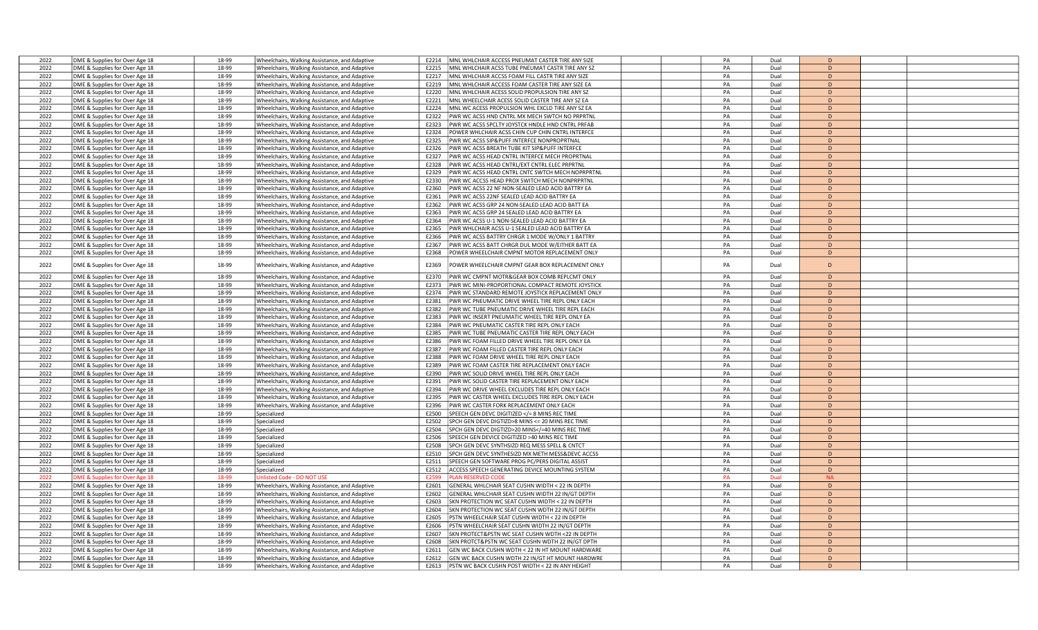| 2022 | DME & Supplies for Over Age 18 | 18-99 | Wheelchairs, Walking Assistance, and Adaptive | E2214 | MNL WHLCHAIR ACCESS PNEUMAT CASTER TIRE ANY SIZE                                                  | PA | Dual | D              |  |
|------|--------------------------------|-------|-----------------------------------------------|-------|---------------------------------------------------------------------------------------------------|----|------|----------------|--|
| 2022 | DME & Supplies for Over Age 18 | 18-99 | Wheelchairs, Walking Assistance, and Adaptive | F2215 | MNL WHLCHAIR ACSS TUBE PNEUMAT CASTR TIRE ANY SZ                                                  | PA | Dual | D              |  |
| 2022 | DME & Supplies for Over Age 18 | 18-99 | Wheelchairs, Walking Assistance, and Adaptive | E2217 | MNL WHLCHAIR ACCSS FOAM FILL CASTR TIRE ANY SIZE                                                  | PA | Dual | D              |  |
| 2022 | DME & Supplies for Over Age 18 | 18-99 | Wheelchairs, Walking Assistance, and Adaptive | E2219 | MNL WHLCHAIR ACCESS FOAM CASTER TIRE ANY SIZE EA                                                  | PA | Dual | D              |  |
| 2022 |                                | 18-99 |                                               | F2220 | MNL WHLCHAIR ACESS SOLID PROPULSION TIRE ANY SZ                                                   | PA | Dual | D              |  |
|      | DME & Supplies for Over Age 18 |       | Wheelchairs, Walking Assistance, and Adaptive |       |                                                                                                   |    |      |                |  |
| 2022 | DME & Supplies for Over Age 18 | 18-99 | Wheelchairs, Walking Assistance, and Adaptive | E2221 | MNL WHEELCHAIR ACESS SOLID CASTER TIRE ANY SZ EA                                                  | PA | Dual | D              |  |
| 2022 | DME & Supplies for Over Age 18 | 18-99 | Wheelchairs, Walking Assistance, and Adaptive | E2224 | MNL WC ACESS PROPULSION WHL EXCLD TIRE ANY SZ EA                                                  | PA | Dual | D              |  |
| 2022 | DME & Supplies for Over Age 18 | 18-99 | Wheelchairs, Walking Assistance, and Adaptive | E2322 | PWR WC ACSS HND CNTRL MX MECH SWTCH NO PRPRTNL                                                    | PA | Dual | D              |  |
| 2022 | DME & Supplies for Over Age 18 | 18-99 | Wheelchairs, Walking Assistance, and Adaptive | E2323 | WR WC ACSS SPCLTY JOYSTCK HNDLE HND CNTRL PRFAB                                                   | PA | Dual | D              |  |
| 2022 | DME & Supplies for Over Age 18 | 18-99 | Wheelchairs, Walking Assistance, and Adaptive | E2324 | OWER WHLCHAIR ACSS CHIN CUP CHIN CNTRL INTERFCE                                                   | PA | Dual | D              |  |
| 2022 | DME & Supplies for Over Age 18 | 18-99 | Wheelchairs, Walking Assistance, and Adaptive | E2325 | WR WC ACSS SIP&PUFF INTERFCE NONPROPRTNAL                                                         | PA | Dual | D              |  |
| 2022 | DME & Supplies for Over Age 18 | 18-99 | Wheelchairs, Walking Assistance, and Adaptive | E2326 | WR WC ACSS BREATH TUBE KIT SIP&PUFF INTERFCE                                                      | PA | Dual | D              |  |
| 2022 | DME & Supplies for Over Age 18 | 18-99 | Wheelchairs, Walking Assistance, and Adaptive | E2327 | PWR WC ACSS HEAD CNTRL INTERFCE MECH PROPRTNAL                                                    | PA | Dual | D              |  |
| 2022 | DME & Supplies for Over Age 18 | 18-99 | Wheelchairs, Walking Assistance, and Adaptive | F2328 | WR WC ACSS HEAD CNTRL/EXT CNTRL ELEC PRPRTNL                                                      | PA | Dual | D              |  |
| 2022 | DME & Supplies for Over Age 18 | 18-99 | Wheelchairs, Walking Assistance, and Adaptive | E2329 | PWR WC ACSS HEAD CNTRL CNTC SWTCH MECH NOPRPRTNL                                                  | PA | Dual | D              |  |
| 2022 | DME & Supplies for Over Age 18 | 18-99 | Wheelchairs, Walking Assistance, and Adaptive | E2330 | PWR WC ACCSS HEAD PROX SWITCH MECH NONPRPRTNL                                                     | PA | Dual | $\mathsf{D}$   |  |
| 2022 | DME & Supplies for Over Age 18 | 18-99 | Wheelchairs, Walking Assistance, and Adaptive | E2360 | WR WC ACSS 22 NF NON-SEALED LEAD ACID BATTRY EA                                                   | PA | Dual | D              |  |
| 2022 | DME & Supplies for Over Age 18 | 18-99 | Wheelchairs, Walking Assistance, and Adaptive | E2361 | WR WC ACSS 22NF SEALED LEAD ACID BATTRY EA                                                        | PA | Dual | $\mathsf{D}$   |  |
| 2022 | DME & Supplies for Over Age 18 | 18-99 | Wheelchairs, Walking Assistance, and Adaptive | E2362 | PWR WC ACSS GRP 24 NON-SEALED LEAD ACID BATT EA                                                   | PA | Dual | D              |  |
| 2022 | DME & Supplies for Over Age 18 | 18-99 | Wheelchairs, Walking Assistance, and Adaptive | E2363 | WR WC ACSS GRP 24 SEALED LEAD ACID BATTRY EA                                                      | PA | Dual | D              |  |
| 2022 |                                | 18-99 |                                               | E2364 |                                                                                                   | PA | Dual | D              |  |
|      | DME & Supplies for Over Age 18 |       | Wheelchairs, Walking Assistance, and Adaptive |       | WR WC ACSS U-1 NON-SEALED LEAD ACID BATTRY EA                                                     |    |      | D              |  |
| 2022 | DME & Supplies for Over Age 18 | 18-99 | Wheelchairs, Walking Assistance, and Adaptive | E2365 | WR WHLCHAIR ACSS U-1 SEALED LEAD ACID BATTRY EA                                                   | PA | Dual |                |  |
| 2022 | DME & Supplies for Over Age 18 | 18-99 | Wheelchairs, Walking Assistance, and Adaptive | E2366 | WR WC ACSS BATTRY CHRGR 1 MODE W/ONLY 1 BATTRY                                                    | PA | Dual | D              |  |
| 2022 | DME & Supplies for Over Age 18 | 18-99 | Wheelchairs, Walking Assistance, and Adaptive | E2367 | WR WC ACSS BATT CHRGR DUL MODE W/EITHER BATT EA                                                   | PA | Dual | D              |  |
| 2022 | DME & Supplies for Over Age 18 | 18-99 | Wheelchairs, Walking Assistance, and Adaptive | E2368 | OWER WHEELCHAIR CMPNT MOTOR REPLACEMENT ONLY                                                      | PA | Dual | D              |  |
| 2022 | DME & Supplies for Over Age 18 | 18-99 | Wheelchairs, Walking Assistance, and Adaptive | E2369 | OWER WHEELCHAIR CMPNT GEAR BOX REPLACEMENT ONLY                                                   | PA | Dual | D              |  |
|      |                                |       |                                               |       |                                                                                                   |    |      |                |  |
| 2022 | DME & Supplies for Over Age 18 | 18-99 | Wheelchairs, Walking Assistance, and Adaptive | E2370 | PWR WC CMPNT MOTR&GEAR BOX COMB REPLCMT ONLY                                                      | PA | Dual | D.             |  |
| 2022 | DME & Supplies for Over Age 18 | 18-99 | Wheelchairs, Walking Assistance, and Adaptive | E2373 | WR WC MINI-PROPORTIONAL COMPACT REMOTE JOYSTICK                                                   | PA | Dual | D              |  |
| 2022 | DME & Supplies for Over Age 18 | 18-99 | Wheelchairs, Walking Assistance, and Adaptive | F2374 | WR WC STANDARD REMOTE JOYSTICK REPLACEMENT ONLY                                                   | PA | Dual | D              |  |
| 2022 | DME & Supplies for Over Age 18 | 18-99 | Wheelchairs, Walking Assistance, and Adaptive | E2381 | PWR WC PNEUMATIC DRIVE WHEEL TIRE REPL ONLY EACH                                                  | PA | Dual | D              |  |
| 2022 | DME & Supplies for Over Age 18 | 18-99 | Wheelchairs, Walking Assistance, and Adaptive | E2382 | PWR WC TUBE PNEUMATIC DRIVE WHEEL TIRE REPL EACH                                                  | PA | Dual | D              |  |
| 2022 | DME & Supplies for Over Age 18 | 18-99 | Wheelchairs, Walking Assistance, and Adaptive | E2383 | PWR WC INSERT PNEUMATIC WHEEL TIRE REPL ONLY EA                                                   | PA | Dual | D              |  |
| 2022 | DME & Supplies for Over Age 18 | 18-99 | Wheelchairs, Walking Assistance, and Adaptive | E2384 | WR WC PNEUMATIC CASTER TIRE REPL ONLY EACH                                                        | PA | Dual | D              |  |
| 2022 | DME & Supplies for Over Age 18 | 18-99 | Wheelchairs, Walking Assistance, and Adaptive | E2385 | WR WC TUBE PNEUMATIC CASTER TIRE REPL ONLY EACH                                                   | PA | Dual | D              |  |
| 2022 | DME & Supplies for Over Age 18 | 18-99 | Wheelchairs, Walking Assistance, and Adaptive | E2386 | WR WC FOAM FILLED DRIVE WHEEL TIRE REPL ONLY EA                                                   | PA | Dual | D              |  |
| 2022 | DME & Supplies for Over Age 18 | 18-99 | Wheelchairs, Walking Assistance, and Adaptive | E2387 | PWR WC FOAM FILLED CASTER TIRE REPL ONLY EACH                                                     | PA | Dual | $\mathsf{D}$   |  |
| 2022 | DME & Supplies for Over Age 18 | 18-99 | Wheelchairs, Walking Assistance, and Adaptive | F2388 | WR WC FOAM DRIVE WHEEL TIRE REPL ONLY EACH                                                        | PA | Dual | D              |  |
| 2022 | DME & Supplies for Over Age 18 | 18-99 | Wheelchairs, Walking Assistance, and Adaptive | E2389 | WR WC FOAM CASTER TIRE REPLACEMENT ONLY EACH                                                      | PA | Dual | D              |  |
| 2022 | DME & Supplies for Over Age 18 | 18-99 | Wheelchairs, Walking Assistance, and Adaptive | E2390 | WR WC SOLID DRIVE WHEEL TIRE REPL ONLY EACH                                                       | PA | Dual | D              |  |
| 2022 | DME & Supplies for Over Age 18 | 18-99 | Wheelchairs, Walking Assistance, and Adaptive | E2391 | WR WC SOLID CASTER TIRE REPLACEMENT ONLY EACH                                                     | PA | Dual | D              |  |
|      |                                |       |                                               |       |                                                                                                   |    |      |                |  |
| 2022 | DME & Supplies for Over Age 18 | 18-99 | Wheelchairs, Walking Assistance, and Adaptive | E2394 | WR WC DRIVE WHEEL EXCLUDES TIRE REPL ONLY EACH                                                    | PA | Dual | D              |  |
| 2022 | DME & Supplies for Over Age 18 | 18-99 | Wheelchairs, Walking Assistance, and Adaptive | E2395 | PWR WC CASTER WHEEL EXCLUDES TIRE REPL ONLY EACH                                                  | PA | Dual | D              |  |
| 2022 | DME & Supplies for Over Age 18 | 18-99 | Wheelchairs, Walking Assistance, and Adaptive | E2396 | PWR WC CASTER FORK REPLACEMENT ONLY EACH                                                          | PA | Dual | D              |  |
| 2022 | DME & Supplies for Over Age 18 | 18-99 | Specialized                                   | E2500 | PEECH GEN DEVC DIGITIZED = 8 MINS REC TIME</td <td>PA</td> <td>Dual</td> <td>D</td> <td></td>     | PA | Dual | D              |  |
| 2022 | DME & Supplies for Over Age 18 | 18-99 | Specialized                                   | F2502 | PCH GEN DEVC DIGTIZD>8 MINS <= 20 MINS REC TIME                                                   | PA | Dual | $\mathsf{D}$   |  |
| 2022 | DME & Supplies for Over Age 18 | 18-99 | Specialized                                   | E2504 | PCH GEN DEVC DIGTIZD>20 MINS =40 MINS REC TIME</td <td>PA</td> <td>Dual</td> <td>D</td> <td></td> | PA | Dual | D              |  |
| 2022 | DME & Supplies for Over Age 18 | 18-99 | Specialized                                   | E2506 | PEECH GEN DEVICE DIGITIZED >40 MINS REC TIME                                                      | PA | Dual | D              |  |
| 2022 | DME & Supplies for Over Age 18 | 18-99 | Specialized                                   | E2508 | PCH GEN DEVC SYNTHSIZD REQ MESS SPELL & CNTCT                                                     | PA | Dual | D              |  |
| 2022 | DME & Supplies for Over Age 18 | 18-99 | Specialized                                   | E2510 | PCH GEN DEVC SYNTHESIZD MX METH MESS&DEVC ACCSS                                                   | PA | Dual | D              |  |
| 2022 | DME & Supplies for Over Age 18 | 18-99 | Specialized                                   | E2511 | PEECH GEN SOFTWARE PROG PC/PERS DIGITAL ASSIST                                                    | PA | Dual | D              |  |
| 2022 | DME & Supplies for Over Age 18 | 18-99 | Specialized                                   | E2512 | CCESS SPEECH GENERATING DEVICE MOUNTING SYSTEM                                                    | PA | Dual | D              |  |
| 2022 | DME & Supplies for Over Age 18 | 18-99 | <b>Jnlisted Code - DO NOT USE</b>             | E2599 | AN RESERVED COD                                                                                   | PA | Dual | <b>NA</b>      |  |
| 2022 | DME & Supplies for Over Age 18 | 18-99 | Wheelchairs, Walking Assistance, and Adaptive | E2601 | ENERAL WHLCHAIR SEAT CUSHN WIDTH < 22 IN DEPTH                                                    | PA | Dual | D              |  |
| 2022 | DME & Supplies for Over Age 18 | 18-99 | Wheelchairs, Walking Assistance, and Adaptive | E2602 | ENERAL WHLCHAIR SEAT CUSHN WIDTH 22 IN/GT DEPTH                                                   | PA | Dual | D              |  |
| 2022 | DME & Supplies for Over Age 18 | 18-99 | Wheelchairs, Walking Assistance, and Adaptive | E2603 | KN PROTECTION WC SEAT CUSHN WIDTH < 22 IN DEPTH                                                   | PA | Dual | D              |  |
| 2022 | DME & Supplies for Over Age 18 | 18-99 | Wheelchairs, Walking Assistance, and Adaptive | E2604 | KN PROTECTION WC SEAT CUSHN WDTH 22 IN/GT DEPTH                                                   | PA | Dual | $\mathsf{D}$   |  |
| 2022 | DME & Supplies for Over Age 18 | 18-99 | Wheelchairs, Walking Assistance, and Adaptive | E2605 | STN WHEELCHAIR SEAT CUSHN WIDTH < 22 IN DEPTH                                                     | PA | Dual | D              |  |
| 2022 | DME & Supplies for Over Age 18 | 18-99 | Wheelchairs, Walking Assistance, and Adaptive | E2606 | STN WHEELCHAIR SEAT CUSHN WIDTH 22 IN/GT DEPTH                                                    | PA | Dual | D              |  |
| 2022 | DME & Supplies for Over Age 18 | 18-99 | Wheelchairs, Walking Assistance, and Adaptive | E2607 | KN PROTECT&PSTN WC SEAT CUSHN WDTH <22 IN DEPTH                                                   | PA | Dual | D              |  |
| 2022 | DME & Supplies for Over Age 18 | 18-99 | Wheelchairs, Walking Assistance, and Adaptive | E2608 | KN PROTCT&PSTN WC SEAT CUSHN WDTH 22 IN/GT DPTH                                                   | PA | Dual | D              |  |
| 2022 | DME & Supplies for Over Age 18 | 18-99 | Wheelchairs, Walking Assistance, and Adaptive | F2611 | EN WC BACK CUSHN WDTH < 22 IN HT MOUNT HARDWARE                                                   | PA | Dual | D              |  |
| 2022 | DME & Supplies for Over Age 18 | 18-99 | Wheelchairs, Walking Assistance, and Adaptive | E2612 | GEN WC BACK CUSHN WDTH 22 IN/GT HT MOUNT HARDWRE                                                  | PA | Dual | $\overline{D}$ |  |
| 2022 | DME & Supplies for Over Age 18 | 18-99 | Wheelchairs, Walking Assistance, and Adaptive | E2613 | PSTN WC BACK CUSHN POST WIDTH < 22 IN ANY HEIGHT                                                  | PA | Dual | $\mathsf{D}$   |  |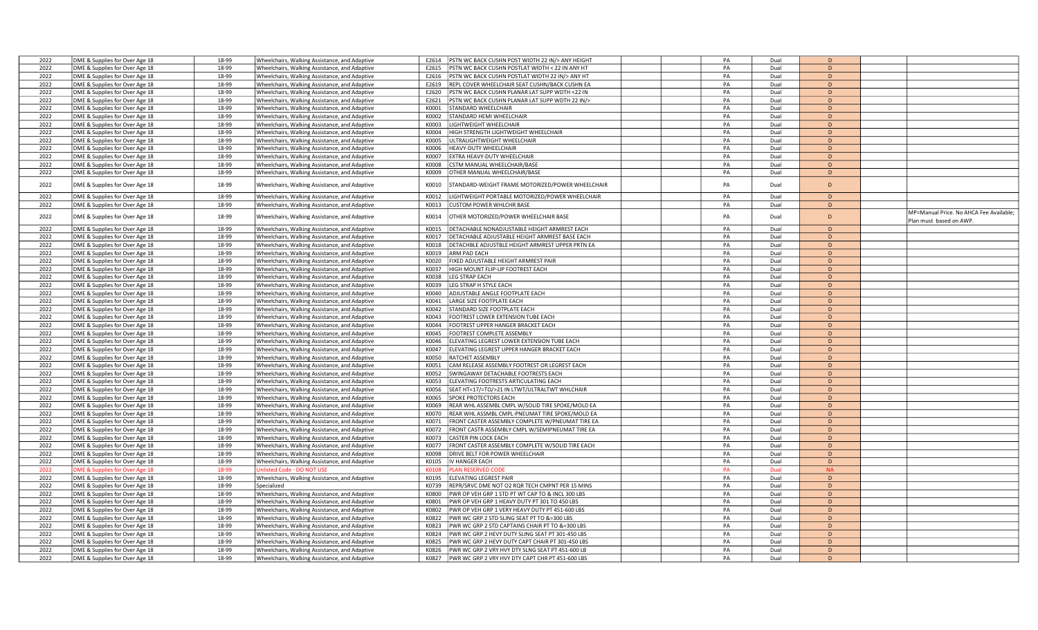| 2022 | DME & Supplies for Over Age 18 | 18-99 | Wheelchairs, Walking Assistance, and Adaptive | E2614 | PSTN WC BACK CUSHN POST WIDTH 22 IN/> ANY HEIGHT | PA | Dual | D              |                                         |
|------|--------------------------------|-------|-----------------------------------------------|-------|--------------------------------------------------|----|------|----------------|-----------------------------------------|
| 2022 | DME & Supplies for Over Age 18 | 18-99 | Wheelchairs, Walking Assistance, and Adaptive | E2615 | PSTN WC BACK CUSHN POSTLAT WIDTH < 22 IN ANY HT  | PA | Dual | D              |                                         |
| 2022 | DME & Supplies for Over Age 18 | 18-99 | Wheelchairs, Walking Assistance, and Adaptive | E2616 | PSTN WC BACK CUSHN POSTLAT WIDTH 22 IN/> ANY HT  | PA | Dual | D              |                                         |
| 2022 | DME & Supplies for Over Age 18 | 18-99 | Wheelchairs, Walking Assistance, and Adaptive | E2619 | REPL COVER WHEELCHAIR SEAT CUSHN/BACK CUSHN EA   | PA | Dual | D              |                                         |
| 2022 | DME & Supplies for Over Age 18 | 18-99 | Wheelchairs, Walking Assistance, and Adaptive | E2620 | PSTN WC BACK CUSHN PLANAR LAT SUPP WDTH <22 IN   | PA | Dual | D              |                                         |
| 2022 | DME & Supplies for Over Age 18 | 18-99 | Wheelchairs, Walking Assistance, and Adaptive | E2621 | PSTN WC BACK CUSHN PLANAR LAT SUPP WDTH 22 IN/>  | PA | Dual | D              |                                         |
| 2022 | DME & Supplies for Over Age 18 | 18-99 | Wheelchairs, Walking Assistance, and Adaptive | K0001 | STANDARD WHEELCHAIR                              | PA | Dual | D              |                                         |
| 2022 | DME & Supplies for Over Age 18 | 18-99 |                                               | K0002 | STANDARD HEMI WHEELCHAIR                         | PA | Dual | D              |                                         |
| 2022 |                                | 18-99 | Wheelchairs, Walking Assistance, and Adaptive | K0003 |                                                  | PA | Dual | D              |                                         |
|      | DME & Supplies for Over Age 18 |       | Wheelchairs, Walking Assistance, and Adaptive |       | IGHTWEIGHT WHEELCHAIR                            |    |      |                |                                         |
| 2022 | DME & Supplies for Over Age 18 | 18-99 | Wheelchairs, Walking Assistance, and Adaptive | K0004 | <b>HIGH STRENGTH LIGHTWEIGHT WHEELCHAIR</b>      | PA | Dual | D              |                                         |
| 2022 | DME & Supplies for Over Age 18 | 18-99 | Wheelchairs, Walking Assistance, and Adaptive | K0005 | <b>ILTRALIGHTWEIGHT WHEELCHAIR</b>               | PA | Dual | D              |                                         |
| 2022 | DME & Supplies for Over Age 18 | 18-99 | Wheelchairs, Walking Assistance, and Adaptive | K0006 | HEAVY-DUTY WHEELCHAIR                            | PA | Dual | D              |                                         |
| 2022 | DME & Supplies for Over Age 18 | 18-99 | Wheelchairs, Walking Assistance, and Adaptive | K0007 | EXTRA HEAVY-DUTY WHEELCHAIR                      | PA | Dual | D              |                                         |
| 2022 | DME & Supplies for Over Age 18 | 18-99 | Wheelchairs, Walking Assistance, and Adaptive | K0008 | STM MANUAL WHEELCHAIR/BASE                       | PA | Dual | D              |                                         |
| 2022 | DME & Supplies for Over Age 18 | 18-99 | Wheelchairs, Walking Assistance, and Adaptive | K0009 | <b>THER MANUAL WHEELCHAIR/BASE</b>               | PA | Dual | D              |                                         |
| 2022 | DME & Supplies for Over Age 18 | 18-99 | Wheelchairs, Walking Assistance, and Adaptive | K0010 | TANDARD-WEIGHT FRAME MOTORIZED/POWER WHEELCHAIR  | PA | Dual | D              |                                         |
| 2022 | DME & Supplies for Over Age 18 | 18-99 | Wheelchairs, Walking Assistance, and Adaptive | K0012 | IGHTWEIGHT PORTABLE MOTORIZED/POWER WHEELCHAIR   | PA | Dual | D              |                                         |
| 2022 | DME & Supplies for Over Age 18 | 18-99 | Wheelchairs, Walking Assistance, and Adaptive | K0013 | <b>CUSTOM POWER WHLCHR BASE</b>                  | PA | Dual | D              |                                         |
| 2022 | DME & Supplies for Over Age 18 | 18-99 | Wheelchairs, Walking Assistance, and Adaptive | K0014 | OTHER MOTORIZED/POWER WHEELCHAIR BASE            | PA | Dual | D              | MP=Manual Price. No AHCA Fee Available; |
|      |                                |       |                                               |       |                                                  |    |      |                | Plan must based on AWP.                 |
| 2022 | DME & Supplies for Over Age 18 | 18-99 | Wheelchairs, Walking Assistance, and Adaptive | K0015 | DETACHABLE NONADJUSTABLE HEIGHT ARMREST EACH     | PA | Dual | D              |                                         |
| 2022 | DME & Supplies for Over Age 18 | 18-99 | Wheelchairs, Walking Assistance, and Adaptive | K0017 | DETACHABLE ADJUSTABLE HEIGHT ARMREST BASE EACH   | PA | Dual | D              |                                         |
| 2022 | DME & Supplies for Over Age 18 | 18-99 | Wheelchairs, Walking Assistance, and Adaptive | K0018 | DETACHBLE ADJUSTBLE HEIGHT ARMREST UPPER PRTN EA | PA | Dual | D              |                                         |
| 2022 | DME & Supplies for Over Age 18 | 18-99 | Wheelchairs, Walking Assistance, and Adaptive | K0019 | ARM PAD EACH                                     | PA | Dual | D              |                                         |
| 2022 | DME & Supplies for Over Age 18 | 18-99 | Wheelchairs, Walking Assistance, and Adaptive | K0020 | IXED ADJUSTABLE HEIGHT ARMREST PAIR              | PA | Dual | D              |                                         |
| 2022 | DME & Supplies for Over Age 18 | 18-99 | Wheelchairs, Walking Assistance, and Adaptive | K0037 | HIGH MOUNT FLIP-UP FOOTREST EACH                 | PA | Dual | D              |                                         |
| 2022 | DME & Supplies for Over Age 18 | 18-99 | Wheelchairs, Walking Assistance, and Adaptive | K0038 | <b>EG STRAP EACH</b>                             | PA | Dual | D              |                                         |
| 2022 | DME & Supplies for Over Age 18 | 18-99 | Wheelchairs, Walking Assistance, and Adaptive | K0039 | EG STRAP H STYLE EACH                            | PA | Dual | D              |                                         |
| 2022 | DME & Supplies for Over Age 18 | 18-99 | Wheelchairs, Walking Assistance, and Adaptive | K0040 | ADJUSTABLE ANGLE FOOTPLATE EACH                  | PA | Dual | D              |                                         |
| 2022 | DME & Supplies for Over Age 18 | 18-99 | Wheelchairs, Walking Assistance, and Adaptive | K0041 | ARGE SIZE FOOTPLATE EACH                         | PA | Dual | D              |                                         |
| 2022 | DME & Supplies for Over Age 18 | 18-99 | Wheelchairs, Walking Assistance, and Adaptive | K0042 | <b>STANDARD SIZE FOOTPLATE EACH</b>              | PA | Dual | <sub>D</sub>   |                                         |
| 2022 | DME & Supplies for Over Age 18 | 18-99 | Wheelchairs, Walking Assistance, and Adaptive | K0043 | OOTREST LOWER EXTENSION TUBE EACH                | PA | Dual | $\overline{D}$ |                                         |
| 2022 | DME & Supplies for Over Age 18 | 18-99 | Wheelchairs, Walking Assistance, and Adaptive | K0044 | OOTREST UPPER HANGER BRACKET EACH                | PA | Dual | D              |                                         |
| 2022 | DME & Supplies for Over Age 18 | 18-99 | Wheelchairs, Walking Assistance, and Adaptive | K0045 | OOTREST COMPLETE ASSEMBLY                        | PA | Dual | D              |                                         |
| 2022 | DME & Supplies for Over Age 18 | 18-99 | Wheelchairs, Walking Assistance, and Adaptive | K0046 | LEVATING LEGREST LOWER EXTENSION TUBE EACH       | PA | Dual | D              |                                         |
| 2022 | DME & Supplies for Over Age 18 | 18-99 | Wheelchairs, Walking Assistance, and Adaptive | K0047 | LEVATING LEGREST UPPER HANGER BRACKET EACH       | PA | Dual | D              |                                         |
| 2022 | DME & Supplies for Over Age 18 | 18-99 | Wheelchairs, Walking Assistance, and Adaptive | K0050 | RATCHET ASSEMBLY                                 | PA | Dual | D              |                                         |
| 2022 | DME & Supplies for Over Age 18 | 18-99 | Wheelchairs, Walking Assistance, and Adaptive | K0051 | CAM RELEASE ASSEMBLY FOOTREST OR LEGREST EACH    | PA | Dual | D              |                                         |
| 2022 | DME & Supplies for Over Age 18 | 18-99 |                                               | K0052 | WINGAWAY DETACHABLE FOOTRESTS EACH               | PA | Dual | D              |                                         |
| 2022 |                                | 18-99 | Wheelchairs, Walking Assistance, and Adaptive | K0053 | <b>LEVATING FOOTRESTS ARTICULATING EACH</b>      | PA | Dual | D              |                                         |
|      | DME & Supplies for Over Age 18 |       | Wheelchairs, Walking Assistance, and Adaptive |       |                                                  |    |      |                |                                         |
| 2022 | DME & Supplies for Over Age 18 | 18-99 | Wheelchairs, Walking Assistance, and Adaptive | K0056 | SEAT HT<17/=TO/>21 IN LTWT/ULTRALTWT WHLCHAIR    | PA | Dual | D              |                                         |
| 2022 | DME & Supplies for Over Age 18 | 18-99 | Wheelchairs, Walking Assistance, and Adaptive | K0065 | SPOKE PROTECTORS EACH                            | PA | Dual | D              |                                         |
| 2022 | DME & Supplies for Over Age 18 | 18-99 | Wheelchairs, Walking Assistance, and Adaptive | K0069 | REAR WHL ASSEMBL CMPL W/SOLID TIRE SPOKE/MOLD EA | PA | Dual | D              |                                         |
| 2022 | DME & Supplies for Over Age 18 | 18-99 | Wheelchairs, Walking Assistance, and Adaptive | K0070 | REAR WHL ASSMBL CMPL-PNEUMAT TIRE SPOKE/MOLD EA  | PA | Dual | D              |                                         |
| 2022 | DME & Supplies for Over Age 18 | 18-99 | Wheelchairs, Walking Assistance, and Adaptive | K0071 | FRONT CASTER ASSEMBLY COMPLETE W/PNEUMAT TIRE EA | PA | Dual | $\bullet$      |                                         |
| 2022 | DME & Supplies for Over Age 18 | 18-99 | Wheelchairs, Walking Assistance, and Adaptive | K0072 | RONT CASTR ASSEMBLY CMPL W/SEMIPNEUMAT TIRE EA   | PA | Dual | D              |                                         |
| 2022 | DME & Supplies for Over Age 18 | 18-99 | Wheelchairs, Walking Assistance, and Adaptive | K0073 | ASTER PIN LOCK EACH                              | PA | Dual | D              |                                         |
| 2022 | DME & Supplies for Over Age 18 | 18-99 | Wheelchairs, Walking Assistance, and Adaptive | K0077 | RONT CASTER ASSEMBLY COMPLETE W/SOLID TIRE EACH  | PA | Dual | D              |                                         |
| 2022 | DME & Supplies for Over Age 18 | 18-99 | Wheelchairs, Walking Assistance, and Adaptive | K0098 | DRIVE BELT FOR POWER WHEELCHAIR                  | PA | Dual | D              |                                         |
| 2022 | DME & Supplies for Over Age 18 | 18-99 | Wheelchairs, Walking Assistance, and Adaptive | K0105 | IV HANGER EACH                                   | PA | Dual | D              |                                         |
| 2022 | DME & Supplies for Over Age 18 | 18-99 | <b>Jnlisted Code - DO NOT USE</b>             | K0108 | LAN RESERVED COD                                 | PA | Dual | <b>NA</b>      |                                         |
| 2022 | DME & Supplies for Over Age 18 | 18-99 | Wheelchairs, Walking Assistance, and Adaptive | K0195 | LEVATING LEGREST PAIR                            | PA | Dual | D              |                                         |
| 2022 | DME & Supplies for Over Age 18 | 18-99 | Specialized                                   | K0739 | REPR/SRVC DME NOT 02 RQR TECH CMPNT PER 15 MINS  | PA | Dual | D              |                                         |
| 2022 | DME & Supplies for Over Age 18 | 18-99 | Wheelchairs, Walking Assistance, and Adaptive | K0800 | PWR OP VEH GRP 1 STD PT WT CAP TO & INCL 300 LBS | PA | Dual | D              |                                         |
| 2022 | DME & Supplies for Over Age 18 | 18-99 | Wheelchairs, Walking Assistance, and Adaptive | K0801 | PWR OP VEH GRP 1 HEAVY DUTY PT 301 TO 450 LBS    | PA | Dual | D              |                                         |
| 2022 | DME & Supplies for Over Age 18 | 18-99 | Wheelchairs, Walking Assistance, and Adaptive | K0802 | PWR OP VEH GRP 1 VERY HEAVY DUTY PT 451-600 LBS  | PA | Dual | D              |                                         |
| 2022 | DME & Supplies for Over Age 18 | 18-99 | Wheelchairs, Walking Assistance, and Adaptive | K0822 | PWR WC GRP 2 STD SLING SEAT PT TO &=300 LBS      | PA | Dual | D              |                                         |
| 2022 | DME & Supplies for Over Age 18 | 18-99 | Wheelchairs, Walking Assistance, and Adaptive | K0823 | WR WC GRP 2 STD CAPTAINS CHAIR PT TO &=300 LBS   | PA | Dual | D              |                                         |
| 2022 | DME & Supplies for Over Age 18 | 18-99 | Wheelchairs, Walking Assistance, and Adaptive | K0824 | PWR WC GRP 2 HEVY DUTY SLING SEAT PT 301-450 LBS | PA | Dual | D              |                                         |
| 2022 | DME & Supplies for Over Age 18 | 18-99 | Wheelchairs, Walking Assistance, and Adaptive | K0825 | PWR WC GRP 2 HEVY DUTY CAPT CHAIR PT 301-450 LBS | PA | Dual | D              |                                         |
| 2022 | DME & Supplies for Over Age 18 | 18-99 | Wheelchairs, Walking Assistance, and Adaptive | K0826 | PWR WC GRP 2 VRY HVY DTY SLNG SEAT PT 451-600 LB | PA | Dual | D              |                                         |
| 2022 | DME & Supplies for Over Age 18 | 18-99 | Wheelchairs, Walking Assistance, and Adaptive | K0827 | PWR WC GRP 2 VRY HVY DTY CAPT CHR PT 451-600 LBS | PA | Dual | D              |                                         |
|      |                                |       |                                               |       |                                                  |    |      |                |                                         |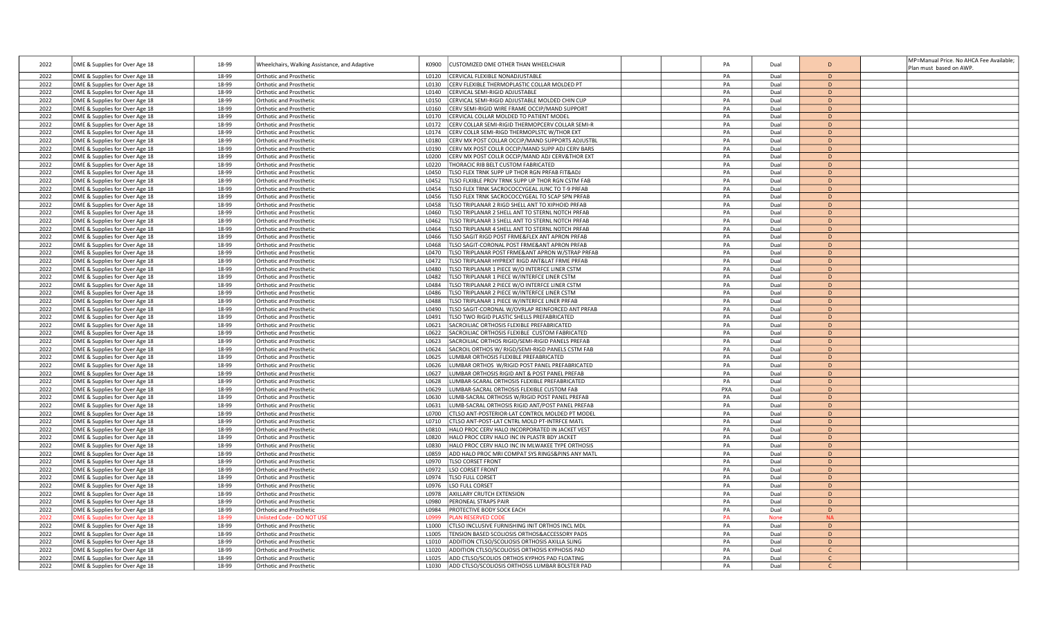|      |                                |       |                                               |                                                                     |     |             |               | MP=Manual Price. No AHCA Fee Available; |
|------|--------------------------------|-------|-----------------------------------------------|---------------------------------------------------------------------|-----|-------------|---------------|-----------------------------------------|
| 2022 | DME & Supplies for Over Age 18 | 18-99 | Wheelchairs, Walking Assistance, and Adaptive | CUSTOMIZED DME OTHER THAN WHEELCHAIR<br>K0900                       | PA  | Dual        | D             | Plan must based on AWP.                 |
| 2022 | DME & Supplies for Over Age 18 | 18-99 | Orthotic and Prosthetic                       | CERVICAL FLEXIBLE NONADJUSTABLE<br>L0120                            | PA  | Dual        | D             |                                         |
| 2022 | DME & Supplies for Over Age 18 | 18-99 | Orthotic and Prosthetic                       | L0130<br>CERV FLEXIBLE THERMOPLASTIC COLLAR MOLDED PT               | PA  | Dual        | D             |                                         |
| 2022 | DME & Supplies for Over Age 18 | 18-99 | Orthotic and Prosthetic                       | L0140<br>CERVICAL SEMI-RIGID ADJUSTABLE                             | PA  | Dual        | D             |                                         |
| 2022 |                                | 18-99 | Orthotic and Prosthetic                       | L0150<br>CERVICAL SEMI-RIGID ADJUSTABLE MOLDED CHIN CUP             | PA  | Dual        | D             |                                         |
|      | DME & Supplies for Over Age 18 |       |                                               | L0160                                                               |     |             | $\mathsf{D}$  |                                         |
| 2022 | DME & Supplies for Over Age 18 | 18-99 | Orthotic and Prosthetic                       | CERV SEMI-RIGID WIRE FRAME OCCIP/MAND SUPPORT                       | PA  | Dual        |               |                                         |
| 2022 | DME & Supplies for Over Age 18 | 18-99 | <b>Orthotic and Prosthetic</b>                | L0170<br>CERVICAL COLLAR MOLDED TO PATIENT MODEL                    | PA  | Dual        | D             |                                         |
| 2022 | DME & Supplies for Over Age 18 | 18-99 | Orthotic and Prosthetic                       | CERV COLLAR SEMI-RIGID THERMOPCERV COLLAR SEMI-R<br>L0172           | PA  | Dual        | D             |                                         |
| 2022 | DME & Supplies for Over Age 18 | 18-99 | Orthotic and Prosthetic                       | L0174<br>CERV COLLR SEMI-RIGD THERMOPLSTC W/THOR EXT                | PA  | Dual        | D             |                                         |
| 2022 | DME & Supplies for Over Age 18 | 18-99 | Orthotic and Prosthetic                       | L0180<br>CERV MX POST COLLAR OCCIP/MAND SUPPORTS ADJUSTBI           | PA  | Dual        | D             |                                         |
| 2022 | DME & Supplies for Over Age 18 | 18-99 | Orthotic and Prosthetic                       | L0190<br>CERV MX POST COLLR OCCIP/MAND SUPP ADJ CERV BARS           | PA  | Dual        | D             |                                         |
| 2022 | DME & Supplies for Over Age 18 | 18-99 | <b>Orthotic and Prosthetic</b>                | CERV MX POST COLLR OCCIP/MAND ADJ CERV&THOR EXT<br>L0200            | PA  | Dual        | $\mathsf{D}$  |                                         |
| 2022 | DME & Supplies for Over Age 18 | 18-99 | Orthotic and Prosthetic                       | HORACIC RIB BELT CUSTOM FABRICATED<br>10220                         | PA  | Dual        | D             |                                         |
| 2022 | DME & Supplies for Over Age 18 | 18-99 | Orthotic and Prosthetic                       | L0450<br>TLSO FLEX TRNK SUPP UP THOR RGN PRFAB FIT&ADJ              | PA  | Dual        | D             |                                         |
| 2022 | DME & Supplies for Over Age 18 | 18-99 | Orthotic and Prosthetic                       | L0452<br><b>ILSO FLXIBLE PROV TRNK SUPP UP THOR RGN CSTM FAB</b>    | PA  | Dual        | D             |                                         |
| 2022 | DME & Supplies for Over Age 18 | 18-99 | Orthotic and Prosthetic                       | LSO FLEX TRNK SACROCOCCYGEAL JUNC TO T-9 PRFAB<br>L0454             | PA  | Dual        | D             |                                         |
| 2022 | DME & Supplies for Over Age 18 | 18-99 | Orthotic and Prosthetic                       | <b>ILSO FLEX TRNK SACROCOCCYGEAL TO SCAP SPN PRFAB</b><br>L0456     | PA  | Dual        | D             |                                         |
| 2022 | DME & Supplies for Over Age 18 | 18-99 | Orthotic and Prosthetic                       | L0458<br><b>ILSO TRIPLANAR 2 RIGD SHELL ANT TO XIPHOID PRFAB</b>    | PA  | Dual        | D             |                                         |
| 2022 | DME & Supplies for Over Age 18 | 18-99 | Orthotic and Prosthetic                       | LSO TRIPLANAR 2 SHELL ANT TO STERNL NOTCH PRFAB<br>L0460            | PA  | Dual        | D             |                                         |
| 2022 | DME & Supplies for Over Age 18 | 18-99 | Orthotic and Prosthetic                       | <b>ILSO TRIPLANAR 3 SHELL ANT TO STERNL NOTCH PRFAB</b><br>L0462    | PA  | Dual        | D             |                                         |
| 2022 |                                | 18-99 |                                               | <b>ILSO TRIPLANAR 4 SHELL ANT TO STERNL NOTCH PRFAB</b><br>L0464    | PA  | Dual        | D.            |                                         |
|      | DME & Supplies for Over Age 18 |       | Orthotic and Prosthetic                       |                                                                     |     |             | D             |                                         |
| 2022 | DME & Supplies for Over Age 18 | 18-99 | <b>Orthotic and Prosthetic</b>                | LSO SAGIT RIGD POST FRME&FLEX ANT APRON PRFAB<br>L0466              | PA  | Dual        |               |                                         |
| 2022 | DME & Supplies for Over Age 18 | 18-99 | Orthotic and Prosthetic                       | L0468<br>LSO SAGIT-CORONAL POST FRME&ANT APRON PRFAB                | PA  | Dual        | D             |                                         |
| 2022 | DME & Supplies for Over Age 18 | 18-99 | Orthotic and Prosthetic                       | L0470<br>LSO TRIPLANAR POST FRME&ANT APRON W/STRAP PRFAB            | PA  | Dual        | D             |                                         |
| 2022 | DME & Supplies for Over Age 18 | 18-99 | Orthotic and Prosthetic                       | LSO TRIPLANAR HYPREXT RIGD ANT&LAT FRME PRFAB<br>10472              | PA  | Dual        | D             |                                         |
| 2022 | DME & Supplies for Over Age 18 | 18-99 | Orthotic and Prosthetic                       | L0480<br><b>ILSO TRIPLANAR 1 PIECE W/O INTERFCE LINER CSTM</b>      | PA  | Dual        | D             |                                         |
| 2022 | DME & Supplies for Over Age 18 | 18-99 | Orthotic and Prosthetic                       | LSO TRIPLANAR 1 PIECE W/INTERFCE LINER CSTM<br>L0482                | PA  | Dual        | D             |                                         |
| 2022 | DME & Supplies for Over Age 18 | 18-99 | Orthotic and Prosthetic                       | L0484<br><b>ILSO TRIPLANAR 2 PIECE W/O INTERFCE LINER CSTM</b>      | PA  | Dual        | D             |                                         |
| 2022 | DME & Supplies for Over Age 18 | 18-99 | Orthotic and Prosthetic                       | LSO TRIPLANAR 2 PIECE W/INTERFCE LINER CSTM<br>L0486                | PA  | Dual        | D             |                                         |
| 2022 | DME & Supplies for Over Age 18 | 18-99 | Orthotic and Prosthetic                       | L0488<br><b>ILSO TRIPLANAR 1 PIECE W/INTERFCE LINER PRFAB</b>       | PA  | Dual        | D.            |                                         |
| 2022 | DME & Supplies for Over Age 18 | 18-99 | Orthotic and Prosthetic                       | LSO SAGIT-CORONAL W/OVRLAP REINFORCED ANT PRFAB<br>L0490            | PA  | Dual        | D             |                                         |
| 2022 | DME & Supplies for Over Age 18 | 18-99 | Orthotic and Prosthetic                       | <b>ILSO TWO RIGID PLASTIC SHELLS PREFABRICATED</b><br>L0491         | PA  | Dual        | D             |                                         |
| 2022 | DME & Supplies for Over Age 18 | 18-99 | Orthotic and Prosthetic                       | L0621<br>SACROILIAC ORTHOSIS FLEXIBLE PREFABRICATED                 | PA  | Dual        | D             |                                         |
| 2022 | DME & Supplies for Over Age 18 | 18-99 | Orthotic and Prosthetic                       | L0622<br>SACROILIAC ORTHOSIS FLEXIBLE CUSTOM FABRICATED             | PA  | Dual        | D             |                                         |
| 2022 | DME & Supplies for Over Age 18 | 18-99 | Orthotic and Prosthetic                       | L0623<br>ACROILIAC ORTHOS RIGID/SEMI-RIGID PANELS PREFAB            | PA  | Dual        | D             |                                         |
| 2022 | DME & Supplies for Over Age 18 | 18-99 | Orthotic and Prosthetic                       | ACROIL ORTHOS W/RIGD/SEMI-RIGD PANELS CSTM FAB<br>L0624             | PA  | Dual        | $\mathsf{D}$  |                                         |
| 2022 | DME & Supplies for Over Age 18 | 18-99 | Orthotic and Prosthetic                       | L0625<br>UMBAR ORTHOSIS FLEXIBLE PREFABRICATED                      | PA  | Dual        | D             |                                         |
| 2022 | DME & Supplies for Over Age 18 | 18-99 | Orthotic and Prosthetic                       | UMBAR ORTHOS W/RIGID POST PANEL PREFABRICATED<br>L0626              | PA  | Dual        | D             |                                         |
| 2022 | DME & Supplies for Over Age 18 | 18-99 | Orthotic and Prosthetic                       | L0627<br>UMBAR ORTHOSIS RIGID ANT & POST PANEL PREFAB               | PA  | Dual        | D             |                                         |
| 2022 |                                | 18-99 |                                               | L0628<br>UMBAR-SCARAL ORTHOSIS FLEXIBLE PREFABRICATED               | PA  |             | D             |                                         |
|      | DME & Supplies for Over Age 18 |       | Orthotic and Prosthetic                       |                                                                     |     | Dual        |               |                                         |
| 2022 | DME & Supplies for Over Age 18 | 18-99 | Orthotic and Prosthetic                       | L0629<br>UMBAR-SACRAL ORTHOSIS FLEXIBLE CUSTOM FAB                  | PXA | Dual        | D             |                                         |
| 2022 | DME & Supplies for Over Age 18 | 18-99 | <b>Orthotic and Prosthetic</b>                | UMB-SACRAL ORTHOSIS W/RIGID POST PANEL PREFAB<br>L0630              | PA  | Dual        | $\mathsf{D}$  |                                         |
| 2022 | DME & Supplies for Over Age 18 | 18-99 | Orthotic and Prosthetic                       | UMB-SACRAL ORTHOSIS RIGID ANT/POST PANEL PREFAB<br>L0631            | PA  | Dual        | D             |                                         |
| 2022 | DME & Supplies for Over Age 18 | 18-99 | Orthotic and Prosthetic                       | L0700<br>CTLSO ANT-POSTERIOR-LAT CONTROL MOLDED PT MODEL            | PA  | Dual        | D             |                                         |
| 2022 | DME & Supplies for Over Age 18 | 18-99 | Orthotic and Prosthetic                       | L0710<br>CTLSO ANT-POST-LAT CNTRL MOLD PT-INTRFCE MATL              | PA  | Dual        | D.            |                                         |
| 2022 | DME & Supplies for Over Age 18 | 18-99 | <b>Orthotic and Prosthetic</b>                | HALO PROC CERV HALO INCORPORATED IN JACKET VEST<br>L0810            | PA  | Dual        | D             |                                         |
| 2022 | DME & Supplies for Over Age 18 | 18-99 | Orthotic and Prosthetic                       | L0820<br>HALO PROC CERV HALO INC IN PLASTR BDY JACKET               | PA  | Dual        | D             |                                         |
| 2022 | DME & Supplies for Over Age 18 | 18-99 | Orthotic and Prosthetic                       | L0830<br>HALO PROC CERV HALO INC IN MLWAKEE TYPE ORTHOSIS           | PA  | Dual        | D             |                                         |
| 2022 | DME & Supplies for Over Age 18 | 18-99 | Orthotic and Prosthetic                       | ADD HALO PROC MRI COMPAT SYS RINGS&PINS ANY MATL<br>L0859           | PA  | Dual        | D             |                                         |
| 2022 | DME & Supplies for Over Age 18 | 18-99 | Orthotic and Prosthetic                       | L0970<br><b>ILSO CORSET FRONT</b>                                   | PA  | Dual        | D             |                                         |
| 2022 | DME & Supplies for Over Age 18 | 18-99 | Orthotic and Prosthetic                       | L0972<br>SO CORSET FRONT                                            | PA  | Dual        | D.            |                                         |
| 2022 | DME & Supplies for Over Age 18 | 18-99 | Orthotic and Prosthetic                       | L0974<br><b>TLSO FULL CORSET</b>                                    | PA  | Dual        | D             |                                         |
| 2022 | DME & Supplies for Over Age 18 | 18-99 | Orthotic and Prosthetic                       | L0976<br>LSO FULL CORSET                                            | PA  | Dual        | D             |                                         |
| 2022 | DME & Supplies for Over Age 18 | 18-99 | Orthotic and Prosthetic                       | AXILLARY CRUTCH EXTENSION<br>L0978                                  | PA  | Dual        | D             |                                         |
| 2022 | DME & Supplies for Over Age 18 | 18-99 | Orthotic and Prosthetic                       | PERONEAL STRAPS PAIR<br>L0980                                       | PA  | Dual        | D             |                                         |
| 2022 | DME & Supplies for Over Age 18 | 18-99 | Orthotic and Prosthetic                       | PROTECTIVE BODY SOCK EACH<br>L0984                                  | PA  | Dual        | D             |                                         |
| 2022 | OME & Supplies for Over Age 18 | 18-99 | <b>Jnlisted Code - DO NOT US</b>              | LAN RESERVED CODE<br>10999                                          | PA  | <b>None</b> | <b>NA</b>     |                                         |
| 2022 | DME & Supplies for Over Age 18 | 18-99 | Orthotic and Prosthetic                       | L1000<br>CTLSO INCLUSIVE FURNISHING INIT ORTHOS INCL MDL            | PA  | Dual        | D             |                                         |
| 2022 |                                | 18-99 | Orthotic and Prosthetic                       | <b>ENSION BASED SCOLIOSIS ORTHOS&amp;ACCESSORY PADS</b><br>L1005    | PA  | Dual        | D             |                                         |
| 2022 | DME & Supplies for Over Age 18 | 18-99 |                                               | L <sub>1010</sub><br>ADDITION CTLSO/SCOLIOSIS ORTHOSIS AXILLA SLING | PA  | Dual        | D.            |                                         |
|      | DME & Supplies for Over Age 18 |       | Orthotic and Prosthetic                       | 11020                                                               |     |             |               |                                         |
| 2022 | DME & Supplies for Over Age 18 | 18-99 | <b>Orthotic and Prosthetic</b>                | ADDITION CTLSO/SCOLIOSIS ORTHOSIS KYPHOSIS PAD                      | PA  | Dual        |               |                                         |
| 2022 | DME & Supplies for Over Age 18 | 18-99 | Orthotic and Prosthetic                       | ADD CTLSO/SCOLIOS ORTHOS KYPHOS PAD FLOATING<br>L <sub>1025</sub>   | PA  | Dual        |               |                                         |
| 2022 | DME & Supplies for Over Age 18 | 18-99 | <b>Orthotic and Prosthetic</b>                | L1030<br>ADD CTLSO/SCOLIOSIS ORTHOSIS LUMBAR BOLSTER PAD            | PA  | Dual        | $\mathcal{C}$ |                                         |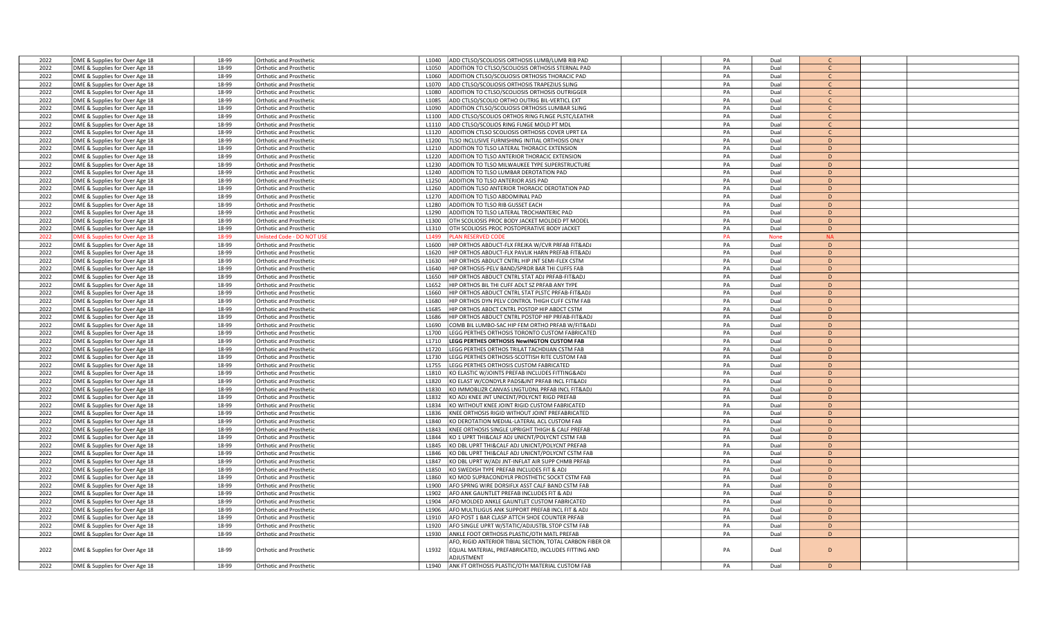| 2022 | DME & Supplies for Over Age 18 | 18-99 | Orthotic and Prosthetic        | L1040             | ADD CTLSO/SCOLIOSIS ORTHOSIS LUMB/LUMB RIB PAD            | PA | Dual        | $\mathsf{C}$ |  |
|------|--------------------------------|-------|--------------------------------|-------------------|-----------------------------------------------------------|----|-------------|--------------|--|
| 2022 | DME & Supplies for Over Age 18 | 18-99 | Orthotic and Prosthetic        | L <sub>1050</sub> | ADDITION TO CTLSO/SCOLIOSIS ORTHOSIS STERNAL PAD          | PA | Dual        | $\mathsf{C}$ |  |
| 2022 | DME & Supplies for Over Age 18 | 18-99 | Orthotic and Prosthetic        | L1060             | ADDITION CTLSO/SCOLIOSIS ORTHOSIS THORACIC PAD            | PA | Dual        | $\mathsf{C}$ |  |
|      |                                |       |                                |                   |                                                           |    |             | $\mathsf{C}$ |  |
| 2022 | DME & Supplies for Over Age 18 | 18-99 | Orthotic and Prosthetic        | L1070             | ADD CTLSO/SCOLIOSIS ORTHOSIS TRAPEZIUS SLING              | PA | Dual        |              |  |
| 2022 | DME & Supplies for Over Age 18 | 18-99 | Orthotic and Prosthetic        | L1080             | ADDITION TO CTLSO/SCOLIOSIS ORTHOSIS OUTRIGGER            | PA | Dual        | $\mathsf{C}$ |  |
| 2022 | DME & Supplies for Over Age 18 | 18-99 | Orthotic and Prosthetic        | L1085             | ADD CTLSO/SCOLIO ORTHO OUTRIG BIL-VERTICL EXT             | PA | Dual        | $\mathsf{C}$ |  |
| 2022 | DME & Supplies for Over Age 18 | 18-99 | Orthotic and Prosthetic        | L1090             | ADDITION CTLSO/SCOLIOSIS ORTHOSIS LUMBAR SLING            | PA | Dual        | $\mathsf{C}$ |  |
| 2022 | DME & Supplies for Over Age 18 | 18-99 | Orthotic and Prosthetic        | L1100             | ADD CTLSO/SCOLIOS ORTHOS RING FLNGE PLSTC/LEATHR          | PA | Dual        | $\mathsf{C}$ |  |
| 2022 | DME & Supplies for Over Age 18 | 18-99 | <b>Orthotic and Prosthetic</b> | L1110             | ADD CTLSO/SCOLIOS RING FLNGE MOLD PT MDL                  | PA | Dual        | $\mathsf{C}$ |  |
| 2022 | DME & Supplies for Over Age 18 | 18-99 | Orthotic and Prosthetic        | L1120             | ADDITION CTLSO SCOLIOSIS ORTHOSIS COVER UPRT EA           | PA | Dual        | $\mathsf{C}$ |  |
| 2022 | DME & Supplies for Over Age 18 | 18-99 | Orthotic and Prosthetic        | L1200             | TLSO INCLUSIVE FURNISHING INITIAL ORTHOSIS ONLY           | PA | Dual        | D            |  |
| 2022 | DME & Supplies for Over Age 18 | 18-99 | Orthotic and Prosthetic        | L1210             | ADDITION TO TLSO LATERAL THORACIC EXTENSION               | PA | Dual        | D            |  |
|      |                                |       |                                |                   |                                                           |    |             |              |  |
| 2022 | DME & Supplies for Over Age 18 | 18-99 | Orthotic and Prosthetic        | L1220             | ADDITION TO TLSO ANTERIOR THORACIC EXTENSION              | PA | Dual        | D            |  |
| 2022 | DME & Supplies for Over Age 18 | 18-99 | Orthotic and Prosthetic        | L <sub>1230</sub> | ADDITION TO TLSO MILWAUKEE TYPE SUPERSTRUCTURE            | PA | Dual        | D            |  |
| 2022 | DME & Supplies for Over Age 18 | 18-99 | Orthotic and Prosthetic        | L1240             | ADDITION TO TLSO LUMBAR DEROTATION PAD                    | PA | Dual        | D            |  |
| 2022 | DME & Supplies for Over Age 18 | 18-99 | Orthotic and Prosthetic        | L1250             | ADDITION TO TLSO ANTERIOR ASIS PAD                        | PA | Dual        | D            |  |
| 2022 | DME & Supplies for Over Age 18 | 18-99 | Orthotic and Prosthetic        | L1260             | ADDITION TLSO ANTERIOR THORACIC DEROTATION PAD            | PA | Dual        | D            |  |
| 2022 | DME & Supplies for Over Age 18 | 18-99 | Orthotic and Prosthetic        | L1270             | ADDITION TO TLSO ABDOMINAL PAD                            | PA | Dual        | D            |  |
| 2022 | DME & Supplies for Over Age 18 | 18-99 | Orthotic and Prosthetic        | L1280             | ADDITION TO TLSO RIB GUSSET EACH                          | PA | Dual        | D            |  |
| 2022 |                                | 18-99 |                                | L <sub>1290</sub> | ADDITION TO TLSO LATERAL TROCHANTERIC PAD                 | PA |             | D            |  |
|      | DME & Supplies for Over Age 18 |       | Orthotic and Prosthetic        |                   |                                                           |    | Dual        |              |  |
| 2022 | DME & Supplies for Over Age 18 | 18-99 | <b>Orthotic and Prosthetic</b> | L1300             | OTH SCOLIOSIS PROC BODY JACKET MOLDED PT MODEL            | PA | Dual        | D            |  |
| 2022 | DME & Supplies for Over Age 18 | 18-99 | Orthotic and Prosthetic        | L1310             | OTH SCOLIOSIS PROC POSTOPERATIVE BODY JACKET              | PA | Dual        | D            |  |
| 2022 | OME & Supplies for Over Age 18 | 18-99 | nlisted Code - DO NOT U        | L1499             | LAN RESERVED COD                                          | PA | <b>None</b> | <b>NA</b>    |  |
| 2022 | DME & Supplies for Over Age 18 | 18-99 | Orthotic and Prosthetic        | L1600             | HIP ORTHOS ABDUCT-FLX FREJKA W/CVR PRFAB FIT&ADJ          | PA | Dual        | D            |  |
| 2022 | DME & Supplies for Over Age 18 | 18-99 | <b>Orthotic and Prosthetic</b> | L1620             | HIP ORTHOS ABDUCT-FLX PAVLIK HARN PREFAB FIT&ADJ          | PA | Dual        | D            |  |
| 2022 | DME & Supplies for Over Age 18 | 18-99 | Orthotic and Prosthetic        | L <sub>1630</sub> | HIP ORTHOS ABDUCT CNTRL HIP JNT SEMI-FLEX CSTM            | PA | Dual        | D            |  |
| 2022 | DME & Supplies for Over Age 18 | 18-99 | Orthotic and Prosthetic        | L1640             | HIP ORTHOSIS-PELV BAND/SPRDR BAR THI CUFFS FAB            | PA | Dual        | D            |  |
|      |                                |       |                                |                   |                                                           |    |             | D            |  |
| 2022 | DME & Supplies for Over Age 18 | 18-99 | Orthotic and Prosthetic        | L1650             | HIP ORTHOS ABDUCT CNTRL STAT ADJ PRFAB-FIT&ADJ            | PA | Dual        |              |  |
| 2022 | DME & Supplies for Over Age 18 | 18-99 | Orthotic and Prosthetic        | L1652             | HIP ORTHOS BIL THI CUFF ADLT SZ PRFAB ANY TYPE            | PA | Dual        | D            |  |
| 2022 | DME & Supplies for Over Age 18 | 18-99 | Orthotic and Prosthetic        | L1660             | HIP ORTHOS ABDUCT CNTRL STAT PLSTC PRFAB-FIT&ADJ          | PA | Dual        | D            |  |
| 2022 | DME & Supplies for Over Age 18 | 18-99 | Orthotic and Prosthetic        | L1680             | HIP ORTHOS DYN PELV CONTROL THIGH CUFF CSTM FAB           | PA | Dual        | D.           |  |
| 2022 | DME & Supplies for Over Age 18 | 18-99 | <b>Orthotic and Prosthetic</b> | L1685             | HIP ORTHOS ABDCT CNTRL POSTOP HIP ABDCT CSTM              | PA | Dual        | D            |  |
| 2022 | DME & Supplies for Over Age 18 | 18-99 | Orthotic and Prosthetic        | L1686             | HIP ORTHOS ABDUCT CNTRL POSTOP HIP PRFAB-FIT&ADJ          | PA | Dual        | D            |  |
| 2022 | DME & Supplies for Over Age 18 | 18-99 | Orthotic and Prosthetic        | L1690             | COMB BIL LUMBO-SAC HIP FEM ORTHO PRFAB W/FIT&ADJ          | PA | Dual        | D            |  |
| 2022 |                                | 18-99 | Orthotic and Prosthetic        | L1700             | LEGG PERTHES ORTHOSIS TORONTO CUSTOM FABRICATED           | PA | Dual        | D            |  |
|      | DME & Supplies for Over Age 18 |       |                                |                   |                                                           |    |             |              |  |
| 2022 | DME & Supplies for Over Age 18 | 18-99 | Orthotic and Prosthetic        | L1710             | LEGG PERTHES ORTHOSIS NewINGTON CUSTOM FAB                | PA | Dual        | D            |  |
| 2022 | DME & Supplies for Over Age 18 | 18-99 | Orthotic and Prosthetic        | L1720             | LEGG PERTHES ORTHOS TRILAT TACHDIJAN CSTM FAB             | PA | Dual        | D            |  |
| 2022 | DME & Supplies for Over Age 18 | 18-99 | <b>Orthotic and Prosthetic</b> | L1730             | LEGG PERTHES ORTHOSIS-SCOTTISH RITE CUSTOM FAB            | PA | Dual        | D            |  |
| 2022 | DME & Supplies for Over Age 18 | 18-99 | Orthotic and Prosthetic        | L1755             | LEGG PERTHES ORTHOSIS CUSTOM FABRICATED                   | PA | Dual        | D            |  |
| 2022 | DME & Supplies for Over Age 18 | 18-99 | Orthotic and Prosthetic        | L1810             | KO ELASTIC W/JOINTS PREFAB INCLUDES FITTING&ADJ           | PA | Dual        | D            |  |
| 2022 | DME & Supplies for Over Age 18 | 18-99 | Orthotic and Prosthetic        | L1820             | KO ELAST W/CONDYLR PADS&JNT PRFAB INCL FIT&ADJ            | PA | Dual        | D            |  |
| 2022 | DME & Supplies for Over Age 18 | 18-99 | Orthotic and Prosthetic        | L1830             | KO IMMOBLIZR CANVAS LNGTUDNL PRFAB INCL FIT&ADJ           | PA | Dual        | D            |  |
| 2022 |                                |       |                                | L1832             |                                                           |    |             |              |  |
|      | DME & Supplies for Over Age 18 | 18-99 | <b>Orthotic and Prosthetic</b> |                   | KO ADJ KNEE JNT UNICENT/POLYCNT RIGD PREFAB               | PA | Dual        | D            |  |
| 2022 | DME & Supplies for Over Age 18 | 18-99 | <b>Orthotic and Prosthetic</b> | L1834             | KO WITHOUT KNEE JOINT RIGID CUSTOM FABRICATED             | PA | Dual        | D            |  |
| 2022 | DME & Supplies for Over Age 18 | 18-99 | <b>Orthotic and Prosthetic</b> | L1836             | KNEE ORTHOSIS RIGID WITHOUT JOINT PREFABRICATED           | PA | Dual        | D            |  |
| 2022 | DME & Supplies for Over Age 18 | 18-99 | Orthotic and Prosthetic        | 11840             | KO DEROTATION MEDIAL-LATERAL ACL CUSTOM FAB               | PA | Dual        | D            |  |
| 2022 | DME & Supplies for Over Age 18 | 18-99 | Orthotic and Prosthetic        | L1843             | KNEE ORTHOSIS SINGLE UPRIGHT THIGH & CALF PREFAB          | PA | Dual        | D            |  |
| 2022 | DME & Supplies for Over Age 18 | 18-99 | Orthotic and Prosthetic        | L1844             | KO 1 UPRT THI&CALF ADJ UNICNT/POLYCNT CSTM FAB            | PA | Dual        | D            |  |
| 2022 | DME & Supplies for Over Age 18 | 18-99 | <b>Orthotic and Prosthetic</b> | L1845             | KO DBL UPRT THI&CALF ADJ UNICNT/POLYCNT PREFAB            | PA | Dual        | D            |  |
| 2022 | DME & Supplies for Over Age 18 | 18-99 | <b>Orthotic and Prosthetic</b> | L1846             | KO DBL UPRT THI&CALF ADJ UNICNT/POLYCNT CSTM FAB          | PA | Dual        | D            |  |
|      |                                |       |                                |                   |                                                           | PA |             | D            |  |
| 2022 | DME & Supplies for Over Age 18 | 18-99 | Orthotic and Prosthetic        | L1847             | KO DBL UPRT W/ADJ JNT-INFLAT AIR SUPP CHMB PRFAB          |    | Dual        |              |  |
| 2022 | DME & Supplies for Over Age 18 | 18-99 | Orthotic and Prosthetic        | L1850             | KO SWEDISH TYPE PREFAB INCLUDES FIT & ADJ                 | PA | Dual        | D            |  |
| 2022 | DME & Supplies for Over Age 18 | 18-99 | Orthotic and Prosthetic        | L1860             | KO MOD SUPRACONDYLR PROSTHETIC SOCKT CSTM FAB             | PA | Dual        | D            |  |
| 2022 | DME & Supplies for Over Age 18 | 18-99 | Orthotic and Prosthetic        | L1900             | AFO SPRNG WIRE DORSIFLX ASST CALF BAND CSTM FAB           | PA | Dual        | D            |  |
| 2022 | DME & Supplies for Over Age 18 | 18-99 | <b>Orthotic and Prosthetic</b> | L1902             | AFO ANK GAUNTLET PREFAB INCLUDES FIT & ADJ                | PA | Dual        | D.           |  |
| 2022 | DME & Supplies for Over Age 18 | 18-99 | Orthotic and Prosthetic        | L1904             | AFO MOLDED ANKLE GAUNTLET CUSTOM FABRICATED               | PA | Dual        | D            |  |
| 2022 | DME & Supplies for Over Age 18 | 18-99 | Orthotic and Prosthetic        | L1906             | AFO MULTILIGUS ANK SUPPORT PREFAB INCL FIT & ADJ          | PA | Dual        | D            |  |
| 2022 |                                | 18-99 | Orthotic and Prosthetic        | L1910             | AFO POST 1 BAR CLASP ATTCH SHOE COUNTER PRFAB             | PA | Dual        | D            |  |
|      | DME & Supplies for Over Age 18 |       |                                |                   |                                                           |    |             |              |  |
| 2022 | DME & Supplies for Over Age 18 | 18-99 | Orthotic and Prosthetic        | L1920             | AFO SINGLE UPRT W/STATIC/ADJUSTBL STOP CSTM FAB           | PA | Dual        | D            |  |
| 2022 | DME & Supplies for Over Age 18 | 18-99 | Orthotic and Prosthetic        | L1930             | ANKLE FOOT ORTHOSIS PLASTIC/OTH MATL PREFAB               | PA | Dual        | D            |  |
|      |                                |       |                                |                   | AFO, RIGID ANTERIOR TIBIAL SECTION, TOTAL CARBON FIBER OR |    |             |              |  |
| 2022 | DME & Supplies for Over Age 18 | 18-99 | Orthotic and Prosthetic        | L1932             | EQUAL MATERIAL, PREFABRICATED, INCLUDES FITTING AND       | PA | Dual        | D            |  |
|      |                                |       |                                |                   | <b>ADILISTMENT</b>                                        |    |             |              |  |
| 2022 | DME & Supplies for Over Age 18 | 18-99 | Orthotic and Prosthetic        | L1940             | ANK FT ORTHOSIS PLASTIC/OTH MATERIAL CUSTOM FAB           | PA | Dual        | D            |  |
|      |                                |       |                                |                   |                                                           |    |             |              |  |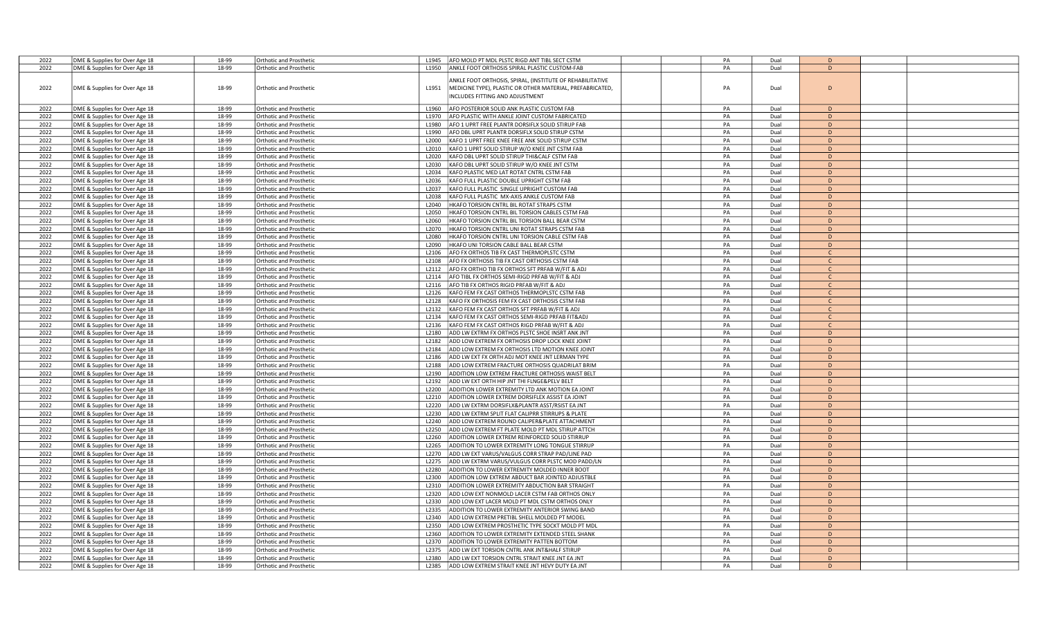| 2022 | DME & Supplies for Over Age 18 | 18-99 | Orthotic and Prosthetic        | L1945<br>AFO MOLD PT MDL PLSTC RIGD ANT TIBL SECT CSTM                                                                                                            | PA | Dual | $\mathsf{D}$  |  |
|------|--------------------------------|-------|--------------------------------|-------------------------------------------------------------------------------------------------------------------------------------------------------------------|----|------|---------------|--|
| 2022 | DME & Supplies for Over Age 18 | 18-99 | Orthotic and Prosthetic        | ANKLE FOOT ORTHOSIS SPIRAL PLASTIC CUSTOM-FAB<br>L1950                                                                                                            | PA | Dual | $\mathsf{D}$  |  |
| 2022 | DME & Supplies for Over Age 18 | 18-99 | Orthotic and Prosthetic        | ANKLE FOOT ORTHOSIS, SPIRAL, (INSTITUTE OF REHABILITATIVE<br>L1951<br>MEDICINE TYPE), PLASTIC OR OTHER MATERIAL, PREFABRICATED,<br>NCLUDES FITTING AND ADJUSTMENT | PA | Dual | D             |  |
| 2022 | DME & Supplies for Over Age 18 | 18-99 | <b>Orthotic and Prosthetic</b> | AFO POSTERIOR SOLID ANK PLASTIC CUSTOM FAB<br>L1960                                                                                                               | PA | Dual | D             |  |
| 2022 | DME & Supplies for Over Age 18 | 18-99 | <b>Orthotic and Prosthetic</b> | AFO PLASTIC WITH ANKLE JOINT CUSTOM FABRICATED<br>L1970                                                                                                           | PA | Dual | D             |  |
| 2022 |                                | 18-99 | Orthotic and Prosthetic        | AFO 1 UPRT FREE PLANTR DORSIFLX SOLID STIRUP FAB<br>L1980                                                                                                         | PA | Dual | D             |  |
|      | DME & Supplies for Over Age 18 |       |                                |                                                                                                                                                                   |    |      |               |  |
| 2022 | DME & Supplies for Over Age 18 | 18-99 | Orthotic and Prosthetic        | L1990<br>AFO DBL UPRT PLANTR DORSIFLX SOLID STIRUP CSTM                                                                                                           | PA | Dual | D             |  |
| 2022 | DME & Supplies for Over Age 18 | 18-99 | Orthotic and Prosthetic        | L2000<br>KAFO 1 UPRT FREE KNEE FREE ANK SOLID STIRUP CSTM                                                                                                         | PA | Dual | D             |  |
| 2022 | DME & Supplies for Over Age 18 | 18-99 | <b>Orthotic and Prosthetic</b> | KAFO 1 UPRT SOLID STIRUP W/O KNEE JNT CSTM FAB<br>L2010                                                                                                           | PA | Dual | D             |  |
| 2022 | DME & Supplies for Over Age 18 | 18-99 | <b>Orthotic and Prosthetic</b> | L2020<br>KAFO DBL UPRT SOLID STIRUP THI&CALF CSTM FAB                                                                                                             | PA | Dual | D             |  |
| 2022 | DME & Supplies for Over Age 18 | 18-99 | <b>Orthotic and Prosthetic</b> | KAFO DBL UPRT SOLID STIRUP W/O KNEE JNT CSTM<br>L2030                                                                                                             | PA | Dual | D             |  |
| 2022 | DME & Supplies for Over Age 18 | 18-99 | Orthotic and Prosthetic        | KAFO PLASTIC MED LAT ROTAT CNTRL CSTM FAB<br>L2034                                                                                                                | PA | Dual | D             |  |
| 2022 | DME & Supplies for Over Age 18 | 18-99 | <b>Orthotic and Prosthetic</b> | L2036<br>KAFO FULL PLASTIC DOUBLE UPRIGHT CSTM FAB                                                                                                                | PA | Dual | D             |  |
| 2022 | DME & Supplies for Over Age 18 | 18-99 | Orthotic and Prosthetic        | L2037<br>KAFO FULL PLASTIC SINGLE UPRIGHT CUSTOM FAB                                                                                                              | PA | Dual | D             |  |
| 2022 | DME & Supplies for Over Age 18 | 18-99 | Orthotic and Prosthetic        | L2038<br>KAFO FULL PLASTIC MX-AXIS ANKLE CUSTOM FAB                                                                                                               | PA | Dual | D             |  |
| 2022 | DME & Supplies for Over Age 18 | 18-99 | Orthotic and Prosthetic        | HKAFO TORSION CNTRL BIL ROTAT STRAPS CSTM<br>L2040                                                                                                                | PA | Dual | D             |  |
| 2022 | DME & Supplies for Over Age 18 | 18-99 |                                | HKAFO TORSION CNTRL BIL TORSION CABLES CSTM FAB                                                                                                                   | PA | Dual | D             |  |
|      |                                |       | Orthotic and Prosthetic        | L2050                                                                                                                                                             |    |      |               |  |
| 2022 | DME & Supplies for Over Age 18 | 18-99 | <b>Orthotic and Prosthetic</b> | HKAFO TORSION CNTRL BIL TORSION BALL BEAR CSTM<br>L2060                                                                                                           | PA | Dual | D             |  |
| 2022 | DME & Supplies for Over Age 18 | 18-99 | <b>Orthotic and Prosthetic</b> | HKAFO TORSION CNTRL UNI ROTAT STRAPS CSTM FAB<br>L2070                                                                                                            | PA | Dual | D             |  |
| 2022 | DME & Supplies for Over Age 18 | 18-99 | Orthotic and Prosthetic        | L2080<br>HKAFO TORSION CNTRL UNI TORSION CABLE CSTM FAB                                                                                                           | PA | Dual | D             |  |
| 2022 | DME & Supplies for Over Age 18 | 18-99 | <b>Orthotic and Prosthetic</b> | HKAFO UNI TORSION CABLE BALL BEAR CSTM<br>L2090                                                                                                                   | PA | Dual | D             |  |
| 2022 | DME & Supplies for Over Age 18 | 18-99 | <b>Orthotic and Prosthetic</b> | L2106<br>AFO FX ORTHOS TIB FX CAST THERMOPLSTC CSTM                                                                                                               | PA | Dual | $\mathsf{C}$  |  |
| 2022 | DME & Supplies for Over Age 18 | 18-99 | Orthotic and Prosthetic        | AFO FX ORTHOSIS TIB FX CAST ORTHOSIS CSTM FAB<br>L2108                                                                                                            | PA | Dual | $\mathcal{C}$ |  |
| 2022 | DME & Supplies for Over Age 18 | 18-99 | Orthotic and Prosthetic        | AFO FX ORTHO TIB FX ORTHOS SFT PRFAB W/FIT & ADJ<br>L2112                                                                                                         | PA | Dual | $\mathsf{C}$  |  |
| 2022 | DME & Supplies for Over Age 18 | 18-99 | Orthotic and Prosthetic        | L2114<br>AFO TIBL FX ORTHOS SEMI-RIGD PRFAB W/FIT & ADJ                                                                                                           | PA | Dual | $\mathsf{C}$  |  |
| 2022 | DME & Supplies for Over Age 18 | 18-99 | <b>Orthotic and Prosthetic</b> | AFO TIB FX ORTHOS RIGID PRFAB W/FIT & ADJ<br>L2116                                                                                                                | PA | Dual | $\mathsf{C}$  |  |
| 2022 | DME & Supplies for Over Age 18 | 18-99 | <b>Orthotic and Prosthetic</b> | L2126<br>KAFO FEM FX CAST ORTHOS THERMOPLSTC CSTM FAB                                                                                                             | PA | Dual | C.            |  |
|      |                                | 18-99 |                                | L2128                                                                                                                                                             | PA |      |               |  |
| 2022 | DME & Supplies for Over Age 18 |       | <b>Orthotic and Prosthetic</b> | KAFO FX ORTHOSIS FEM FX CAST ORTHOSIS CSTM FAB                                                                                                                    |    | Dual | $\mathsf{C}$  |  |
| 2022 | DME & Supplies for Over Age 18 | 18-99 | Orthotic and Prosthetic        | L2132<br>KAFO FEM FX CAST ORTHOS SFT PRFAB W/FIT & ADJ                                                                                                            | PA | Dual | $\mathsf{C}$  |  |
| 2022 | DME & Supplies for Over Age 18 | 18-99 | <b>Orthotic and Prosthetic</b> | KAFO FEM FX CAST ORTHOS SEMI-RIGD PRFAB FIT&ADJ<br>L2134                                                                                                          | PA | Dual | $\mathsf{C}$  |  |
| 2022 | DME & Supplies for Over Age 18 | 18-99 | <b>Orthotic and Prosthetic</b> | L2136<br>KAFO FEM FX CAST ORTHOS RIGD PRFAB W/FIT & ADJ                                                                                                           | PA | Dual | $\mathsf{C}$  |  |
| 2022 | DME & Supplies for Over Age 18 | 18-99 | Orthotic and Prosthetic        | ADD LW EXTRM FX ORTHOS PLSTC SHOE INSRT ANK JNT<br>L2180                                                                                                          | PA | Dual | D             |  |
| 2022 | DME & Supplies for Over Age 18 | 18-99 | <b>Orthotic and Prosthetic</b> | L2182<br>ADD LOW EXTREM FX ORTHOSIS DROP LOCK KNEE JOINT                                                                                                          | PA | Dual | D             |  |
| 2022 | DME & Supplies for Over Age 18 | 18-99 | Orthotic and Prosthetic        | L2184<br>ADD LOW EXTREM FX ORTHOSIS LTD MOTION KNEE JOINT                                                                                                         | PA | Dual | D             |  |
| 2022 | DME & Supplies for Over Age 18 | 18-99 | Orthotic and Prosthetic        | L2186<br>ADD LW EXT FX ORTH ADJ MOT KNEE JNT LERMAN TYPE                                                                                                          | PA | Dual | D             |  |
| 2022 | DME & Supplies for Over Age 18 | 18-99 | <b>Orthotic and Prosthetic</b> | L2188<br>ADD LOW EXTREM FRACTURE ORTHOSIS QUADRILAT BRIM                                                                                                          | PA | Dual | D             |  |
| 2022 | DME & Supplies for Over Age 18 | 18-99 | <b>Orthotic and Prosthetic</b> | ADDITION LOW EXTREM FRACTURE ORTHOSIS WAIST BELT<br>L2190                                                                                                         | PA | Dual | D             |  |
| 2022 | DME & Supplies for Over Age 18 | 18-99 | Orthotic and Prosthetic        | L2192<br>ADD LW EXT ORTH HIP JNT THI FLNGE&PELV BELT                                                                                                              | PA | Dual | D             |  |
| 2022 | DME & Supplies for Over Age 18 | 18-99 | <b>Orthotic and Prosthetic</b> | L2200<br>ADDITION LOWER EXTREMITY LTD ANK MOTION EA JOINT                                                                                                         | PA | Dual | D             |  |
| 2022 | DME & Supplies for Over Age 18 | 18-99 | Orthotic and Prosthetic        | L2210<br>ADDITION LOWER EXTREM DORSIFLEX ASSIST EA JOINT                                                                                                          | PA | Dual | $\mathsf{D}$  |  |
| 2022 | DME & Supplies for Over Age 18 | 18-99 |                                | L2220                                                                                                                                                             | PA | Dual | D             |  |
|      |                                |       | Orthotic and Prosthetic        | ADD LW EXTRM DORSIFLX&PLANTR ASST/RSIST EA JNT                                                                                                                    |    |      |               |  |
| 2022 | DME & Supplies for Over Age 18 | 18-99 | Orthotic and Prosthetic        | ADD LW EXTRM SPLIT FLAT CALIPRR STIRRUPS & PLATE<br>L2230                                                                                                         | PA | Dual | D             |  |
| 2022 | DME & Supplies for Over Age 18 | 18-99 | Orthotic and Prosthetic        | L2240<br>ADD LOW EXTREM ROUND CALIPER&PLATE ATTACHMENT                                                                                                            | PA | Dual | D             |  |
| 2022 | DME & Supplies for Over Age 18 | 18-99 | Orthotic and Prosthetic        | L2250<br>ADD LOW EXTREM FT PLATE MOLD PT MDL STIRUP ATTCH                                                                                                         | PA | Dual | D             |  |
| 2022 | DME & Supplies for Over Age 18 | 18-99 | <b>Orthotic and Prosthetic</b> | ADDITION LOWER EXTREM REINFORCED SOLID STIRRUP<br>L2260                                                                                                           | PA | Dual | D             |  |
| 2022 | DME & Supplies for Over Age 18 | 18-99 | <b>Orthotic and Prosthetic</b> | ADDITION TO LOWER EXTREMITY LONG TONGUE STIRRUP<br>L2265                                                                                                          | PA | Dual | D             |  |
| 2022 | DME & Supplies for Over Age 18 | 18-99 | Orthotic and Prosthetic        | L2270<br>ADD LW EXT VARUS/VALGUS CORR STRAP PAD/LINE PAD                                                                                                          | PA | Dual | D             |  |
| 2022 | DME & Supplies for Over Age 18 | 18-99 | <b>Orthotic and Prosthetic</b> | L2275<br>ADD LW EXTRM VARUS/VULGUS CORR PLSTC MOD PADD/LN                                                                                                         | PA | Dual | D             |  |
| 2022 | DME & Supplies for Over Age 18 | 18-99 | Orthotic and Prosthetic        | L2280<br>ADDITION TO LOWER EXTREMITY MOLDED INNER BOOT                                                                                                            | PA | Dual | D.            |  |
| 2022 | DME & Supplies for Over Age 18 | 18-99 | Orthotic and Prosthetic        | L2300<br>ADDITION LOW EXTREM ABDUCT BAR JOINTED ADJUSTBLE                                                                                                         | PA | Dual | D             |  |
| 2022 | DME & Supplies for Over Age 18 | 18-99 | Orthotic and Prosthetic        | L2310<br>ADDITION LOWER EXTREMITY ABDUCTION BAR STRAIGHT                                                                                                          | PA | Dual | D             |  |
| 2022 | DME & Supplies for Over Age 18 | 18-99 | <b>Orthotic and Prosthetic</b> | L2320<br>ADD LOW EXT NONMOLD LACER CSTM FAB ORTHOS ONLY                                                                                                           | PA | Dual | D             |  |
| 2022 | DME & Supplies for Over Age 18 | 18-99 | Orthotic and Prosthetic        | L2330<br>ADD LOW EXT LACER MOLD PT MDL CSTM ORTHOS ONLY                                                                                                           | PA | Dual | D             |  |
|      |                                |       |                                |                                                                                                                                                                   | PA |      |               |  |
| 2022 | DME & Supplies for Over Age 18 | 18-99 | <b>Orthotic and Prosthetic</b> | ADDITION TO LOWER EXTREMITY ANTERIOR SWING BAND<br>L2335                                                                                                          |    | Dual | D             |  |
| 2022 | DME & Supplies for Over Age 18 | 18-99 | Orthotic and Prosthetic        | L2340<br>ADD LOW EXTREM PRETIBL SHELL MOLDED PT MODEL                                                                                                             | PA | Dual | D             |  |
| 2022 | DME & Supplies for Over Age 18 | 18-99 | <b>Orthotic and Prosthetic</b> | L2350<br>ADD LOW EXTREM PROSTHETIC TYPE SOCKT MOLD PT MDL                                                                                                         | PA | Dual | D             |  |
| 2022 | DME & Supplies for Over Age 18 | 18-99 | Orthotic and Prosthetic        | ADDITION TO LOWER EXTREMITY EXTENDED STEEL SHANK<br>L2360                                                                                                         | PA | Dual | D             |  |
| 2022 | DME & Supplies for Over Age 18 | 18-99 | Orthotic and Prosthetic        | L <sub>2370</sub><br>ADDITION TO LOWER EXTREMITY PATTEN BOTTOM                                                                                                    | PA | Dual | $\mathsf{D}$  |  |
| 2022 | DME & Supplies for Over Age 18 | 18-99 | Orthotic and Prosthetic        | ADD LW EXT TORSION CNTRL ANK JNT&HALF STIRUP<br>L <sub>2375</sub>                                                                                                 | PA | Dual | D             |  |
| 2022 | DME & Supplies for Over Age 18 | 18-99 | <b>Orthotic and Prosthetic</b> | ADD LW EXT TORSION CNTRL STRAIT KNEE JNT EA JNT<br>L2380                                                                                                          | PA | Dual | D             |  |
| 2022 | DME & Supplies for Over Age 18 | 18-99 | <b>Orthotic and Prosthetic</b> | L2385<br>ADD LOW EXTREM STRAIT KNEE JNT HEVY DUTY EA JNT                                                                                                          | PA | Dual | D             |  |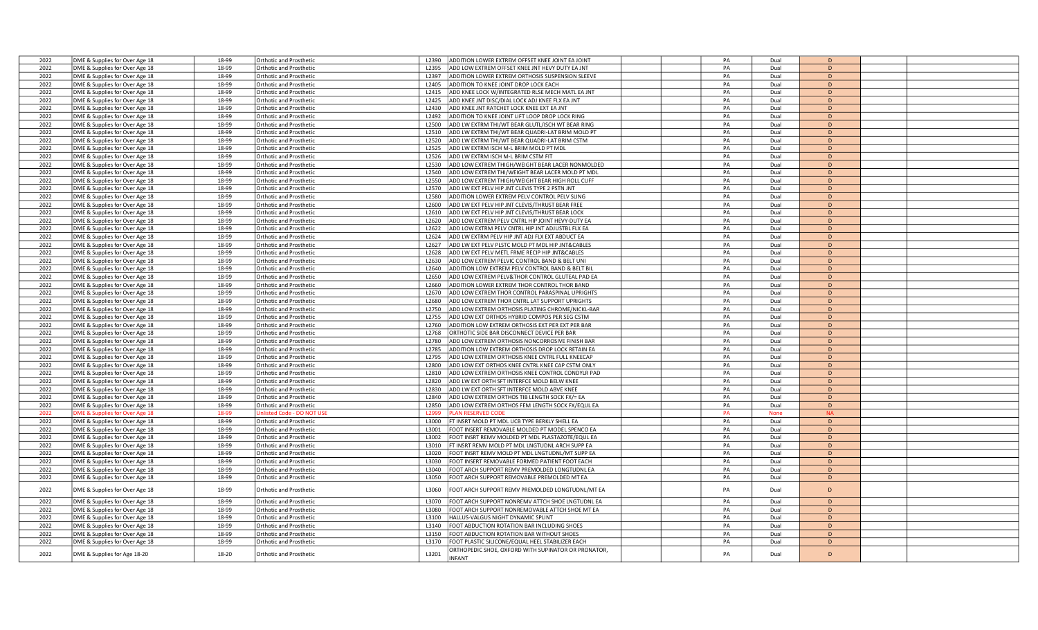|      |                                |       |                                |                                                                      | PA |             | D         |  |
|------|--------------------------------|-------|--------------------------------|----------------------------------------------------------------------|----|-------------|-----------|--|
| 2022 | DME & Supplies for Over Age 18 | 18-99 | Orthotic and Prosthetic        | ADDITION LOWER EXTREM OFFSET KNEE JOINT EA JOINT<br>L2390            |    | Dual        |           |  |
| 2022 | DME & Supplies for Over Age 18 | 18-99 | Orthotic and Prosthetic        | ADD LOW EXTREM OFFSET KNEE JNT HEVY DUTY EA JNT<br>L2395             | PA | Dual        | D         |  |
| 2022 | DME & Supplies for Over Age 18 | 18-99 | Orthotic and Prosthetic        | ADDITION LOWER EXTREM ORTHOSIS SUSPENSION SLEEVE<br>L2397            | PA | Dual        | D         |  |
| 2022 | DME & Supplies for Over Age 18 | 18-99 | Orthotic and Prosthetic        | L2405<br>ADDITION TO KNEE JOINT DROP LOCK EACH                       | PA | Dual        | D         |  |
|      |                                |       |                                |                                                                      |    |             |           |  |
| 2022 | DME & Supplies for Over Age 18 | 18-99 | Orthotic and Prosthetic        | ADD KNEE LOCK W/INTEGRATED RLSE MECH MATL EA JNT<br>L2415            | PA | Dual        | D         |  |
| 2022 | DME & Supplies for Over Age 18 | 18-99 | <b>Orthotic and Prosthetic</b> | ADD KNEE JNT DISC/DIAL LOCK ADJ KNEE FLX EA JNT<br>L2425             | PA | Dual        | D         |  |
| 2022 | DME & Supplies for Over Age 18 | 18-99 | Orthotic and Prosthetic        | ADD KNEE JNT RATCHET LOCK KNEE EXT EA JNT<br>L2430                   | PA | Dual        | D         |  |
| 2022 | DME & Supplies for Over Age 18 | 18-99 | Orthotic and Prosthetic        | ADDITION TO KNEE JOINT LIFT LOOP DROP LOCK RING<br>L2492             | PA | Dual        | D         |  |
|      |                                |       |                                |                                                                      |    |             |           |  |
| 2022 | DME & Supplies for Over Age 18 | 18-99 | Orthotic and Prosthetic        | ADD LW EXTRM THI/WT BEAR GLUTL/ISCH WT BEAR RING<br>L2500            | PA | Dual        | D         |  |
| 2022 | DME & Supplies for Over Age 18 | 18-99 | <b>Orthotic and Prosthetic</b> | L2510<br>ADD LW EXTRM THI/WT BEAR QUADRI-LAT BRIM MOLD PT            | PA | Dual        | D         |  |
| 2022 | DME & Supplies for Over Age 18 | 18-99 | Orthotic and Prosthetic        | ADD LW EXTRM THI/WT BEAR QUADRI-LAT BRIM CSTM<br>L2520               | PA | Dual        | D         |  |
| 2022 |                                | 18-99 |                                | ADD LW EXTRM ISCH M-L BRIM MOLD PT MDL<br>L2525                      | PA | Dual        | D         |  |
|      | DME & Supplies for Over Age 18 |       | Orthotic and Prosthetic        |                                                                      |    |             |           |  |
| 2022 | DME & Supplies for Over Age 18 | 18-99 | Orthotic and Prosthetic        | L2526<br>ADD LW EXTRM ISCH M-L BRIM CSTM FIT                         | PA | Dual        | D         |  |
| 2022 | DME & Supplies for Over Age 18 | 18-99 | Orthotic and Prosthetic        | L2530<br>ADD LOW EXTREM THIGH/WEIGHT BEAR LACER NONMOLDED            | PA | Dual        | D         |  |
| 2022 | DME & Supplies for Over Age 18 | 18-99 | <b>Orthotic and Prosthetic</b> | ADD LOW EXTREM THI/WEIGHT BEAR LACER MOLD PT MDL<br>12540            | PA | Dual        | D         |  |
|      |                                |       |                                |                                                                      |    |             |           |  |
| 2022 | DME & Supplies for Over Age 18 | 18-99 | Orthotic and Prosthetic        | L2550<br>ADD LOW EXTREM THIGH/WEIGHT BEAR HIGH ROLL CUFF             | PA | Dual        | D         |  |
| 2022 | DME & Supplies for Over Age 18 | 18-99 | Orthotic and Prosthetic        | ADD LW EXT PELV HIP JNT CLEVIS TYPE 2 PSTN JNT<br>L2570              | PA | Dual        | D         |  |
| 2022 | DME & Supplies for Over Age 18 | 18-99 | Orthotic and Prosthetic        | L2580<br>ADDITION LOWER EXTREM PELV CONTROL PELV SLING               | PA | Dual        | D         |  |
| 2022 | DME & Supplies for Over Age 18 | 18-99 | Orthotic and Prosthetic        | L2600<br>ADD LW EXT PELV HIP JNT CLEVIS/THRUST BEAR FREE             | PA | Dual        | D         |  |
| 2022 | DME & Supplies for Over Age 18 | 18-99 |                                | L2610<br>ADD LW EXT PELV HIP JNT CLEVIS/THRUST BEAR LOCK             | PA | Dual        | D         |  |
|      |                                |       | <b>Orthotic and Prosthetic</b> |                                                                      |    |             |           |  |
| 2022 | DME & Supplies for Over Age 18 | 18-99 | Orthotic and Prosthetic        | L2620<br>ADD LOW EXTREM PELV CNTRL HIP JOINT HEVY-DUTY EA            | PA | Dual        | D         |  |
| 2022 | DME & Supplies for Over Age 18 | 18-99 | Orthotic and Prosthetic        | L2622<br>ADD LOW EXTRM PELV CNTRL HIP JNT ADJUSTBL FLX EA            | PA | Dual        | D         |  |
| 2022 | DME & Supplies for Over Age 18 | 18-99 | Orthotic and Prosthetic        | ADD LW EXTRM PELV HIP JNT ADJ FLX EXT ABDUCT EA<br>L <sub>2624</sub> | PA | Dual        | D         |  |
| 2022 |                                | 18-99 |                                | ADD LW EXT PELV PLSTC MOLD PT MDL HIP JNT&CABLES                     | PA | Dual        | D         |  |
|      | DME & Supplies for Over Age 18 |       | <b>Orthotic and Prosthetic</b> | L2627                                                                |    |             |           |  |
| 2022 | DME & Supplies for Over Age 18 | 18-99 | <b>Orthotic and Prosthetic</b> | L2628<br>ADD LW EXT PELV METL FRME RECIP HIP JNT&CABLES              | PA | Dual        | D         |  |
| 2022 | DME & Supplies for Over Age 18 | 18-99 | Orthotic and Prosthetic        | L2630<br>ADD LOW EXTREM PELVIC CONTROL BAND & BELT UNI               | PA | Dual        | D         |  |
| 2022 | DME & Supplies for Over Age 18 | 18-99 | Orthotic and Prosthetic        | L2640<br>ADDITION LOW EXTREM PELV CONTROL BAND & BELT BII            | PA | Dual        | D         |  |
| 2022 | DME & Supplies for Over Age 18 | 18-99 | Orthotic and Prosthetic        | ADD LOW EXTREM PELV&THOR CONTROL GLUTEAL PAD EA<br>L2650             | PA | Dual        | D         |  |
|      |                                |       |                                |                                                                      |    |             |           |  |
| 2022 | DME & Supplies for Over Age 18 | 18-99 | Orthotic and Prosthetic        | ADDITION LOWER EXTREM THOR CONTROL THOR BAND<br>L2660                | PA | Dual        | D         |  |
| 2022 | DME & Supplies for Over Age 18 | 18-99 | Orthotic and Prosthetic        | L2670<br>ADD LOW EXTREM THOR CONTROL PARASPINAL UPRIGHTS             | PA | Dual        | D         |  |
| 2022 | DME & Supplies for Over Age 18 | 18-99 | <b>Orthotic and Prosthetic</b> | L2680<br>ADD LOW EXTREM THOR CNTRL LAT SUPPORT UPRIGHTS              | PA | Dual        | D         |  |
| 2022 | DME & Supplies for Over Age 18 | 18-99 | Orthotic and Prosthetic        | ADD LOW EXTREM ORTHOSIS PLATING CHROME/NICKL-BAR<br>L2750            | PA | Dual        | D         |  |
| 2022 |                                | 18-99 |                                | L2755<br>ADD LOW EXT ORTHOS HYBRID COMPOS PER SEG CSTM               | PA | Dual        | D         |  |
|      | DME & Supplies for Over Age 18 |       | Orthotic and Prosthetic        |                                                                      |    |             |           |  |
| 2022 | DME & Supplies for Over Age 18 | 18-99 | <b>Orthotic and Prosthetic</b> | ADDITION LOW EXTREM ORTHOSIS EXT PER EXT PER BAR<br>L2760            | PA | Dual        | D         |  |
| 2022 | DME & Supplies for Over Age 18 | 18-99 | <b>Orthotic and Prosthetic</b> | L2768<br>ORTHOTIC SIDE BAR DISCONNECT DEVICE PER BAR                 | PA | Dual        | D         |  |
| 2022 | DME & Supplies for Over Age 18 | 18-99 | Orthotic and Prosthetic        | ADD LOW EXTREM ORTHOSIS NONCORROSIVE FINISH BAR<br>L2780             | PA | Dual        | D         |  |
| 2022 | DME & Supplies for Over Age 18 | 18-99 | Orthotic and Prosthetic        | L2785<br>ADDITION LOW EXTREM ORTHOSIS DROP LOCK RETAIN EA            | PA | Dual        | D         |  |
| 2022 |                                |       |                                | L2795                                                                |    |             | D         |  |
|      | DME & Supplies for Over Age 18 | 18-99 | <b>Orthotic and Prosthetic</b> | ADD LOW EXTREM ORTHOSIS KNEE CNTRL FULL KNEECAP                      | PA | Dual        |           |  |
| 2022 | DME & Supplies for Over Age 18 | 18-99 | <b>Orthotic and Prosthetic</b> | L2800<br>ADD LOW EXT ORTHOS KNEE CNTRL KNEE CAP CSTM ONLY            | PA | Dual        | D         |  |
| 2022 | DME & Supplies for Over Age 18 | 18-99 | Orthotic and Prosthetic        | ADD LOW EXTREM ORTHOSIS KNEE CONTROL CONDYLR PAD<br>L2810            | PA | Dual        | D         |  |
| 2022 | DME & Supplies for Over Age 18 | 18-99 | Orthotic and Prosthetic        | 12820<br>ADD LW EXT ORTH SFT INTERFCE MOLD BELW KNEE                 | PA | Dual        | D         |  |
| 2022 | DME & Supplies for Over Age 18 | 18-99 | Orthotic and Prosthetic        | L2830<br>ADD LW EXT ORTH SFT INTERFCE MOLD ABVE KNEE                 | PA | Dual        | D         |  |
|      |                                |       |                                |                                                                      |    |             |           |  |
| 2022 | DME & Supplies for Over Age 18 | 18-99 | <b>Orthotic and Prosthetic</b> | L2840<br>ADD LOW EXTREM ORTHOS TIB LENGTH SOCK FX/= EA               | PA | Dual        | D         |  |
| 2022 | DME & Supplies for Over Age 18 | 18-99 | <b>Orthotic and Prosthetic</b> | ADD LOW EXTREM ORTHOS FEM LENGTH SOCK FX/EQUL EA<br>L2850            | PA | Dual        | D         |  |
| 2022 | OME & Supplies for Over Age 18 | 18-99 | hlisted Code - DO NOT US       | LAN RESERVED CODE<br>12999                                           | PA | <b>None</b> | <b>NA</b> |  |
| 2022 | DME & Supplies for Over Age 18 | 18-99 | Orthotic and Prosthetic        | L3000<br>FT INSRT MOLD PT MDL UCB TYPE BERKLY SHELL EA               | PA | Dual        | D         |  |
| 2022 | DME & Supplies for Over Age 18 | 18-99 | Orthotic and Prosthetic        | FOOT INSERT REMOVABLE MOLDED PT MODEL SPENCO EA<br>L3001             | PA | Dual        | D         |  |
|      |                                |       |                                |                                                                      |    |             |           |  |
| 2022 | DME & Supplies for Over Age 18 | 18-99 | Orthotic and Prosthetic        | FOOT INSRT REMV MOLDED PT MDL PLASTAZOTE/EQUL EA<br>L3002            | PA | Dual        | D         |  |
| 2022 | DME & Supplies for Over Age 18 | 18-99 | <b>Orthotic and Prosthetic</b> | FT INSRT REMV MOLD PT MDL LNGTUDNL ARCH SUPP EA<br>L3010             | PA | Dual        | D         |  |
| 2022 | DME & Supplies for Over Age 18 | 18-99 | Orthotic and Prosthetic        | L3020<br>FOOT INSRT REMV MOLD PT MDL LNGTUDNL/MT SUPP EA             | PA | Dual        | D         |  |
| 2022 | DME & Supplies for Over Age 18 | 18-99 | Orthotic and Prosthetic        | FOOT INSERT REMOVABLE FORMED PATIENT FOOT EACH<br>L3030              | PA | Dual        | D         |  |
|      |                                |       |                                |                                                                      |    |             |           |  |
| 2022 | DME & Supplies for Over Age 18 | 18-99 | Orthotic and Prosthetic        | L3040<br>FOOT ARCH SUPPORT REMV PREMOLDED LONGTUDNL EA               | PA | Dual        | D         |  |
| 2022 | DME & Supplies for Over Age 18 | 18-99 | Orthotic and Prosthetic        | FOOT ARCH SUPPORT REMOVABLE PREMOLDED MT EA<br>L3050                 | PA | Dual        | D         |  |
|      |                                |       |                                |                                                                      |    |             |           |  |
| 2022 | DME & Supplies for Over Age 18 | 18-99 | Orthotic and Prosthetic        | L3060<br>OOT ARCH SUPPORT REMV PREMOLDED LONGTUDNL/MT EA             | PA | Dual        | D         |  |
| 2022 | DME & Supplies for Over Age 18 | 18-99 | Orthotic and Prosthetic        | FOOT ARCH SUPPORT NONREMV ATTCH SHOE LNGTUDNL EA<br>L3070            | PA | Dual        | D         |  |
|      |                                |       |                                |                                                                      |    |             |           |  |
| 2022 | DME & Supplies for Over Age 18 | 18-99 | Orthotic and Prosthetic        | FOOT ARCH SUPPORT NONREMOVABLE ATTCH SHOE MT EA<br>L3080             | PA | Dual        | D         |  |
| 2022 | DME & Supplies for Over Age 18 | 18-99 | Orthotic and Prosthetic        | L3100<br>HALLUS-VALGUS NIGHT DYNAMIC SPLINT                          | PA | Dual        | D         |  |
| 2022 | DME & Supplies for Over Age 18 | 18-99 | Orthotic and Prosthetic        | L3140<br>FOOT ABDUCTION ROTATION BAR INCLUDING SHOES                 | PA | Dual        | D         |  |
| 2022 | DME & Supplies for Over Age 18 | 18-99 | Orthotic and Prosthetic        | L3150<br>FOOT ABDUCTION ROTATION BAR WITHOUT SHOES                   | PA | Dual        | D         |  |
| 2022 |                                | 18-99 | Orthotic and Prosthetic        | L3170<br>FOOT PLASTIC SILICONE/EQUAL HEEL STABILIZER EACH            | PA | Dual        | D         |  |
|      | DME & Supplies for Over Age 18 |       |                                |                                                                      |    |             |           |  |
| 2022 | DME & Supplies for Age 18-20   | 18-20 | <b>Orthotic and Prosthetic</b> | ORTHOPEDIC SHOE, OXFORD WITH SUPINATOR OR PRONATOR,<br>L3201         | PA | Dual        | D         |  |
|      |                                |       |                                | <b>INFANT</b>                                                        |    |             |           |  |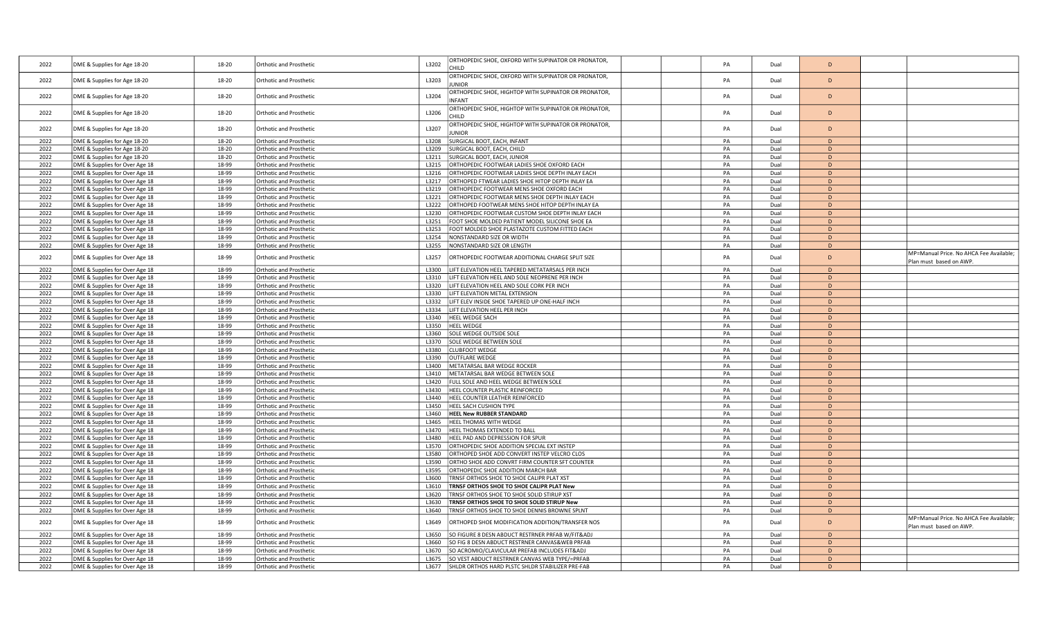| 2022         | DME & Supplies for Age 18-20                                     | 18-20          | <b>Orthotic and Prosthetic</b>                            | L3202          | ORTHOPEDIC SHOE, OXFORD WITH SUPINATOR OR PRONATOR,<br>CHILD                                         | PA       | Dual         | D            |                                                                    |
|--------------|------------------------------------------------------------------|----------------|-----------------------------------------------------------|----------------|------------------------------------------------------------------------------------------------------|----------|--------------|--------------|--------------------------------------------------------------------|
| 2022         | DME & Supplies for Age 18-20                                     | 18-20          | <b>Orthotic and Prosthetic</b>                            | L3203          | ORTHOPEDIC SHOE, OXFORD WITH SUPINATOR OR PRONATOR,<br><b>JUNIOR</b>                                 | PA       | Dual         | D            |                                                                    |
| 2022         | DME & Supplies for Age 18-20                                     | 18-20          | Orthotic and Prosthetic                                   | L3204          | ORTHOPEDIC SHOE, HIGHTOP WITH SUPINATOR OR PRONATOR,<br><b>INFANT</b>                                | PA       | Dual         | D            |                                                                    |
| 2022         | DME & Supplies for Age 18-20                                     | 18-20          | <b>Orthotic and Prosthetic</b>                            | L3206          | ORTHOPEDIC SHOE, HIGHTOP WITH SUPINATOR OR PRONATOR,<br>CHILD                                        | PA       | Dual         | D            |                                                                    |
| 2022         | DME & Supplies for Age 18-20                                     | 18-20          | Orthotic and Prosthetic                                   | L3207          | ORTHOPEDIC SHOE, HIGHTOP WITH SUPINATOR OR PRONATOR,<br><b>JUNIOR</b>                                | PA       | Dual         | D            |                                                                    |
| 2022         | DME & Supplies for Age 18-20                                     | 18-20          | <b>Orthotic and Prosthetic</b>                            | L3208          | SURGICAL BOOT, EACH, INFANT                                                                          | PA       | Dual         | D            |                                                                    |
| 2022         | DME & Supplies for Age 18-20                                     | 18-20          | <b>Orthotic and Prosthetic</b>                            | L3209          | SURGICAL BOOT, EACH, CHILD                                                                           | PA       | Dual         | D            |                                                                    |
| 2022         | DME & Supplies for Age 18-20                                     | 18-20          | Orthotic and Prosthetic                                   | L3211          | SURGICAL BOOT, EACH, JUNIOR                                                                          | PA       | Dual         | D            |                                                                    |
| 2022         | DME & Supplies for Over Age 18                                   | 18-99          | <b>Orthotic and Prosthetic</b>                            | L3215          | ORTHOPEDIC FOOTWEAR LADIES SHOE OXFORD EACH                                                          | PA       | Dual         | D            |                                                                    |
| 2022         | DME & Supplies for Over Age 18                                   | 18-99          | Orthotic and Prosthetic                                   | L3216          | ORTHOPEDIC FOOTWEAR LADIES SHOE DEPTH INLAY EACH                                                     | PA       | Dual         | D            |                                                                    |
| 2022         | DME & Supplies for Over Age 18                                   | 18-99          | Orthotic and Prosthetic                                   | L3217          | ORTHOPED FTWEAR LADIES SHOE HITOP DEPTH INLAY EA                                                     | PA       | Dual         | D            |                                                                    |
| 2022         | DME & Supplies for Over Age 18                                   | 18-99          | Orthotic and Prosthetic                                   | L3219          | ORTHOPEDIC FOOTWEAR MENS SHOE OXFORD EACH                                                            | PA       | Dual         | D            |                                                                    |
| 2022         | DME & Supplies for Over Age 18                                   | 18-99          | Orthotic and Prosthetic                                   | L3221          | ORTHOPEDIC FOOTWEAR MENS SHOE DEPTH INLAY EACH                                                       | PA       | Dual         | D            |                                                                    |
| 2022         | DME & Supplies for Over Age 18                                   | 18-99          | Orthotic and Prosthetic                                   | L3222          | ORTHOPED FOOTWEAR MENS SHOE HITOP DEPTH INLAY EA                                                     | PA       | Dual         | $\mathsf{D}$ |                                                                    |
| 2022         | DME & Supplies for Over Age 18                                   | 18-99          | Orthotic and Prosthetic                                   | L3230          | ORTHOPEDIC FOOTWEAR CUSTOM SHOE DEPTH INLAY EACH                                                     | PA       | Dual         | D            |                                                                    |
| 2022         | DME & Supplies for Over Age 18                                   | 18-99          | <b>Orthotic and Prosthetic</b>                            | L3251          | FOOT SHOE MOLDED PATIENT MODEL SILICONE SHOE EA                                                      | PA       | Dual         | D            |                                                                    |
| 2022         | DME & Supplies for Over Age 18                                   | 18-99          | Orthotic and Prosthetic                                   | L3253          | FOOT MOLDED SHOE PLASTAZOTE CUSTOM FITTED EACH                                                       | PA       | Dual         | D            |                                                                    |
| 2022         | DME & Supplies for Over Age 18                                   | 18-99          | <b>Orthotic and Prosthetic</b>                            | L3254          | NONSTANDARD SIZE OR WIDTH                                                                            | PA       | Dual         | D            |                                                                    |
| 2022         | DME & Supplies for Over Age 18                                   | 18-99          | Orthotic and Prosthetic                                   | L3255          | NONSTANDARD SIZE OR LENGTH                                                                           | PA       | Dual         | D            |                                                                    |
| 2022         | DME & Supplies for Over Age 18                                   | 18-99          | Orthotic and Prosthetic                                   | L3257          | ORTHOPEDIC FOOTWEAR ADDITIONAL CHARGE SPLIT SIZE                                                     | PA       | Dual         | D            | MP=Manual Price. No AHCA Fee Available;<br>Plan must based on AWP. |
| 2022         | DME & Supplies for Over Age 18                                   | 18-99          | Orthotic and Prosthetic                                   | L3300          | LIFT ELEVATION HEEL TAPERED METATARSALS PER INCH                                                     | PA       | Dual         | D            |                                                                    |
| 2022         | DME & Supplies for Over Age 18                                   | 18-99          | Orthotic and Prosthetic                                   | L3310          | LIFT ELEVATION HEEL AND SOLE NEOPRENE PER INCH                                                       | PA       | Dual         | D            |                                                                    |
| 2022         | DME & Supplies for Over Age 18                                   | 18-99          | Orthotic and Prosthetic                                   | L3320          | LIFT ELEVATION HEEL AND SOLE CORK PER INCH                                                           | PA       | Dual         | D            |                                                                    |
| 2022         | DME & Supplies for Over Age 18                                   | 18-99          | Orthotic and Prosthetic                                   | L3330          | LIFT ELEVATION METAL EXTENSION                                                                       | PA       | Dual         | D            |                                                                    |
| 2022         | DME & Supplies for Over Age 18                                   | 18-99          | Orthotic and Prosthetic                                   | L3332          | LIFT ELEV INSIDE SHOE TAPERED UP ONE-HALF INCH                                                       | PA       | Dual         | D            |                                                                    |
| 2022         | DME & Supplies for Over Age 18                                   | 18-99          | Orthotic and Prosthetic                                   | L3334          | LIFT ELEVATION HEEL PER INCH                                                                         | PA       | Dual         | D            |                                                                    |
| 2022         | DME & Supplies for Over Age 18                                   | 18-99          | Orthotic and Prosthetic                                   | L3340          | HEEL WEDGE SACH                                                                                      | PA       | Dual         | D            |                                                                    |
| 2022         | DME & Supplies for Over Age 18                                   | 18-99          | Orthotic and Prosthetic                                   | L3350          | <b>HEEL WEDGE</b>                                                                                    | PA       | Dual         | D            |                                                                    |
| 2022         | DME & Supplies for Over Age 18                                   | 18-99          | Orthotic and Prosthetic                                   | L3360          | SOLE WEDGE OUTSIDE SOLE                                                                              | PA       | Dual         | D            |                                                                    |
| 2022         | DME & Supplies for Over Age 18                                   | 18-99          | <b>Orthotic and Prosthetic</b>                            | L3370          | SOLE WEDGE BETWEEN SOLE                                                                              | PA       | Dual         | D            |                                                                    |
| 2022         | DME & Supplies for Over Age 18                                   | 18-99          | <b>Orthotic and Prosthetic</b>                            | L3380          | <b>CLUBFOOT WEDGE</b>                                                                                | PA       | Dual         | D            |                                                                    |
| 2022         | DME & Supplies for Over Age 18                                   | 18-99          | Orthotic and Prosthetic                                   | L3390          | <b>OUTFLARE WEDGE</b>                                                                                | PA       | Dual         | D            |                                                                    |
| 2022         | DME & Supplies for Over Age 18                                   | 18-99          | Orthotic and Prosthetic                                   | 13400          | METATARSAL BAR WEDGE ROCKER                                                                          | PA       | Dual         | D            |                                                                    |
| 2022         | DME & Supplies for Over Age 18                                   | 18-99          | Orthotic and Prosthetic                                   | L3410          | METATARSAL BAR WEDGE BETWEEN SOLE                                                                    | PA       | Dual         | D            |                                                                    |
| 2022         | DME & Supplies for Over Age 18                                   | 18-99          | Orthotic and Prosthetic                                   | L3420          | FULL SOLE AND HEEL WEDGE BETWEEN SOLE                                                                | PA       | Dual         | D            |                                                                    |
| 2022         | DME & Supplies for Over Age 18                                   | 18-99          | Orthotic and Prosthetic                                   | L3430          | HEEL COUNTER PLASTIC REINFORCED                                                                      | PA       | Dual         | D            |                                                                    |
| 2022         | DME & Supplies for Over Age 18                                   | 18-99          | <b>Orthotic and Prosthetic</b>                            | L3440          | HEEL COUNTER LEATHER REINFORCED                                                                      | PA       | Dual         | D            |                                                                    |
| 2022         | DME & Supplies for Over Age 18                                   | 18-99          | Orthotic and Prosthetic                                   | L3450          | HEEL SACH CUSHION TYPE                                                                               | PA       | Dual         | D            |                                                                    |
| 2022         | DME & Supplies for Over Age 18                                   | 18-99          | <b>Orthotic and Prosthetic</b>                            | L3460          | <b>HEEL New RUBBER STANDARD</b>                                                                      | PA       | Dual         | D            |                                                                    |
| 2022         | DME & Supplies for Over Age 18                                   | 18-99          | <b>Orthotic and Prosthetic</b>                            | L3465          | HEEL THOMAS WITH WEDGE                                                                               | PA       | Dual         | D            |                                                                    |
| 2022         | DME & Supplies for Over Age 18                                   | 18-99          | <b>Orthotic and Prosthetic</b>                            | L3470          | HEEL THOMAS EXTENDED TO BALL                                                                         | PA       | Dual         | D            |                                                                    |
| 2022         | DME & Supplies for Over Age 18                                   | 18-99          | Orthotic and Prosthetic                                   | L3480          | HEEL PAD AND DEPRESSION FOR SPUR                                                                     | PA       | Dual         | D            |                                                                    |
| 2022         | DME & Supplies for Over Age 18                                   | 18-99          | Orthotic and Prosthetic                                   | L3570          | ORTHOPEDIC SHOE ADDITION SPECIAL EXT INSTEP                                                          | PA       | Dual         | D            |                                                                    |
| 2022         | DME & Supplies for Over Age 18                                   | 18-99          | Orthotic and Prosthetic                                   | L3580          | ORTHOPED SHOE ADD CONVERT INSTEP VELCRO CLOS                                                         | PA       | Dual         | D            |                                                                    |
| 2022         | DME & Supplies for Over Age 18                                   | 18-99          | <b>Orthotic and Prosthetic</b>                            | L3590          | ORTHO SHOE ADD CONVRT FIRM COUNTER SFT COUNTER                                                       | PA       | Dual         | D            |                                                                    |
| 2022         | DME & Supplies for Over Age 18                                   | 18-99          | Orthotic and Prosthetic                                   | L3595          | ORTHOPEDIC SHOE ADDITION MARCH BAR                                                                   | PA       | Dual         | D            |                                                                    |
| 2022         | DME & Supplies for Over Age 18                                   | 18-99          | Orthotic and Prosthetic                                   | L3600          | TRNSF ORTHOS SHOE TO SHOE CALIPR PLAT XST                                                            | PA       | Dual         | D            |                                                                    |
| 2022         | DME & Supplies for Over Age 18                                   | 18-99          | Orthotic and Prosthetic                                   | L3610          | TRNSF ORTHOS SHOE TO SHOE CALIPR PLAT New                                                            | PA       | Dual         | D            |                                                                    |
| 2022         | DME & Supplies for Over Age 18                                   | 18-99          | Orthotic and Prosthetic                                   | L3620          | TRNSF ORTHOS SHOE TO SHOE SOLID STIRUP XST                                                           | PA       | Dual         | D            |                                                                    |
| 2022         | DME & Supplies for Over Age 18                                   | 18-99          | Orthotic and Prosthetic                                   | L3630          | TRNSF ORTHOS SHOE TO SHOE SOLID STIRUP New                                                           | PA       | Dual         | D            |                                                                    |
| 2022         | DME & Supplies for Over Age 18                                   | 18-99          | Orthotic and Prosthetic                                   | L3640          | TRNSF ORTHOS SHOE TO SHOE DENNIS BROWNE SPLNT                                                        | PA       | Dual         | D            | MP=Manual Price. No AHCA Fee Available;                            |
| 2022<br>2022 | DME & Supplies for Over Age 18<br>DME & Supplies for Over Age 18 | 18-99<br>18-99 | Orthotic and Prosthetic<br><b>Orthotic and Prosthetic</b> | L3649<br>L3650 | ORTHOPED SHOE MODIFICATION ADDITION/TRANSFER NOS<br>SO FIGURE 8 DESN ABDUCT RESTRNER PRFAB W/FIT&ADJ | PA<br>PA | Dual<br>Dual | D<br>D       | Plan must based on AWP                                             |
| 2022         | DME & Supplies for Over Age 18                                   | 18-99          | <b>Orthotic and Prosthetic</b>                            | L3660          | SO FIG 8 DESN ABDUCT RESTRNER CANVAS&WEB PRFAB                                                       | PA       | Dual         | D            |                                                                    |
| 2022         | DME & Supplies for Over Age 18                                   | 18-99          | Orthotic and Prosthetic                                   | L3670          | SO ACROMIO/CLAVICULAR PREFAB INCLUDES FIT&ADJ                                                        | PA       | Dual         | D            |                                                                    |
| 2022         | DME & Supplies for Over Age 18                                   | 18-99          | <b>Orthotic and Prosthetic</b>                            | 13675          | SO VEST ABDUCT RESTRNER CANVAS WEB TYPE/=PRFAB                                                       | PA       | Dual         | D            |                                                                    |
| 2022         | DME & Supplies for Over Age 18                                   | 18-99          | Orthotic and Prosthetic                                   | L3677          | SHLDR ORTHOS HARD PLSTC SHLDR STABILIZER PRE-FAB                                                     | PA       | Dual         | D            |                                                                    |
|              |                                                                  |                |                                                           |                |                                                                                                      |          |              |              |                                                                    |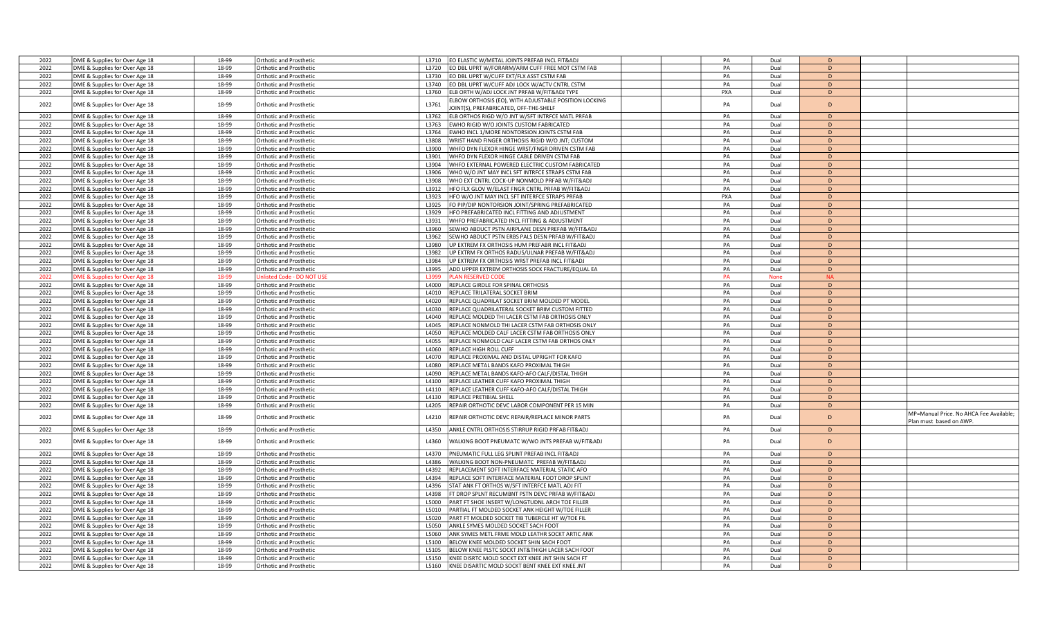| 2022 | DME & Supplies for Over Age 18 | 18-99 | <b>Orthotic and Prosthetic</b>   | L3710        | EO ELASTIC W/METAL JOINTS PREFAB INCL FIT&ADJ                                                   | PA         | Dual        | D              |                                                                   |
|------|--------------------------------|-------|----------------------------------|--------------|-------------------------------------------------------------------------------------------------|------------|-------------|----------------|-------------------------------------------------------------------|
| 2022 | DME & Supplies for Over Age 18 | 18-99 | <b>Orthotic and Prosthetic</b>   | L3720        | EO DBL UPRT W/FORARM/ARM CUFF FREE MOT CSTM FAB                                                 | PA         | Dual        | D              |                                                                   |
| 2022 | DME & Supplies for Over Age 18 | 18-99 | <b>Orthotic and Prosthetic</b>   | L3730        | EO DBL UPRT W/CUFF EXT/FLX ASST CSTM FAB                                                        | PA         | Dual        | D              |                                                                   |
| 2022 | DME & Supplies for Over Age 18 | 18-99 | <b>Orthotic and Prosthetic</b>   | L3740        | EO DBL UPRT W/CUFF ADJ LOCK W/ACTV CNTRL CSTM                                                   | PA         | Dual        | D              |                                                                   |
| 2022 | DME & Supplies for Over Age 18 | 18-99 | Orthotic and Prosthetic          | L3760        | ELB ORTH W/ADJ LOCK JNT PRFAB W/FIT&ADJ TYPE                                                    | PXA        | Dual        | D              |                                                                   |
| 2022 | DME & Supplies for Over Age 18 | 18-99 | Orthotic and Prosthetic          | L3761        | ELBOW ORTHOSIS (EO), WITH ADJUSTABLE POSITION LOCKING<br>JOINT(S), PREFABRICATED, OFF-THE-SHELF | PA         | Dual        | D              |                                                                   |
| 2022 | DME & Supplies for Over Age 18 | 18-99 | Orthotic and Prosthetic          | L3762        | ELB ORTHOS RIGD W/O JNT W/SFT INTRFCE MATL PRFAB                                                | PA         | Dual        | D              |                                                                   |
| 2022 | DME & Supplies for Over Age 18 | 18-99 | <b>Orthotic and Prosthetic</b>   | L3763        | EWHO RIGID W/O JOINTS CUSTOM FABRICATED                                                         | PA         | Dual        | D              |                                                                   |
| 2022 | DME & Supplies for Over Age 18 | 18-99 | <b>Orthotic and Prosthetic</b>   | L3764        | EWHO INCL 1/MORE NONTORSION JOINTS CSTM FAB                                                     | PA         | Dual        | D              |                                                                   |
| 2022 | DME & Supplies for Over Age 18 | 18-99 | Orthotic and Prosthetic          | <b>L3808</b> | WRIST HAND FINGER ORTHOSIS RIGID W/O JNT; CUSTOM                                                | PA         | Dual        | D              |                                                                   |
| 2022 |                                | 18-99 | Orthotic and Prosthetic          | L3900        | WHFO DYN FLEXOR HINGE WRST/FNGR DRIVEN CSTM FAB                                                 | PA         | Dual        | $\mathsf{D}$   |                                                                   |
|      | DME & Supplies for Over Age 18 |       |                                  |              |                                                                                                 |            |             |                |                                                                   |
| 2022 | DME & Supplies for Over Age 18 | 18-99 | Orthotic and Prosthetic          | L3901        | WHFO DYN FLEXOR HINGE CABLE DRIVEN CSTM FAB                                                     | PA         | Dual        | D<br>D         |                                                                   |
| 2022 | DME & Supplies for Over Age 18 | 18-99 | Orthotic and Prosthetic          | L3904        | WHFO EXTERNAL POWERED ELECTRIC CUSTOM FABRICATED                                                | PA         | Dual        |                |                                                                   |
| 2022 | DME & Supplies for Over Age 18 | 18-99 | <b>Orthotic and Prosthetic</b>   | L3906        | WHO W/O JNT MAY INCL SFT INTRFCE STRAPS CSTM FAB                                                | PA         | Dual        | D              |                                                                   |
| 2022 | DME & Supplies for Over Age 18 | 18-99 | <b>Orthotic and Prosthetic</b>   | L3908        | WHO EXT CNTRL COCK-UP NONMOLD PRFAB W/FIT&ADJ                                                   | PA         | Dual        | D              |                                                                   |
| 2022 | DME & Supplies for Over Age 18 | 18-99 | Orthotic and Prosthetic          | L3912        | HFO FLX GLOV W/ELAST FNGR CNTRL PRFAB W/FIT&ADJ                                                 | PA         | Dual        | D              |                                                                   |
| 2022 | DME & Supplies for Over Age 18 | 18-99 | Orthotic and Prosthetic          | L3923        | HFO W/O JNT MAY INCL SFT INTERFCE STRAPS PRFAB                                                  | <b>PXA</b> | Dual        | D              |                                                                   |
| 2022 | DME & Supplies for Over Age 18 | 18-99 | <b>Orthotic and Prosthetic</b>   | L3925        | FO PIP/DIP NONTORSION JOINT/SPRING PREFABRICATED                                                | PA         | Dual        | D              |                                                                   |
| 2022 | DME & Supplies for Over Age 18 | 18-99 | Orthotic and Prosthetic          | L3929        | HFO PREFABRICATED INCL FITTING AND ADJUSTMENT                                                   | PA         | Dual        | $\overline{D}$ |                                                                   |
| 2022 | DME & Supplies for Over Age 18 | 18-99 | Orthotic and Prosthetic          | L3931        | WHFO PREFABRICATED INCL FITTING & ADJUSTMENT                                                    | PA         | Dual        | D              |                                                                   |
| 2022 | DME & Supplies for Over Age 18 | 18-99 | <b>Orthotic and Prosthetic</b>   | L3960        | SEWHO ABDUCT PSTN AIRPLANE DESN PREFAB W/FIT&ADJ                                                | PA         | Dual        | D              |                                                                   |
| 2022 | DME & Supplies for Over Age 18 | 18-99 | <b>Orthotic and Prosthetic</b>   | L3962        | SEWHO ABDUCT PSTN ERBS PALS DESN PRFAB W/FIT&ADJ                                                | PA         | Dual        | D              |                                                                   |
| 2022 | DME & Supplies for Over Age 18 | 18-99 | <b>Orthotic and Prosthetic</b>   | L3980        | UP EXTREM FX ORTHOSIS HUM PREFABR INCL FIT&ADJ                                                  | PA         | Dual        | D              |                                                                   |
| 2022 | DME & Supplies for Over Age 18 | 18-99 | <b>Orthotic and Prosthetic</b>   | L3982        | UP EXTRM FX ORTHOS RADUS/ULNAR PREFAB W/FIT&ADJ                                                 | PA         | Dual        | D              |                                                                   |
| 2022 | DME & Supplies for Over Age 18 | 18-99 | Orthotic and Prosthetic          | L3984        | UP EXTREM FX ORTHOSIS WRST PREFAB INCL FIT&ADJ                                                  | PA         | Dual        | $\mathsf{D}$   |                                                                   |
| 2022 | DME & Supplies for Over Age 18 | 18-99 | Orthotic and Prosthetic          | L3995        | ADD UPPER EXTREM ORTHOSIS SOCK FRACTURE/EQUAL EA                                                | PA         | Dual        | D              |                                                                   |
| 2022 | OME & Supplies for Over Age 18 | 18-99 | <b>Jnlisted Code - DO NOT US</b> | L3999        | LAN RESERVED COD                                                                                | PA         | <b>None</b> | <b>NA</b>      |                                                                   |
| 2022 | DME & Supplies for Over Age 18 | 18-99 | Orthotic and Prosthetic          | L4000        | <b>REPLACE GIRDLE FOR SPINAL ORTHOSIS</b>                                                       | PA         | Dual        | D              |                                                                   |
| 2022 | DME & Supplies for Over Age 18 | 18-99 | <b>Orthotic and Prosthetic</b>   | L4010        | REPLACE TRILATERAL SOCKET BRIM                                                                  | PA         | Dual        | D              |                                                                   |
| 2022 | DME & Supplies for Over Age 18 | 18-99 | <b>Orthotic and Prosthetic</b>   | L4020        | REPLACE QUADRILAT SOCKET BRIM MOLDED PT MODEL                                                   | PA         | Dual        | D              |                                                                   |
| 2022 | DME & Supplies for Over Age 18 | 18-99 | Orthotic and Prosthetic          | L4030        | REPLACE QUADRILATERAL SOCKET BRIM CUSTOM FITTED                                                 | PA         | Dual        | D              |                                                                   |
| 2022 | DME & Supplies for Over Age 18 | 18-99 | Orthotic and Prosthetic          | 14040        | REPLACE MOLDED THI LACER CSTM FAB ORTHOSIS ONLY                                                 | PA         | Dual        | D              |                                                                   |
| 2022 | DME & Supplies for Over Age 18 | 18-99 |                                  | L4045        | REPLACE NONMOLD THI LACER CSTM FAB ORTHOSIS ONLY                                                | PA         | Dual        | D              |                                                                   |
| 2022 |                                | 18-99 | <b>Orthotic and Prosthetic</b>   | L4050        |                                                                                                 | PA         | Dual        | D              |                                                                   |
|      | DME & Supplies for Over Age 18 |       | Orthotic and Prosthetic          |              | REPLACE MOLDED CALF LACER CSTM FAB ORTHOSIS ONLY                                                |            |             |                |                                                                   |
| 2022 | DME & Supplies for Over Age 18 | 18-99 | <b>Orthotic and Prosthetic</b>   | L4055        | REPLACE NONMOLD CALF LACER CSTM FAB ORTHOS ONLY                                                 | PA         | Dual        | D              |                                                                   |
| 2022 | DME & Supplies for Over Age 18 | 18-99 | <b>Orthotic and Prosthetic</b>   | L4060        | <b>REPLACE HIGH ROLL CUFF</b>                                                                   | PA         | Dual        | D              |                                                                   |
| 2022 | DME & Supplies for Over Age 18 | 18-99 | Orthotic and Prosthetic          | L4070        | REPLACE PROXIMAL AND DISTAL UPRIGHT FOR KAFO                                                    | PA         | Dual        | D              |                                                                   |
| 2022 | DME & Supplies for Over Age 18 | 18-99 | <b>Orthotic and Prosthetic</b>   | L4080        | REPLACE METAL BANDS KAFO PROXIMAL THIGH                                                         | PA         | Dual        | D              |                                                                   |
| 2022 | DME & Supplies for Over Age 18 | 18-99 | Orthotic and Prosthetic          | L4090        | REPLACE METAL BANDS KAFO-AFO CALF/DISTAL THIGH                                                  | PA         | Dual        | D              |                                                                   |
| 2022 | DME & Supplies for Over Age 18 | 18-99 | Orthotic and Prosthetic          | L4100        | REPLACE LEATHER CUFF KAFO PROXIMAL THIGH                                                        | PA         | Dual        | $\mathsf{D}$   |                                                                   |
| 2022 | DME & Supplies for Over Age 18 | 18-99 | <b>Orthotic and Prosthetic</b>   | L4110        | REPLACE LEATHER CUFF KAFO-AFO CALF/DISTAL THIGH                                                 | PA         | Dual        | D              |                                                                   |
| 2022 | DME & Supplies for Over Age 18 | 18-99 | <b>Orthotic and Prosthetic</b>   | L4130        | REPLACE PRETIBIAL SHELL                                                                         | PA         | Dual        | D              |                                                                   |
| 2022 | DME & Supplies for Over Age 18 | 18-99 | Orthotic and Prosthetic          | L4205        | REPAIR ORTHOTIC DEVC LABOR COMPONENT PER 15 MIN                                                 | PA         | Dual        | D              |                                                                   |
| 2022 | DME & Supplies for Over Age 18 | 18-99 | Orthotic and Prosthetic          | L4210        | REPAIR ORTHOTIC DEVC REPAIR/REPLACE MINOR PARTS                                                 | PA         | Dual        | D              | MP=Manual Price. No AHCA Fee Available;<br>Plan must based on AWP |
| 2022 | DME & Supplies for Over Age 18 | 18-99 | Orthotic and Prosthetic          | L4350        | ANKLE CNTRL ORTHOSIS STIRRUP RIGID PRFAB FIT&ADJ                                                | PA         | Dual        | D              |                                                                   |
| 2022 | DME & Supplies for Over Age 18 | 18-99 | Orthotic and Prosthetic          | L4360        | WALKING BOOT PNEUMATC W/WO JNTS PREFAB W/FIT&ADJ                                                | PA         | Dual        | D              |                                                                   |
| 2022 | DME & Supplies for Over Age 18 | 18-99 | <b>Orthotic and Prosthetic</b>   | L4370        | PNEUMATIC FULL LEG SPLINT PREFAB INCL FIT&ADJ                                                   | PA         | Dual        | D              |                                                                   |
| 2022 | DME & Supplies for Over Age 18 | 18-99 | <b>Orthotic and Prosthetic</b>   | L4386        | WALKING BOOT NON-PNEUMATC PREFAB W/FIT&ADJ                                                      | PA         | Dual        | D              |                                                                   |
| 2022 | DME & Supplies for Over Age 18 | 18-99 | <b>Orthotic and Prosthetic</b>   | L4392        | REPLACEMENT SOFT INTERFACE MATERIAL STATIC AFO                                                  | PA         | Dual        | D              |                                                                   |
| 2022 | DME & Supplies for Over Age 18 | 18-99 | Orthotic and Prosthetic          | 14394        | REPLACE SOFT INTERFACE MATERIAL FOOT DROP SPLINT                                                | PA         | Dual        | $\overline{D}$ |                                                                   |
| 2022 | DME & Supplies for Over Age 18 | 18-99 | Orthotic and Prosthetic          | L4396        | STAT ANK FT ORTHOS W/SFT INTERFCE MATL ADJ FIT                                                  | PA         | Dual        | $\mathsf{D}$   |                                                                   |
| 2022 | DME & Supplies for Over Age 18 | 18-99 | <b>Orthotic and Prosthetic</b>   | L4398        | FT DROP SPLNT RECUMBNT PSTN DEVC PRFAB W/FIT&ADJ                                                | PA         | Dual        | D              |                                                                   |
| 2022 | DME & Supplies for Over Age 18 | 18-99 | Orthotic and Prosthetic          | L5000        | PART FT SHOE INSERT W/LONGTUDNL ARCH TOE FILLER                                                 | PA         | Dual        | D              |                                                                   |
| 2022 | DME & Supplies for Over Age 18 | 18-99 | <b>Orthotic and Prosthetic</b>   | L5010        | PARTIAL FT MOLDED SOCKET ANK HEIGHT W/TOE FILLER                                                | PA         | Dual        | D              |                                                                   |
| 2022 | DME & Supplies for Over Age 18 | 18-99 | <b>Orthotic and Prosthetic</b>   | L5020        | PART FT MOLDED SOCKET TIB TUBERCLE HT W/TOE FIL                                                 | PA         | Dual        | D              |                                                                   |
| 2022 | DME & Supplies for Over Age 18 | 18-99 | <b>Orthotic and Prosthetic</b>   | L5050        | ANKLE SYMES MOLDED SOCKET SACH FOOT                                                             | PA         | Dual        | D              |                                                                   |
| 2022 | DME & Supplies for Over Age 18 | 18-99 | Orthotic and Prosthetic          | L5060        | ANK SYMES METL FRME MOLD LEATHR SOCKT ARTIC ANK                                                 | PA         | Dual        | D              |                                                                   |
| 2022 | DME & Supplies for Over Age 18 | 18-99 | <b>Orthotic and Prosthetic</b>   | L5100        | BELOW KNEE MOLDED SOCKET SHIN SACH FOOT                                                         | PA         | Dual        | D              |                                                                   |
| 2022 | DME & Supplies for Over Age 18 | 18-99 | <b>Orthotic and Prosthetic</b>   | 15105        | BELOW KNEE PLSTC SOCKT JNT&THIGH LACER SACH FOOT                                                | PA         | Dual        | D              |                                                                   |
| 2022 | DME & Supplies for Over Age 18 | 18-99 | <b>Orthotic and Prosthetic</b>   | L5150        | KNEE DISRTC MOLD SOCKT EXT KNEE JNT SHIN SACH FT                                                | PA         | Dual        | D              |                                                                   |
| 2022 | DME & Supplies for Over Age 18 | 18-99 | Orthotic and Prosthetic          | L5160        | KNEE DISARTIC MOLD SOCKT BENT KNEE EXT KNEE JNT                                                 | PA         | Dual        | D              |                                                                   |
|      |                                |       |                                  |              |                                                                                                 |            |             |                |                                                                   |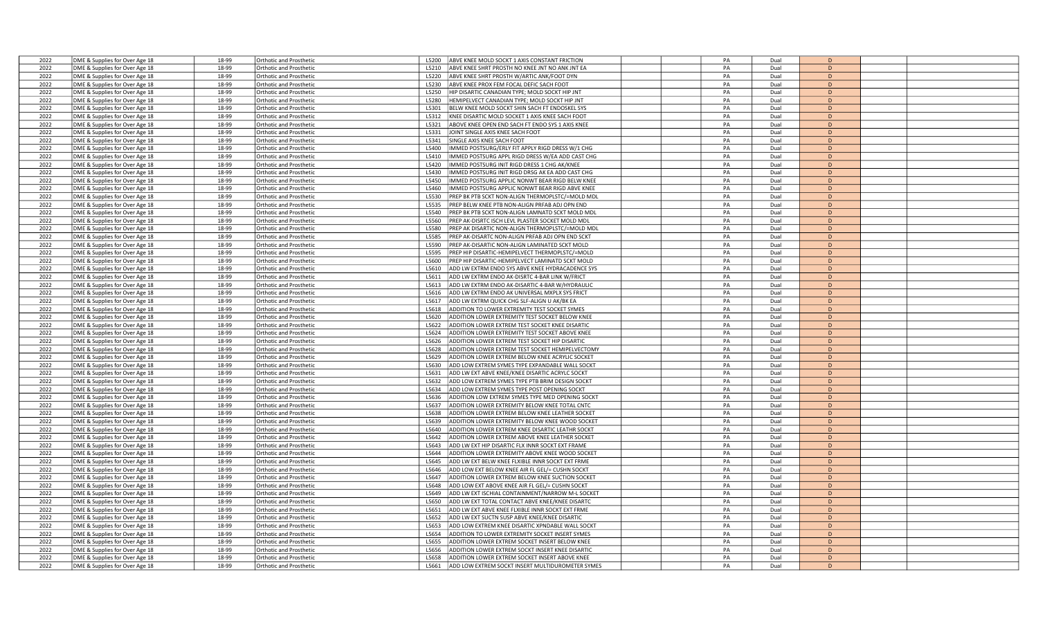| 2022 | DME & Supplies for Over Age 18 | 18-99          | <b>Orthotic and Prosthetio</b> | L5200          | ABVE KNEE MOLD SOCKT 1 AXIS CONSTANT FRICTION                                                       | PA | Dual         | $\mathsf{D}$   |  |
|------|--------------------------------|----------------|--------------------------------|----------------|-----------------------------------------------------------------------------------------------------|----|--------------|----------------|--|
| 2022 | DME & Supplies for Over Age 18 | 18-99          | Orthotic and Prosthetic        | L5210          | ABVE KNEE SHRT PROSTH NO KNEE JNT NO ANK JNT EA                                                     | PA | Dual         | D              |  |
| 2022 | DME & Supplies for Over Age 18 | 18-99          | <b>Orthotic and Prosthetic</b> | L5220          | ABVE KNEE SHRT PROSTH W/ARTIC ANK/FOOT DYN                                                          | PA | Dual         | D              |  |
| 2022 | DME & Supplies for Over Age 18 | 18-99          | <b>Orthotic and Prosthetic</b> | L5230          | ABVE KNEE PROX FEM FOCAL DEFIC SACH FOOT                                                            | PA | Dual         | D              |  |
| 2022 | DME & Supplies for Over Age 18 | 18-99          | <b>Orthotic and Prosthetic</b> | L5250          | HIP DISARTIC CANADIAN TYPE: MOLD SOCKT HIP JNT                                                      | PA | Dual         | D              |  |
| 2022 | DME & Supplies for Over Age 18 | 18-99          | <b>Orthotic and Prosthetic</b> | L5280          | HEMIPELVECT CANADIAN TYPE; MOLD SOCKT HIP JNT                                                       | PA | Dual         | D              |  |
| 2022 | DME & Supplies for Over Age 18 | 18-99          | <b>Orthotic and Prosthetic</b> | L5301          | BELW KNEE MOLD SOCKT SHIN SACH FT ENDOSKEL SYS                                                      | PA | Dual         | D.             |  |
| 2022 | DME & Supplies for Over Age 18 | 18-99          | <b>Orthotic and Prosthetic</b> | L5312          | KNEE DISARTIC MOLD SOCKET 1 AXIS KNEE SACH FOOT                                                     | PA | Dual         | D              |  |
| 2022 | DME & Supplies for Over Age 18 | 18-99          | Orthotic and Prosthetic        | L5321          | ABOVE KNEE OPEN END SACH FT ENDO SYS 1 AXIS KNEE                                                    | PA | Dual         | D              |  |
| 2022 | DME & Supplies for Over Age 18 | 18-99          | <b>Orthotic and Prosthetic</b> | L5331          | JOINT SINGLE AXIS KNEE SACH FOOT                                                                    | PA | Dual         | D              |  |
| 2022 | DME & Supplies for Over Age 18 | 18-99          | <b>Orthotic and Prosthetic</b> | L5341          | SINGLE AXIS KNEE SACH FOOT                                                                          | PA | Dual         | D              |  |
| 2022 | DME & Supplies for Over Age 18 | 18-99          | Orthotic and Prosthetic        | L5400          | MMED POSTSURG/ERLY FIT APPLY RIGD DRESS W/1 CHG                                                     | PA | Dual         | D              |  |
| 2022 | DME & Supplies for Over Age 18 | 18-99          | <b>Orthotic and Prosthetic</b> | L5410          | MMED POSTSURG APPL RIGD DRESS W/EA ADD CAST CHG                                                     | PA | Dual         | $\mathsf{D}$   |  |
| 2022 | DME & Supplies for Over Age 18 | 18-99          | <b>Orthotic and Prosthetic</b> | L5420          | MMED POSTSURG INIT RIGD DRESS 1 CHG AK/KNEE                                                         | PA | Dual         | $\mathsf{D}$   |  |
| 2022 | DME & Supplies for Over Age 18 | 18-99          | <b>Drthotic and Prosthetic</b> | L5430          | IMMED POSTSURG INIT RIGD DRSG AK EA ADD CAST CHG                                                    | PA | Dual         | D              |  |
| 2022 | DME & Supplies for Over Age 18 | 18-99          | <b>Drthotic and Prosthetic</b> | L5450          | MMED POSTSURG APPLIC NONWT BEAR RIGD BELW KNEE                                                      | PA | Dual         | D              |  |
| 2022 | DME & Supplies for Over Age 18 | 18-99          | <b>Drthotic and Prosthetic</b> | L5460          | MMED POSTSURG APPLIC NONWT BEAR RIGD ABVE KNEE                                                      | PA | Dual         | D              |  |
| 2022 | DME & Supplies for Over Age 18 | 18-99          | Orthotic and Prosthetic        | L5530          | PREP BK PTB SCKT NON-ALIGN THERMOPLSTC/=MOLD MDL                                                    | PA | Dual         | D              |  |
| 2022 |                                | 18-99          |                                | L5535          |                                                                                                     | PA | Dual         | D.             |  |
|      | DME & Supplies for Over Age 18 |                | Orthotic and Prosthetic        |                | PREP BELW KNEE PTB NON-ALIGN PRFAB ADJ OPN END                                                      |    |              | D              |  |
| 2022 | DME & Supplies for Over Age 18 | 18-99          | <b>Orthotic and Prosthetic</b> | L5540          | PREP BK PTB SCKT NON-ALIGN LAMNATD SCKT MOLD MDL                                                    | PA | Dual         |                |  |
| 2022 | DME & Supplies for Over Age 18 | 18-99          | <b>Orthotic and Prosthetic</b> | L5560          | REP AK-DISRTC ISCH LEVL PLASTER SOCKET MOLD MDL                                                     | PA | Dual         | D              |  |
| 2022 | DME & Supplies for Over Age 18 | 18-99          | Orthotic and Prosthetic        | L5580          | REP AK DISARTIC NON-ALIGN THERMOPLSTC/=MOLD MDL                                                     | PA | Dual         | D              |  |
| 2022 | DME & Supplies for Over Age 18 | 18-99          | <b>Drthotic and Prosthetic</b> | L5585          | REP AK-DISARTC NON-ALIGN PRFAB ADJ OPN END SCKT                                                     | PA | Dual         | D              |  |
| 2022 | DME & Supplies for Over Age 18 | 18-99          | Orthotic and Prosthetic        | L5590          | PREP AK-DISARTIC NON-ALIGN LAMINATED SCKT MOLD                                                      | PA | Dual         | D              |  |
| 2022 | DME & Supplies for Over Age 18 | 18-99          | <b>Orthotic and Prosthetio</b> | L5595          | PREP HIP DISARTIC-HEMIPELVECT THERMOPLSTC/=MOLD                                                     | PA | Dual         | $\mathsf{D}$   |  |
| 2022 | DME & Supplies for Over Age 18 | 18-99          | Orthotic and Prosthetic        | L5600          | REP HIP DISARTIC-HEMIPELVECT LAMINATD SCKT MOLD                                                     | PA | Dual         | $\mathsf{D}$   |  |
| 2022 | DME & Supplies for Over Age 18 | 18-99          | <b>Orthotic and Prosthetic</b> | L5610          | ADD LW EXTRM ENDO SYS ABVE KNEE HYDRACADENCE SYS                                                    | PA | Dual         | D              |  |
| 2022 | DME & Supplies for Over Age 18 | 18-99          | <b>Orthotic and Prosthetic</b> | L5611          | ADD LW EXTRM ENDO AK-DISRTC 4-BAR LINK W/FRICT                                                      | PA | Dual         | D              |  |
| 2022 | DME & Supplies for Over Age 18 | 18-99          | <b>Drthotic and Prosthetic</b> | L5613          | ADD LW EXTRM ENDO AK-DISARTIC 4-BAR W/HYDRAULIC                                                     | PA | Dual         | D              |  |
| 2022 | DME & Supplies for Over Age 18 | 18-99          | Orthotic and Prosthetic        | L5616          | ADD LW EXTRM ENDO AK UNIVERSAL MXPLX SYS FRICT                                                      | PA | Dual         | D              |  |
| 2022 | DME & Supplies for Over Age 18 | 18-99          | <b>Orthotic and Prosthetic</b> | L5617          | ADD LW EXTRM QUICK CHG SLF-ALIGN U AK/BK EA                                                         | PA | Dual         | $\mathsf{D}$   |  |
| 2022 | DME & Supplies for Over Age 18 | 18-99          | Orthotic and Prosthetic        | L5618          | ADDITION TO LOWER EXTREMITY TEST SOCKET SYMES                                                       | PA | Dual         | D              |  |
| 2022 | DME & Supplies for Over Age 18 | 18-99          | <b>Orthotic and Prosthetic</b> | L5620          | ADDITION LOWER EXTREMITY TEST SOCKET BELOW KNEE                                                     | PA | Dual         | D              |  |
| 2022 | DME & Supplies for Over Age 18 | 18-99          | <b>Orthotic and Prosthetic</b> | L5622          | ADDITION LOWER EXTREM TEST SOCKET KNEE DISARTIC                                                     | PA | Dual         | D.             |  |
| 2022 | DME & Supplies for Over Age 18 | 18-99          | Orthotic and Prosthetic        | L5624          | ADDITION LOWER EXTREMITY TEST SOCKET ABOVE KNEE                                                     | PA | Dual         | $\mathsf{D}$   |  |
| 2022 | DME & Supplies for Over Age 18 | 18-99          | Orthotic and Prosthetic        | L5626          | ADDITION LOWER EXTREM TEST SOCKET HIP DISARTIC                                                      | PA | Dual         | D              |  |
| 2022 | DME & Supplies for Over Age 18 | 18-99          | Orthotic and Prosthetic        | L5628          | ADDITION LOWER EXTREM TEST SOCKET HEMIPELVECTOMY                                                    | PA | Dual         | D              |  |
| 2022 | DME & Supplies for Over Age 18 | 18-99          | Orthotic and Prosthetic        | 15629          | ADDITION LOWER EXTREM BELOW KNEE ACRYLIC SOCKET                                                     | PA | Dual         | D              |  |
| 2022 | DME & Supplies for Over Age 18 | 18-99          | Orthotic and Prosthetic        | L5630          | ADD LOW EXTREM SYMES TYPE EXPANDABLE WALL SOCKT                                                     | PA | Dual         | D              |  |
| 2022 | DME & Supplies for Over Age 18 | 18-99          | <b>Orthotic and Prosthetic</b> | L5631          | ADD LW EXT ABVE KNEE/KNEE DISARTIC ACRYLC SOCKT                                                     | PA | Dual         | D.             |  |
| 2022 | DME & Supplies for Over Age 18 | 18-99          | <b>Orthotic and Prosthetic</b> | L5632          | ADD LOW EXTREM SYMES TYPE PTB BRIM DESIGN SOCKT                                                     | PA | Dual         | D              |  |
| 2022 | DME & Supplies for Over Age 18 | 18-99          | Orthotic and Prosthetic        | L5634          | ADD LOW EXTREM SYMES TYPE POST OPENING SOCKT                                                        | PA | Dual         | D.             |  |
| 2022 | DME & Supplies for Over Age 18 | 18-99          | <b>Orthotic and Prosthetio</b> | L5636          | ADDITION LOW EXTREM SYMES TYPE MED OPENING SOCKT                                                    | PA | Dual         | D              |  |
| 2022 | DME & Supplies for Over Age 18 | 18-99          | Orthotic and Prosthetic        | L5637          | ADDITION LOWER EXTREMITY BELOW KNEE TOTAL CNTC                                                      | PA | Dual         | D              |  |
| 2022 |                                | 18-99          |                                | L5638          | ADDITION LOWER EXTREM BELOW KNEE LEATHER SOCKET                                                     | PA | Dual         | D              |  |
| 2022 | DME & Supplies for Over Age 18 |                | Orthotic and Prosthetic        |                |                                                                                                     | PA |              | $\mathsf{D}$   |  |
| 2022 | DME & Supplies for Over Age 18 | 18-99<br>18-99 | Orthotic and Prosthetic        | L5639<br>L5640 | ADDITION LOWER EXTREMITY BELOW KNEE WOOD SOCKET<br>ADDITION LOWER EXTREM KNEE DISARTIC LEATHR SOCKT | PA | Dual<br>Dual | D              |  |
|      | DME & Supplies for Over Age 18 |                | <b>Drthotic and Prosthetic</b> |                |                                                                                                     |    |              |                |  |
| 2022 | DME & Supplies for Over Age 18 | 18-99          | <b>Orthotic and Prosthetic</b> | L5642          | ADDITION LOWER EXTREM ABOVE KNEE LEATHER SOCKET                                                     | PA | Dual         | D              |  |
| 2022 | DME & Supplies for Over Age 18 | 18-99          | Orthotic and Prosthetic        | L5643          | ADD LW EXT HIP DISARTIC FLX INNR SOCKT EXT FRAME                                                    | PA | Dual         | D              |  |
| 2022 | DME & Supplies for Over Age 18 | 18-99          | <b>Drthotic and Prosthetic</b> | 15644          | ADDITION LOWER EXTREMITY ABOVE KNEE WOOD SOCKET                                                     | PA | Dual         | D              |  |
| 2022 | DME & Supplies for Over Age 18 | 18-99          | <b>Drthotic and Prosthetic</b> | L5645          | ADD LW EXT BELW KNEE FLXIBLE INNR SOCKT EXT FRME                                                    | PA | Dual         | D              |  |
| 2022 | DME & Supplies for Over Age 18 | 18-99          | <b>Orthotic and Prosthetic</b> | L5646          | ADD LOW EXT BELOW KNEE AIR FL GEL/= CUSHN SOCKT                                                     | PA | Dual         | D              |  |
| 2022 | DME & Supplies for Over Age 18 | 18-99          | Orthotic and Prosthetic        | L5647          | ADDITION LOWER EXTREM BELOW KNEE SUCTION SOCKET                                                     | PA | Dual         | D              |  |
| 2022 | DME & Supplies for Over Age 18 | 18-99          | <b>Orthotic and Prosthetic</b> | L5648          | ADD LOW EXT ABOVE KNEE AIR FL GEL/= CUSHN SOCKT                                                     | PA | Dual         | D              |  |
| 2022 | DME & Supplies for Over Age 18 | 18-99          | <b>Orthotic and Prosthetic</b> | L5649          | ADD LW EXT ISCHIAL CONTAINMENT/NARROW M-L SOCKET                                                    | PA | Dual         | $\overline{D}$ |  |
| 2022 | DME & Supplies for Over Age 18 | 18-99          | Orthotic and Prosthetic        | L5650          | ADD LW EXT TOTAL CONTACT ABVE KNEE/KNEE DISARTO                                                     | PA | Dual         | D              |  |
| 2022 | DME & Supplies for Over Age 18 | 18-99          | <b>Orthotic and Prosthetic</b> | L5651          | ADD LW EXT ABVE KNEE FLXIBLE INNR SOCKT EXT FRME                                                    | PA | Dual         | D              |  |
| 2022 | DME & Supplies for Over Age 18 | 18-99          | <b>Orthotic and Prosthetic</b> | L5652          | ADD LW EXT SUCTN SUSP ABVE KNEE/KNEE DISARTIC                                                       | PA | Dual         | D              |  |
| 2022 | DME & Supplies for Over Age 18 | 18-99          | <b>Drthotic and Prosthetic</b> | L5653          | ADD LOW EXTREM KNEE DISARTIC XPNDABLE WALL SOCKT                                                    | PA | Dual         | D              |  |
| 2022 | DME & Supplies for Over Age 18 | 18-99          | Orthotic and Prosthetic        | L5654          | ADDITION TO LOWER EXTREMITY SOCKET INSERT SYMES                                                     | PA | Dual         | D              |  |
| 2022 | DME & Supplies for Over Age 18 | 18-99          | <b>Orthotic and Prosthetic</b> | L5655          | ADDITION LOWER EXTREM SOCKET INSERT BELOW KNEE                                                      | PA | Dual         | $\mathsf{D}$   |  |
| 2022 | DME & Supplies for Over Age 18 | 18-99          | <b>Irthotic and Prosthetic</b> | 15656          | ADDITION LOWER EXTREM SOCKT INSERT KNEE DISARTIC                                                    | PA | Dual         | D              |  |
| 2022 | DME & Supplies for Over Age 18 | 18-99          | <b>Orthotic and Prosthetic</b> | L5658          | ADDITION LOWER EXTREM SOCKET INSERT ABOVE KNEE                                                      | PA | Dual         | D              |  |
| 2022 | DME & Supplies for Over Age 18 | 18-99          | <b>Orthotic and Prosthetic</b> | L5661          | ADD LOW EXTREM SOCKT INSERT MULTIDUROMETER SYMES                                                    | PA | Dual         | $\mathsf{D}$   |  |
|      |                                |                |                                |                |                                                                                                     |    |              |                |  |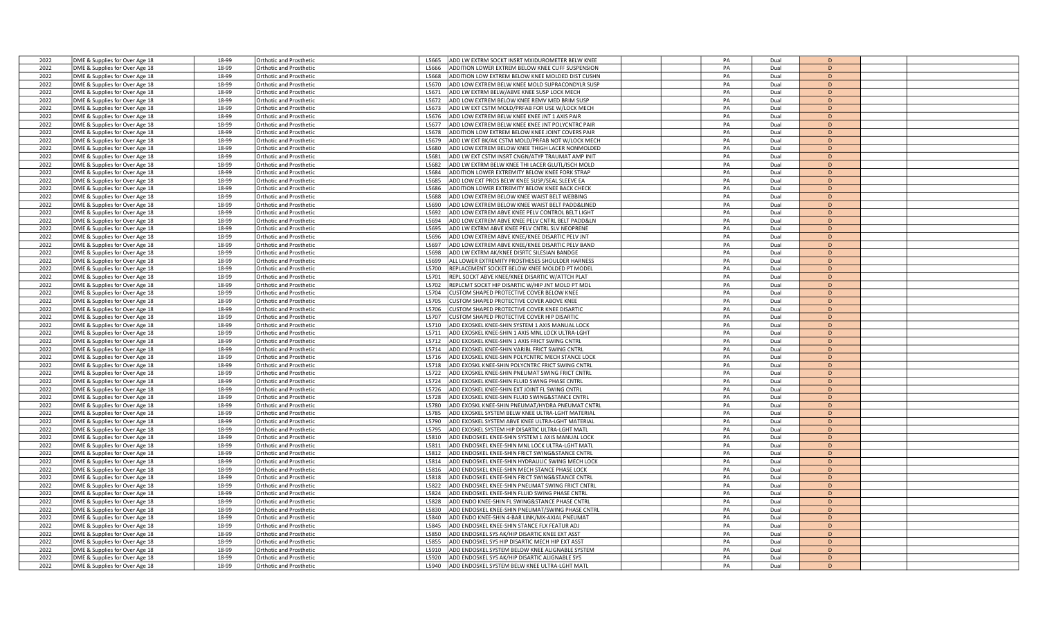| 2022 | DME & Supplies for Over Age 18                                   | 18-99          | Orthotic and Prosthetic        | L5665          | ADD LW EXTRM SOCKT INSRT MXIDUROMETER BELW KNEE  | PA | Dual | D                   |  |
|------|------------------------------------------------------------------|----------------|--------------------------------|----------------|--------------------------------------------------|----|------|---------------------|--|
| 2022 | DME & Supplies for Over Age 18                                   | 18-99          | <b>Orthotic and Prosthetic</b> | 15666          | ADDITION LOWER EXTREM BELOW KNEE CUFF SUSPENSION | PA | Dual | D                   |  |
| 2022 | DME & Supplies for Over Age 18                                   | 18-99          | Orthotic and Prosthetic        | L5668          | ADDITION LOW EXTREM BELOW KNEE MOLDED DIST CUSHN | PA | Dual | D                   |  |
| 2022 | DME & Supplies for Over Age 18                                   | 18-99          | Orthotic and Prosthetic        | L5670          | ADD LOW EXTREM BELW KNEE MOLD SUPRACONDYLR SUSP  | PA | Dual | D                   |  |
| 2022 | DME & Supplies for Over Age 18                                   | 18-99          | <b>Orthotic and Prosthetic</b> | L5671          | ADD LW EXTRM BELW/ABVE KNEE SUSP LOCK MECH       | PA | Dual | D                   |  |
| 2022 | DME & Supplies for Over Age 18                                   | 18-99          | Orthotic and Prosthetic        | L5672          | ADD LOW EXTREM BELOW KNEE REMV MED BRIM SUSP     | PA | Dual | D                   |  |
| 2022 | DME & Supplies for Over Age 18                                   | 18-99          | <b>Orthotic and Prosthetic</b> | L5673          | ADD LW EXT CSTM MOLD/PRFAB FOR USE W/LOCK MECH   | PA | Dual | D.                  |  |
| 2022 | DME & Supplies for Over Age 18                                   | 18-99          | <b>Orthotic and Prosthetic</b> | L5676          | ADD LOW EXTREM BELW KNEE KNEE JNT 1 AXIS PAIR    | PA | Dual | D                   |  |
| 2022 | DME & Supplies for Over Age 18                                   | 18-99          | Orthotic and Prosthetic        | L5677          | ADD LOW EXTREM BELW KNEE KNEE JNT POLYCNTRC PAIR | PA | Dual | D                   |  |
| 2022 | DME & Supplies for Over Age 18                                   | 18-99          | Orthotic and Prosthetic        | L5678          | ADDITION LOW EXTREM BELOW KNEE JOINT COVERS PAIR | PA | Dual | D                   |  |
| 2022 | DME & Supplies for Over Age 18                                   | 18-99          | <b>Orthotic and Prosthetic</b> | L5679          | ADD LW EXT BK/AK CSTM MOLD/PRFAB NOT W/LOCK MECH | PA | Dual | D                   |  |
| 2022 | DME & Supplies for Over Age 18                                   | 18-99          | Orthotic and Prosthetic        | <b>L5680</b>   | ADD LOW EXTREM BELOW KNEE THIGH LACER NONMOLDED  | PA | Dual | D                   |  |
| 2022 | DME & Supplies for Over Age 18                                   | 18-99          | Orthotic and Prosthetic        | L5681          | ADD LW EXT CSTM INSRT CNGN/ATYP TRAUMAT AMP INIT | PA | Dual | D.                  |  |
| 2022 | DME & Supplies for Over Age 18                                   | 18-99          | <b>Orthotic and Prosthetic</b> | 15682          | ADD LW EXTRM BELW KNEE THI LACER GLUTL/ISCH MOLD | PA | Dual | D                   |  |
| 2022 |                                                                  |                |                                |                | ADDITION LOWER EXTREMITY BELOW KNEE FORK STRAP   | PA |      |                     |  |
| 2022 | DME & Supplies for Over Age 18                                   | 18-99<br>18-99 | Orthotic and Prosthetic        | L5684          |                                                  | PA | Dual | D<br>D              |  |
|      | DME & Supplies for Over Age 18                                   |                | Orthotic and Prosthetic        | L5685<br>L5686 | ADD LOW EXT PROS BELW KNEE SUSP/SEAL SLEEVE EA   |    | Dual | D                   |  |
| 2022 | DME & Supplies for Over Age 18                                   | 18-99          | <b>Orthotic and Prosthetic</b> |                | ADDITION LOWER EXTREMITY BELOW KNEE BACK CHECK   | PA | Dual |                     |  |
| 2022 | DME & Supplies for Over Age 18                                   | 18-99          | Orthotic and Prosthetic        | L5688          | ADD LOW EXTREM BELOW KNEE WAIST BELT WEBBING     | PA | Dual | D                   |  |
| 2022 | DME & Supplies for Over Age 18                                   | 18-99          | Orthotic and Prosthetic        | L5690          | ADD LOW EXTREM BELOW KNEE WAIST BELT PADD&LINED  | PA | Dual | $\mathsf{D}$        |  |
| 2022 | DME & Supplies for Over Age 18                                   | 18-99          | <b>Orthotic and Prosthetic</b> | L5692          | ADD LOW EXTREM ABVE KNEE PELV CONTROL BELT LIGHT | PA | Dual | D                   |  |
| 2022 | DME & Supplies for Over Age 18                                   | 18-99          | Orthotic and Prosthetic        | L5694          | ADD LOW EXTREM ABVE KNEE PELV CNTRL BELT PADD&LN | PA | Dual | D                   |  |
| 2022 | DME & Supplies for Over Age 18                                   | 18-99          | Orthotic and Prosthetic        | L5695          | ADD LW EXTRM ABVE KNEE PELV CNTRL SLV NEOPRENE   | PA | Dual | D                   |  |
| 2022 | DME & Supplies for Over Age 18                                   | 18-99          | <b>Orthotic and Prosthetic</b> | L5696          | ADD LOW EXTREM ABVE KNEE/KNEE DISARTIC PELV JNT  | PA | Dual | D                   |  |
| 2022 | DME & Supplies for Over Age 18                                   | 18-99          | Orthotic and Prosthetic        | L5697          | ADD LOW EXTREM ABVE KNEE/KNEE DISARTIC PELV BAND | PA | Dual | D                   |  |
| 2022 | DME & Supplies for Over Age 18                                   | 18-99          | Orthotic and Prosthetic        | L5698          | ADD LW EXTRM AK/KNEE DISRTC SILESIAN BANDGE      | PA | Dual | D.                  |  |
| 2022 | DME & Supplies for Over Age 18                                   | 18-99          | Orthotic and Prosthetic        | L5699          | ALL LOWER EXTREMITY PROSTHESES SHOULDER HARNESS  | PA | Dual | D                   |  |
| 2022 | DME & Supplies for Over Age 18                                   | 18-99          | Orthotic and Prosthetic        | L5700          | REPLACEMENT SOCKET BELOW KNEE MOLDED PT MODEL    | PA | Dual | $\mathsf{D}$        |  |
| 2022 | DME & Supplies for Over Age 18                                   | 18-99          | Orthotic and Prosthetic        | L5701          | REPL SOCKT ABVE KNEE/KNEE DISARTIC W/ATTCH PLAT  | PA | Dual | D                   |  |
| 2022 | DME & Supplies for Over Age 18                                   | 18-99          | <b>Orthotic and Prosthetic</b> | L5702          | EPLCMT SOCKT HIP DISARTIC W/HIP JNT MOLD PT MDL  | PA | Dual | D                   |  |
| 2022 | DME & Supplies for Over Age 18                                   | 18-99          | Orthotic and Prosthetic        | L5704          | USTOM SHAPED PROTECTIVE COVER BELOW KNEE         | PA | Dual | D                   |  |
| 2022 | DME & Supplies for Over Age 18                                   | 18-99          | Orthotic and Prosthetic        | L5705          | USTOM SHAPED PROTECTIVE COVER ABOVE KNEE         | PA | Dual | $\mathsf{D}$        |  |
| 2022 | DME & Supplies for Over Age 18                                   | 18-99          | <b>Orthotic and Prosthetic</b> | 15706          | USTOM SHAPED PROTECTIVE COVER KNEE DISARTIC      | PA | Dual | D                   |  |
| 2022 | DME & Supplies for Over Age 18                                   | 18-99          | Orthotic and Prosthetic        | L5707          | USTOM SHAPED PROTECTIVE COVER HIP DISARTIC       | PA | Dual | D                   |  |
| 2022 | DME & Supplies for Over Age 18                                   | 18-99          | Orthotic and Prosthetic        | L5710          | ADD EXOSKEL KNEE-SHIN SYSTEM 1 AXIS MANUAL LOCK  | PA | Dual | D.                  |  |
| 2022 | DME & Supplies for Over Age 18                                   | 18-99          | <b>Orthotic and Prosthetic</b> | L5711          | ADD EXOSKEL KNEE-SHIN 1 AXIS MNL LOCK ULTRA-LGHT | PA | Dual | D                   |  |
| 2022 | DME & Supplies for Over Age 18                                   | 18-99          | <b>Orthotic and Prosthetic</b> | L5712          | ADD EXOSKEL KNEE-SHIN 1 AXIS FRICT SWING CNTRL   | PA | Dual | D                   |  |
| 2022 | DME & Supplies for Over Age 18                                   | 18-99          | <b>Orthotic and Prosthetic</b> | L5714          | ADD EXOSKEL KNEE-SHIN VARIBL FRICT SWING CNTRL   | PA | Dual | D                   |  |
| 2022 | DME & Supplies for Over Age 18                                   | 18-99          | <b>Orthotic and Prosthetic</b> | L5716          | ADD EXOSKEL KNEE-SHIN POLYCNTRC MECH STANCE LOCK | PA | Dual | D                   |  |
| 2022 | DME & Supplies for Over Age 18                                   | 18-99          | Orthotic and Prosthetic        | L5718          | ADD EXOSKL KNEE-SHIN POLYCNTRC FRICT SWING CNTRL | PA | Dual | D                   |  |
| 2022 | DME & Supplies for Over Age 18                                   | 18-99          | Orthotic and Prosthetic        | L5722          | ADD EXOSKEL KNEE-SHIN PNEUMAT SWING FRICT CNTRL  | PA | Dual | D.                  |  |
| 2022 | DME & Supplies for Over Age 18                                   | 18-99          | <b>Orthotic and Prosthetic</b> | 15724          | ADD EXOSKEL KNEE-SHIN FLUID SWING PHASE CNTRL    | PA | Dual | D                   |  |
| 2022 | DME & Supplies for Over Age 18                                   | 18-99          | Orthotic and Prosthetic        | L5726          | ADD EXOSKEL KNEE-SHIN EXT JOINT FL SWING CNTRL   | PA | Dual | D.                  |  |
| 2022 | DME & Supplies for Over Age 18                                   | 18-99          | <b>Orthotic and Prosthetic</b> | L5728          | ADD EXOSKEL KNEE-SHIN FLUID SWING&STANCE CNTRL   | PA | Dual | D                   |  |
| 2022 | DME & Supplies for Over Age 18                                   | 18-99          | <b>Orthotic and Prosthetic</b> | L5780          | ADD EXOSKL KNEE-SHIN PNEUMAT/HYDRA PNEUMAT CNTRL | PA | Dual | D                   |  |
| 2022 | DME & Supplies for Over Age 18                                   | 18-99          | Orthotic and Prosthetic        | L5785          | ADD EXOSKEL SYSTEM BELW KNEE ULTRA-LGHT MATERIAL | PA | Dual | D                   |  |
| 2022 | DME & Supplies for Over Age 18                                   | 18-99          | Orthotic and Prosthetic        | L5790          | ADD EXOSKEL SYSTEM ABVE KNEE ULTRA-LGHT MATERIAL | PA | Dual | D.                  |  |
| 2022 | DME & Supplies for Over Age 18                                   | 18-99          | <b>Orthotic and Prosthetic</b> | L5795          | ADD EXOSKEL SYSTEM HIP DISARTIC ULTRA-LGHT MATL  | PA | Dual | D                   |  |
| 2022 | DME & Supplies for Over Age 18                                   | 18-99          | Orthotic and Prosthetic        | L5810          | ADD ENDOSKEL KNEE-SHIN SYSTEM 1 AXIS MANUAL LOCK | PA | Dual | D                   |  |
| 2022 | DME & Supplies for Over Age 18                                   | 18-99          | Orthotic and Prosthetic        | L5811          | ADD ENDOSKEL KNEE-SHIN MNL LOCK ULTRA-LGHT MATL  | PA | Dual | $\overline{D}$      |  |
| 2022 | DME & Supplies for Over Age 18                                   | 18-99          | <b>Orthotic and Prosthetic</b> | L5812          | ADD ENDOSKEL KNEE-SHIN FRICT SWING&STANCE CNTRL  | PA | Dual | D                   |  |
| 2022 |                                                                  | 18-99          | Orthotic and Prosthetic        | L5814          | ADD ENDOSKEL KNEE-SHIN HYDRAULIC SWING MECH LOCK | PA | Dual | D                   |  |
| 2022 | DME & Supplies for Over Age 18<br>DME & Supplies for Over Age 18 | 18-99          | Orthotic and Prosthetic        | L5816          | ADD ENDOSKEL KNEE-SHIN MECH STANCE PHASE LOCK    | PA | Dual | D                   |  |
|      |                                                                  |                |                                |                |                                                  |    |      | D                   |  |
| 2022 | DME & Supplies for Over Age 18                                   | 18-99          | <b>Orthotic and Prosthetic</b> | L5818          | ADD ENDOSKEL KNEE-SHIN FRICT SWING&STANCE CNTRL  | PA | Dual |                     |  |
| 2022 | DME & Supplies for Over Age 18                                   | 18-99          | Orthotic and Prosthetic        | L5822          | ADD ENDOSKEL KNEE-SHIN PNEUMAT SWING FRICT CNTRL | PA | Dual | D<br>$\overline{D}$ |  |
| 2022 | DME & Supplies for Over Age 18                                   | 18-99          | Orthotic and Prosthetic        | L5824          | ADD ENDOSKEL KNEE-SHIN FLUID SWING PHASE CNTRL   | PA | Dual |                     |  |
| 2022 | DME & Supplies for Over Age 18                                   | 18-99          | <b>Orthotic and Prosthetic</b> | L5828          | ADD ENDO KNEE-SHIN FL SWING&STANCE PHASE CNTRL   | PA | Dual | D                   |  |
| 2022 | DME & Supplies for Over Age 18                                   | 18-99          | Orthotic and Prosthetic        | L5830          | ADD ENDOSKEL KNEE-SHIN PNEUMAT/SWING PHASE CNTRL | PA | Dual | D                   |  |
| 2022 | DME & Supplies for Over Age 18                                   | 18-99          | Orthotic and Prosthetic        | L5840          | ADD ENDO KNEE-SHIN 4-BAR LINK/MX-AXIAL PNEUMAT   | PA | Dual | D                   |  |
| 2022 | DME & Supplies for Over Age 18                                   | 18-99          | <b>Orthotic and Prosthetic</b> | L5845          | ADD ENDOSKEL KNEE-SHIN STANCE FLX FEATUR ADJ     | PA | Dual | D                   |  |
| 2022 | DME & Supplies for Over Age 18                                   | 18-99          | Orthotic and Prosthetic        | L5850          | ADD ENDOSKEL SYS AK/HIP DISARTIC KNEE EXT ASST   | PA | Dual | D                   |  |
| 2022 | DME & Supplies for Over Age 18                                   | 18-99          | Orthotic and Prosthetic        | L5855          | ADD ENDOSKEL SYS HIP DISARTIC MECH HIP EXT ASST  | PA | Dual | $\mathsf{D}$        |  |
| 2022 | DME & Supplies for Over Age 18                                   | 18-99          | <b>Orthotic and Prosthetic</b> | L5910          | OD ENDOSKEL SYSTEM BELOW KNEE ALIGNABLE SYSTEM   | PA | Dual | D                   |  |
| 2022 | DME & Supplies for Over Age 18                                   | 18-99          | Orthotic and Prosthetic        | L5920          | ADD ENDOSKEL SYS AK/HIP DISARTIC ALIGNABLE SYS   | PA | Dual | D                   |  |
| 2022 | DME & Supplies for Over Age 18                                   | 18-99          | <b>Orthotic and Prosthetic</b> | L5940          | ADD ENDOSKEL SYSTEM BELW KNEE ULTRA-LGHT MATL    | PA | Dual | <sub>D</sub>        |  |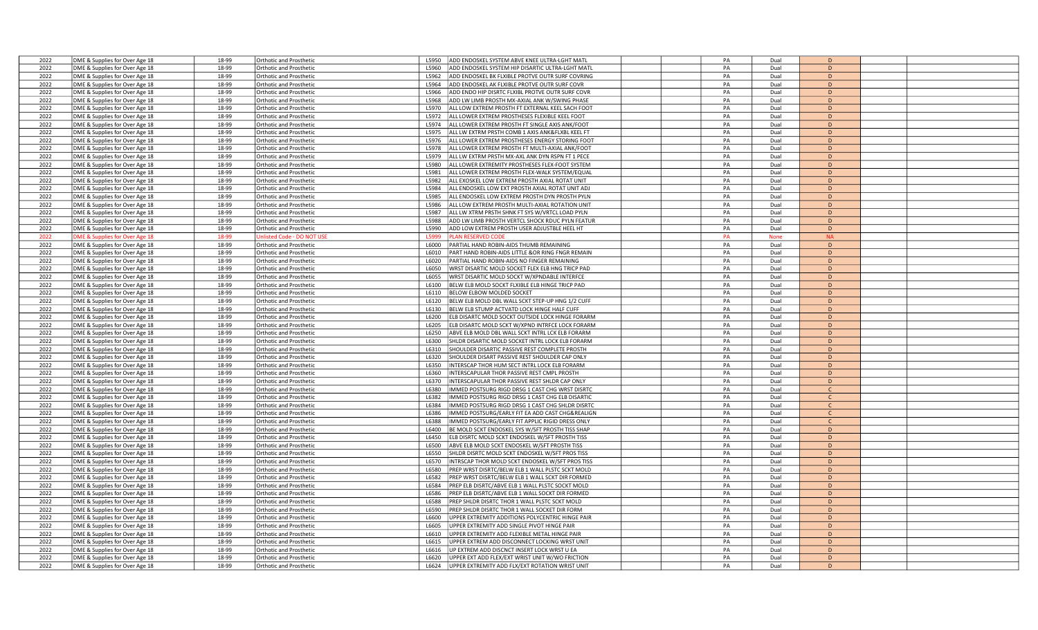| 2022 | DME & Supplies for Over Age 18 | 18-99 | <b>Orthotic and Prosthetic</b> | ADD ENDOSKEL SYSTEM ABVE KNEE ULTRA-LGHT MATI<br>L5950    | PA | Dual        | D            |  |
|------|--------------------------------|-------|--------------------------------|-----------------------------------------------------------|----|-------------|--------------|--|
| 2022 | DME & Supplies for Over Age 18 | 18-99 | Orthotic and Prosthetic        | ADD ENDOSKEL SYSTEM HIP DISARTIC ULTRA-LGHT MATL<br>15960 | PA | Dual        | D            |  |
| 2022 | DME & Supplies for Over Age 18 | 18-99 | <b>Orthotic and Prosthetic</b> | ADD ENDOSKEL BK FLXIBLE PROTVE OUTR SURF COVRING<br>L5962 | PA | Dual        | D            |  |
| 2022 | DME & Supplies for Over Age 18 | 18-99 | <b>Orthotic and Prosthetic</b> | ADD ENDOSKEL AK FLXIBLE PROTVE OUTR SURF COVR<br>L5964    | PA | Dual        | D            |  |
| 2022 | DME & Supplies for Over Age 18 | 18-99 | <b>Orthotic and Prosthetic</b> | L5966<br>ADD ENDO HIP DISRTC FLXIBL PROTVE OUTR SURF COVR | PA | Dual        | D            |  |
| 2022 | DME & Supplies for Over Age 18 | 18-99 | <b>Orthotic and Prosthetic</b> | L5968<br>ADD LW LIMB PROSTH MX-AXIAL ANK W/SWING PHASE    | PA | Dual        | D            |  |
| 2022 | DME & Supplies for Over Age 18 | 18-99 | Orthotic and Prosthetic        | ALL LOW EXTREM PROSTH FT EXTERNAL KEEL SACH FOOT<br>L5970 | PA | Dual        | D            |  |
| 2022 | DME & Supplies for Over Age 18 | 18-99 | <b>Orthotic and Prosthetic</b> | L5972<br>ALL LOWER EXTREM PROSTHESES FLEXIBLE KEEL FOOT   | PA | Dual        | D            |  |
| 2022 | DME & Supplies for Over Age 18 | 18-99 | <b>Orthotic and Prosthetic</b> | L5974<br>ALL LOWER EXTREM PROSTH FT SINGLE AXIS ANK/FOOT  | PA | Dual        | D            |  |
| 2022 | DME & Supplies for Over Age 18 | 18-99 | <b>Orthotic and Prosthetic</b> | L5975<br>ALL LW EXTRM PRSTH COMB 1 AXIS ANK&FLXBL KEEL FT | PA | Dual        | D            |  |
| 2022 | DME & Supplies for Over Age 18 | 18-99 | <b>Orthotic and Prosthetic</b> | L5976<br>ALL LOWER EXTREM PROSTHESES ENERGY STORING FOOT  | PA | Dual        | D            |  |
| 2022 | DME & Supplies for Over Age 18 | 18-99 | Orthotic and Prosthetic        | ALL LOWER EXTREM PROSTH FT MULTI-AXIAL ANK/FOOT<br>L5978  | PA | Dual        | D            |  |
| 2022 | DME & Supplies for Over Age 18 | 18-99 | <b>Orthotic and Prosthetic</b> | ALL LW EXTRM PRSTH MX-AXL ANK DYN RSPN FT 1 PECE<br>L5979 | PA | Dual        | D            |  |
| 2022 | DME & Supplies for Over Age 18 | 18-99 | <b>Orthotic and Prosthetic</b> | ALL LOWER EXTREMITY PROSTHESES FLEX-FOOT SYSTEM<br>L5980  | PA | Dual        | D            |  |
| 2022 | DME & Supplies for Over Age 18 | 18-99 | <b>Orthotic and Prosthetic</b> | ALL LOWER EXTREM PROSTH FLEX-WALK SYSTEM/EQUAI<br>L5981   | PA | Dual        | D            |  |
| 2022 | DME & Supplies for Over Age 18 | 18-99 | Orthotic and Prosthetic        | L5982<br>ALL EXOSKEL LOW EXTREM PROSTH AXIAL ROTAT UNIT   | PA | Dual        | D            |  |
| 2022 | DME & Supplies for Over Age 18 | 18-99 | <b>Orthotic and Prosthetic</b> | L5984<br>ALL ENDOSKEL LOW EXT PROSTH AXIAL ROTAT UNIT ADJ | PA | Dual        | D            |  |
| 2022 | DME & Supplies for Over Age 18 | 18-99 | <b>Orthotic and Prosthetic</b> | L5985<br>ALL ENDOSKEL LOW EXTREM PROSTH DYN PROSTH PYLN   | PA | Dual        | D            |  |
| 2022 | DME & Supplies for Over Age 18 | 18-99 | <b>Orthotic and Prosthetic</b> | ALL LOW EXTREM PROSTH MULTI-AXIAL ROTATION UNIT<br>L5986  | PA | Dual        | D            |  |
| 2022 | DME & Supplies for Over Age 18 | 18-99 | Orthotic and Prosthetic        | ALL LW XTRM PRSTH SHNK FT SYS W/VRTCL LOAD PYLN<br>L5987  | PA | Dual        | D            |  |
| 2022 | DME & Supplies for Over Age 18 | 18-99 | <b>Orthotic and Prosthetic</b> | L5988<br>ADD LW LIMB PROSTH VERTCL SHOCK RDUC PYLN FEATUR | PA | Dual        | D            |  |
| 2022 | DME & Supplies for Over Age 18 | 18-99 | <b>Orthotic and Prosthetic</b> | L5990<br>ADD LOW EXTREM PROSTH USER ADJUSTBLE HEEL HT     | PA | Dual        | D            |  |
| 2022 | DME & Supplies for Over Age 18 | 18-99 | nlisted Code - DO NOT US       | L5999<br>LAN RESERVED CODE                                | PA | <b>None</b> | <b>NA</b>    |  |
| 2022 | DME & Supplies for Over Age 18 | 18-99 | <b>Orthotic and Prosthetic</b> | L6000<br>PARTIAL HAND ROBIN-AIDS THUMB REMAINING          | PA | Dual        | D            |  |
| 2022 | DME & Supplies for Over Age 18 | 18-99 | Orthotic and Prosthetic        | PART HAND ROBIN-AIDS LITTLE &OR RING FNGR REMAIN<br>L6010 | PA | Dual        | $\mathsf{D}$ |  |
| 2022 | DME & Supplies for Over Age 18 | 18-99 | <b>Orthotic and Prosthetic</b> | L6020<br>PARTIAL HAND ROBIN-AIDS NO FINGER REMAINING      | PA | Dual        | $\mathsf{D}$ |  |
| 2022 | DME & Supplies for Over Age 18 | 18-99 | <b>Orthotic and Prosthetic</b> | L6050<br>WRST DISARTIC MOLD SOCKET FLEX ELB HNG TRICP PAD | PA | Dual        | D            |  |
| 2022 | DME & Supplies for Over Age 18 | 18-99 | <b>Orthotic and Prosthetic</b> | L6055<br>WRST DISARTIC MOLD SOCKT W/XPNDABLE INTERFCE     | PA | Dual        | D            |  |
| 2022 | DME & Supplies for Over Age 18 | 18-99 | <b>Orthotic and Prosthetic</b> | L6100<br>BELW ELB MOLD SOCKT FLXIBLE ELB HINGE TRICP PAD  | PA | Dual        | D            |  |
| 2022 | DME & Supplies for Over Age 18 | 18-99 | Orthotic and Prosthetic        | L6110<br>BELOW ELBOW MOLDED SOCKET                        | PA | Dual        | D            |  |
| 2022 | DME & Supplies for Over Age 18 | 18-99 | Orthotic and Prosthetic        | BELW ELB MOLD DBL WALL SCKT STEP-UP HNG 1/2 CUFF<br>L6120 | PA | Dual        | D            |  |
| 2022 | DME & Supplies for Over Age 18 | 18-99 | <b>Orthotic and Prosthetic</b> | L6130<br>BELW ELB STUMP ACTVATD LOCK HINGE HALF CUFF      | PA | Dual        | D            |  |
| 2022 | DME & Supplies for Over Age 18 | 18-99 | <b>Orthotic and Prosthetic</b> | L6200<br>ELB DISARTC MOLD SOCKT OUTSIDE LOCK HINGE FORARM | PA | Dual        | D            |  |
| 2022 | DME & Supplies for Over Age 18 | 18-99 | <b>Orthotic and Prosthetic</b> | ELB DISARTC MOLD SCKT W/XPND INTRFCE LOCK FORARM<br>L6205 | PA | Dual        | D            |  |
| 2022 | DME & Supplies for Over Age 18 | 18-99 | <b>Orthotic and Prosthetic</b> | L6250<br>ABVE ELB MOLD DBL WALL SCKT INTRL LCK ELB FORARM | PA | Dual        | D            |  |
| 2022 | DME & Supplies for Over Age 18 | 18-99 | Orthotic and Prosthetic        | L6300<br>SHLDR DISARTIC MOLD SOCKET INTRL LOCK ELB FORARM | PA | Dual        | D            |  |
| 2022 | DME & Supplies for Over Age 18 | 18-99 | <b>Orthotic and Prosthetic</b> | SHOULDER DISARTIC PASSIVE REST COMPLETE PROSTH<br>L6310   | PA | Dual        | D            |  |
| 2022 | DME & Supplies for Over Age 18 | 18-99 | <b>Orthotic and Prosthetic</b> | L6320<br>SHOULDER DISART PASSIVE REST SHOULDER CAP ONLY   | PA | Dual        | D            |  |
| 2022 | DME & Supplies for Over Age 18 | 18-99 | <b>Orthotic and Prosthetic</b> | L6350<br>NTERSCAP THOR HUM SECT INTRL LOCK ELB FORARM     | PA | Dual        | D            |  |
| 2022 | DME & Supplies for Over Age 18 | 18-99 | <b>Orthotic and Prosthetic</b> | L6360<br>NTERSCAPULAR THOR PASSIVE REST CMPL PROSTH       | PA | Dual        | D            |  |
| 2022 | DME & Supplies for Over Age 18 | 18-99 | <b>Orthotic and Prosthetic</b> | INTERSCAPULAR THOR PASSIVE REST SHLDR CAP ONLY<br>L6370   | PA | Dual        | D            |  |
| 2022 | DME & Supplies for Over Age 18 | 18-99 | <b>Orthotic and Prosthetic</b> | L6380<br>MMED POSTSURG RIGD DRSG 1 CAST CHG WRST DISRTC   | PA | Dual        | $\mathsf{C}$ |  |
| 2022 | DME & Supplies for Over Age 18 | 18-99 | <b>Orthotic and Prosthetic</b> | IMMED POSTSURG RIGD DRSG 1 CAST CHG ELB DISARTIC<br>L6382 | PA | Dual        | $\mathsf{C}$ |  |
| 2022 | DME & Supplies for Over Age 18 | 18-99 | <b>Orthotic and Prosthetic</b> | L6384<br>MMED POSTSURG RIGD DRSG 1 CAST CHG SHLDR DISRTC  | PA | Dual        | $\mathsf{C}$ |  |
| 2022 | DME & Supplies for Over Age 18 | 18-99 | <b>Orthotic and Prosthetic</b> | L6386<br>MMED POSTSURG/EARLY FIT EA ADD CAST CHG&REALIGN  | PA | Dual        | $\mathsf{C}$ |  |
| 2022 | DME & Supplies for Over Age 18 | 18-99 | Orthotic and Prosthetic        | L6388<br>MMED POSTSURG/EARLY FIT APPLIC RIGID DRESS ONLY  | PA | Dual        | $\mathsf{C}$ |  |
| 2022 | DME & Supplies for Over Age 18 | 18-99 | <b>Orthotic and Prosthetic</b> | L6400<br>BE MOLD SCKT ENDOSKEL SYS W/SFT PROSTH TISS SHAP | PA | Dual        | D            |  |
| 2022 | DME & Supplies for Over Age 18 | 18-99 | <b>Orthotic and Prosthetic</b> | L6450<br>ELB DISRTC MOLD SCKT ENDOSKEL W/SFT PROSTH TISS  | PA | Dual        | D            |  |
| 2022 | DME & Supplies for Over Age 18 | 18-99 | <b>Orthotic and Prosthetic</b> | ABVE ELB MOLD SCKT ENDOSKEL W/SFT PROSTH TISS<br>L6500    | PA | Dual        | D            |  |
| 2022 | DME & Supplies for Over Age 18 | 18-99 | <b>Orthotic and Prosthetic</b> | SHLDR DISRTC MOLD SCKT ENDOSKEL W/SFT PROS TISS<br>L6550  | PA | Dual        | D            |  |
| 2022 | DME & Supplies for Over Age 18 | 18-99 | <b>Orthotic and Prosthetic</b> | NTRSCAP THOR MOLD SCKT ENDOSKEL W/SFT PROS TISS<br>L6570  | PA | Dual        | D            |  |
| 2022 | DME & Supplies for Over Age 18 | 18-99 | Orthotic and Prosthetic        | L6580<br>PREP WRST DISRTC/BELW ELB 1 WALL PLSTC SCKT MOLD | PA | Dual        | D            |  |
| 2022 | DME & Supplies for Over Age 18 | 18-99 | Orthotic and Prosthetic        | L6582<br>PREP WRST DISRTC/BELW ELB 1 WALL SCKT DIR FORMED | PA | Dual        | D            |  |
| 2022 | DME & Supplies for Over Age 18 | 18-99 | <b>Orthotic and Prosthetic</b> | L6584<br>PREP ELB DISRTC/ABVE ELB 1 WALL PLSTC SOCKT MOLD | PA | Dual        | D            |  |
| 2022 | DME & Supplies for Over Age 18 | 18-99 | Orthotic and Prosthetic        | PREP ELB DISRTC/ABVE ELB 1 WALL SOCKT DIR FORMED<br>L6586 | PA | Dual        | D            |  |
| 2022 | DME & Supplies for Over Age 18 | 18-99 | <b>Orthotic and Prosthetic</b> | PREP SHLDR DISRTC THOR 1 WALL PLSTC SCKT MOLD<br>L6588    | PA | Dual        | D            |  |
| 2022 | DME & Supplies for Over Age 18 | 18-99 | <b>Orthotic and Prosthetic</b> | PREP SHLDR DISRTC THOR 1 WALL SOCKET DIR FORM<br>L6590    | PA | Dual        | D            |  |
| 2022 | DME & Supplies for Over Age 18 | 18-99 | <b>Orthotic and Prosthetic</b> | JPPER EXTREMITY ADDITIONS POLYCENTRIC HINGE PAIF<br>L6600 | PA | Dual        | D            |  |
| 2022 | DME & Supplies for Over Age 18 | 18-99 | <b>Orthotic and Prosthetic</b> | L6605<br>JPPER EXTREMITY ADD SINGLE PIVOT HINGE PAIR      | PA | Dual        | D            |  |
| 2022 | DME & Supplies for Over Age 18 | 18-99 | <b>Orthotic and Prosthetic</b> | IPPER EXTREMITY ADD FLEXIBLE METAL HINGE PAIR<br>L6610    | PA | Dual        | D            |  |
| 2022 | DME & Supplies for Over Age 18 | 18-99 | Orthotic and Prosthetic        | JPPER EXTREM ADD DISCONNECT LOCKING WRST UNIT<br>L6615    | PA | Dual        | D            |  |
| 2022 | DME & Supplies for Over Age 18 | 18-99 | <b>Orthotic and Prosthetic</b> | JP EXTREM ADD DISCNCT INSERT LOCK WRST U EA<br>L6616      | PA | Dual        | D            |  |
| 2022 | DME & Supplies for Over Age 18 | 18-99 | Orthotic and Prosthetic        | JPPER EXT ADD FLEX/EXT WRIST UNIT W/WO FRICTION<br>L6620  | PA | Dual        | D            |  |
| 2022 | DME & Supplies for Over Age 18 | 18-99 | Orthotic and Prosthetic        | UPPER EXTREMITY ADD FLX/EXT ROTATION WRIST UNIT<br>L6624  | PA | Dual        | D            |  |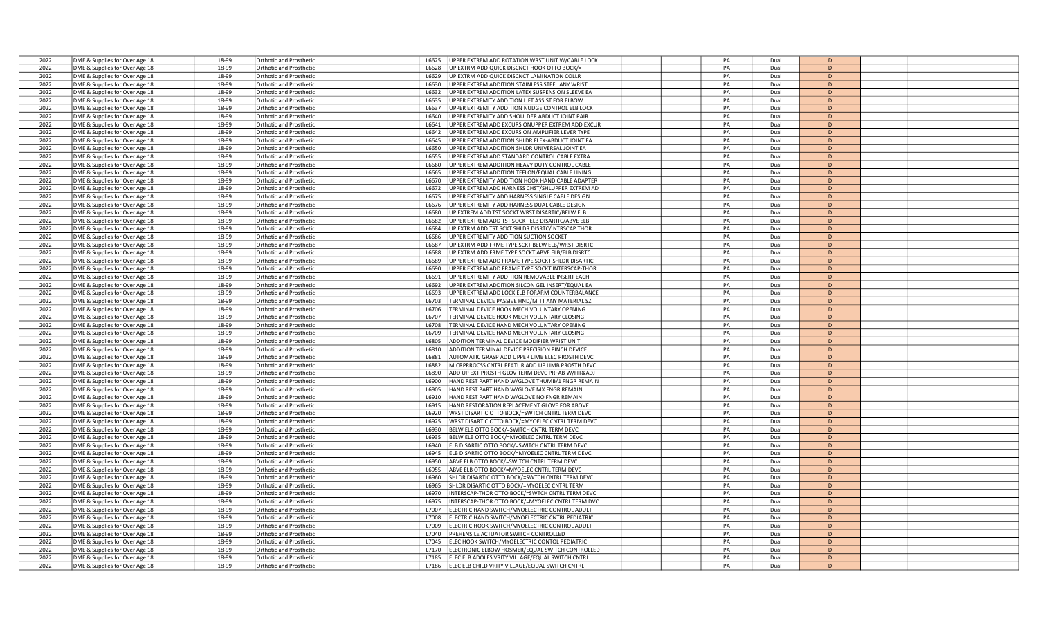| 2022 | DME & Supplies for Over Age 18 | 18-99 | <b>Orthotic and Prosthetic</b> | UPPER EXTREM ADD ROTATION WRST UNIT W/CABLE LOCK<br>L6625   | PA | Dual | D              |  |
|------|--------------------------------|-------|--------------------------------|-------------------------------------------------------------|----|------|----------------|--|
| 2022 | DME & Supplies for Over Age 18 | 18-99 | Orthotic and Prosthetic        | UP EXTRM ADD QUICK DISCNCT HOOK OTTO BOCK/=<br>16628        | PA | Dual | D              |  |
| 2022 | DME & Supplies for Over Age 18 | 18-99 | <b>Orthotic and Prosthetic</b> | UP EXTRM ADD QUICK DISCNCT LAMINATION COLLR<br>L6629        | PA | Dual | D              |  |
| 2022 | DME & Supplies for Over Age 18 | 18-99 | Orthotic and Prosthetic        | JPPER EXTREM ADDITION STAINLESS STEEL ANY WRIST<br>L6630    | PA | Dual | D              |  |
| 2022 | DME & Supplies for Over Age 18 | 18-99 | <b>Orthotic and Prosthetic</b> | L6632<br>JPPER EXTREM ADDITION LATEX SUSPENSION SLEEVE EA   | PA | Dual | D              |  |
| 2022 |                                | 18-99 |                                | L6635                                                       | PA | Dual | D              |  |
|      | DME & Supplies for Over Age 18 |       | <b>Orthotic and Prosthetic</b> | JPPER EXTREMITY ADDITION LIFT ASSIST FOR ELBOW              |    |      |                |  |
| 2022 | DME & Supplies for Over Age 18 | 18-99 | Orthotic and Prosthetic        | JPPER EXTREMITY ADDITION NUDGE CONTROL ELB LOCK<br>L6637    | PA | Dual | D              |  |
| 2022 | DME & Supplies for Over Age 18 | 18-99 | Orthotic and Prosthetic        | JPPER EXTREMITY ADD SHOULDER ABDUCT JOINT PAIR<br>L6640     | PA | Dual | D              |  |
| 2022 | DME & Supplies for Over Age 18 | 18-99 | Orthotic and Prosthetic        | L6641<br>JPPER EXTREM ADD EXCURSIONUPPER EXTREM ADD EXCUR   | PA | Dual | D              |  |
| 2022 | DME & Supplies for Over Age 18 | 18-99 | <b>Orthotic and Prosthetic</b> | L6642<br>JPPER EXTREM ADD EXCURSION AMPLIFIER LEVER TYPE    | PA | Dual | D              |  |
| 2022 | DME & Supplies for Over Age 18 | 18-99 | Orthotic and Prosthetic        | L6645<br>JPPER EXTREM ADDITION SHLDR FLEX-ABDUCT JOINT EA   | PA | Dual | D              |  |
| 2022 | DME & Supplies for Over Age 18 | 18-99 | Orthotic and Prosthetic        | L6650<br>JPPER EXTREM ADDITION SHLDR UNIVERSAL JOINT EA     | PA | Dual | D              |  |
| 2022 | DME & Supplies for Over Age 18 | 18-99 | <b>Orthotic and Prosthetic</b> | JPPER EXTREM ADD STANDARD CONTROL CABLE EXTRA<br>L6655      | PA | Dual | D              |  |
| 2022 | DME & Supplies for Over Age 18 | 18-99 | Orthotic and Prosthetic        | JPPER EXTREM ADDITION HEAVY DUTY CONTROL CABLE<br>L6660     | PA | Dual | D              |  |
| 2022 | DME & Supplies for Over Age 18 | 18-99 | Orthotic and Prosthetic        | JPPER EXTREM ADDITION TEFLON/EQUAL CABLE LINING<br>L6665    | PA | Dual | D              |  |
| 2022 | DME & Supplies for Over Age 18 | 18-99 | Orthotic and Prosthetic        | JPPER EXTREMITY ADDITION HOOK HAND CABLE ADAPTER<br>L6670   | PA | Dual | D              |  |
| 2022 | DME & Supplies for Over Age 18 | 18-99 | Orthotic and Prosthetic        | JPPER EXTREM ADD HARNESS CHST/SHLUPPER EXTREM AD<br>L6672   | PA | Dual | D              |  |
| 2022 | DME & Supplies for Over Age 18 | 18-99 | Orthotic and Prosthetic        | L6675<br>JPPER EXTREMITY ADD HARNESS SINGLE CABLE DESIGN    | PA | Dual | D              |  |
| 2022 | DME & Supplies for Over Age 18 | 18-99 | Orthotic and Prosthetic        | JPPER EXTREMITY ADD HARNESS DUAL CABLE DESIGN<br>L6676      | PA | Dual | $\overline{D}$ |  |
| 2022 | DME & Supplies for Over Age 18 | 18-99 | Orthotic and Prosthetic        | JP EXTREM ADD TST SOCKT WRST DISARTIC/BELW ELB<br>L6680     | PA | Dual | D              |  |
| 2022 | DME & Supplies for Over Age 18 | 18-99 | Orthotic and Prosthetic        | JPPER EXTREM ADD TST SOCKT ELB DISARTIC/ABVE ELB<br>L6682   | PA | Dual | D              |  |
| 2022 | DME & Supplies for Over Age 18 | 18-99 | <b>Orthotic and Prosthetic</b> | L6684<br>JP EXTRM ADD TST SCKT SHLDR DISRTC/INTRSCAP THOR   | PA | Dual | D              |  |
|      |                                | 18-99 |                                |                                                             |    |      | D              |  |
| 2022 | DME & Supplies for Over Age 18 |       | Orthotic and Prosthetic        | JPPER EXTREMITY ADDITION SUCTION SOCKET<br>L6686            | PA | Dual |                |  |
| 2022 | DME & Supplies for Over Age 18 | 18-99 | Orthotic and Prosthetic        | JP EXTRM ADD FRME TYPE SCKT BELW ELB/WRST DISRTC<br>L6687   | PA | Dual | D              |  |
| 2022 | DME & Supplies for Over Age 18 | 18-99 | <b>Orthotic and Prosthetic</b> | JP EXTRM ADD FRME TYPE SOCKT ABVE ELB/ELB DISRTC<br>L6688   | PA | Dual | D              |  |
| 2022 | DME & Supplies for Over Age 18 | 18-99 | Orthotic and Prosthetic        | L6689<br>UPPER EXTREM ADD FRAME TYPE SOCKT SHLDR DISARTIC   | PA | Dual | D              |  |
| 2022 | DME & Supplies for Over Age 18 | 18-99 | <b>Orthotic and Prosthetic</b> | L6690<br>JPPER EXTREM ADD FRAME TYPE SOCKT INTERSCAP-THOR   | PA | Dual | D              |  |
| 2022 | DME & Supplies for Over Age 18 | 18-99 | <b>Orthotic and Prosthetic</b> | JPPER EXTREMITY ADDITION REMOVABLE INSERT EACH<br>L6691     | PA | Dual | D              |  |
| 2022 | DME & Supplies for Over Age 18 | 18-99 | Orthotic and Prosthetic        | JPPER EXTREM ADDITION SILCON GEL INSERT/EQUAL EA<br>L6692   | PA | Dual | D              |  |
| 2022 | DME & Supplies for Over Age 18 | 18-99 | Orthotic and Prosthetic        | L6693<br>JPPER EXTREM ADD LOCK ELB FORARM COUNTERBALANCE    | PA | Dual | D              |  |
| 2022 | DME & Supplies for Over Age 18 | 18-99 | <b>Orthotic and Prosthetic</b> | TERMINAL DEVICE PASSIVE HND/MITT ANY MATERIAL SZ<br>L6703   | PA | Dual | D              |  |
| 2022 | DME & Supplies for Over Age 18 | 18-99 | Orthotic and Prosthetic        | TERMINAL DEVICE HOOK MECH VOLUNTARY OPENING<br>L6706        | PA | Dual | D              |  |
| 2022 | DME & Supplies for Over Age 18 | 18-99 | Orthotic and Prosthetic        | <b>FERMINAL DEVICE HOOK MECH VOLUNTARY CLOSING</b><br>L6707 | PA | Dual | D              |  |
| 2022 | DME & Supplies for Over Age 18 | 18-99 | <b>Orthotic and Prosthetic</b> | L6708<br>FERMINAL DEVICE HAND MECH VOLUNTARY OPENING        | PA | Dual | D              |  |
| 2022 | DME & Supplies for Over Age 18 | 18-99 | Orthotic and Prosthetic        | L6709<br>FERMINAL DEVICE HAND MECH VOLUNTARY CLOSING        | PA | Dual | D              |  |
| 2022 | DME & Supplies for Over Age 18 | 18-99 | Orthotic and Prosthetic        | ADDITION TERMINAL DEVICE MODIFIER WRIST UNIT<br>L6805       | PA | Dual | D              |  |
| 2022 | DME & Supplies for Over Age 18 | 18-99 | <b>Orthotic and Prosthetio</b> | ADDITION TERMINAL DEVICE PRECISION PINCH DEVICE<br>16810    | PA | Dual | D              |  |
| 2022 | DME & Supplies for Over Age 18 | 18-99 | Orthotic and Prosthetic        | AUTOMATIC GRASP ADD UPPER LIMB ELEC PROSTH DEVC<br>L6881    | PA | Dual | D              |  |
| 2022 | DME & Supplies for Over Age 18 | 18-99 | Orthotic and Prosthetic        | MICRPRROCSS CNTRL FEATUR ADD UP LIMB PROSTH DEVC<br>L6882   | PA | Dual | D              |  |
| 2022 |                                | 18-99 |                                | ADD UP EXT PROSTH GLOV TERM DEVC PRFAB W/FIT&ADJ<br>L6890   | PA | Dual | D              |  |
| 2022 | DME & Supplies for Over Age 18 | 18-99 | <b>Orthotic and Prosthetic</b> | 16900                                                       | PA | Dual | $\overline{D}$ |  |
|      | DME & Supplies for Over Age 18 |       | Orthotic and Prosthetic        | HAND REST PART HAND W/GLOVE THUMB/1 FNGR REMAIN             |    |      |                |  |
| 2022 | DME & Supplies for Over Age 18 | 18-99 | Orthotic and Prosthetic        | L6905<br>HAND REST PART HAND W/GLOVE MX FNGR REMAIN         | PA | Dual | D              |  |
| 2022 | DME & Supplies for Over Age 18 | 18-99 | Orthotic and Prosthetic        | L6910<br>HAND REST PART HAND W/GLOVE NO FNGR REMAIN         | PA | Dual | D              |  |
| 2022 | DME & Supplies for Over Age 18 | 18-99 | Orthotic and Prosthetic        | HAND RESTORATION REPLACEMENT GLOVE FOR ABOVE<br>L6915       | PA | Dual | D              |  |
| 2022 | DME & Supplies for Over Age 18 | 18-99 | Orthotic and Prosthetic        | L6920<br>WRST DISARTIC OTTO BOCK/=SWTCH CNTRL TERM DEVC     | PA | Dual | D              |  |
| 2022 | DME & Supplies for Over Age 18 | 18-99 | <b>Orthotic and Prosthetic</b> | WRST DISARTIC OTTO BOCK/=MYOELEC CNTRL TERM DEVC<br>L6925   | PA | Dual | D              |  |
| 2022 | DME & Supplies for Over Age 18 | 18-99 | Orthotic and Prosthetic        | L6930<br>BELW ELB OTTO BOCK/=SWITCH CNTRL TERM DEVC         | PA | Dual | D              |  |
| 2022 | DME & Supplies for Over Age 18 | 18-99 | <b>Orthotic and Prosthetic</b> | L6935<br>BELW ELB OTTO BOCK/=MYOELEC CNTRL TERM DEVC        | PA | Dual | D              |  |
| 2022 | DME & Supplies for Over Age 18 | 18-99 | <b>Orthotic and Prosthetic</b> | ELB DISARTIC OTTO BOCK/=SWITCH CNTRL TERM DEVC<br>16940     | PA | Dual | $\overline{D}$ |  |
| 2022 | DME & Supplies for Over Age 18 | 18-99 | Orthotic and Prosthetic        | ELB DISARTIC OTTO BOCK/=MYOELEC CNTRL TERM DEVC<br>L6945    | PA | Dual | D              |  |
| 2022 | DME & Supplies for Over Age 18 | 18-99 | Orthotic and Prosthetic        | ABVE ELB OTTO BOCK/=SWITCH CNTRL TERM DEVC<br>L6950         | PA | Dual | D              |  |
| 2022 | DME & Supplies for Over Age 18 | 18-99 | <b>Orthotic and Prosthetic</b> | L6955<br>ABVE ELB OTTO BOCK/=MYOELEC CNTRL TERM DEVC        | PA | Dual | D              |  |
| 2022 | DME & Supplies for Over Age 18 | 18-99 | Orthotic and Prosthetic        | L6960<br>SHLDR DISARTIC OTTO BOCK/=SWTCH CNTRL TERM DEVC    | PA | Dual | D              |  |
| 2022 | DME & Supplies for Over Age 18 | 18-99 | <b>Orthotic and Prosthetic</b> | L6965<br>SHLDR DISARTIC OTTO BOCK/=MYOELEC CNTRL TERM       | PA | Dual | D              |  |
| 2022 | DME & Supplies for Over Age 18 | 18-99 | <b>Orthotic and Prosthetic</b> | INTERSCAP-THOR OTTO BOCK/=SWTCH CNTRL TERM DEVC<br>L6970    | PA | Dual | $\overline{D}$ |  |
| 2022 | DME & Supplies for Over Age 18 | 18-99 | Orthotic and Prosthetic        | INTERSCAP-THOR OTTO BOCK/=MYOELEC CNTRL TERM DVC<br>L6975   | PA | Dual | D              |  |
| 2022 | DME & Supplies for Over Age 18 | 18-99 | <b>Orthotic and Prosthetic</b> | ELECTRIC HAND SWITCH/MYOELECTRIC CONTROL ADULT<br>L7007     | PA | Dual | D              |  |
| 2022 | DME & Supplies for Over Age 18 | 18-99 | <b>Orthotic and Prosthetic</b> | L7008<br>LECTRIC HAND SWITCH/MYOELECTRIC CNTRL PEDIATRIC    | PA | Dual | D              |  |
| 2022 | DME & Supplies for Over Age 18 | 18-99 | Orthotic and Prosthetic        | L7009<br>ELECTRIC HOOK SWITCH/MYOELECTRIC CONTROL ADULT     | PA | Dual | D              |  |
|      |                                |       |                                |                                                             |    |      |                |  |
| 2022 | DME & Supplies for Over Age 18 | 18-99 | Orthotic and Prosthetic        | L7040<br>PREHENSILE ACTUATOR SWITCH CONTROLLED              | PA | Dual | D              |  |
| 2022 | DME & Supplies for Over Age 18 | 18-99 | <b>Orthotic and Prosthetic</b> | LEC HOOK SWITCH/MYOELECTRIC CONTOL PEDIATRIC<br>17045       | PA | Dual | $\overline{D}$ |  |
| 2022 | DME & Supplies for Over Age 18 | 18-99 | rthotic and Prosthetic         | ELECTRONIC ELBOW HOSMER/EQUAL SWITCH CONTROLLED<br>L7170    | PA | Dual | D              |  |
| 2022 | DME & Supplies for Over Age 18 | 18-99 | <b>Orthotic and Prosthetic</b> | ELEC ELB ADOLES VRITY VILLAGE/EQUAL SWITCH CNTRL<br>L7185   | PA | Dual | D              |  |
| 2022 | DME & Supplies for Over Age 18 | 18-99 | <b>Orthotic and Prosthetic</b> | L7186<br>ELEC ELB CHILD VRITY VILLAGE/EQUAL SWITCH CNTRL    | PA | Dual | D              |  |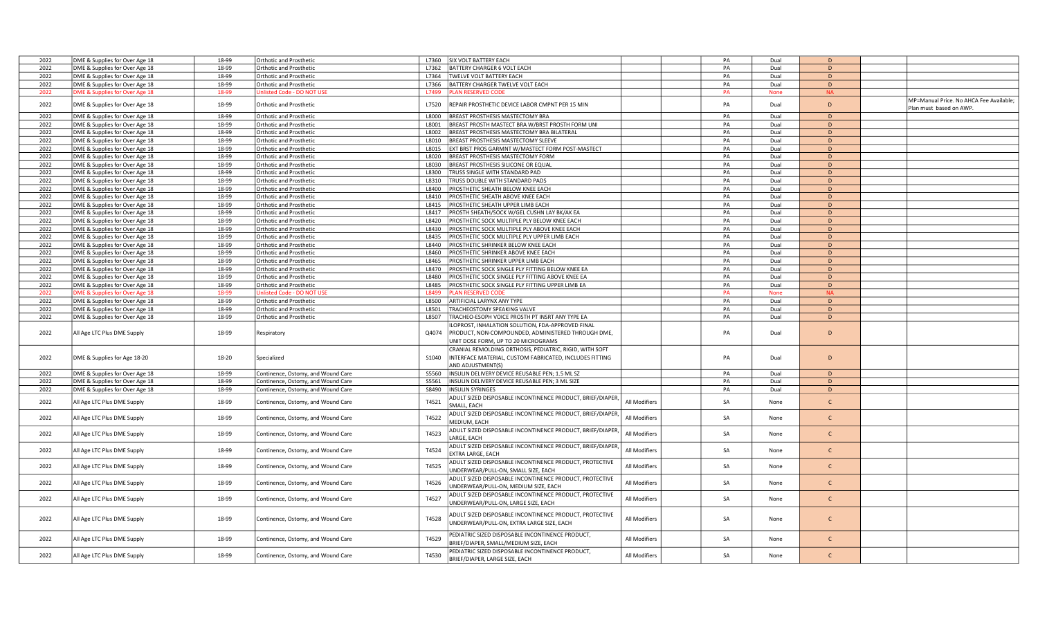| 2022 | DME & Supplies for Over Age 18 | 18-99 | <b>Orthotic and Prosthetic</b>     | L7360<br>SIX VOLT BATTERY EACH                                                                                                                         |               | PA | Dual        | D            |                                                                    |
|------|--------------------------------|-------|------------------------------------|--------------------------------------------------------------------------------------------------------------------------------------------------------|---------------|----|-------------|--------------|--------------------------------------------------------------------|
| 2022 | DME & Supplies for Over Age 18 | 18-99 | Orthotic and Prosthetic            | BATTERY CHARGER 6 VOLT EACH<br>L7362                                                                                                                   |               | PA | Dual        | D            |                                                                    |
| 2022 | DME & Supplies for Over Age 18 | 18-99 | Orthotic and Prosthetic            | L7364<br>TWELVE VOLT BATTERY EACH                                                                                                                      |               | PA | Dual        | D            |                                                                    |
| 2022 | DME & Supplies for Over Age 18 | 18-99 | Orthotic and Prosthetic            | L7366<br>BATTERY CHARGER TWELVE VOLT EACH                                                                                                              |               | PA | Dual        | D            |                                                                    |
| 2022 | DME & Supplies for Over Age 18 | 18-99 | Unlisted Code - DO NOT USI         | <b>LAN RESERVED CODE</b><br>L7499                                                                                                                      |               | PA | <b>None</b> | <b>NA</b>    |                                                                    |
| 2022 | DME & Supplies for Over Age 18 | 18-99 | Orthotic and Prosthetic            | REPAIR PROSTHETIC DEVICE LABOR CMPNT PER 15 MIN<br>L7520                                                                                               |               | PA | Dual        | D            | MP=Manual Price. No AHCA Fee Available;<br>Plan must based on AWP. |
| 2022 | DME & Supplies for Over Age 18 | 18-99 | <b>Orthotic and Prosthetic</b>     | BREAST PROSTHESIS MASTECTOMY BRA<br>L8000                                                                                                              |               | PA | Dual        | D            |                                                                    |
| 2022 | DME & Supplies for Over Age 18 | 18-99 | Orthotic and Prosthetic            | L8001<br>BREAST PROSTH MASTECT BRA W/BRST PROSTH FORM UNI                                                                                              |               | PA | Dual        | D            |                                                                    |
| 2022 | DME & Supplies for Over Age 18 | 18-99 | Orthotic and Prosthetic            | L8002<br>BREAST PROSTHESIS MASTECTOMY BRA BILATERAL                                                                                                    |               | PA | Dual        | D            |                                                                    |
| 2022 | DME & Supplies for Over Age 18 | 18-99 | Orthotic and Prosthetic            | L8010<br>BREAST PROSTHESIS MASTECTOMY SLEEVE                                                                                                           |               | PA | Dual        | D            |                                                                    |
| 2022 | DME & Supplies for Over Age 18 | 18-99 | Orthotic and Prosthetic            | L8015<br>EXT BRST PROS GARMNT W/MASTECT FORM POST-MASTECT                                                                                              |               | PA | Dual        | D            |                                                                    |
| 2022 | DME & Supplies for Over Age 18 | 18-99 | Orthotic and Prosthetic            | L8020<br>BREAST PROSTHESIS MASTECTOMY FORM                                                                                                             |               | PA | Dual        | D            |                                                                    |
| 2022 |                                | 18-99 | Orthotic and Prosthetic            | BREAST PROSTHESIS SILICONE OR EQUAL<br>L8030                                                                                                           |               | PA | Dual        | $\mathsf D$  |                                                                    |
|      | DME & Supplies for Over Age 18 |       |                                    |                                                                                                                                                        |               |    |             |              |                                                                    |
| 2022 | DME & Supplies for Over Age 18 | 18-99 | Orthotic and Prosthetic            | L8300<br>TRUSS SINGLE WITH STANDARD PAD                                                                                                                |               | PA | Dual        | D            |                                                                    |
| 2022 | DME & Supplies for Over Age 18 | 18-99 | <b>Orthotic and Prosthetic</b>     | L8310<br>RUSS DOUBLE WITH STANDARD PADS                                                                                                                |               | PA | Dual        | D            |                                                                    |
| 2022 | DME & Supplies for Over Age 18 | 18-99 | Orthotic and Prosthetic            | L8400<br>PROSTHETIC SHEATH BELOW KNEE EACH                                                                                                             |               | PA | Dual        | D            |                                                                    |
| 2022 | DME & Supplies for Over Age 18 | 18-99 | Orthotic and Prosthetic            | PROSTHETIC SHEATH ABOVE KNEE EACH<br>L8410                                                                                                             |               | PA | Dual        | D            |                                                                    |
| 2022 | DME & Supplies for Over Age 18 | 18-99 | Orthotic and Prosthetic            | L8415<br>PROSTHETIC SHEATH UPPER LIMB EACH                                                                                                             |               | PA | Dual        | D            |                                                                    |
| 2022 | DME & Supplies for Over Age 18 | 18-99 | Orthotic and Prosthetic            | L8417<br>PROSTH SHEATH/SOCK W/GEL CUSHN LAY BK/AK EA                                                                                                   |               | PA | Dual        | D            |                                                                    |
| 2022 | DME & Supplies for Over Age 18 | 18-99 | <b>Orthotic and Prosthetic</b>     | PROSTHETIC SOCK MULTIPLE PLY BELOW KNEE EACH<br>L8420                                                                                                  |               | PA | Dual        | $\mathsf D$  |                                                                    |
| 2022 | DME & Supplies for Over Age 18 | 18-99 | Orthotic and Prosthetic            | L8430<br>PROSTHETIC SOCK MULTIPLE PLY ABOVE KNEE EACH                                                                                                  |               | PA | Dual        | D            |                                                                    |
| 2022 | DME & Supplies for Over Age 18 | 18-99 | Orthotic and Prosthetic            | L8435<br>PROSTHETIC SOCK MULTIPLE PLY UPPER LIMB EACH                                                                                                  |               | PA | Dual        | D            |                                                                    |
| 2022 | DME & Supplies for Over Age 18 | 18-99 | Orthotic and Prosthetic            | L8440<br>PROSTHETIC SHRINKER BELOW KNEE EACH                                                                                                           |               | PA | Dual        | D            |                                                                    |
| 2022 | DME & Supplies for Over Age 18 | 18-99 | Orthotic and Prosthetic            | PROSTHETIC SHRINKER ABOVE KNEE EACH<br>L8460                                                                                                           |               | PA | Dual        | D            |                                                                    |
| 2022 | DME & Supplies for Over Age 18 | 18-99 | Orthotic and Prosthetic            | L8465<br>PROSTHETIC SHRINKER UPPER LIMB EACH                                                                                                           |               | PA | Dual        | D            |                                                                    |
| 2022 |                                | 18-99 |                                    | L8470                                                                                                                                                  |               |    |             | D            |                                                                    |
|      | DME & Supplies for Over Age 18 |       | <b>Orthotic and Prosthetic</b>     | PROSTHETIC SOCK SINGLE PLY FITTING BELOW KNEE EA                                                                                                       |               | PA | Dual        |              |                                                                    |
| 2022 | DME & Supplies for Over Age 18 | 18-99 | Orthotic and Prosthetic            | L8480<br>PROSTHETIC SOCK SINGLE PLY FITTING ABOVE KNEE EA                                                                                              |               | PA | Dual        | D            |                                                                    |
| 2022 | DME & Supplies for Over Age 18 | 18-99 | Orthotic and Prosthetic            | L8485<br>PROSTHETIC SOCK SINGLE PLY FITTING UPPER LIMB EA                                                                                              |               | PA | Dual        | D            |                                                                    |
| 2022 | DME & Supplies for Over Age 18 | 18-99 | Jnlisted Code - DO NOT USI         | L8499<br><b>LAN RESERVED CODE</b>                                                                                                                      |               | PA | <b>None</b> | <b>NA</b>    |                                                                    |
| 2022 | DME & Supplies for Over Age 18 | 18-99 | Orthotic and Prosthetic            | L8500<br>ARTIFICIAL LARYNX ANY TYPE                                                                                                                    |               | PA | Dual        | D            |                                                                    |
| 2022 | DME & Supplies for Over Age 18 | 18-99 | Orthotic and Prosthetic            | L8501<br>TRACHEOSTOMY SPEAKING VALVE                                                                                                                   |               | PA | Dual        | D            |                                                                    |
| 2022 | DME & Supplies for Over Age 18 | 18-99 | Orthotic and Prosthetic            | L8507<br>TRACHEO-ESOPH VOICE PROSTH PT INSRT ANY TYPE EA                                                                                               |               | PA | Dual        | D            |                                                                    |
| 2022 | All Age LTC Plus DME Supply    | 18-99 | Respiratory                        | LOPROST, INHALATION SOLUTION, FDA-APPROVED FINAL<br>Q4074<br>PRODUCT, NON-COMPOUNDED, ADMINISTERED THROUGH DME,<br>UNIT DOSE FORM, UP TO 20 MICROGRAMS |               | PA | Dual        | D            |                                                                    |
| 2022 | DME & Supplies for Age 18-20   | 18-20 | Specialized                        | CRANIAL REMOLDING ORTHOSIS, PEDIATRIC, RIGID, WITH SOFT<br>INTERFACE MATERIAL, CUSTOM FABRICATED, INCLUDES FITTING<br>S1040<br>AND ADJUSTMENT(S)       |               | PA | Dual        | D            |                                                                    |
| 2022 | DME & Supplies for Over Age 18 | 18-99 | Continence, Ostomy, and Wound Care | S5560<br>INSULIN DELIVERY DEVICE REUSABLE PEN; 1.5 ML SZ                                                                                               |               | PA | Dual        | D            |                                                                    |
| 2022 | DME & Supplies for Over Age 18 | 18-99 | Continence, Ostomy, and Wound Care | INSULIN DELIVERY DEVICE REUSABLE PEN; 3 ML SIZE<br>S5561                                                                                               |               | PA | Dual        | D            |                                                                    |
| 2022 | DME & Supplies for Over Age 18 | 18-99 | Continence, Ostomy, and Wound Care | S8490<br><b>INSULIN SYRINGES</b>                                                                                                                       |               | PA | Dual        | D            |                                                                    |
|      |                                |       |                                    | ADULT SIZED DISPOSABLE INCONTINENCE PRODUCT, BRIEF/DIAPER,                                                                                             |               |    |             |              |                                                                    |
| 2022 | All Age LTC Plus DME Supply    | 18-99 | Continence, Ostomy, and Wound Care | T4521<br>SMALL, EACH                                                                                                                                   | All Modifiers | SA | None        | $\mathsf{C}$ |                                                                    |
| 2022 | All Age LTC Plus DME Supply    | 18-99 | Continence, Ostomy, and Wound Care | ADULT SIZED DISPOSABLE INCONTINENCE PRODUCT, BRIEF/DIAPER,<br>T4522<br>MEDIUM, EACH                                                                    | All Modifiers | SA | None        | $\mathsf{C}$ |                                                                    |
| 2022 | All Age LTC Plus DME Supply    | 18-99 | Continence, Ostomy, and Wound Care | ADULT SIZED DISPOSABLE INCONTINENCE PRODUCT, BRIEF/DIAPER,<br>T4523<br>LARGE, EACH                                                                     | All Modifiers | SA | None        | $\mathsf{C}$ |                                                                    |
| 2022 | All Age LTC Plus DME Supply    | 18-99 | Continence, Ostomy, and Wound Care | ADULT SIZED DISPOSABLE INCONTINENCE PRODUCT, BRIEF/DIAPER,<br>T4524<br>EXTRA LARGE, EACH                                                               | All Modifiers | SA | None        | $\mathsf{C}$ |                                                                    |
| 2022 | All Age LTC Plus DME Supply    | 18-99 | Continence, Ostomy, and Wound Care | ADULT SIZED DISPOSABLE INCONTINENCE PRODUCT, PROTECTIVE<br>T4525<br>JNDERWEAR/PULL-ON, SMALL SIZE, EACH                                                | All Modifiers | SA | None        | $\mathsf{C}$ |                                                                    |
| 2022 | All Age LTC Plus DME Supply    | 18-99 | Continence, Ostomy, and Wound Care | ADULT SIZED DISPOSABLE INCONTINENCE PRODUCT, PROTECTIVE<br>T4526<br>UNDERWEAR/PULL-ON, MEDIUM SIZE, EACH                                               | All Modifiers | SA | None        | $\mathsf{C}$ |                                                                    |
| 2022 | All Age LTC Plus DME Supply    | 18-99 | Continence, Ostomy, and Wound Care | ADULT SIZED DISPOSABLE INCONTINENCE PRODUCT, PROTECTIVE<br>T4527<br>UNDERWEAR/PULL-ON, LARGE SIZE, EACH                                                | All Modifiers | SA | None        | $\mathsf{C}$ |                                                                    |
| 2022 | All Age LTC Plus DME Supply    | 18-99 | Continence, Ostomy, and Wound Care | ADULT SIZED DISPOSABLE INCONTINENCE PRODUCT, PROTECTIVE<br>T4528<br>UNDERWEAR/PULL-ON, EXTRA LARGE SIZE, EACH                                          | All Modifiers | SA | None        | $\mathsf{C}$ |                                                                    |
| 2022 | All Age LTC Plus DME Supply    | 18-99 | Continence, Ostomy, and Wound Care | PEDIATRIC SIZED DISPOSABLE INCONTINENCE PRODUCT,<br>T4529<br>BRIEF/DIAPER, SMALL/MEDIUM SIZE, EACH                                                     | All Modifiers | SA | None        | $\mathsf{C}$ |                                                                    |
| 2022 | All Age LTC Plus DME Supply    | 18-99 | Continence, Ostomy, and Wound Care | PEDIATRIC SIZED DISPOSABLE INCONTINENCE PRODUCT,<br>T4530<br>BRIEF/DIAPER, LARGE SIZE, EACH                                                            | All Modifiers | SA | None        | $\mathsf{C}$ |                                                                    |
|      |                                |       |                                    |                                                                                                                                                        |               |    |             |              |                                                                    |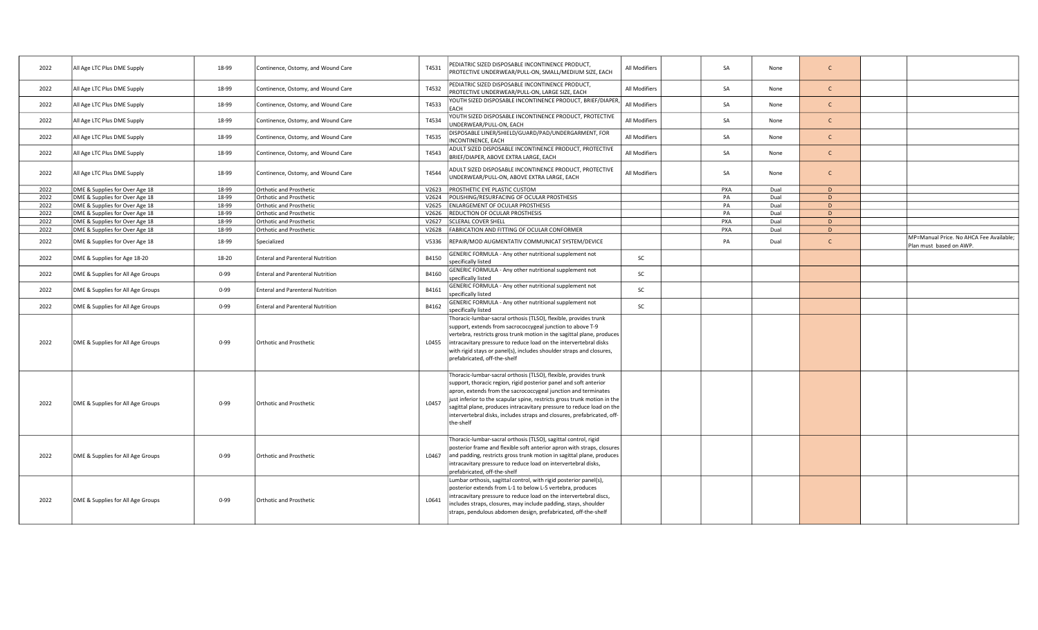| 2022 | All Age LTC Plus DME Supply       | 18-99    | Continence, Ostomy, and Wound Care      | T4531 | PEDIATRIC SIZED DISPOSABLE INCONTINENCE PRODUCT,<br>PROTECTIVE UNDERWEAR/PULL-ON, SMALL/MEDIUM SIZE, EACH                                                                                                                                                                                                                                                                                                                                            | All Modifiers | SA  | None | $\mathsf{C}$ |                                                                    |
|------|-----------------------------------|----------|-----------------------------------------|-------|------------------------------------------------------------------------------------------------------------------------------------------------------------------------------------------------------------------------------------------------------------------------------------------------------------------------------------------------------------------------------------------------------------------------------------------------------|---------------|-----|------|--------------|--------------------------------------------------------------------|
| 2022 | All Age LTC Plus DME Supply       | 18-99    | Continence, Ostomy, and Wound Care      | T4532 | PEDIATRIC SIZED DISPOSABLE INCONTINENCE PRODUCT,<br>PROTECTIVE UNDERWEAR/PULL-ON, LARGE SIZE, EACH                                                                                                                                                                                                                                                                                                                                                   | All Modifiers | SA  | None | $\mathsf{C}$ |                                                                    |
| 2022 | All Age LTC Plus DME Supply       | 18-99    | Continence, Ostomy, and Wound Care      | T4533 | YOUTH SIZED DISPOSABLE INCONTINENCE PRODUCT, BRIEF/DIAPER,<br>EACH                                                                                                                                                                                                                                                                                                                                                                                   | All Modifiers | SA  | None | $\mathsf{C}$ |                                                                    |
| 2022 | All Age LTC Plus DME Supply       | 18-99    | Continence, Ostomy, and Wound Care      | T4534 | YOUTH SIZED DISPOSABLE INCONTINENCE PRODUCT, PROTECTIVE<br>UNDERWEAR/PULL-ON, EACH                                                                                                                                                                                                                                                                                                                                                                   | All Modifiers | SA  | None | $\mathsf{C}$ |                                                                    |
| 2022 | All Age LTC Plus DME Supply       | 18-99    | Continence, Ostomy, and Wound Care      | T4535 | DISPOSABLE LINER/SHIELD/GUARD/PAD/UNDERGARMENT, FOR<br>INCONTINENCE, EACH                                                                                                                                                                                                                                                                                                                                                                            | All Modifiers | SA  | None | $\mathsf{C}$ |                                                                    |
| 2022 | All Age LTC Plus DME Supply       | 18-99    | Continence, Ostomy, and Wound Care      | T4543 | ADULT SIZED DISPOSABLE INCONTINENCE PRODUCT, PROTECTIVE<br>BRIEF/DIAPER, ABOVE EXTRA LARGE, EACH                                                                                                                                                                                                                                                                                                                                                     | All Modifiers | SA  | None | $\mathsf{C}$ |                                                                    |
| 2022 | All Age LTC Plus DME Supply       | 18-99    | Continence, Ostomy, and Wound Care      | T4544 | ADULT SIZED DISPOSABLE INCONTINENCE PRODUCT, PROTECTIVE<br>UNDERWEAR/PULL-ON, ABOVE EXTRA LARGE, EACH                                                                                                                                                                                                                                                                                                                                                | All Modifiers | SA  | None | $\mathsf{C}$ |                                                                    |
| 2022 | DME & Supplies for Over Age 18    | 18-99    | <b>Orthotic and Prosthetic</b>          |       | V2623 PROSTHETIC EYE PLASTIC CUSTOM                                                                                                                                                                                                                                                                                                                                                                                                                  |               | PXA | Dual | D            |                                                                    |
| 2022 | DME & Supplies for Over Age 18    | 18-99    | <b>Orthotic and Prosthetic</b>          | V2624 | POLISHING/RESURFACING OF OCULAR PROSTHESIS                                                                                                                                                                                                                                                                                                                                                                                                           |               | PA  | Dual | D            |                                                                    |
| 2022 | DME & Supplies for Over Age 18    | 18-99    | <b>Orthotic and Prosthetic</b>          | V2625 | <b>ENLARGEMENT OF OCULAR PROSTHESIS</b>                                                                                                                                                                                                                                                                                                                                                                                                              |               | PA  | Dual | D            |                                                                    |
| 2022 | DME & Supplies for Over Age 18    | 18-99    | Orthotic and Prosthetic                 | V2626 | REDUCTION OF OCULAR PROSTHESIS                                                                                                                                                                                                                                                                                                                                                                                                                       |               | PA  | Dual | D            |                                                                    |
| 2022 | DME & Supplies for Over Age 18    | 18-99    | <b>Orthotic and Prosthetic</b>          | V2627 | <b>SCLERAL COVER SHELL</b>                                                                                                                                                                                                                                                                                                                                                                                                                           |               | PXA | Dual | D            |                                                                    |
| 2022 | DME & Supplies for Over Age 18    | 18-99    | <b>Orthotic and Prosthetic</b>          |       | V2628   FABRICATION AND FITTING OF OCULAR CONFORMER                                                                                                                                                                                                                                                                                                                                                                                                  |               | PXA | Dual | D            |                                                                    |
| 2022 | DME & Supplies for Over Age 18    | 18-99    | Specialized                             | V5336 | REPAIR/MOD AUGMENTATIV COMMUNICAT SYSTEM/DEVICE                                                                                                                                                                                                                                                                                                                                                                                                      |               | PA  | Dual | $\mathsf{C}$ | MP=Manual Price. No AHCA Fee Available;<br>Plan must based on AWP. |
| 2022 | DME & Supplies for Age 18-20      | 18-20    | <b>Enteral and Parenteral Nutrition</b> | B4150 | GENERIC FORMULA - Any other nutritional supplement not<br>specifically listed                                                                                                                                                                                                                                                                                                                                                                        | SC            |     |      |              |                                                                    |
| 2022 | DME & Supplies for All Age Groups | $0 - 99$ | <b>Enteral and Parenteral Nutrition</b> | B4160 | GENERIC FORMULA - Any other nutritional supplement not<br>specifically listed                                                                                                                                                                                                                                                                                                                                                                        | SC            |     |      |              |                                                                    |
| 2022 | DME & Supplies for All Age Groups | $0 - 99$ | <b>Enteral and Parenteral Nutrition</b> | B4161 | GENERIC FORMULA - Any other nutritional supplement not<br>specifically listed                                                                                                                                                                                                                                                                                                                                                                        | SC            |     |      |              |                                                                    |
| 2022 | DME & Supplies for All Age Groups | $0 - 99$ | <b>Enteral and Parenteral Nutrition</b> | B4162 | GENERIC FORMULA - Any other nutritional supplement not<br>specifically listed                                                                                                                                                                                                                                                                                                                                                                        | SC            |     |      |              |                                                                    |
| 2022 | DME & Supplies for All Age Groups | $0 - 99$ | Orthotic and Prosthetic                 | L0455 | Thoracic-lumbar-sacral orthosis (TLSO), flexible, provides trunk<br>support, extends from sacrococcygeal junction to above T-9<br>vertebra, restricts gross trunk motion in the sagittal plane, produces<br>intracavitary pressure to reduce load on the intervertebral disks<br>with rigid stays or panel(s), includes shoulder straps and closures,<br>prefabricated, off-the-shelf                                                                |               |     |      |              |                                                                    |
| 2022 | DME & Supplies for All Age Groups | $0 - 99$ | <b>Orthotic and Prosthetic</b>          | L0457 | Thoracic-lumbar-sacral orthosis (TLSO), flexible, provides trunk<br>support, thoracic region, rigid posterior panel and soft anterior<br>apron, extends from the sacrococcygeal junction and terminates<br>just inferior to the scapular spine, restricts gross trunk motion in the<br>sagittal plane, produces intracavitary pressure to reduce load on the<br>intervertebral disks, includes straps and closures, prefabricated, off-<br>the-shelf |               |     |      |              |                                                                    |
| 2022 | DME & Supplies for All Age Groups | $0 - 99$ | <b>Orthotic and Prosthetic</b>          | L0467 | Thoracic-lumbar-sacral orthosis (TLSO), sagittal control, rigid<br>posterior frame and flexible soft anterior apron with straps, closures<br>and padding, restricts gross trunk motion in sagittal plane, produces<br>intracavitary pressure to reduce load on intervertebral disks,<br>prefabricated, off-the-shelf                                                                                                                                 |               |     |      |              |                                                                    |
| 2022 | DME & Supplies for All Age Groups | $0 - 99$ | <b>Orthotic and Prosthetic</b>          | L0641 | Lumbar orthosis, sagittal control, with rigid posterior panel(s),<br>posterior extends from L-1 to below L-5 vertebra, produces<br>intracavitary pressure to reduce load on the intervertebral discs,<br>includes straps, closures, may include padding, stays, shoulder<br>straps, pendulous abdomen design, prefabricated, off-the-shelf                                                                                                           |               |     |      |              |                                                                    |